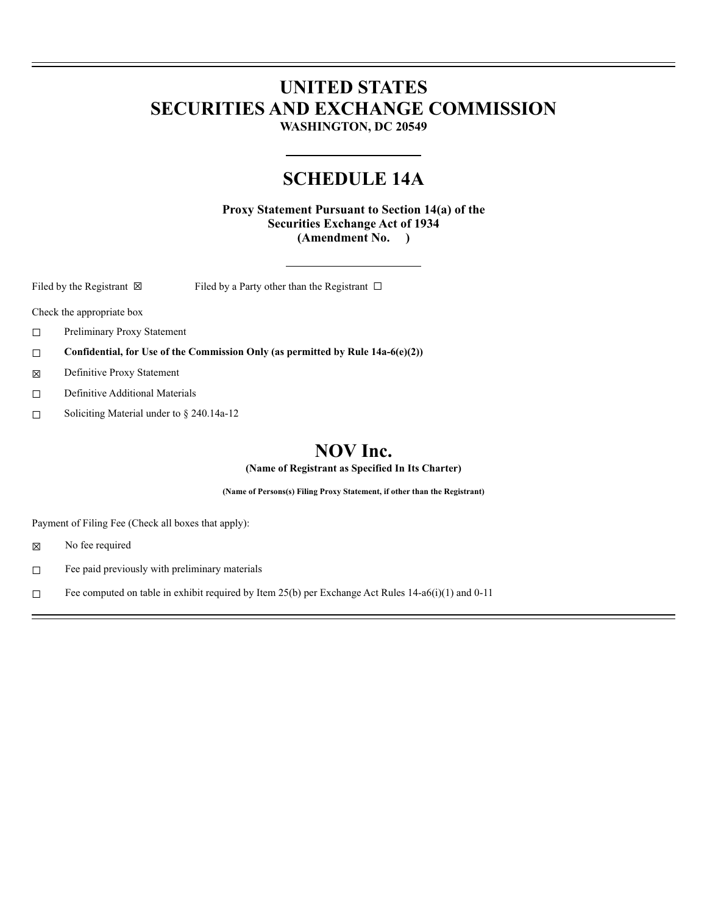# **UNITED STATES SECURITIES AND EXCHANGE COMMISSION**

**WASHINGTON, DC 20549**

# **SCHEDULE 14A**

**Proxy Statement Pursuant to Section 14(a) of the Securities Exchange Act of 1934 (Amendment No. )**

Filed by the Registrant  $\boxtimes$  Filed by a Party other than the Registrant  $\Box$ 

Check the appropriate box

- ☐ Preliminary Proxy Statement
- ☐ **Confidential, for Use of the Commission Only (as permitted by Rule 14a-6(e)(2))**
- ☒ Definitive Proxy Statement
- ☐ Definitive Additional Materials
- ☐ Soliciting Material under to § 240.14a-12

# **NOV Inc.**

**(Name of Registrant as Specified In Its Charter)**

**(Name of Persons(s) Filing Proxy Statement, if other than the Registrant)**

Payment of Filing Fee (Check all boxes that apply):

☒ No fee required

- ☐ Fee paid previously with preliminary materials
- □ Fee computed on table in exhibit required by Item 25(b) per Exchange Act Rules 14-a6(i)(1) and 0-11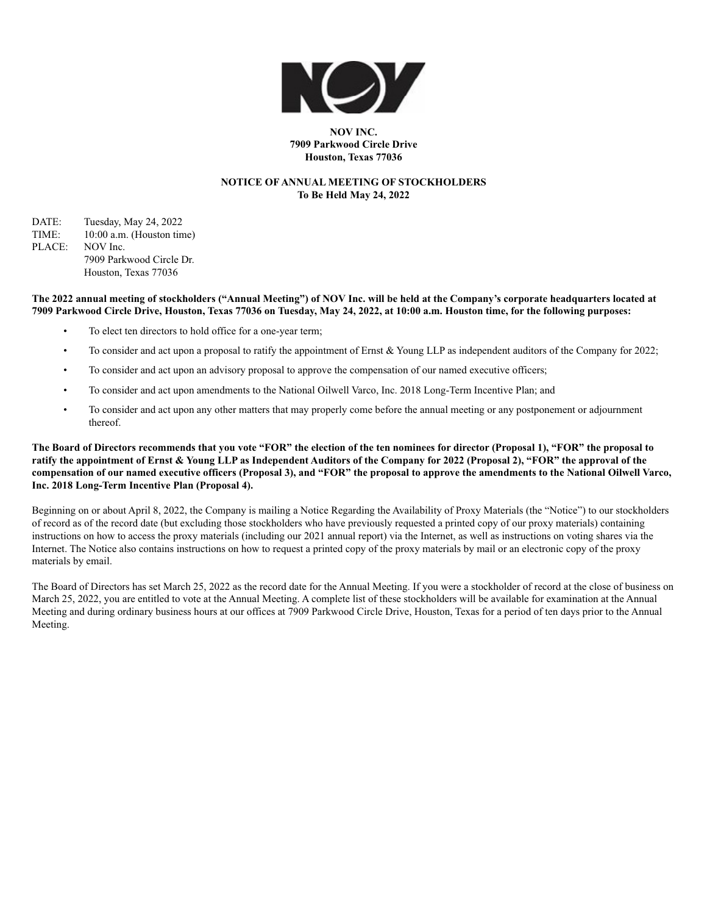

#### **NOV INC. 7909 Parkwood Circle Drive Houston, Texas 77036**

#### **NOTICE OF ANNUAL MEETING OF STOCKHOLDERS To Be Held May 24, 2022**

DATE: Tuesday, May 24, 2022 TIME: 10:00 a.m. (Houston time) PLACE: NOV Inc. 7909 Parkwood Circle Dr. Houston, Texas 77036

#### **The 2022 annual meeting of stockholders ("Annual Meeting") of NOV Inc. will be held at the Company's corporate headquarters located at 7909 Parkwood Circle Drive, Houston, Texas 77036 on Tuesday, May 24, 2022, at 10:00 a.m. Houston time, for the following purposes:**

- To elect ten directors to hold office for a one-year term;
- To consider and act upon a proposal to ratify the appointment of Ernst & Young LLP as independent auditors of the Company for 2022;
- To consider and act upon an advisory proposal to approve the compensation of our named executive officers;
- To consider and act upon amendments to the National Oilwell Varco, Inc. 2018 Long-Term Incentive Plan; and
- To consider and act upon any other matters that may properly come before the annual meeting or any postponement or adjournment thereof.

#### **The Board of Directors recommends that you vote "FOR" the election of the ten nominees for director (Proposal 1), "FOR" the proposal to ratify the appointment of Ernst & Young LLP as Independent Auditors of the Company for 2022 (Proposal 2), "FOR" the approval of the compensation of our named executive officers (Proposal 3), and "FOR" the proposal to approve the amendments to the National Oilwell Varco, Inc. 2018 Long-Term Incentive Plan (Proposal 4).**

Beginning on or about April 8, 2022, the Company is mailing a Notice Regarding the Availability of Proxy Materials (the "Notice") to our stockholders of record as of the record date (but excluding those stockholders who have previously requested a printed copy of our proxy materials) containing instructions on how to access the proxy materials (including our 2021 annual report) via the Internet, as well as instructions on voting shares via the Internet. The Notice also contains instructions on how to request a printed copy of the proxy materials by mail or an electronic copy of the proxy materials by email.

The Board of Directors has set March 25, 2022 as the record date for the Annual Meeting. If you were a stockholder of record at the close of business on March 25, 2022, you are entitled to vote at the Annual Meeting. A complete list of these stockholders will be available for examination at the Annual Meeting and during ordinary business hours at our offices at 7909 Parkwood Circle Drive, Houston, Texas for a period of ten days prior to the Annual Meeting.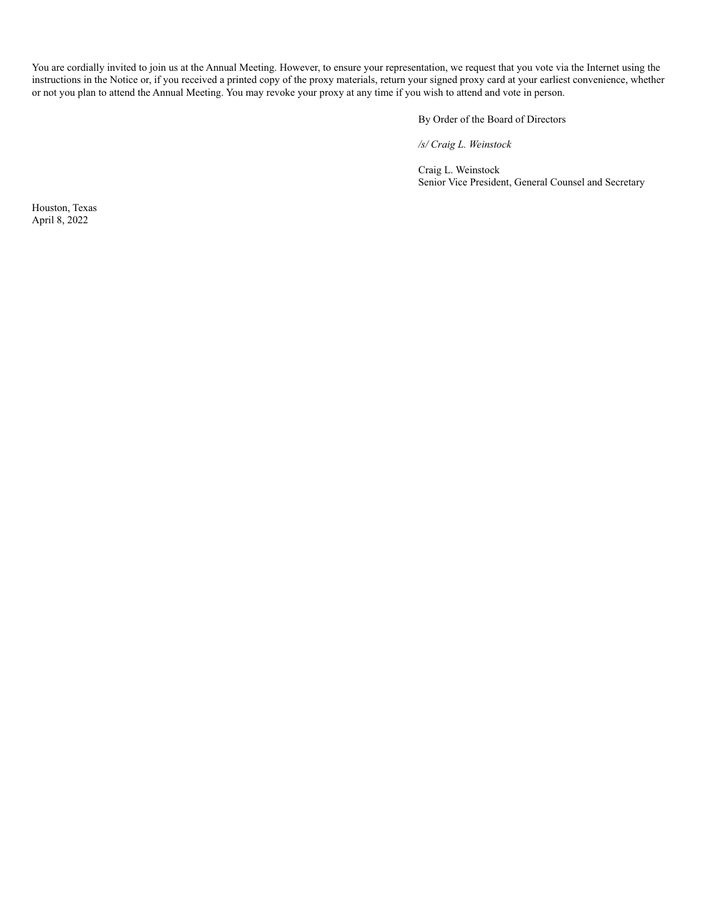You are cordially invited to join us at the Annual Meeting. However, to ensure your representation, we request that you vote via the Internet using the instructions in the Notice or, if you received a printed copy of the proxy materials, return your signed proxy card at your earliest convenience, whether or not you plan to attend the Annual Meeting. You may revoke your proxy at any time if you wish to attend and vote in person.

By Order of the Board of Directors

*/s/ Craig L. Weinstock*

Craig L. Weinstock Senior Vice President, General Counsel and Secretary

Houston, Texas April 8, 2022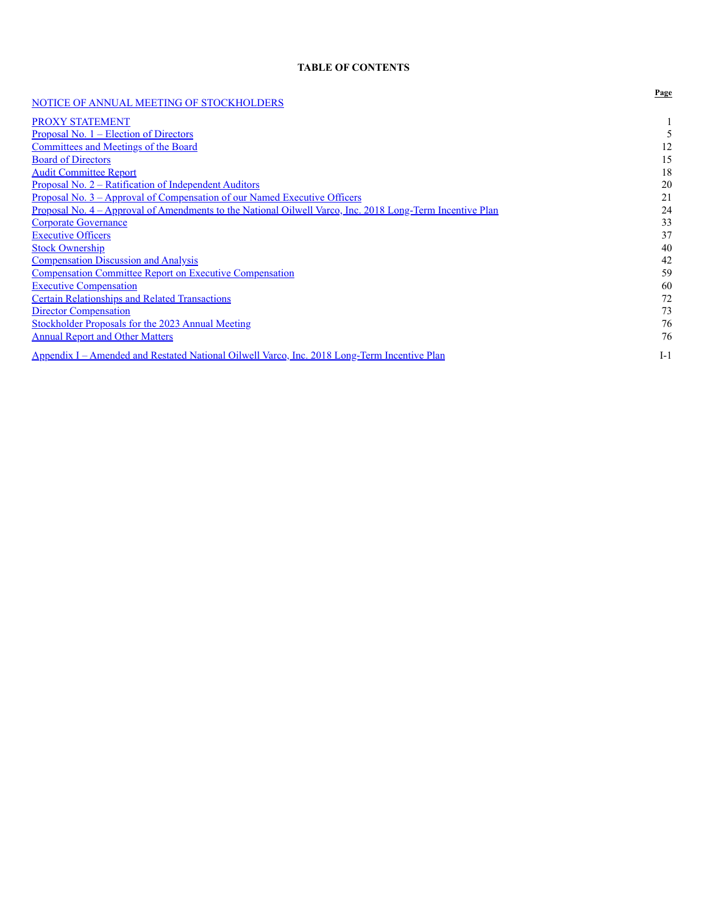#### **TABLE OF CONTENTS**

| NOTICE OF ANNUAL MEETING OF STOCKHOLDERS                                                                  | Page  |
|-----------------------------------------------------------------------------------------------------------|-------|
| PROXY STATEMENT                                                                                           |       |
| <u>Proposal No. <math>1</math> – Election of Directors</u>                                                |       |
| <b>Committees and Meetings of the Board</b>                                                               | 12    |
| <b>Board of Directors</b>                                                                                 | 15    |
| <b>Audit Committee Report</b>                                                                             | 18    |
| <u> Proposal No. 2 – Ratification of Independent Auditors</u>                                             | 20    |
| Proposal No. 3 - Approval of Compensation of our Named Executive Officers                                 | 21    |
| Proposal No. 4 – Approval of Amendments to the National Oilwell Varco, Inc. 2018 Long-Term Incentive Plan | 24    |
| <b>Corporate Governance</b>                                                                               | 33    |
| <b>Executive Officers</b>                                                                                 | 37    |
| <b>Stock Ownership</b>                                                                                    | 40    |
| <b>Compensation Discussion and Analysis</b>                                                               | 42    |
| <b>Compensation Committee Report on Executive Compensation</b>                                            | 59    |
| <b>Executive Compensation</b>                                                                             | 60    |
| <b>Certain Relationships and Related Transactions</b>                                                     | 72    |
| <b>Director Compensation</b>                                                                              | 73    |
| Stockholder Proposals for the 2023 Annual Meeting                                                         | 76    |
| <b>Annual Report and Other Matters</b>                                                                    | 76    |
| <u> Appendix I – Amended and Restated National Oilwell Varco, Inc. 2018 Long-Term Incentive Plan</u>      | $I-1$ |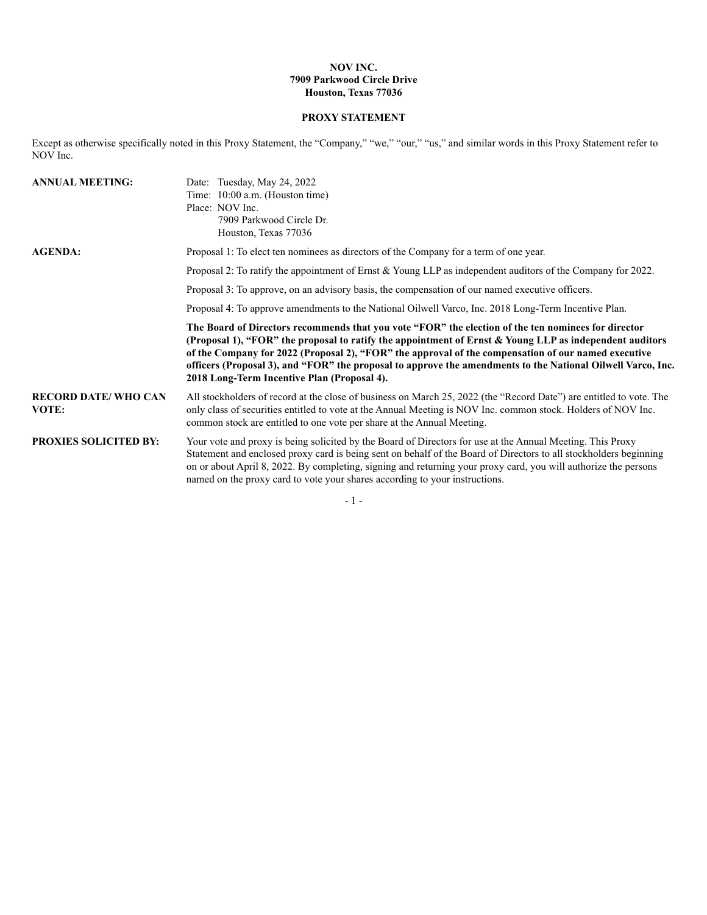#### **NOV INC. 7909 Parkwood Circle Drive Houston, Texas 77036**

# **PROXY STATEMENT**

Except as otherwise specifically noted in this Proxy Statement, the "Company," "we," "our," "us," and similar words in this Proxy Statement refer to NOV Inc.

| <b>ANNUAL MEETING:</b>               | Date: Tuesday, May 24, 2022<br>Time: 10:00 a.m. (Houston time)<br>Place: NOV Inc.<br>7909 Parkwood Circle Dr.<br>Houston, Texas 77036                                                                                                                                                                                                                                                                                                                                               |
|--------------------------------------|-------------------------------------------------------------------------------------------------------------------------------------------------------------------------------------------------------------------------------------------------------------------------------------------------------------------------------------------------------------------------------------------------------------------------------------------------------------------------------------|
| <b>AGENDA:</b>                       | Proposal 1: To elect ten nominees as directors of the Company for a term of one year.                                                                                                                                                                                                                                                                                                                                                                                               |
|                                      | Proposal 2: To ratify the appointment of Ernst & Young LLP as independent auditors of the Company for 2022.                                                                                                                                                                                                                                                                                                                                                                         |
|                                      | Proposal 3: To approve, on an advisory basis, the compensation of our named executive officers.                                                                                                                                                                                                                                                                                                                                                                                     |
|                                      | Proposal 4: To approve amendments to the National Oilwell Varco, Inc. 2018 Long-Term Incentive Plan.                                                                                                                                                                                                                                                                                                                                                                                |
|                                      | The Board of Directors recommends that you vote "FOR" the election of the ten nominees for director<br>(Proposal 1), "FOR" the proposal to ratify the appointment of Ernst & Young LLP as independent auditors<br>of the Company for 2022 (Proposal 2), "FOR" the approval of the compensation of our named executive<br>officers (Proposal 3), and "FOR" the proposal to approve the amendments to the National Oilwell Varco, Inc.<br>2018 Long-Term Incentive Plan (Proposal 4). |
| <b>RECORD DATE/ WHO CAN</b><br>VOTE: | All stockholders of record at the close of business on March 25, 2022 (the "Record Date") are entitled to vote. The<br>only class of securities entitled to vote at the Annual Meeting is NOV Inc. common stock. Holders of NOV Inc.<br>common stock are entitled to one vote per share at the Annual Meeting.                                                                                                                                                                      |
| <b>PROXIES SOLICITED BY:</b>         | Your vote and proxy is being solicited by the Board of Directors for use at the Annual Meeting. This Proxy<br>Statement and enclosed proxy card is being sent on behalf of the Board of Directors to all stockholders beginning<br>on or about April 8, 2022. By completing, signing and returning your proxy card, you will authorize the persons<br>named on the proxy card to vote your shares according to your instructions.                                                   |

- 1 -  $\,$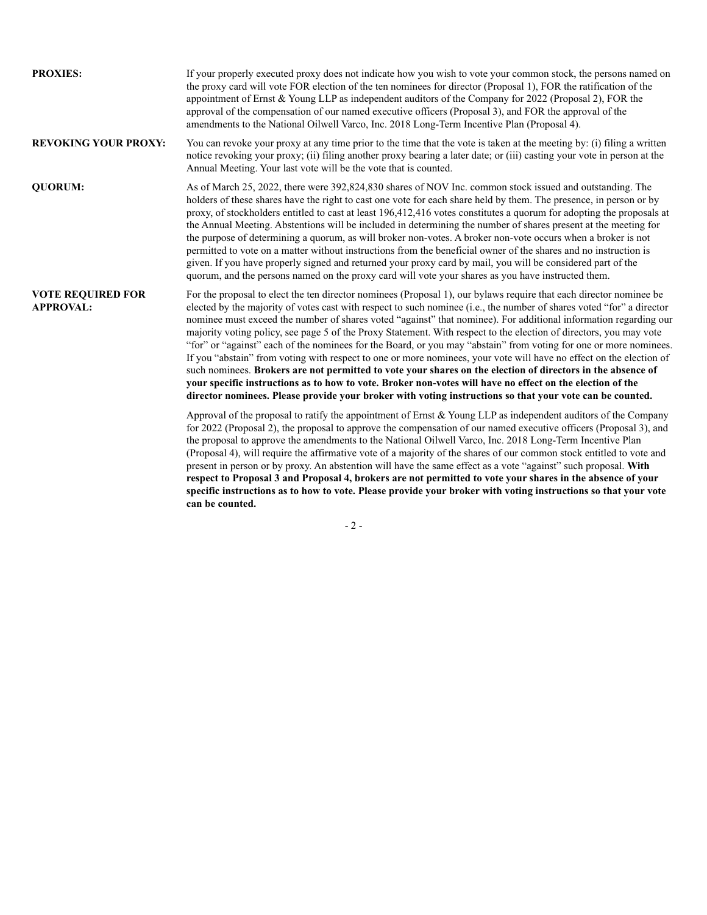| <b>PROXIES:</b>                              | If your properly executed proxy does not indicate how you wish to vote your common stock, the persons named on<br>the proxy card will vote FOR election of the ten nominees for director (Proposal 1), FOR the ratification of the<br>appointment of Ernst & Young LLP as independent auditors of the Company for 2022 (Proposal 2), FOR the<br>approval of the compensation of our named executive officers (Proposal 3), and FOR the approval of the<br>amendments to the National Oilwell Varco, Inc. 2018 Long-Term Incentive Plan (Proposal 4).                                                                                                                                                                                                                                                                                                                                                                                                                                                                                                                      |
|----------------------------------------------|---------------------------------------------------------------------------------------------------------------------------------------------------------------------------------------------------------------------------------------------------------------------------------------------------------------------------------------------------------------------------------------------------------------------------------------------------------------------------------------------------------------------------------------------------------------------------------------------------------------------------------------------------------------------------------------------------------------------------------------------------------------------------------------------------------------------------------------------------------------------------------------------------------------------------------------------------------------------------------------------------------------------------------------------------------------------------|
| <b>REVOKING YOUR PROXY:</b>                  | You can revoke your proxy at any time prior to the time that the vote is taken at the meeting by: (i) filing a written<br>notice revoking your proxy; (ii) filing another proxy bearing a later date; or (iii) casting your vote in person at the<br>Annual Meeting. Your last vote will be the vote that is counted.                                                                                                                                                                                                                                                                                                                                                                                                                                                                                                                                                                                                                                                                                                                                                     |
| <b>QUORUM:</b>                               | As of March 25, 2022, there were 392,824,830 shares of NOV Inc. common stock issued and outstanding. The<br>holders of these shares have the right to cast one vote for each share held by them. The presence, in person or by<br>proxy, of stockholders entitled to cast at least 196,412,416 votes constitutes a quorum for adopting the proposals at<br>the Annual Meeting. Abstentions will be included in determining the number of shares present at the meeting for<br>the purpose of determining a quorum, as will broker non-votes. A broker non-vote occurs when a broker is not<br>permitted to vote on a matter without instructions from the beneficial owner of the shares and no instruction is<br>given. If you have properly signed and returned your proxy card by mail, you will be considered part of the<br>quorum, and the persons named on the proxy card will vote your shares as you have instructed them.                                                                                                                                       |
| <b>VOTE REQUIRED FOR</b><br><b>APPROVAL:</b> | For the proposal to elect the ten director nominees (Proposal 1), our bylaws require that each director nominee be<br>elected by the majority of votes cast with respect to such nominee (i.e., the number of shares voted "for" a director<br>nominee must exceed the number of shares voted "against" that nominee). For additional information regarding our<br>majority voting policy, see page 5 of the Proxy Statement. With respect to the election of directors, you may vote<br>"for" or "against" each of the nominees for the Board, or you may "abstain" from voting for one or more nominees.<br>If you "abstain" from voting with respect to one or more nominees, your vote will have no effect on the election of<br>such nominees. Brokers are not permitted to vote your shares on the election of directors in the absence of<br>your specific instructions as to how to vote. Broker non-votes will have no effect on the election of the<br>director nominees. Please provide your broker with voting instructions so that your vote can be counted. |
|                                              | Approval of the proposal to ratify the appointment of Ernst & Young LLP as independent auditors of the Company<br>for 2022 (Proposal 2), the proposal to approve the compensation of our named executive officers (Proposal 3), and<br>the proposal to approve the amendments to the National Oilwell Varco, Inc. 2018 Long-Term Incentive Plan<br>(Proposal 4), will require the affirmative vote of a majority of the shares of our common stock entitled to vote and<br>present in person or by proxy. An abstention will have the same effect as a vote "against" such proposal. With<br>respect to Proposal 3 and Proposal 4, brokers are not permitted to vote your shares in the absence of your<br>specific instructions as to how to vote. Please provide your broker with voting instructions so that your vote<br>can be counted.                                                                                                                                                                                                                              |

# $\sim 2$  -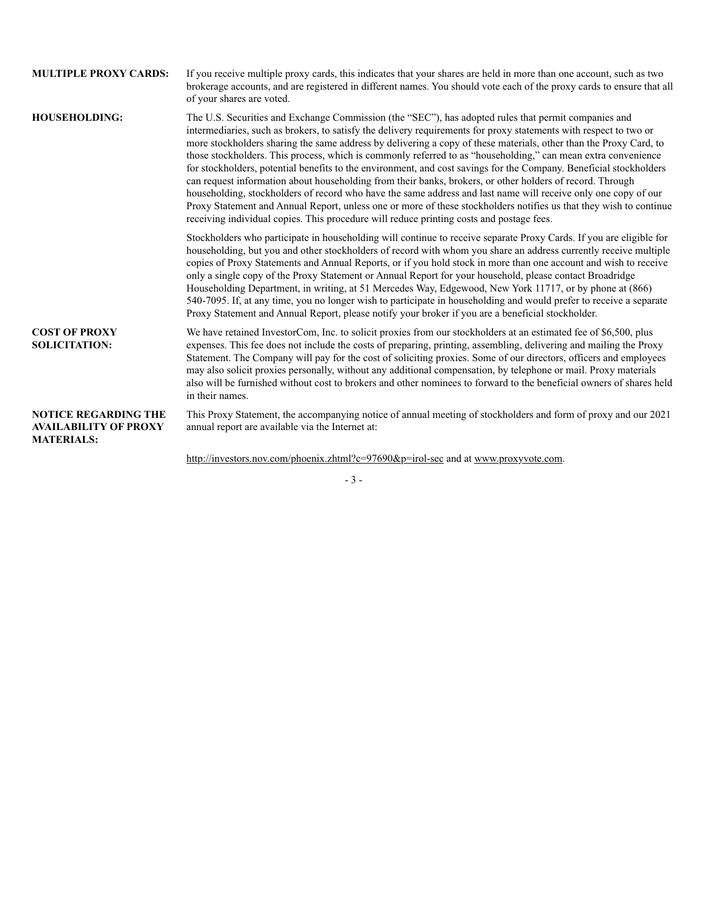| <b>MULTIPLE PROXY CARDS:</b>                                                     | If you receive multiple proxy cards, this indicates that your shares are held in more than one account, such as two<br>brokerage accounts, and are registered in different names. You should vote each of the proxy cards to ensure that all<br>of your shares are voted.                                                                                                                                                                                                                                                                                                                                                                                                                                                                                                                                                                                                                                                                                                                                                              |
|----------------------------------------------------------------------------------|----------------------------------------------------------------------------------------------------------------------------------------------------------------------------------------------------------------------------------------------------------------------------------------------------------------------------------------------------------------------------------------------------------------------------------------------------------------------------------------------------------------------------------------------------------------------------------------------------------------------------------------------------------------------------------------------------------------------------------------------------------------------------------------------------------------------------------------------------------------------------------------------------------------------------------------------------------------------------------------------------------------------------------------|
| <b>HOUSEHOLDING:</b>                                                             | The U.S. Securities and Exchange Commission (the "SEC"), has adopted rules that permit companies and<br>intermediaries, such as brokers, to satisfy the delivery requirements for proxy statements with respect to two or<br>more stockholders sharing the same address by delivering a copy of these materials, other than the Proxy Card, to<br>those stockholders. This process, which is commonly referred to as "householding," can mean extra convenience<br>for stockholders, potential benefits to the environment, and cost savings for the Company. Beneficial stockholders<br>can request information about householding from their banks, brokers, or other holders of record. Through<br>householding, stockholders of record who have the same address and last name will receive only one copy of our<br>Proxy Statement and Annual Report, unless one or more of these stockholders notifies us that they wish to continue<br>receiving individual copies. This procedure will reduce printing costs and postage fees. |
|                                                                                  | Stockholders who participate in householding will continue to receive separate Proxy Cards. If you are eligible for<br>householding, but you and other stockholders of record with whom you share an address currently receive multiple<br>copies of Proxy Statements and Annual Reports, or if you hold stock in more than one account and wish to receive<br>only a single copy of the Proxy Statement or Annual Report for your household, please contact Broadridge<br>Householding Department, in writing, at 51 Mercedes Way, Edgewood, New York 11717, or by phone at (866)<br>540-7095. If, at any time, you no longer wish to participate in householding and would prefer to receive a separate<br>Proxy Statement and Annual Report, please notify your broker if you are a beneficial stockholder.                                                                                                                                                                                                                         |
| <b>COST OF PROXY</b><br><b>SOLICITATION:</b>                                     | We have retained InvestorCom, Inc. to solicit proxies from our stockholders at an estimated fee of \$6,500, plus<br>expenses. This fee does not include the costs of preparing, printing, assembling, delivering and mailing the Proxy<br>Statement. The Company will pay for the cost of soliciting proxies. Some of our directors, officers and employees<br>may also solicit proxies personally, without any additional compensation, by telephone or mail. Proxy materials<br>also will be furnished without cost to brokers and other nominees to forward to the beneficial owners of shares held<br>in their names.                                                                                                                                                                                                                                                                                                                                                                                                              |
| <b>NOTICE REGARDING THE</b><br><b>AVAILABILITY OF PROXY</b><br><b>MATERIALS:</b> | This Proxy Statement, the accompanying notice of annual meeting of stockholders and form of proxy and our 2021<br>annual report are available via the Internet at:                                                                                                                                                                                                                                                                                                                                                                                                                                                                                                                                                                                                                                                                                                                                                                                                                                                                     |
|                                                                                  | http://investors.nov.com/phoenix.zhtml?c=97690&p=irol-sec and at www.proxyvote.com.                                                                                                                                                                                                                                                                                                                                                                                                                                                                                                                                                                                                                                                                                                                                                                                                                                                                                                                                                    |

# - 3 -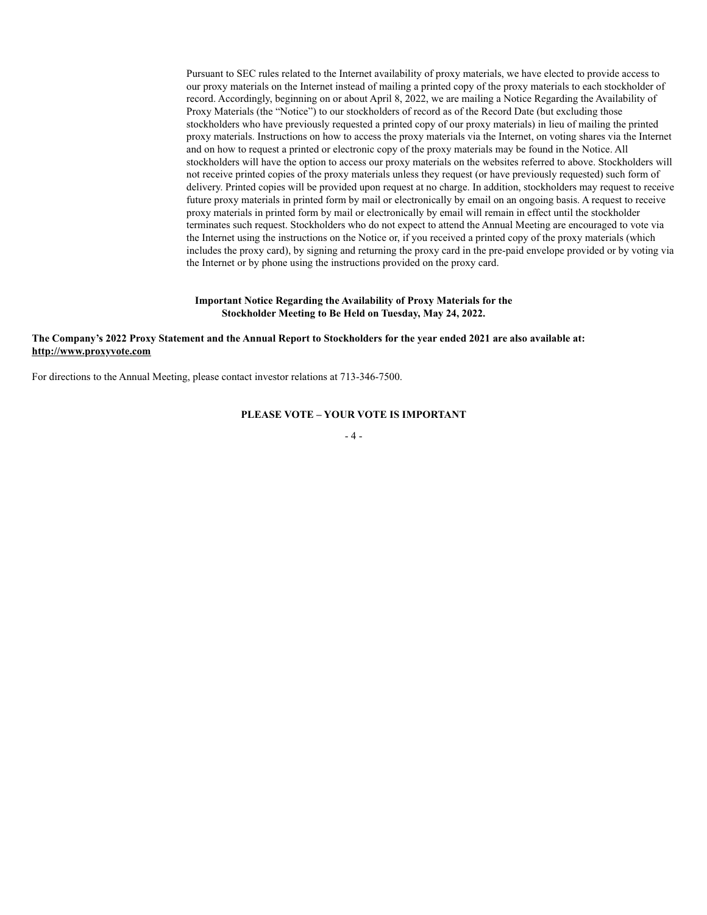Pursuant to SEC rules related to the Internet availability of proxy materials, we have elected to provide access to our proxy materials on the Internet instead of mailing a printed copy of the proxy materials to each stockholder of record. Accordingly, beginning on or about April 8, 2022, we are mailing a Notice Regarding the Availability of Proxy Materials (the "Notice") to our stockholders of record as of the Record Date (but excluding those stockholders who have previously requested a printed copy of our proxy materials) in lieu of mailing the printed proxy materials. Instructions on how to access the proxy materials via the Internet, on voting shares via the Internet and on how to request a printed or electronic copy of the proxy materials may be found in the Notice. All stockholders will have the option to access our proxy materials on the websites referred to above. Stockholders will not receive printed copies of the proxy materials unless they request (or have previously requested) such form of delivery. Printed copies will be provided upon request at no charge. In addition, stockholders may request to receive future proxy materials in printed form by mail or electronically by email on an ongoing basis. A request to receive proxy materials in printed form by mail or electronically by email will remain in effect until the stockholder terminates such request. Stockholders who do not expect to attend the Annual Meeting are encouraged to vote via the Internet using the instructions on the Notice or, if you received a printed copy of the proxy materials (which includes the proxy card), by signing and returning the proxy card in the pre-paid envelope provided or by voting via the Internet or by phone using the instructions provided on the proxy card.

#### **Important Notice Regarding the Availability of Proxy Materials for the Stockholder Meeting to Be Held on Tuesday, May 24, 2022.**

#### **The Company's 2022 Proxy Statement and the Annual Report to Stockholders for the year ended 2021 are also available at: http://www.proxyvote.com**

For directions to the Annual Meeting, please contact investor relations at 713-346-7500.

## **PLEASE VOTE – YOUR VOTE IS IMPORTANT**

- 4 -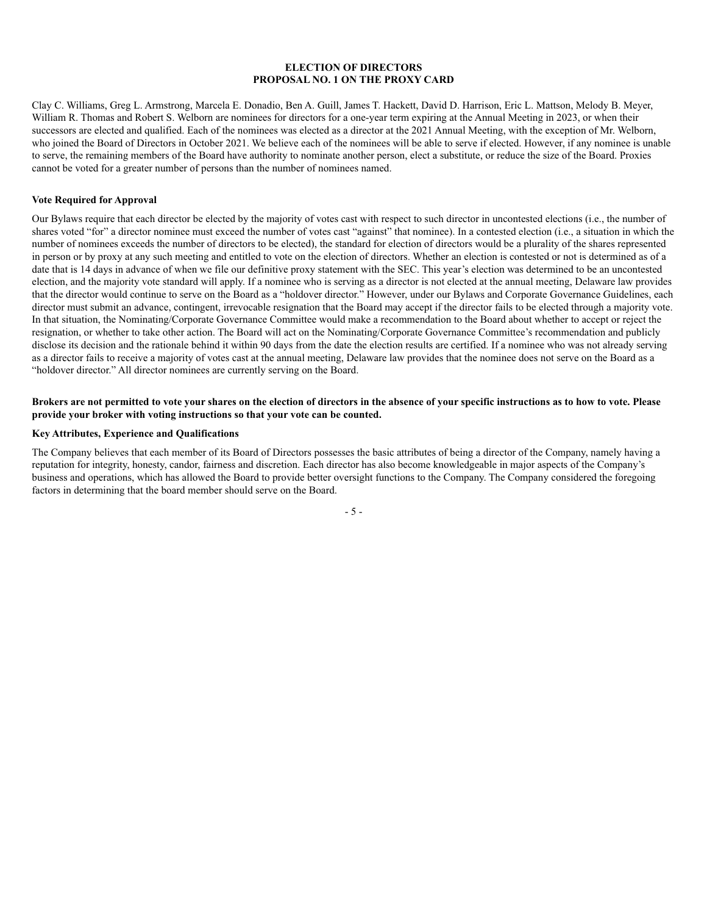#### **ELECTION OF DIRECTORS PROPOSAL NO. 1 ON THE PROXY CARD**

Clay C. Williams, Greg L. Armstrong, Marcela E. Donadio, Ben A. Guill, James T. Hackett, David D. Harrison, Eric L. Mattson, Melody B. Meyer, William R. Thomas and Robert S. Welborn are nominees for directors for a one-year term expiring at the Annual Meeting in 2023, or when their successors are elected and qualified. Each of the nominees was elected as a director at the 2021 Annual Meeting, with the exception of Mr. Welborn, who joined the Board of Directors in October 2021. We believe each of the nominees will be able to serve if elected. However, if any nominee is unable to serve, the remaining members of the Board have authority to nominate another person, elect a substitute, or reduce the size of the Board. Proxies cannot be voted for a greater number of persons than the number of nominees named.

#### **Vote Required for Approval**

Our Bylaws require that each director be elected by the majority of votes cast with respect to such director in uncontested elections (i.e., the number of shares voted "for" a director nominee must exceed the number of votes cast "against" that nominee). In a contested election (i.e., a situation in which the number of nominees exceeds the number of directors to be elected), the standard for election of directors would be a plurality of the shares represented in person or by proxy at any such meeting and entitled to vote on the election of directors. Whether an election is contested or not is determined as of a date that is 14 days in advance of when we file our definitive proxy statement with the SEC. This year's election was determined to be an uncontested election, and the majority vote standard will apply. If a nominee who is serving as a director is not elected at the annual meeting, Delaware law provides that the director would continue to serve on the Board as a "holdover director." However, under our Bylaws and Corporate Governance Guidelines, each director must submit an advance, contingent, irrevocable resignation that the Board may accept if the director fails to be elected through a majority vote. In that situation, the Nominating/Corporate Governance Committee would make a recommendation to the Board about whether to accept or reject the resignation, or whether to take other action. The Board will act on the Nominating/Corporate Governance Committee's recommendation and publicly disclose its decision and the rationale behind it within 90 days from the date the election results are certified. If a nominee who was not already serving as a director fails to receive a majority of votes cast at the annual meeting, Delaware law provides that the nominee does not serve on the Board as a "holdover director." All director nominees are currently serving on the Board.

#### **Brokers are not permitted to vote your shares on the election of directors in the absence of your specific instructions as to how to vote. Please provide your broker with voting instructions so that your vote can be counted.**

#### **Key Attributes, Experience and Qualifications**

The Company believes that each member of its Board of Directors possesses the basic attributes of being a director of the Company, namely having a reputation for integrity, honesty, candor, fairness and discretion. Each director has also become knowledgeable in major aspects of the Company's business and operations, which has allowed the Board to provide better oversight functions to the Company. The Company considered the foregoing factors in determining that the board member should serve on the Board.

- 5 -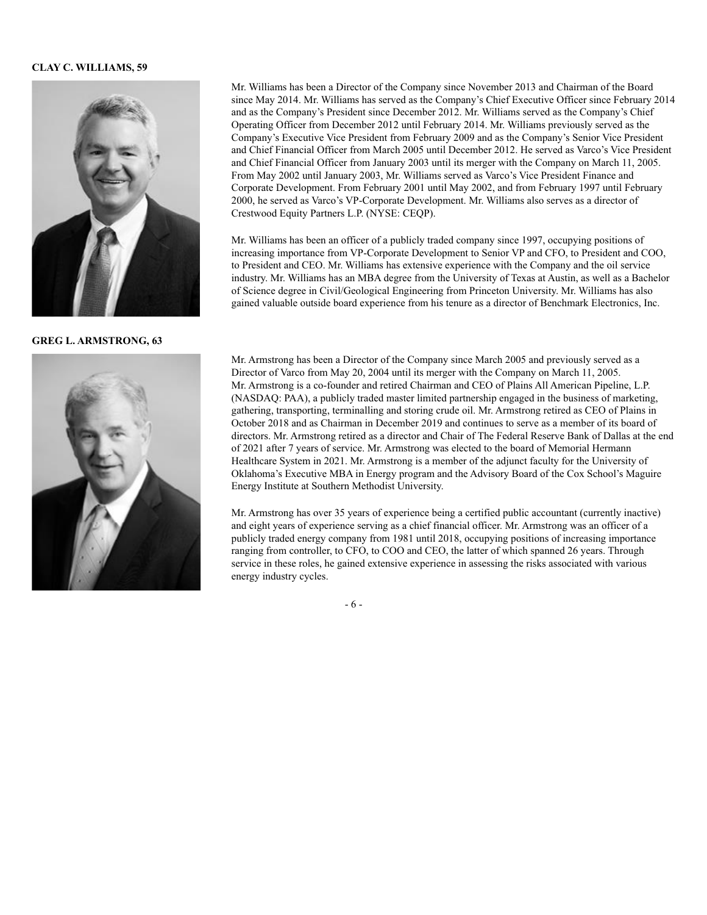#### **CLAY C. WILLIAMS, 59**



**GREG L. ARMSTRONG, 63**



Mr. Williams has been a Director of the Company since November 2013 and Chairman of the Board since May 2014. Mr. Williams has served as the Company's Chief Executive Officer since February 2014 and as the Company's President since December 2012. Mr. Williams served as the Company's Chief Operating Officer from December 2012 until February 2014. Mr. Williams previously served as the Company's Executive Vice President from February 2009 and as the Company's Senior Vice President and Chief Financial Officer from March 2005 until December 2012. He served as Varco's Vice President and Chief Financial Officer from January 2003 until its merger with the Company on March 11, 2005. From May 2002 until January 2003, Mr. Williams served as Varco's Vice President Finance and Corporate Development. From February 2001 until May 2002, and from February 1997 until February 2000, he served as Varco's VP-Corporate Development. Mr. Williams also serves as a director of Crestwood Equity Partners L.P. (NYSE: CEQP).

Mr. Williams has been an officer of a publicly traded company since 1997, occupying positions of increasing importance from VP-Corporate Development to Senior VP and CFO, to President and COO, to President and CEO. Mr. Williams has extensive experience with the Company and the oil service industry. Mr. Williams has an MBA degree from the University of Texas at Austin, as well as a Bachelor of Science degree in Civil/Geological Engineering from Princeton University. Mr. Williams has also gained valuable outside board experience from his tenure as a director of Benchmark Electronics, Inc.

Mr. Armstrong has been a Director of the Company since March 2005 and previously served as a Director of Varco from May 20, 2004 until its merger with the Company on March 11, 2005. Mr. Armstrong is a co-founder and retired Chairman and CEO of Plains All American Pipeline, L.P. (NASDAQ: PAA), a publicly traded master limited partnership engaged in the business of marketing, gathering, transporting, terminalling and storing crude oil. Mr. Armstrong retired as CEO of Plains in October 2018 and as Chairman in December 2019 and continues to serve as a member of its board of directors. Mr. Armstrong retired as a director and Chair of The Federal Reserve Bank of Dallas at the end of 2021 after 7 years of service. Mr. Armstrong was elected to the board of Memorial Hermann Healthcare System in 2021. Mr. Armstrong is a member of the adjunct faculty for the University of Oklahoma's Executive MBA in Energy program and the Advisory Board of the Cox School's Maguire Energy Institute at Southern Methodist University.

Mr. Armstrong has over 35 years of experience being a certified public accountant (currently inactive) and eight years of experience serving as a chief financial officer. Mr. Armstrong was an officer of a publicly traded energy company from 1981 until 2018, occupying positions of increasing importance ranging from controller, to CFO, to COO and CEO, the latter of which spanned 26 years. Through service in these roles, he gained extensive experience in assessing the risks associated with various energy industry cycles.

- 6 -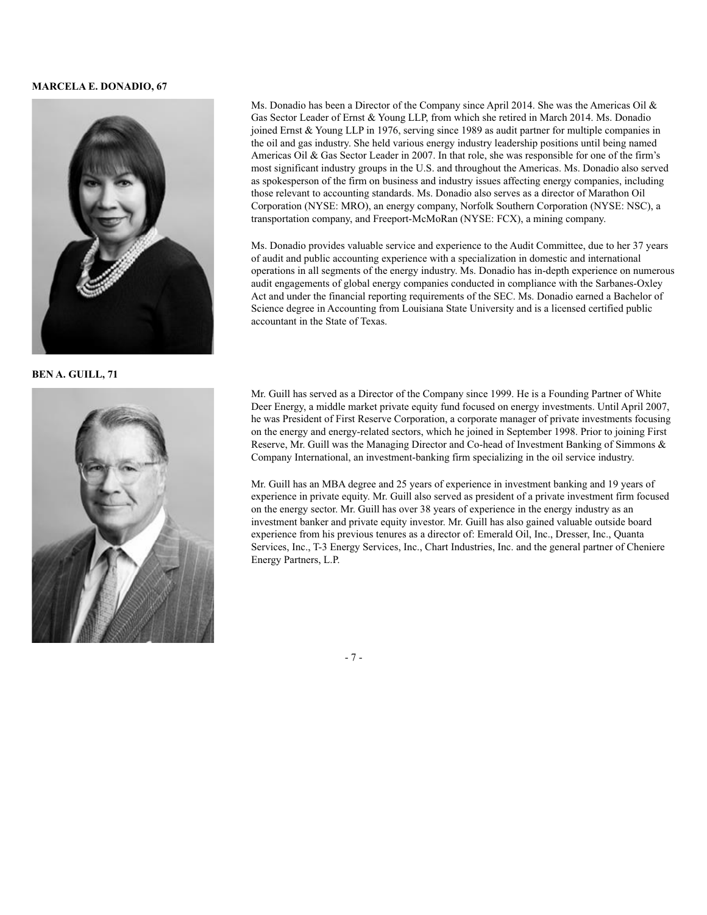#### **MARCELA E. DONADIO, 67**



**BEN A. GUILL, 71**



Ms. Donadio has been a Director of the Company since April 2014. She was the Americas Oil  $\&$ Gas Sector Leader of Ernst & Young LLP, from which she retired in March 2014. Ms. Donadio joined Ernst & Young LLP in 1976, serving since 1989 as audit partner for multiple companies in the oil and gas industry. She held various energy industry leadership positions until being named Americas Oil & Gas Sector Leader in 2007. In that role, she was responsible for one of the firm's most significant industry groups in the U.S. and throughout the Americas. Ms. Donadio also served as spokesperson of the firm on business and industry issues affecting energy companies, including those relevant to accounting standards. Ms. Donadio also serves as a director of Marathon Oil Corporation (NYSE: MRO), an energy company, Norfolk Southern Corporation (NYSE: NSC), a transportation company, and Freeport-McMoRan (NYSE: FCX), a mining company.

Ms. Donadio provides valuable service and experience to the Audit Committee, due to her 37 years of audit and public accounting experience with a specialization in domestic and international operations in all segments of the energy industry. Ms. Donadio has in-depth experience on numerous audit engagements of global energy companies conducted in compliance with the Sarbanes-Oxley Act and under the financial reporting requirements of the SEC. Ms. Donadio earned a Bachelor of Science degree in Accounting from Louisiana State University and is a licensed certified public accountant in the State of Texas.

Mr. Guill has served as a Director of the Company since 1999. He is a Founding Partner of White Deer Energy, a middle market private equity fund focused on energy investments. Until April 2007, he was President of First Reserve Corporation, a corporate manager of private investments focusing on the energy and energy-related sectors, which he joined in September 1998. Prior to joining First Reserve, Mr. Guill was the Managing Director and Co-head of Investment Banking of Simmons & Company International, an investment-banking firm specializing in the oil service industry.

Mr. Guill has an MBA degree and 25 years of experience in investment banking and 19 years of experience in private equity. Mr. Guill also served as president of a private investment firm focused on the energy sector. Mr. Guill has over 38 years of experience in the energy industry as an investment banker and private equity investor. Mr. Guill has also gained valuable outside board experience from his previous tenures as a director of: Emerald Oil, Inc., Dresser, Inc., Quanta Services, Inc., T-3 Energy Services, Inc., Chart Industries, Inc. and the general partner of Cheniere Energy Partners, L.P.

- 7 -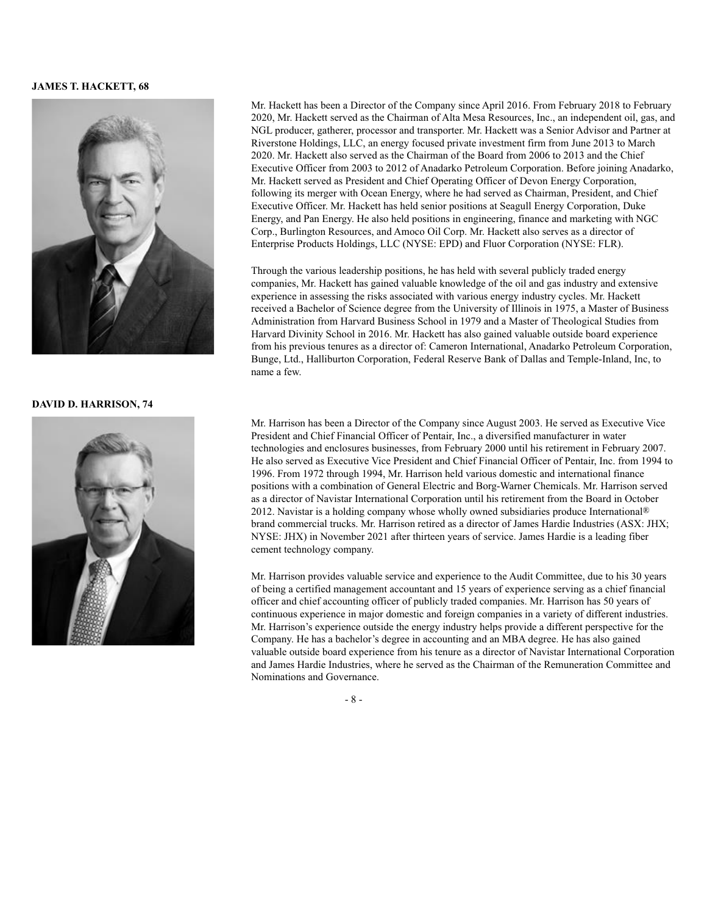#### **JAMES T. HACKETT, 68**



#### **DAVID D. HARRISON, 74**



Mr. Hackett has been a Director of the Company since April 2016. From February 2018 to February 2020, Mr. Hackett served as the Chairman of Alta Mesa Resources, Inc., an independent oil, gas, and NGL producer, gatherer, processor and transporter. Mr. Hackett was a Senior Advisor and Partner at Riverstone Holdings, LLC, an energy focused private investment firm from June 2013 to March 2020. Mr. Hackett also served as the Chairman of the Board from 2006 to 2013 and the Chief Executive Officer from 2003 to 2012 of Anadarko Petroleum Corporation. Before joining Anadarko, Mr. Hackett served as President and Chief Operating Officer of Devon Energy Corporation, following its merger with Ocean Energy, where he had served as Chairman, President, and Chief Executive Officer. Mr. Hackett has held senior positions at Seagull Energy Corporation, Duke Energy, and Pan Energy. He also held positions in engineering, finance and marketing with NGC Corp., Burlington Resources, and Amoco Oil Corp. Mr. Hackett also serves as a director of Enterprise Products Holdings, LLC (NYSE: EPD) and Fluor Corporation (NYSE: FLR).

Through the various leadership positions, he has held with several publicly traded energy companies, Mr. Hackett has gained valuable knowledge of the oil and gas industry and extensive experience in assessing the risks associated with various energy industry cycles. Mr. Hackett received a Bachelor of Science degree from the University of Illinois in 1975, a Master of Business Administration from Harvard Business School in 1979 and a Master of Theological Studies from Harvard Divinity School in 2016. Mr. Hackett has also gained valuable outside board experience from his previous tenures as a director of: Cameron International, Anadarko Petroleum Corporation, Bunge, Ltd., Halliburton Corporation, Federal Reserve Bank of Dallas and Temple-Inland, Inc, to name a few.

Mr. Harrison has been a Director of the Company since August 2003. He served as Executive Vice President and Chief Financial Officer of Pentair, Inc., a diversified manufacturer in water technologies and enclosures businesses, from February 2000 until his retirement in February 2007. He also served as Executive Vice President and Chief Financial Officer of Pentair, Inc. from 1994 to 1996. From 1972 through 1994, Mr. Harrison held various domestic and international finance positions with a combination of General Electric and Borg-Warner Chemicals. Mr. Harrison served as a director of Navistar International Corporation until his retirement from the Board in October 2012. Navistar is a holding company whose wholly owned subsidiaries produce International<sup>®</sup> brand commercial trucks. Mr. Harrison retired as a director of James Hardie Industries (ASX: JHX; NYSE: JHX) in November 2021 after thirteen years of service. James Hardie is a leading fiber cement technology company.

Mr. Harrison provides valuable service and experience to the Audit Committee, due to his 30 years of being a certified management accountant and 15 years of experience serving as a chief financial officer and chief accounting officer of publicly traded companies. Mr. Harrison has 50 years of continuous experience in major domestic and foreign companies in a variety of different industries. Mr. Harrison's experience outside the energy industry helps provide a different perspective for the Company. He has a bachelor's degree in accounting and an MBA degree. He has also gained valuable outside board experience from his tenure as a director of Navistar International Corporation and James Hardie Industries, where he served as the Chairman of the Remuneration Committee and Nominations and Governance.

- 8 -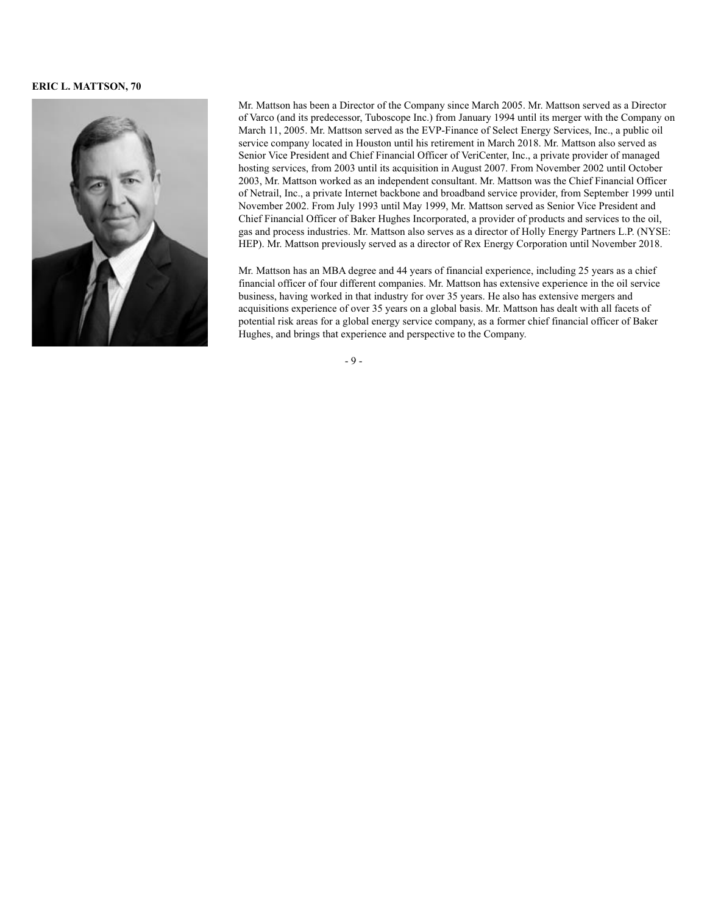#### **ERIC L. MATTSON, 70**



Mr. Mattson has been a Director of the Company since March 2005. Mr. Mattson served as a Director of Varco (and its predecessor, Tuboscope Inc.) from January 1994 until its merger with the Company on March 11, 2005. Mr. Mattson served as the EVP-Finance of Select Energy Services, Inc., a public oil service company located in Houston until his retirement in March 2018. Mr. Mattson also served as Senior Vice President and Chief Financial Officer of VeriCenter, Inc., a private provider of managed hosting services, from 2003 until its acquisition in August 2007. From November 2002 until October 2003, Mr. Mattson worked as an independent consultant. Mr. Mattson was the Chief Financial Officer of Netrail, Inc., a private Internet backbone and broadband service provider, from September 1999 until November 2002. From July 1993 until May 1999, Mr. Mattson served as Senior Vice President and Chief Financial Officer of Baker Hughes Incorporated, a provider of products and services to the oil, gas and process industries. Mr. Mattson also serves as a director of Holly Energy Partners L.P. (NYSE: HEP). Mr. Mattson previously served as a director of Rex Energy Corporation until November 2018.

Mr. Mattson has an MBA degree and 44 years of financial experience, including 25 years as a chief financial officer of four different companies. Mr. Mattson has extensive experience in the oil service business, having worked in that industry for over 35 years. He also has extensive mergers and acquisitions experience of over 35 years on a global basis. Mr. Mattson has dealt with all facets of potential risk areas for a global energy service company, as a former chief financial officer of Baker Hughes, and brings that experience and perspective to the Company.

- 9 -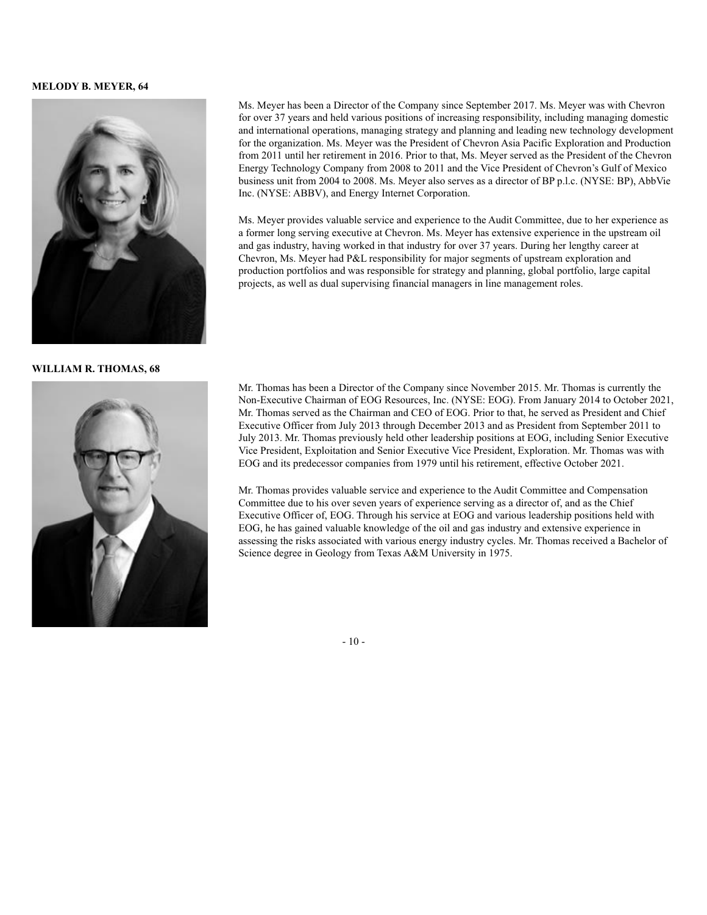#### **MELODY B. MEYER, 64**



**WILLIAM R. THOMAS, 68**



Ms. Meyer has been a Director of the Company since September 2017. Ms. Meyer was with Chevron for over 37 years and held various positions of increasing responsibility, including managing domestic and international operations, managing strategy and planning and leading new technology development for the organization. Ms. Meyer was the President of Chevron Asia Pacific Exploration and Production from 2011 until her retirement in 2016. Prior to that, Ms. Meyer served as the President of the Chevron Energy Technology Company from 2008 to 2011 and the Vice President of Chevron's Gulf of Mexico business unit from 2004 to 2008. Ms. Meyer also serves as a director of BP p.l.c. (NYSE: BP), AbbVie Inc. (NYSE: ABBV), and Energy Internet Corporation.

Ms. Meyer provides valuable service and experience to the Audit Committee, due to her experience as a former long serving executive at Chevron. Ms. Meyer has extensive experience in the upstream oil and gas industry, having worked in that industry for over 37 years. During her lengthy career at Chevron, Ms. Meyer had P&L responsibility for major segments of upstream exploration and production portfolios and was responsible for strategy and planning, global portfolio, large capital projects, as well as dual supervising financial managers in line management roles.

Mr. Thomas has been a Director of the Company since November 2015. Mr. Thomas is currently the Non-Executive Chairman of EOG Resources, Inc. (NYSE: EOG). From January 2014 to October 2021, Mr. Thomas served as the Chairman and CEO of EOG. Prior to that, he served as President and Chief Executive Officer from July 2013 through December 2013 and as President from September 2011 to July 2013. Mr. Thomas previously held other leadership positions at EOG, including Senior Executive Vice President, Exploitation and Senior Executive Vice President, Exploration. Mr. Thomas was with EOG and its predecessor companies from 1979 until his retirement, effective October 2021.

Mr. Thomas provides valuable service and experience to the Audit Committee and Compensation Committee due to his over seven years of experience serving as a director of, and as the Chief Executive Officer of, EOG. Through his service at EOG and various leadership positions held with EOG, he has gained valuable knowledge of the oil and gas industry and extensive experience in assessing the risks associated with various energy industry cycles. Mr. Thomas received a Bachelor of Science degree in Geology from Texas A&M University in 1975.

- 10 -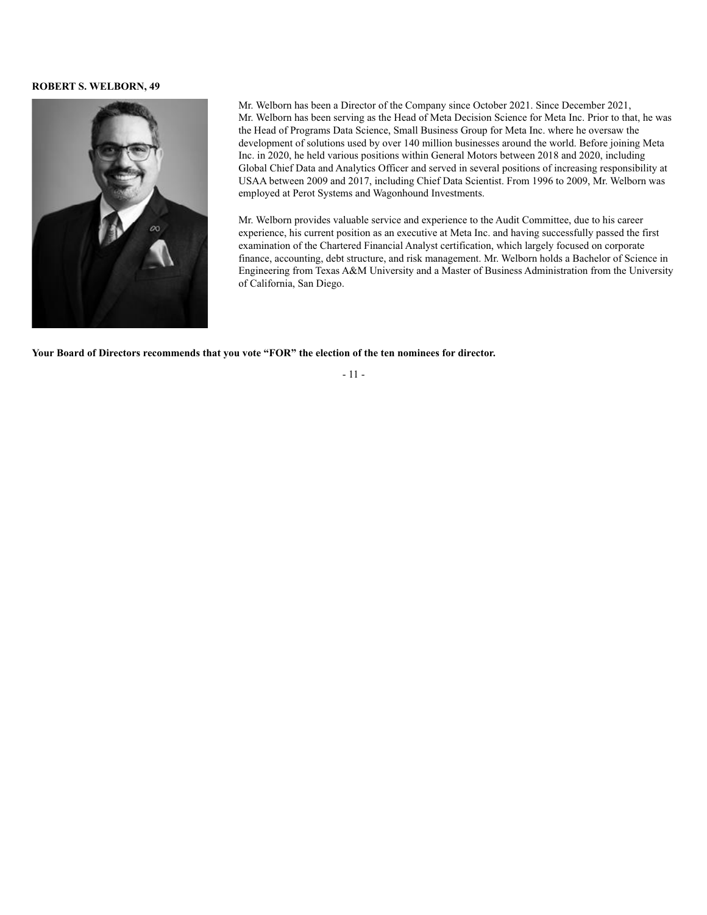#### **ROBERT S. WELBORN, 49**



Mr. Welborn has been a Director of the Company since October 2021. Since December 2021, Mr. Welborn has been serving as the Head of Meta Decision Science for Meta Inc. Prior to that, he was the Head of Programs Data Science, Small Business Group for Meta Inc. where he oversaw the development of solutions used by over 140 million businesses around the world. Before joining Meta Inc. in 2020, he held various positions within General Motors between 2018 and 2020, including Global Chief Data and Analytics Officer and served in several positions of increasing responsibility at USAA between 2009 and 2017, including Chief Data Scientist. From 1996 to 2009, Mr. Welborn was employed at Perot Systems and Wagonhound Investments.

Mr. Welborn provides valuable service and experience to the Audit Committee, due to his career experience, his current position as an executive at Meta Inc. and having successfully passed the first examination of the Chartered Financial Analyst certification, which largely focused on corporate finance, accounting, debt structure, and risk management. Mr. Welborn holds a Bachelor of Science in Engineering from Texas A&M University and a Master of Business Administration from the University of California, San Diego.

**Your Board of Directors recommends that you vote "FOR" the election of the ten nominees for director.**

- 11 -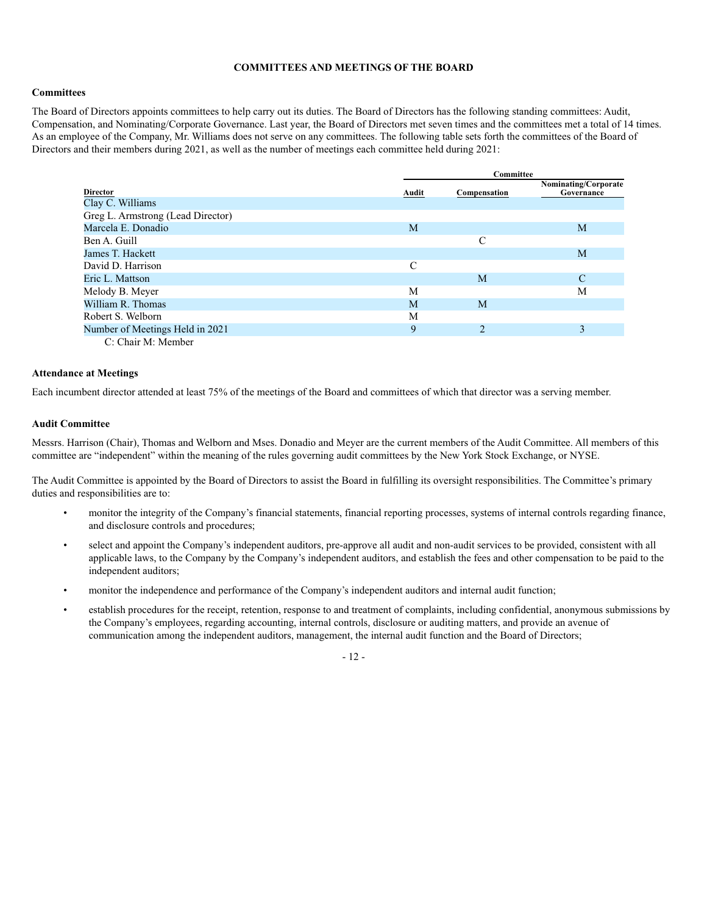#### **COMMITTEES AND MEETINGS OF THE BOARD**

#### **Committees**

The Board of Directors appoints committees to help carry out its duties. The Board of Directors has the following standing committees: Audit, Compensation, and Nominating/Corporate Governance. Last year, the Board of Directors met seven times and the committees met a total of 14 times. As an employee of the Company, Mr. Williams does not serve on any committees. The following table sets forth the committees of the Board of Directors and their members during 2021, as well as the number of meetings each committee held during 2021:

|                                   |       | Committee      |                                    |  |  |  |
|-----------------------------------|-------|----------------|------------------------------------|--|--|--|
| Director                          | Audit | Compensation   | Nominating/Corporate<br>Governance |  |  |  |
| Clay C. Williams                  |       |                |                                    |  |  |  |
| Greg L. Armstrong (Lead Director) |       |                |                                    |  |  |  |
| Marcela E. Donadio                | M     |                | M                                  |  |  |  |
| Ben A. Guill                      |       | C              |                                    |  |  |  |
| James T. Hackett                  |       |                | M                                  |  |  |  |
| David D. Harrison                 | C     |                |                                    |  |  |  |
| Eric L. Mattson                   |       | M              | C                                  |  |  |  |
| Melody B. Meyer                   | M     |                | M                                  |  |  |  |
| William R. Thomas                 | M     | M              |                                    |  |  |  |
| Robert S. Welborn                 | M     |                |                                    |  |  |  |
| Number of Meetings Held in 2021   | 9     | $\overline{2}$ |                                    |  |  |  |
| C: Chair M: Member                |       |                |                                    |  |  |  |

**Attendance at Meetings**

Each incumbent director attended at least 75% of the meetings of the Board and committees of which that director was a serving member.

#### **Audit Committee**

Messrs. Harrison (Chair), Thomas and Welborn and Mses. Donadio and Meyer are the current members of the Audit Committee. All members of this committee are "independent" within the meaning of the rules governing audit committees by the New York Stock Exchange, or NYSE.

The Audit Committee is appointed by the Board of Directors to assist the Board in fulfilling its oversight responsibilities. The Committee's primary duties and responsibilities are to:

- monitor the integrity of the Company's financial statements, financial reporting processes, systems of internal controls regarding finance, and disclosure controls and procedures;
- select and appoint the Company's independent auditors, pre-approve all audit and non-audit services to be provided, consistent with all applicable laws, to the Company by the Company's independent auditors, and establish the fees and other compensation to be paid to the independent auditors;
- monitor the independence and performance of the Company's independent auditors and internal audit function;
- establish procedures for the receipt, retention, response to and treatment of complaints, including confidential, anonymous submissions by the Company's employees, regarding accounting, internal controls, disclosure or auditing matters, and provide an avenue of communication among the independent auditors, management, the internal audit function and the Board of Directors;

- 12 -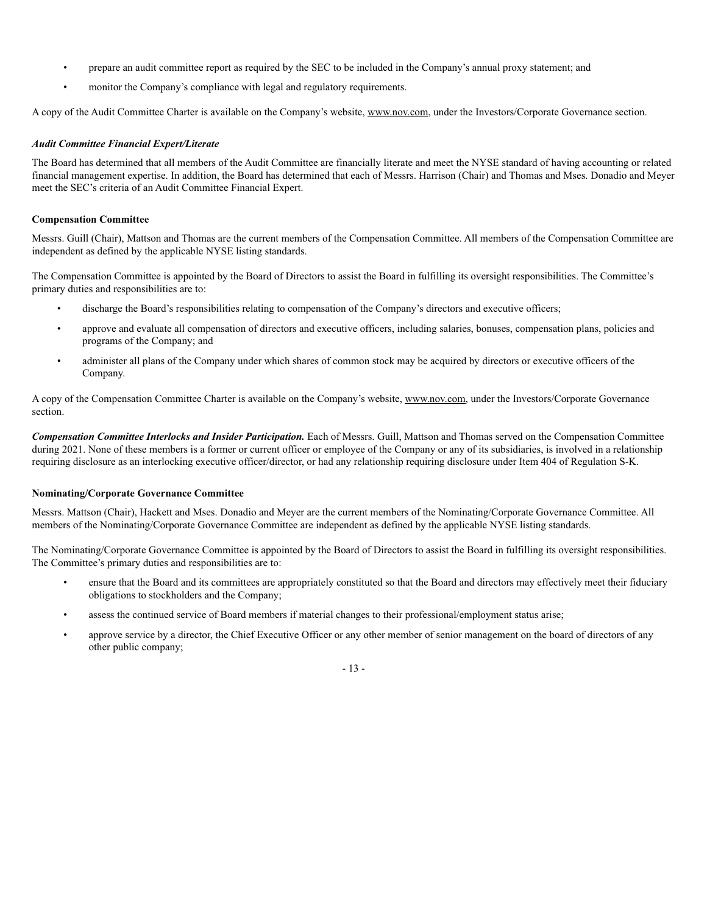- prepare an audit committee report as required by the SEC to be included in the Company's annual proxy statement; and
- monitor the Company's compliance with legal and regulatory requirements.

A copy of the Audit Committee Charter is available on the Company's website, www.nov.com, under the Investors/Corporate Governance section.

#### *Audit Committee Financial Expert/Literate*

The Board has determined that all members of the Audit Committee are financially literate and meet the NYSE standard of having accounting or related financial management expertise. In addition, the Board has determined that each of Messrs. Harrison (Chair) and Thomas and Mses. Donadio and Meyer meet the SEC's criteria of an Audit Committee Financial Expert.

#### **Compensation Committee**

Messrs. Guill (Chair), Mattson and Thomas are the current members of the Compensation Committee. All members of the Compensation Committee are independent as defined by the applicable NYSE listing standards.

The Compensation Committee is appointed by the Board of Directors to assist the Board in fulfilling its oversight responsibilities. The Committee's primary duties and responsibilities are to:

- discharge the Board's responsibilities relating to compensation of the Company's directors and executive officers;
- approve and evaluate all compensation of directors and executive officers, including salaries, bonuses, compensation plans, policies and programs of the Company; and
- administer all plans of the Company under which shares of common stock may be acquired by directors or executive officers of the Company.

A copy of the Compensation Committee Charter is available on the Company's website, www.nov.com, under the Investors/Corporate Governance section.

*Compensation Committee Interlocks and Insider Participation.* Each of Messrs. Guill, Mattson and Thomas served on the Compensation Committee during 2021. None of these members is a former or current officer or employee of the Company or any of its subsidiaries, is involved in a relationship requiring disclosure as an interlocking executive officer/director, or had any relationship requiring disclosure under Item 404 of Regulation S-K.

#### **Nominating/Corporate Governance Committee**

Messrs. Mattson (Chair), Hackett and Mses. Donadio and Meyer are the current members of the Nominating/Corporate Governance Committee. All members of the Nominating/Corporate Governance Committee are independent as defined by the applicable NYSE listing standards.

The Nominating/Corporate Governance Committee is appointed by the Board of Directors to assist the Board in fulfilling its oversight responsibilities. The Committee's primary duties and responsibilities are to:

- ensure that the Board and its committees are appropriately constituted so that the Board and directors may effectively meet their fiduciary obligations to stockholders and the Company;
- assess the continued service of Board members if material changes to their professional/employment status arise;
- approve service by a director, the Chief Executive Officer or any other member of senior management on the board of directors of any other public company;

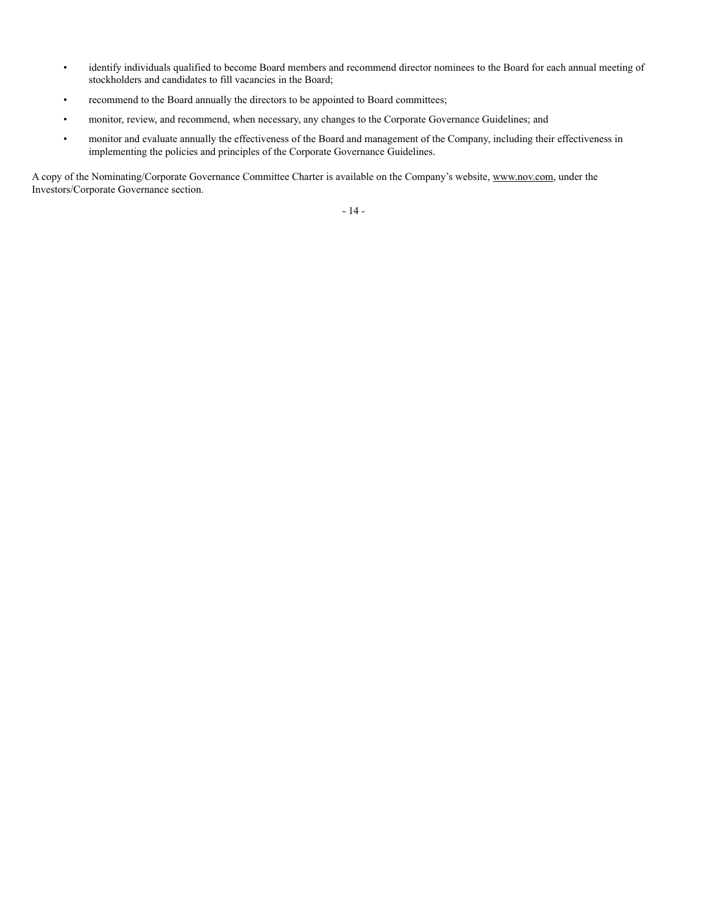- identify individuals qualified to become Board members and recommend director nominees to the Board for each annual meeting of stockholders and candidates to fill vacancies in the Board;
- recommend to the Board annually the directors to be appointed to Board committees;
- monitor, review, and recommend, when necessary, any changes to the Corporate Governance Guidelines; and
- monitor and evaluate annually the effectiveness of the Board and management of the Company, including their effectiveness in implementing the policies and principles of the Corporate Governance Guidelines.

A copy of the Nominating/Corporate Governance Committee Charter is available on the Company's website, www.nov.com, under the Investors/Corporate Governance section.

- 14 -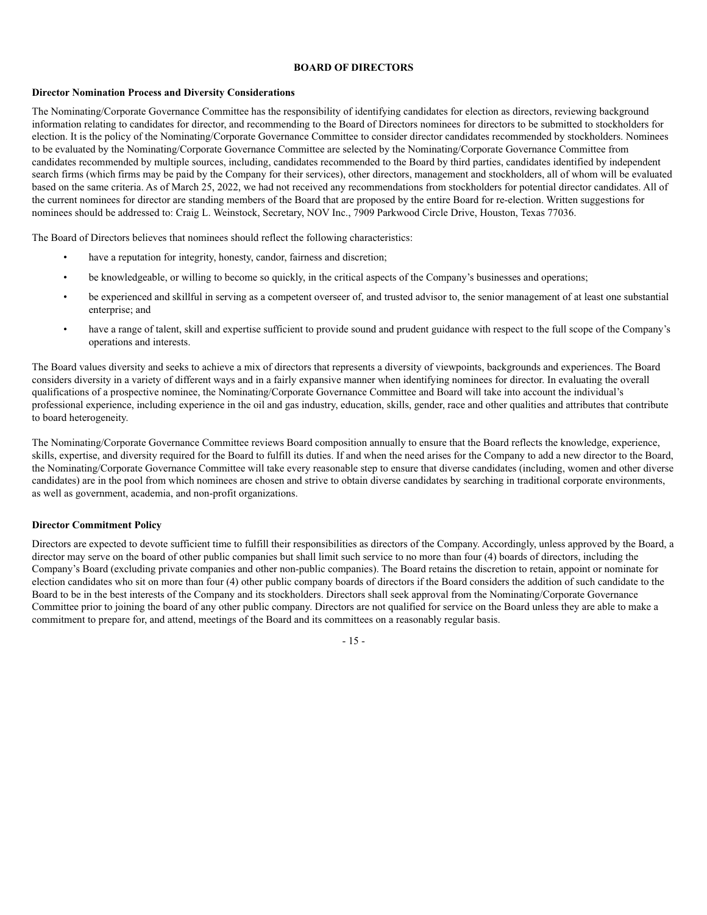#### **BOARD OF DIRECTORS**

#### **Director Nomination Process and Diversity Considerations**

The Nominating/Corporate Governance Committee has the responsibility of identifying candidates for election as directors, reviewing background information relating to candidates for director, and recommending to the Board of Directors nominees for directors to be submitted to stockholders for election. It is the policy of the Nominating/Corporate Governance Committee to consider director candidates recommended by stockholders. Nominees to be evaluated by the Nominating/Corporate Governance Committee are selected by the Nominating/Corporate Governance Committee from candidates recommended by multiple sources, including, candidates recommended to the Board by third parties, candidates identified by independent search firms (which firms may be paid by the Company for their services), other directors, management and stockholders, all of whom will be evaluated based on the same criteria. As of March 25, 2022, we had not received any recommendations from stockholders for potential director candidates. All of the current nominees for director are standing members of the Board that are proposed by the entire Board for re-election. Written suggestions for nominees should be addressed to: Craig L. Weinstock, Secretary, NOV Inc., 7909 Parkwood Circle Drive, Houston, Texas 77036.

The Board of Directors believes that nominees should reflect the following characteristics:

- have a reputation for integrity, honesty, candor, fairness and discretion;
- be knowledgeable, or willing to become so quickly, in the critical aspects of the Company's businesses and operations;
- be experienced and skillful in serving as a competent overseer of, and trusted advisor to, the senior management of at least one substantial enterprise; and
- have a range of talent, skill and expertise sufficient to provide sound and prudent guidance with respect to the full scope of the Company's operations and interests.

The Board values diversity and seeks to achieve a mix of directors that represents a diversity of viewpoints, backgrounds and experiences. The Board considers diversity in a variety of different ways and in a fairly expansive manner when identifying nominees for director. In evaluating the overall qualifications of a prospective nominee, the Nominating/Corporate Governance Committee and Board will take into account the individual's professional experience, including experience in the oil and gas industry, education, skills, gender, race and other qualities and attributes that contribute to board heterogeneity.

The Nominating/Corporate Governance Committee reviews Board composition annually to ensure that the Board reflects the knowledge, experience, skills, expertise, and diversity required for the Board to fulfill its duties. If and when the need arises for the Company to add a new director to the Board, the Nominating/Corporate Governance Committee will take every reasonable step to ensure that diverse candidates (including, women and other diverse candidates) are in the pool from which nominees are chosen and strive to obtain diverse candidates by searching in traditional corporate environments, as well as government, academia, and non-profit organizations.

#### **Director Commitment Policy**

Directors are expected to devote sufficient time to fulfill their responsibilities as directors of the Company. Accordingly, unless approved by the Board, a director may serve on the board of other public companies but shall limit such service to no more than four (4) boards of directors, including the Company's Board (excluding private companies and other non-public companies). The Board retains the discretion to retain, appoint or nominate for election candidates who sit on more than four (4) other public company boards of directors if the Board considers the addition of such candidate to the Board to be in the best interests of the Company and its stockholders. Directors shall seek approval from the Nominating/Corporate Governance Committee prior to joining the board of any other public company. Directors are not qualified for service on the Board unless they are able to make a commitment to prepare for, and attend, meetings of the Board and its committees on a reasonably regular basis.

- 15 -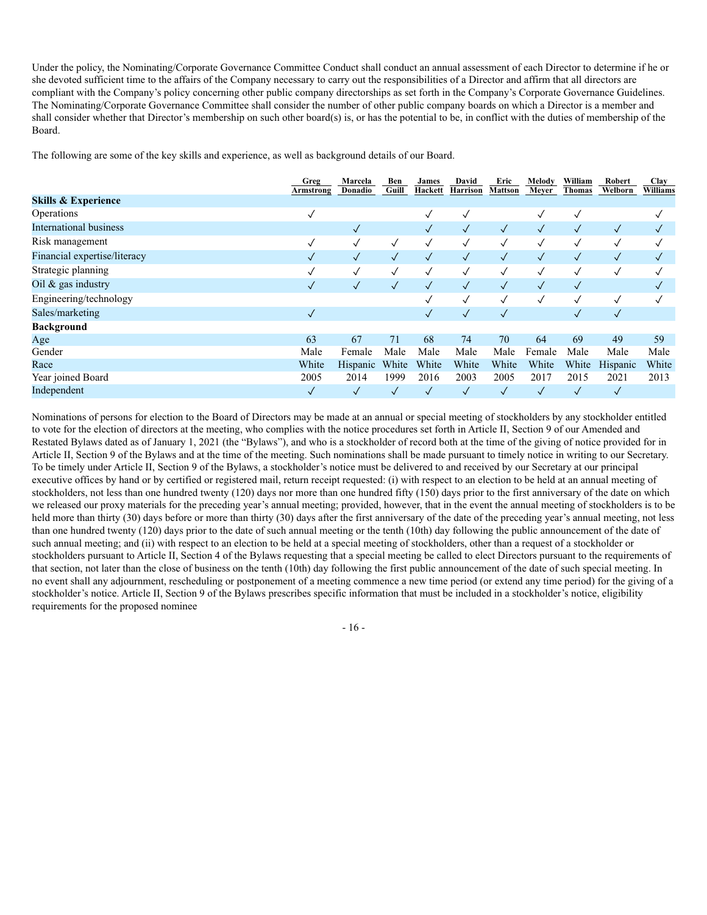Under the policy, the Nominating/Corporate Governance Committee Conduct shall conduct an annual assessment of each Director to determine if he or she devoted sufficient time to the affairs of the Company necessary to carry out the responsibilities of a Director and affirm that all directors are compliant with the Company's policy concerning other public company directorships as set forth in the Company's Corporate Governance Guidelines. The Nominating/Corporate Governance Committee shall consider the number of other public company boards on which a Director is a member and shall consider whether that Director's membership on such other board(s) is, or has the potential to be, in conflict with the duties of membership of the Board.

The following are some of the key skills and experience, as well as background details of our Board.

|                                | Greg<br>Armstrong | Marcela<br>Donadio | Ben<br>Guill | James<br>Hackett | David<br>Harrison | Eric<br>Mattson | Melody<br>Meyer | William<br>Thomas | Robert<br>Welborn | Clay<br>Williams |
|--------------------------------|-------------------|--------------------|--------------|------------------|-------------------|-----------------|-----------------|-------------------|-------------------|------------------|
| <b>Skills &amp; Experience</b> |                   |                    |              |                  |                   |                 |                 |                   |                   |                  |
| Operations                     | $\checkmark$      |                    |              | $\checkmark$     | $\checkmark$      |                 |                 | √                 |                   | √                |
| International business         |                   | $\checkmark$       |              | $\sqrt{}$        | $\checkmark$      | $\sqrt{}$       | $\checkmark$    | $\checkmark$      | $\sqrt{}$         | $\sqrt{}$        |
| Risk management                | $\checkmark$      | $\checkmark$       | $\checkmark$ | $\checkmark$     | $\checkmark$      | $\checkmark$    |                 | √                 | $\checkmark$      | $\checkmark$     |
| Financial expertise/literacy   | $\checkmark$      | $\checkmark$       | $\checkmark$ | $\sqrt{}$        | $\checkmark$      | $\checkmark$    | $\checkmark$    | $\checkmark$      | $\checkmark$      | $\checkmark$     |
| Strategic planning             | $\checkmark$      | $\checkmark$       | $\checkmark$ | $\checkmark$     | $\checkmark$      | $\checkmark$    | $\checkmark$    | $\checkmark$      | √                 | ✓                |
| Oil & gas industry             | $\checkmark$      | $\checkmark$       | $\checkmark$ | $\sqrt{}$        | $\checkmark$      | $\checkmark$    | $\checkmark$    | $\checkmark$      |                   | $\checkmark$     |
| Engineering/technology         |                   |                    |              | ✓                | $\checkmark$      | $\checkmark$    | $\checkmark$    | $\checkmark$      | $\checkmark$      | $\checkmark$     |
| Sales/marketing                | $\checkmark$      |                    |              | $\sqrt{}$        | $\sqrt{}$         | $\checkmark$    |                 | $\checkmark$      | $\checkmark$      |                  |
| <b>Background</b>              |                   |                    |              |                  |                   |                 |                 |                   |                   |                  |
| Age                            | 63                | 67                 | 71           | 68               | 74                | 70              | 64              | 69                | 49                | 59               |
| Gender                         | Male              | Female             | Male         | Male             | Male              | Male            | Female          | Male              | Male              | Male             |
| Race                           | White             | Hispanic           | White        | White            | White             | White           | White           | White             | Hispanic          | White            |
| Year joined Board              | 2005              | 2014               | 1999         | 2016             | 2003              | 2005            | 2017            | 2015              | 2021              | 2013             |
| Independent                    | $\checkmark$      | $\checkmark$       | $\checkmark$ | $\checkmark$     | $\sqrt{}$         | $\checkmark$    |                 | $\checkmark$      | $\checkmark$      |                  |

Nominations of persons for election to the Board of Directors may be made at an annual or special meeting of stockholders by any stockholder entitled to vote for the election of directors at the meeting, who complies with the notice procedures set forth in Article II, Section 9 of our Amended and Restated Bylaws dated as of January 1, 2021 (the "Bylaws"), and who is a stockholder of record both at the time of the giving of notice provided for in Article II, Section 9 of the Bylaws and at the time of the meeting. Such nominations shall be made pursuant to timely notice in writing to our Secretary. To be timely under Article II, Section 9 of the Bylaws, a stockholder's notice must be delivered to and received by our Secretary at our principal executive offices by hand or by certified or registered mail, return receipt requested: (i) with respect to an election to be held at an annual meeting of stockholders, not less than one hundred twenty (120) days nor more than one hundred fifty (150) days prior to the first anniversary of the date on which we released our proxy materials for the preceding year's annual meeting; provided, however, that in the event the annual meeting of stockholders is to be held more than thirty (30) days before or more than thirty (30) days after the first anniversary of the date of the preceding year's annual meeting, not less than one hundred twenty (120) days prior to the date of such annual meeting or the tenth (10th) day following the public announcement of the date of such annual meeting; and (ii) with respect to an election to be held at a special meeting of stockholders, other than a request of a stockholder or stockholders pursuant to Article II, Section 4 of the Bylaws requesting that a special meeting be called to elect Directors pursuant to the requirements of that section, not later than the close of business on the tenth (10th) day following the first public announcement of the date of such special meeting. In no event shall any adjournment, rescheduling or postponement of a meeting commence a new time period (or extend any time period) for the giving of a stockholder's notice. Article II, Section 9 of the Bylaws prescribes specific information that must be included in a stockholder's notice, eligibility requirements for the proposed nominee

- 16 -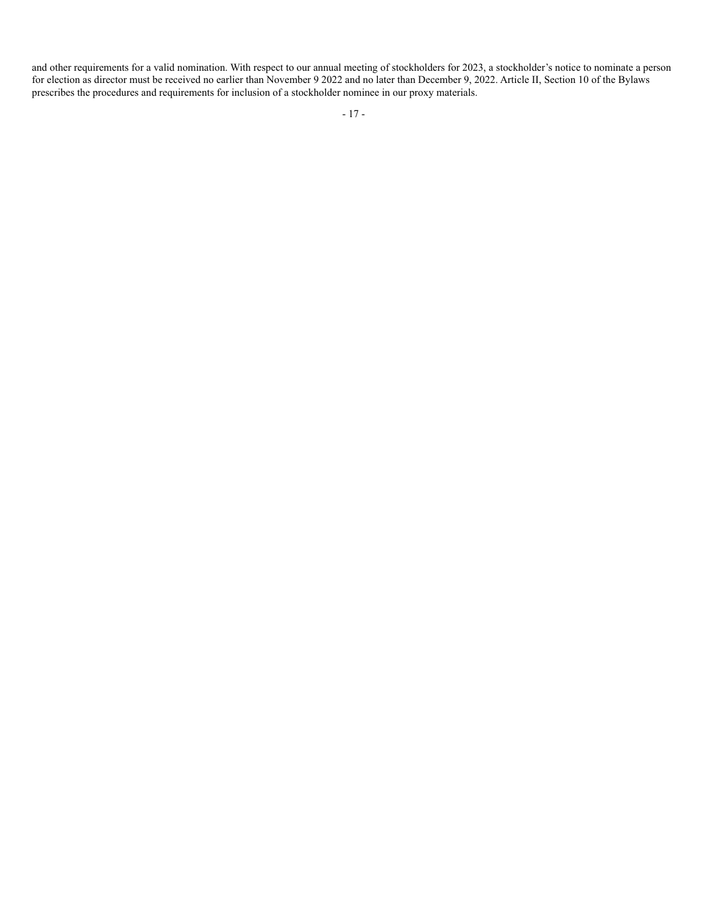and other requirements for a valid nomination. With respect to our annual meeting of stockholders for 2023, a stockholder's notice to nominate a person for election as director must be received no earlier than November 9 2022 and no later than December 9, 2022. Article II, Section 10 of the Bylaws prescribes the procedures and requirements for inclusion of a stockholder nominee in our proxy materials.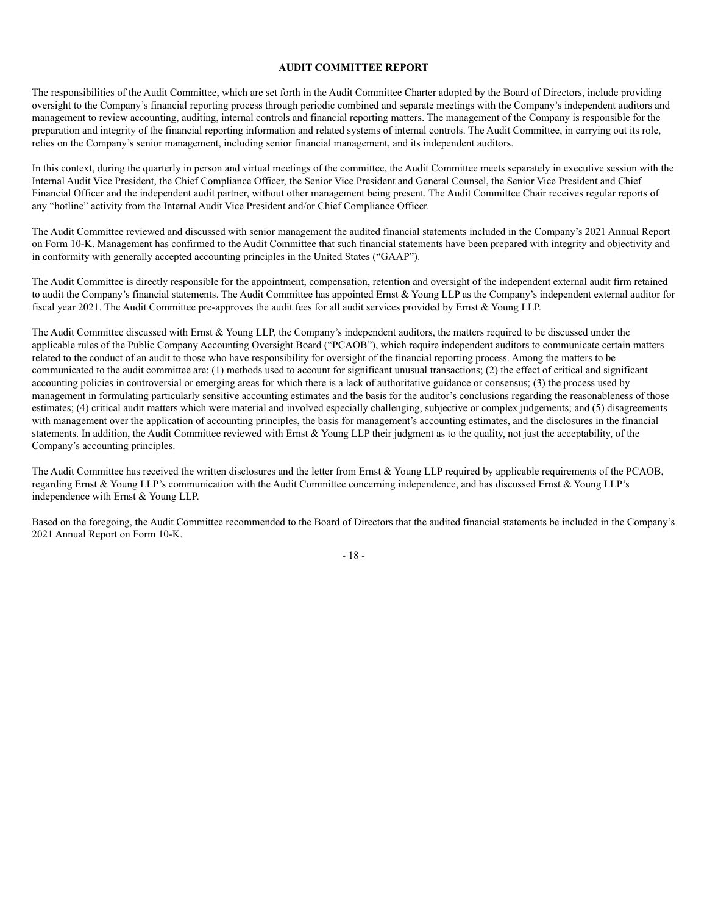#### **AUDIT COMMITTEE REPORT**

The responsibilities of the Audit Committee, which are set forth in the Audit Committee Charter adopted by the Board of Directors, include providing oversight to the Company's financial reporting process through periodic combined and separate meetings with the Company's independent auditors and management to review accounting, auditing, internal controls and financial reporting matters. The management of the Company is responsible for the preparation and integrity of the financial reporting information and related systems of internal controls. The Audit Committee, in carrying out its role, relies on the Company's senior management, including senior financial management, and its independent auditors.

In this context, during the quarterly in person and virtual meetings of the committee, the Audit Committee meets separately in executive session with the Internal Audit Vice President, the Chief Compliance Officer, the Senior Vice President and General Counsel, the Senior Vice President and Chief Financial Officer and the independent audit partner, without other management being present. The Audit Committee Chair receives regular reports of any "hotline" activity from the Internal Audit Vice President and/or Chief Compliance Officer.

The Audit Committee reviewed and discussed with senior management the audited financial statements included in the Company's 2021 Annual Report on Form 10-K. Management has confirmed to the Audit Committee that such financial statements have been prepared with integrity and objectivity and in conformity with generally accepted accounting principles in the United States ("GAAP").

The Audit Committee is directly responsible for the appointment, compensation, retention and oversight of the independent external audit firm retained to audit the Company's financial statements. The Audit Committee has appointed Ernst & Young LLP as the Company's independent external auditor for fiscal year 2021. The Audit Committee pre-approves the audit fees for all audit services provided by Ernst & Young LLP.

The Audit Committee discussed with Ernst  $&$  Young LLP, the Company's independent auditors, the matters required to be discussed under the applicable rules of the Public Company Accounting Oversight Board ("PCAOB"), which require independent auditors to communicate certain matters related to the conduct of an audit to those who have responsibility for oversight of the financial reporting process. Among the matters to be communicated to the audit committee are: (1) methods used to account for significant unusual transactions; (2) the effect of critical and significant accounting policies in controversial or emerging areas for which there is a lack of authoritative guidance or consensus; (3) the process used by management in formulating particularly sensitive accounting estimates and the basis for the auditor's conclusions regarding the reasonableness of those estimates; (4) critical audit matters which were material and involved especially challenging, subjective or complex judgements; and (5) disagreements with management over the application of accounting principles, the basis for management's accounting estimates, and the disclosures in the financial statements. In addition, the Audit Committee reviewed with Ernst & Young LLP their judgment as to the quality, not just the acceptability, of the Company's accounting principles.

The Audit Committee has received the written disclosures and the letter from Ernst & Young LLP required by applicable requirements of the PCAOB, regarding Ernst & Young LLP's communication with the Audit Committee concerning independence, and has discussed Ernst & Young LLP's independence with Ernst & Young LLP.

Based on the foregoing, the Audit Committee recommended to the Board of Directors that the audited financial statements be included in the Company's 2021 Annual Report on Form 10-K.

- 18 -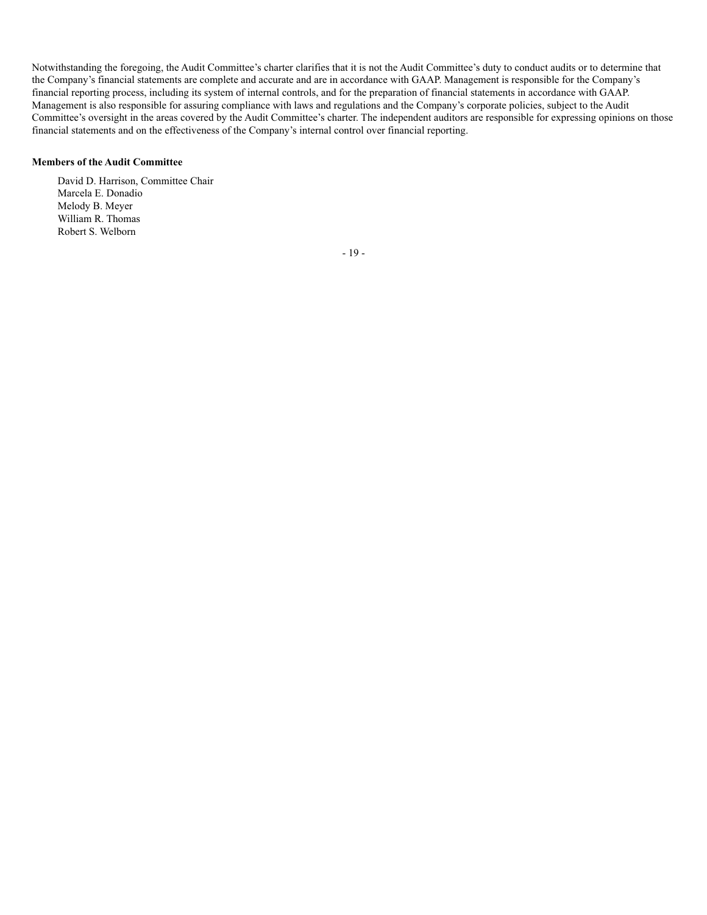Notwithstanding the foregoing, the Audit Committee's charter clarifies that it is not the Audit Committee's duty to conduct audits or to determine that the Company's financial statements are complete and accurate and are in accordance with GAAP. Management is responsible for the Company's financial reporting process, including its system of internal controls, and for the preparation of financial statements in accordance with GAAP. Management is also responsible for assuring compliance with laws and regulations and the Company's corporate policies, subject to the Audit Committee's oversight in the areas covered by the Audit Committee's charter. The independent auditors are responsible for expressing opinions on those financial statements and on the effectiveness of the Company's internal control over financial reporting.

#### **Members of the Audit Committee**

David D. Harrison, Committee Chair Marcela E. Donadio Melody B. Meyer William R. Thomas Robert S. Welborn

- 19 -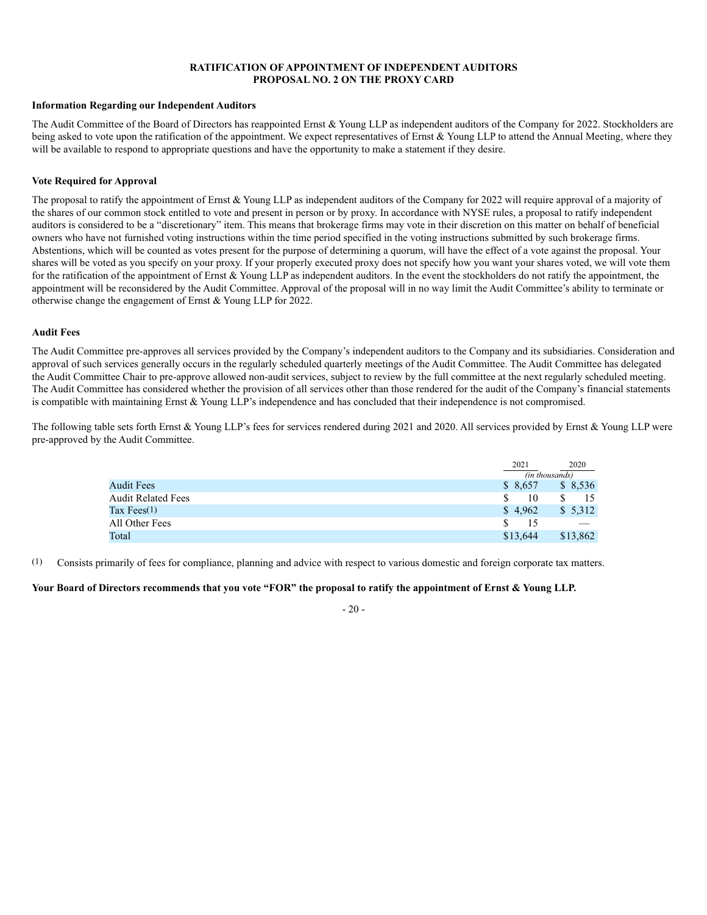#### **RATIFICATION OF APPOINTMENT OF INDEPENDENT AUDITORS PROPOSAL NO. 2 ON THE PROXY CARD**

#### **Information Regarding our Independent Auditors**

The Audit Committee of the Board of Directors has reappointed Ernst & Young LLP as independent auditors of the Company for 2022. Stockholders are being asked to vote upon the ratification of the appointment. We expect representatives of Ernst & Young LLP to attend the Annual Meeting, where they will be available to respond to appropriate questions and have the opportunity to make a statement if they desire.

#### **Vote Required for Approval**

The proposal to ratify the appointment of Ernst & Young LLP as independent auditors of the Company for 2022 will require approval of a majority of the shares of our common stock entitled to vote and present in person or by proxy. In accordance with NYSE rules, a proposal to ratify independent auditors is considered to be a "discretionary" item. This means that brokerage firms may vote in their discretion on this matter on behalf of beneficial owners who have not furnished voting instructions within the time period specified in the voting instructions submitted by such brokerage firms. Abstentions, which will be counted as votes present for the purpose of determining a quorum, will have the effect of a vote against the proposal. Your shares will be voted as you specify on your proxy. If your properly executed proxy does not specify how you want your shares voted, we will vote them for the ratification of the appointment of Ernst & Young LLP as independent auditors. In the event the stockholders do not ratify the appointment, the appointment will be reconsidered by the Audit Committee. Approval of the proposal will in no way limit the Audit Committee's ability to terminate or otherwise change the engagement of Ernst & Young LLP for 2022.

#### **Audit Fees**

The Audit Committee pre-approves all services provided by the Company's independent auditors to the Company and its subsidiaries. Consideration and approval of such services generally occurs in the regularly scheduled quarterly meetings of the Audit Committee. The Audit Committee has delegated the Audit Committee Chair to pre-approve allowed non-audit services, subject to review by the full committee at the next regularly scheduled meeting. The Audit Committee has considered whether the provision of all services other than those rendered for the audit of the Company's financial statements is compatible with maintaining Ernst & Young LLP's independence and has concluded that their independence is not compromised.

The following table sets forth Ernst & Young LLP's fees for services rendered during 2021 and 2020. All services provided by Ernst & Young LLP were pre-approved by the Audit Committee.

|                           | 2021     | 2020           |
|---------------------------|----------|----------------|
|                           |          | (in thousands) |
| <b>Audit Fees</b>         | \$ 8,657 | \$8,536        |
| <b>Audit Related Fees</b> | 10       | 15             |
| Tax Fees $(1)$            | \$4,962  | \$5,312        |
| All Other Fees            | £.<br>15 |                |
| Total                     | \$13.644 | \$13,862       |

(1) Consists primarily of fees for compliance, planning and advice with respect to various domestic and foreign corporate tax matters.

#### **Your Board of Directors recommends that you vote "FOR" the proposal to ratify the appointment of Ernst & Young LLP.**

#### - 20 -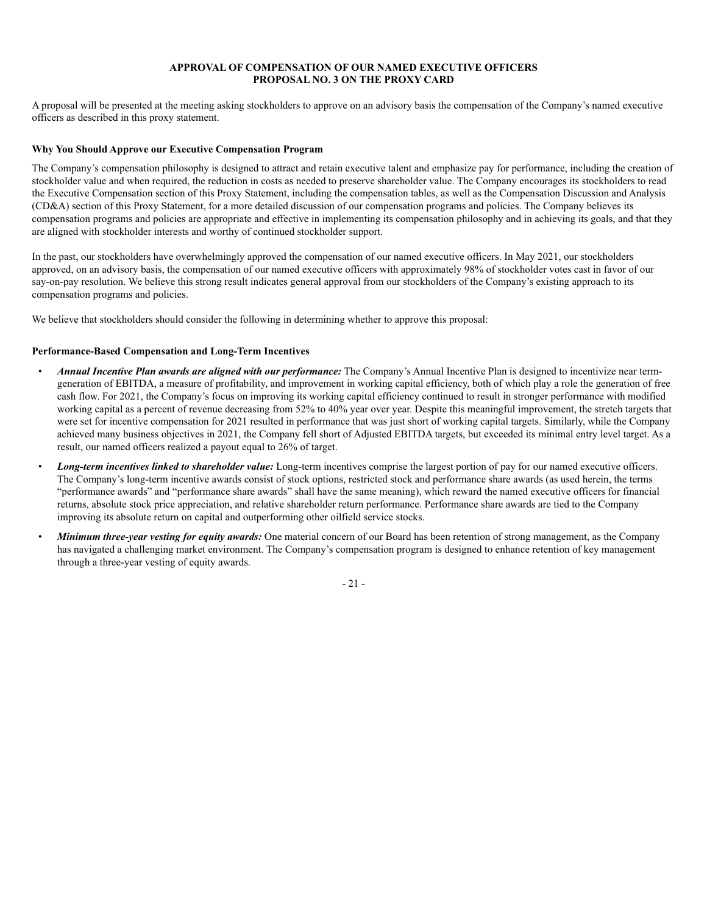#### **APPROVAL OF COMPENSATION OF OUR NAMED EXECUTIVE OFFICERS PROPOSAL NO. 3 ON THE PROXY CARD**

A proposal will be presented at the meeting asking stockholders to approve on an advisory basis the compensation of the Company's named executive officers as described in this proxy statement.

#### **Why You Should Approve our Executive Compensation Program**

The Company's compensation philosophy is designed to attract and retain executive talent and emphasize pay for performance, including the creation of stockholder value and when required, the reduction in costs as needed to preserve shareholder value. The Company encourages its stockholders to read the Executive Compensation section of this Proxy Statement, including the compensation tables, as well as the Compensation Discussion and Analysis (CD&A) section of this Proxy Statement, for a more detailed discussion of our compensation programs and policies. The Company believes its compensation programs and policies are appropriate and effective in implementing its compensation philosophy and in achieving its goals, and that they are aligned with stockholder interests and worthy of continued stockholder support.

In the past, our stockholders have overwhelmingly approved the compensation of our named executive officers. In May 2021, our stockholders approved, on an advisory basis, the compensation of our named executive officers with approximately 98% of stockholder votes cast in favor of our say-on-pay resolution. We believe this strong result indicates general approval from our stockholders of the Company's existing approach to its compensation programs and policies.

We believe that stockholders should consider the following in determining whether to approve this proposal:

#### **Performance-Based Compensation and Long-Term Incentives**

- *Annual Incentive Plan awards are aligned with our performance:* The Company's Annual Incentive Plan is designed to incentivize near termgeneration of EBITDA, a measure of profitability, and improvement in working capital efficiency, both of which play a role the generation of free cash flow. For 2021, the Company's focus on improving its working capital efficiency continued to result in stronger performance with modified working capital as a percent of revenue decreasing from 52% to 40% year over year. Despite this meaningful improvement, the stretch targets that were set for incentive compensation for 2021 resulted in performance that was just short of working capital targets. Similarly, while the Company achieved many business objectives in 2021, the Company fell short of Adjusted EBITDA targets, but exceeded its minimal entry level target. As a result, our named officers realized a payout equal to 26% of target.
- *Long-term incentives linked to shareholder value:* Long-term incentives comprise the largest portion of pay for our named executive officers. The Company's long-term incentive awards consist of stock options, restricted stock and performance share awards (as used herein, the terms "performance awards" and "performance share awards" shall have the same meaning), which reward the named executive officers for financial returns, absolute stock price appreciation, and relative shareholder return performance. Performance share awards are tied to the Company improving its absolute return on capital and outperforming other oilfield service stocks.
- *Minimum three-year vesting for equity awards:* One material concern of our Board has been retention of strong management, as the Company has navigated a challenging market environment. The Company's compensation program is designed to enhance retention of key management through a three-year vesting of equity awards.

- 21 -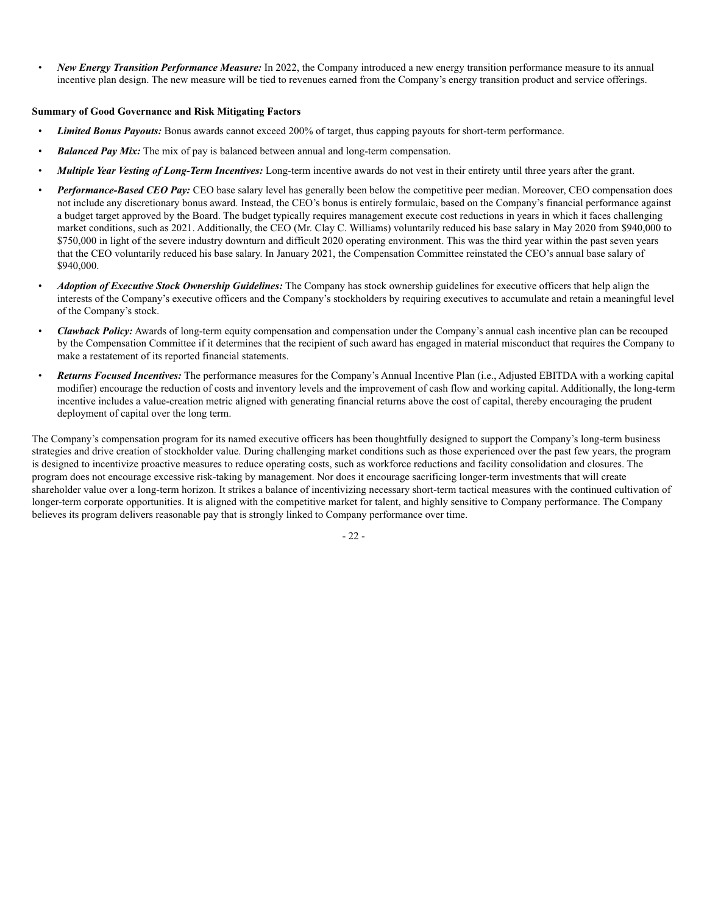• *New Energy Transition Performance Measure:* In 2022, the Company introduced a new energy transition performance measure to its annual incentive plan design. The new measure will be tied to revenues earned from the Company's energy transition product and service offerings.

#### **Summary of Good Governance and Risk Mitigating Factors**

- *Limited Bonus Payouts:* Bonus awards cannot exceed 200% of target, thus capping payouts for short-term performance.
- *Balanced Pay Mix:* The mix of pay is balanced between annual and long-term compensation.
- *Multiple Year Vesting of Long-Term Incentives:* Long-term incentive awards do not vest in their entirety until three years after the grant.
- *Performance-Based CEO Pay:* CEO base salary level has generally been below the competitive peer median. Moreover, CEO compensation does not include any discretionary bonus award. Instead, the CEO's bonus is entirely formulaic, based on the Company's financial performance against a budget target approved by the Board. The budget typically requires management execute cost reductions in years in which it faces challenging market conditions, such as 2021. Additionally, the CEO (Mr. Clay C. Williams) voluntarily reduced his base salary in May 2020 from \$940,000 to \$750,000 in light of the severe industry downturn and difficult 2020 operating environment. This was the third year within the past seven years that the CEO voluntarily reduced his base salary. In January 2021, the Compensation Committee reinstated the CEO's annual base salary of \$940,000.
- *Adoption of Executive Stock Ownership Guidelines:* The Company has stock ownership guidelines for executive officers that help align the interests of the Company's executive officers and the Company's stockholders by requiring executives to accumulate and retain a meaningful level of the Company's stock.
- *Clawback Policy:* Awards of long-term equity compensation and compensation under the Company's annual cash incentive plan can be recouped by the Compensation Committee if it determines that the recipient of such award has engaged in material misconduct that requires the Company to make a restatement of its reported financial statements.
- *Returns Focused Incentives:* The performance measures for the Company's Annual Incentive Plan (i.e., Adjusted EBITDA with a working capital modifier) encourage the reduction of costs and inventory levels and the improvement of cash flow and working capital. Additionally, the long-term incentive includes a value-creation metric aligned with generating financial returns above the cost of capital, thereby encouraging the prudent deployment of capital over the long term.

The Company's compensation program for its named executive officers has been thoughtfully designed to support the Company's long-term business strategies and drive creation of stockholder value. During challenging market conditions such as those experienced over the past few years, the program is designed to incentivize proactive measures to reduce operating costs, such as workforce reductions and facility consolidation and closures. The program does not encourage excessive risk-taking by management. Nor does it encourage sacrificing longer-term investments that will create shareholder value over a long-term horizon. It strikes a balance of incentivizing necessary short-term tactical measures with the continued cultivation of longer-term corporate opportunities. It is aligned with the competitive market for talent, and highly sensitive to Company performance. The Company believes its program delivers reasonable pay that is strongly linked to Company performance over time.

- 22 -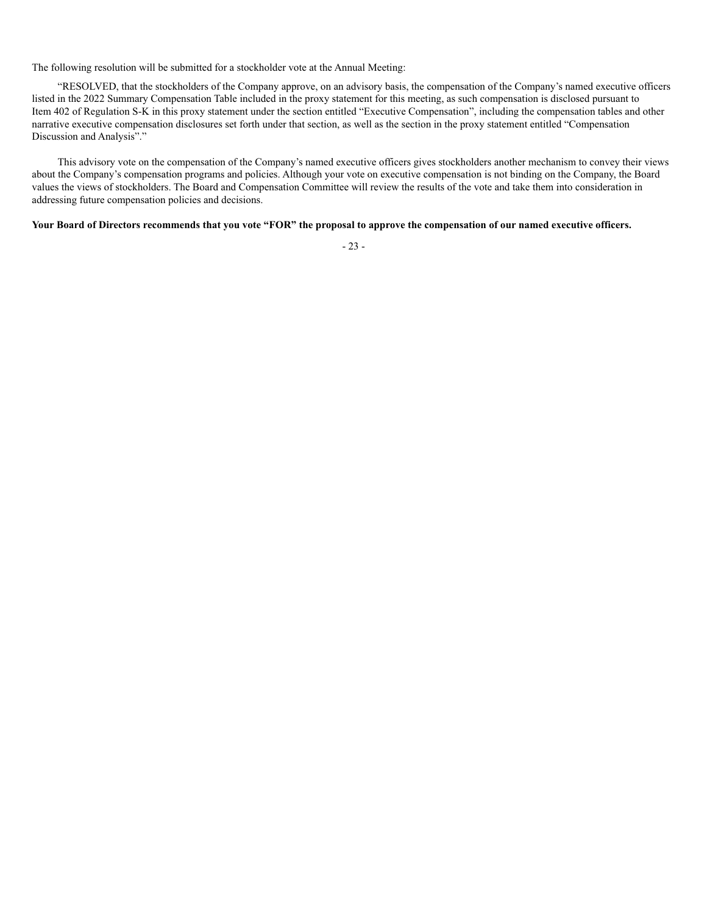The following resolution will be submitted for a stockholder vote at the Annual Meeting:

"RESOLVED, that the stockholders of the Company approve, on an advisory basis, the compensation of the Company's named executive officers listed in the 2022 Summary Compensation Table included in the proxy statement for this meeting, as such compensation is disclosed pursuant to Item 402 of Regulation S-K in this proxy statement under the section entitled "Executive Compensation", including the compensation tables and other narrative executive compensation disclosures set forth under that section, as well as the section in the proxy statement entitled "Compensation Discussion and Analysis"."

This advisory vote on the compensation of the Company's named executive officers gives stockholders another mechanism to convey their views about the Company's compensation programs and policies. Although your vote on executive compensation is not binding on the Company, the Board values the views of stockholders. The Board and Compensation Committee will review the results of the vote and take them into consideration in addressing future compensation policies and decisions.

#### **Your Board of Directors recommends that you vote "FOR" the proposal to approve the compensation of our named executive officers.**

- 23 -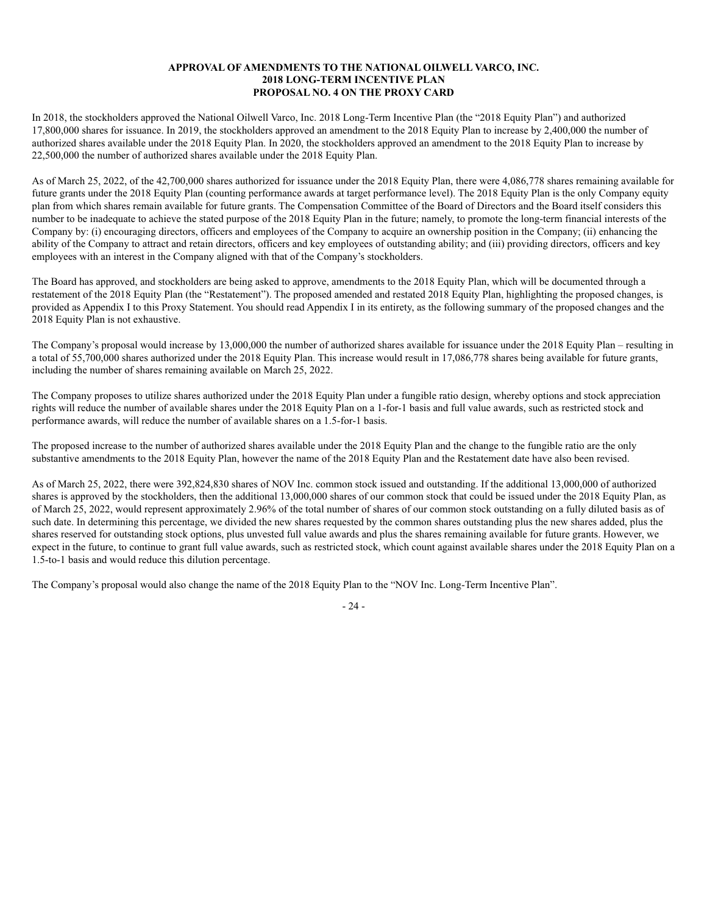#### **APPROVAL OF AMENDMENTS TO THE NATIONAL OILWELL VARCO, INC. 2018 LONG-TERM INCENTIVE PLAN PROPOSAL NO. 4 ON THE PROXY CARD**

In 2018, the stockholders approved the National Oilwell Varco, Inc. 2018 Long-Term Incentive Plan (the "2018 Equity Plan") and authorized 17,800,000 shares for issuance. In 2019, the stockholders approved an amendment to the 2018 Equity Plan to increase by 2,400,000 the number of authorized shares available under the 2018 Equity Plan. In 2020, the stockholders approved an amendment to the 2018 Equity Plan to increase by 22,500,000 the number of authorized shares available under the 2018 Equity Plan.

As of March 25, 2022, of the 42,700,000 shares authorized for issuance under the 2018 Equity Plan, there were 4,086,778 shares remaining available for future grants under the 2018 Equity Plan (counting performance awards at target performance level). The 2018 Equity Plan is the only Company equity plan from which shares remain available for future grants. The Compensation Committee of the Board of Directors and the Board itself considers this number to be inadequate to achieve the stated purpose of the 2018 Equity Plan in the future; namely, to promote the long-term financial interests of the Company by: (i) encouraging directors, officers and employees of the Company to acquire an ownership position in the Company; (ii) enhancing the ability of the Company to attract and retain directors, officers and key employees of outstanding ability; and (iii) providing directors, officers and key employees with an interest in the Company aligned with that of the Company's stockholders.

The Board has approved, and stockholders are being asked to approve, amendments to the 2018 Equity Plan, which will be documented through a restatement of the 2018 Equity Plan (the "Restatement"). The proposed amended and restated 2018 Equity Plan, highlighting the proposed changes, is provided as Appendix I to this Proxy Statement. You should read Appendix I in its entirety, as the following summary of the proposed changes and the 2018 Equity Plan is not exhaustive.

The Company's proposal would increase by 13,000,000 the number of authorized shares available for issuance under the 2018 Equity Plan – resulting in a total of 55,700,000 shares authorized under the 2018 Equity Plan. This increase would result in 17,086,778 shares being available for future grants, including the number of shares remaining available on March 25, 2022.

The Company proposes to utilize shares authorized under the 2018 Equity Plan under a fungible ratio design, whereby options and stock appreciation rights will reduce the number of available shares under the 2018 Equity Plan on a 1-for-1 basis and full value awards, such as restricted stock and performance awards, will reduce the number of available shares on a 1.5-for-1 basis.

The proposed increase to the number of authorized shares available under the 2018 Equity Plan and the change to the fungible ratio are the only substantive amendments to the 2018 Equity Plan, however the name of the 2018 Equity Plan and the Restatement date have also been revised.

As of March 25, 2022, there were 392,824,830 shares of NOV Inc. common stock issued and outstanding. If the additional 13,000,000 of authorized shares is approved by the stockholders, then the additional 13,000,000 shares of our common stock that could be issued under the 2018 Equity Plan, as of March 25, 2022, would represent approximately 2.96% of the total number of shares of our common stock outstanding on a fully diluted basis as of such date. In determining this percentage, we divided the new shares requested by the common shares outstanding plus the new shares added, plus the shares reserved for outstanding stock options, plus unvested full value awards and plus the shares remaining available for future grants. However, we expect in the future, to continue to grant full value awards, such as restricted stock, which count against available shares under the 2018 Equity Plan on a 1.5-to-1 basis and would reduce this dilution percentage.

The Company's proposal would also change the name of the 2018 Equity Plan to the "NOV Inc. Long-Term Incentive Plan".

- 24 -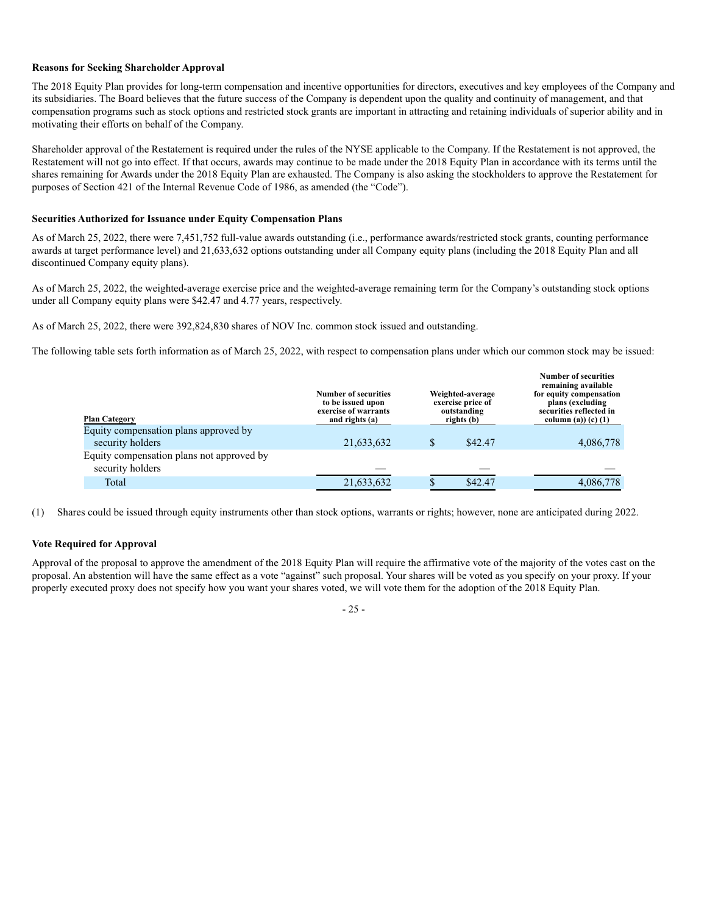#### **Reasons for Seeking Shareholder Approval**

The 2018 Equity Plan provides for long-term compensation and incentive opportunities for directors, executives and key employees of the Company and its subsidiaries. The Board believes that the future success of the Company is dependent upon the quality and continuity of management, and that compensation programs such as stock options and restricted stock grants are important in attracting and retaining individuals of superior ability and in motivating their efforts on behalf of the Company.

Shareholder approval of the Restatement is required under the rules of the NYSE applicable to the Company. If the Restatement is not approved, the Restatement will not go into effect. If that occurs, awards may continue to be made under the 2018 Equity Plan in accordance with its terms until the shares remaining for Awards under the 2018 Equity Plan are exhausted. The Company is also asking the stockholders to approve the Restatement for purposes of Section 421 of the Internal Revenue Code of 1986, as amended (the "Code").

#### **Securities Authorized for Issuance under Equity Compensation Plans**

As of March 25, 2022, there were 7,451,752 full-value awards outstanding (i.e., performance awards/restricted stock grants, counting performance awards at target performance level) and 21,633,632 options outstanding under all Company equity plans (including the 2018 Equity Plan and all discontinued Company equity plans).

As of March 25, 2022, the weighted-average exercise price and the weighted-average remaining term for the Company's outstanding stock options under all Company equity plans were \$42.47 and 4.77 years, respectively.

As of March 25, 2022, there were 392,824,830 shares of NOV Inc. common stock issued and outstanding.

The following table sets forth information as of March 25, 2022, with respect to compensation plans under which our common stock may be issued:

| <b>Plan Category</b>                                          | <b>Number of securities</b><br>to be issued upon<br>exercise of warrants<br>and rights (a) | Weighted-average<br>exercise price of<br>outstanding<br>rights (b) | <b>Number of securities</b><br>remaining available<br>for equity compensation<br>plans (excluding<br>securities reflected in<br>column (a)) (c) $(1)$ |
|---------------------------------------------------------------|--------------------------------------------------------------------------------------------|--------------------------------------------------------------------|-------------------------------------------------------------------------------------------------------------------------------------------------------|
| Equity compensation plans approved by                         |                                                                                            |                                                                    |                                                                                                                                                       |
| security holders                                              | 21,633,632                                                                                 | \$42.47                                                            | 4,086,778                                                                                                                                             |
| Equity compensation plans not approved by<br>security holders |                                                                                            |                                                                    |                                                                                                                                                       |
|                                                               |                                                                                            |                                                                    |                                                                                                                                                       |
| Total                                                         | 21,633,632                                                                                 | \$42.47                                                            | 4,086,778                                                                                                                                             |

(1) Shares could be issued through equity instruments other than stock options, warrants or rights; however, none are anticipated during 2022.

#### **Vote Required for Approval**

Approval of the proposal to approve the amendment of the 2018 Equity Plan will require the affirmative vote of the majority of the votes cast on the proposal. An abstention will have the same effect as a vote "against" such proposal. Your shares will be voted as you specify on your proxy. If your properly executed proxy does not specify how you want your shares voted, we will vote them for the adoption of the 2018 Equity Plan.

- 25 -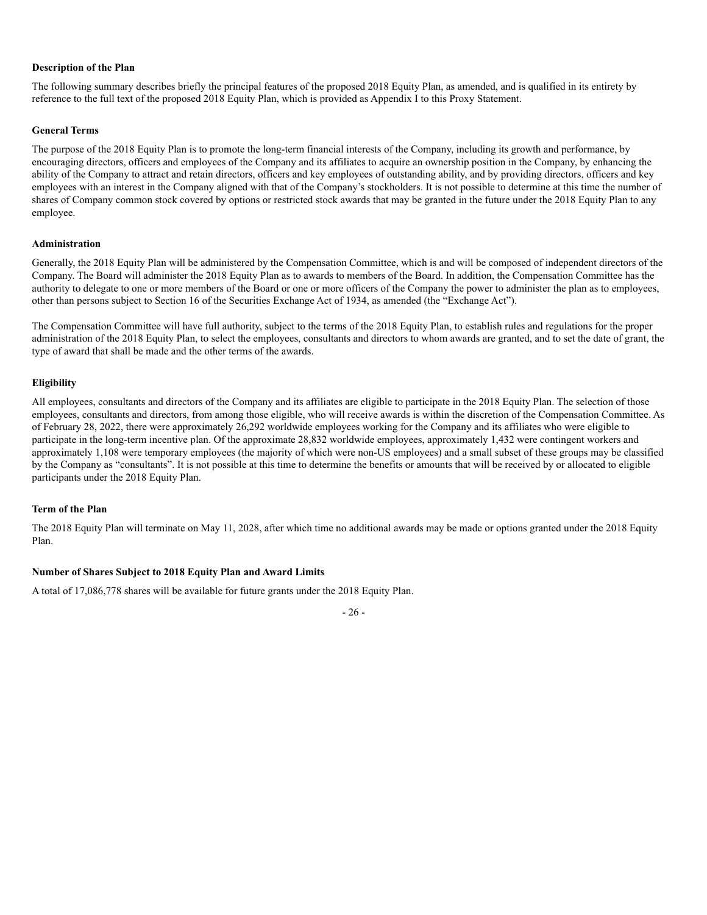#### **Description of the Plan**

The following summary describes briefly the principal features of the proposed 2018 Equity Plan, as amended, and is qualified in its entirety by reference to the full text of the proposed 2018 Equity Plan, which is provided as Appendix I to this Proxy Statement.

#### **General Terms**

The purpose of the 2018 Equity Plan is to promote the long-term financial interests of the Company, including its growth and performance, by encouraging directors, officers and employees of the Company and its affiliates to acquire an ownership position in the Company, by enhancing the ability of the Company to attract and retain directors, officers and key employees of outstanding ability, and by providing directors, officers and key employees with an interest in the Company aligned with that of the Company's stockholders. It is not possible to determine at this time the number of shares of Company common stock covered by options or restricted stock awards that may be granted in the future under the 2018 Equity Plan to any employee.

#### **Administration**

Generally, the 2018 Equity Plan will be administered by the Compensation Committee, which is and will be composed of independent directors of the Company. The Board will administer the 2018 Equity Plan as to awards to members of the Board. In addition, the Compensation Committee has the authority to delegate to one or more members of the Board or one or more officers of the Company the power to administer the plan as to employees, other than persons subject to Section 16 of the Securities Exchange Act of 1934, as amended (the "Exchange Act").

The Compensation Committee will have full authority, subject to the terms of the 2018 Equity Plan, to establish rules and regulations for the proper administration of the 2018 Equity Plan, to select the employees, consultants and directors to whom awards are granted, and to set the date of grant, the type of award that shall be made and the other terms of the awards.

#### **Eligibility**

All employees, consultants and directors of the Company and its affiliates are eligible to participate in the 2018 Equity Plan. The selection of those employees, consultants and directors, from among those eligible, who will receive awards is within the discretion of the Compensation Committee. As of February 28, 2022, there were approximately 26,292 worldwide employees working for the Company and its affiliates who were eligible to participate in the long-term incentive plan. Of the approximate 28,832 worldwide employees, approximately 1,432 were contingent workers and approximately 1,108 were temporary employees (the majority of which were non-US employees) and a small subset of these groups may be classified by the Company as "consultants". It is not possible at this time to determine the benefits or amounts that will be received by or allocated to eligible participants under the 2018 Equity Plan.

#### **Term of the Plan**

The 2018 Equity Plan will terminate on May 11, 2028, after which time no additional awards may be made or options granted under the 2018 Equity Plan.

#### **Number of Shares Subject to 2018 Equity Plan and Award Limits**

A total of 17,086,778 shares will be available for future grants under the 2018 Equity Plan.

- 26 -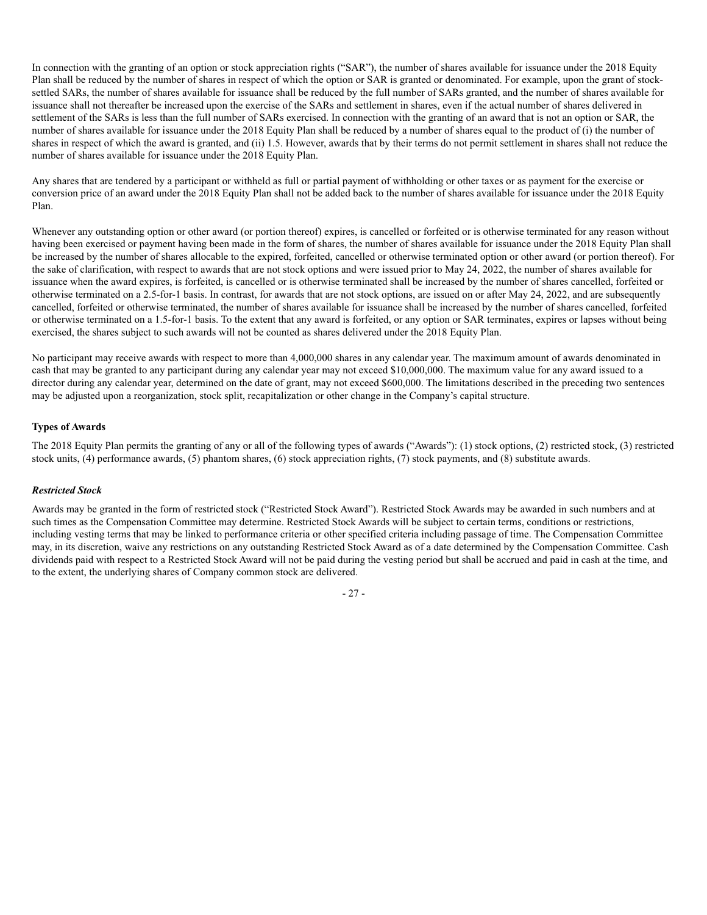In connection with the granting of an option or stock appreciation rights ("SAR"), the number of shares available for issuance under the 2018 Equity Plan shall be reduced by the number of shares in respect of which the option or SAR is granted or denominated. For example, upon the grant of stocksettled SARs, the number of shares available for issuance shall be reduced by the full number of SARs granted, and the number of shares available for issuance shall not thereafter be increased upon the exercise of the SARs and settlement in shares, even if the actual number of shares delivered in settlement of the SARs is less than the full number of SARs exercised. In connection with the granting of an award that is not an option or SAR, the number of shares available for issuance under the 2018 Equity Plan shall be reduced by a number of shares equal to the product of (i) the number of shares in respect of which the award is granted, and (ii) 1.5. However, awards that by their terms do not permit settlement in shares shall not reduce the number of shares available for issuance under the 2018 Equity Plan.

Any shares that are tendered by a participant or withheld as full or partial payment of withholding or other taxes or as payment for the exercise or conversion price of an award under the 2018 Equity Plan shall not be added back to the number of shares available for issuance under the 2018 Equity Plan.

Whenever any outstanding option or other award (or portion thereof) expires, is cancelled or forfeited or is otherwise terminated for any reason without having been exercised or payment having been made in the form of shares, the number of shares available for issuance under the 2018 Equity Plan shall be increased by the number of shares allocable to the expired, forfeited, cancelled or otherwise terminated option or other award (or portion thereof). For the sake of clarification, with respect to awards that are not stock options and were issued prior to May 24, 2022, the number of shares available for issuance when the award expires, is forfeited, is cancelled or is otherwise terminated shall be increased by the number of shares cancelled, forfeited or otherwise terminated on a 2.5-for-1 basis. In contrast, for awards that are not stock options, are issued on or after May 24, 2022, and are subsequently cancelled, forfeited or otherwise terminated, the number of shares available for issuance shall be increased by the number of shares cancelled, forfeited or otherwise terminated on a 1.5-for-1 basis. To the extent that any award is forfeited, or any option or SAR terminates, expires or lapses without being exercised, the shares subject to such awards will not be counted as shares delivered under the 2018 Equity Plan.

No participant may receive awards with respect to more than 4,000,000 shares in any calendar year. The maximum amount of awards denominated in cash that may be granted to any participant during any calendar year may not exceed \$10,000,000. The maximum value for any award issued to a director during any calendar year, determined on the date of grant, may not exceed \$600,000. The limitations described in the preceding two sentences may be adjusted upon a reorganization, stock split, recapitalization or other change in the Company's capital structure.

### **Types of Awards**

The 2018 Equity Plan permits the granting of any or all of the following types of awards ("Awards"): (1) stock options, (2) restricted stock, (3) restricted stock units, (4) performance awards, (5) phantom shares, (6) stock appreciation rights, (7) stock payments, and (8) substitute awards.

### *Restricted Stock*

Awards may be granted in the form of restricted stock ("Restricted Stock Award"). Restricted Stock Awards may be awarded in such numbers and at such times as the Compensation Committee may determine. Restricted Stock Awards will be subject to certain terms, conditions or restrictions, including vesting terms that may be linked to performance criteria or other specified criteria including passage of time. The Compensation Committee may, in its discretion, waive any restrictions on any outstanding Restricted Stock Award as of a date determined by the Compensation Committee. Cash dividends paid with respect to a Restricted Stock Award will not be paid during the vesting period but shall be accrued and paid in cash at the time, and to the extent, the underlying shares of Company common stock are delivered.

- 27 -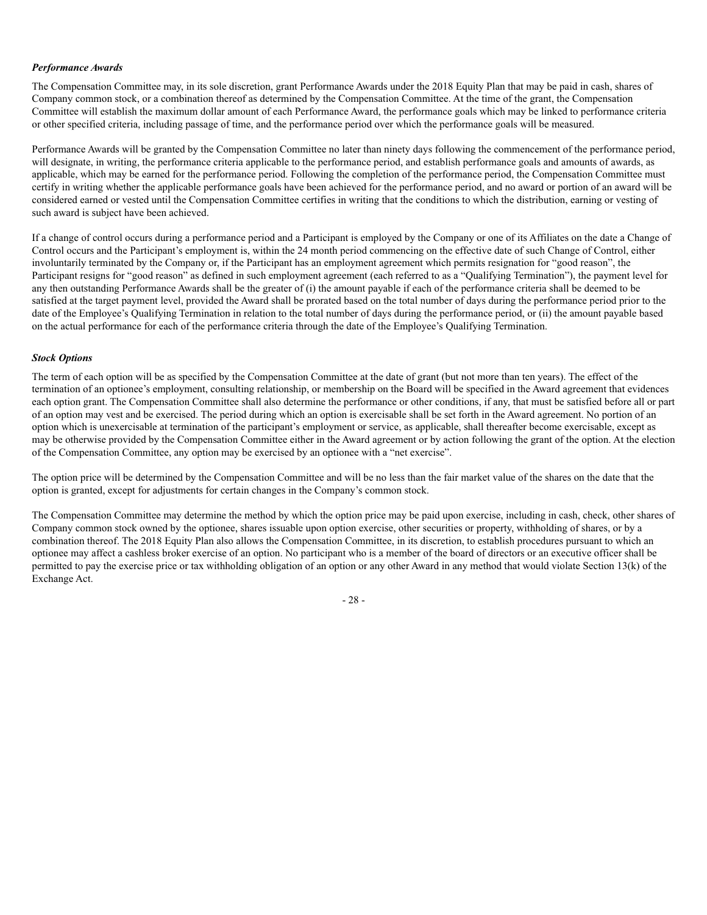#### *Performance Awards*

The Compensation Committee may, in its sole discretion, grant Performance Awards under the 2018 Equity Plan that may be paid in cash, shares of Company common stock, or a combination thereof as determined by the Compensation Committee. At the time of the grant, the Compensation Committee will establish the maximum dollar amount of each Performance Award, the performance goals which may be linked to performance criteria or other specified criteria, including passage of time, and the performance period over which the performance goals will be measured.

Performance Awards will be granted by the Compensation Committee no later than ninety days following the commencement of the performance period, will designate, in writing, the performance criteria applicable to the performance period, and establish performance goals and amounts of awards, as applicable, which may be earned for the performance period. Following the completion of the performance period, the Compensation Committee must certify in writing whether the applicable performance goals have been achieved for the performance period, and no award or portion of an award will be considered earned or vested until the Compensation Committee certifies in writing that the conditions to which the distribution, earning or vesting of such award is subject have been achieved.

If a change of control occurs during a performance period and a Participant is employed by the Company or one of its Affiliates on the date a Change of Control occurs and the Participant's employment is, within the 24 month period commencing on the effective date of such Change of Control, either involuntarily terminated by the Company or, if the Participant has an employment agreement which permits resignation for "good reason", the Participant resigns for "good reason" as defined in such employment agreement (each referred to as a "Qualifying Termination"), the payment level for any then outstanding Performance Awards shall be the greater of (i) the amount payable if each of the performance criteria shall be deemed to be satisfied at the target payment level, provided the Award shall be prorated based on the total number of days during the performance period prior to the date of the Employee's Qualifying Termination in relation to the total number of days during the performance period, or (ii) the amount payable based on the actual performance for each of the performance criteria through the date of the Employee's Qualifying Termination.

#### *Stock Options*

The term of each option will be as specified by the Compensation Committee at the date of grant (but not more than ten years). The effect of the termination of an optionee's employment, consulting relationship, or membership on the Board will be specified in the Award agreement that evidences each option grant. The Compensation Committee shall also determine the performance or other conditions, if any, that must be satisfied before all or part of an option may vest and be exercised. The period during which an option is exercisable shall be set forth in the Award agreement. No portion of an option which is unexercisable at termination of the participant's employment or service, as applicable, shall thereafter become exercisable, except as may be otherwise provided by the Compensation Committee either in the Award agreement or by action following the grant of the option. At the election of the Compensation Committee, any option may be exercised by an optionee with a "net exercise".

The option price will be determined by the Compensation Committee and will be no less than the fair market value of the shares on the date that the option is granted, except for adjustments for certain changes in the Company's common stock.

The Compensation Committee may determine the method by which the option price may be paid upon exercise, including in cash, check, other shares of Company common stock owned by the optionee, shares issuable upon option exercise, other securities or property, withholding of shares, or by a combination thereof. The 2018 Equity Plan also allows the Compensation Committee, in its discretion, to establish procedures pursuant to which an optionee may affect a cashless broker exercise of an option. No participant who is a member of the board of directors or an executive officer shall be permitted to pay the exercise price or tax withholding obligation of an option or any other Award in any method that would violate Section 13(k) of the Exchange Act.

- 28 -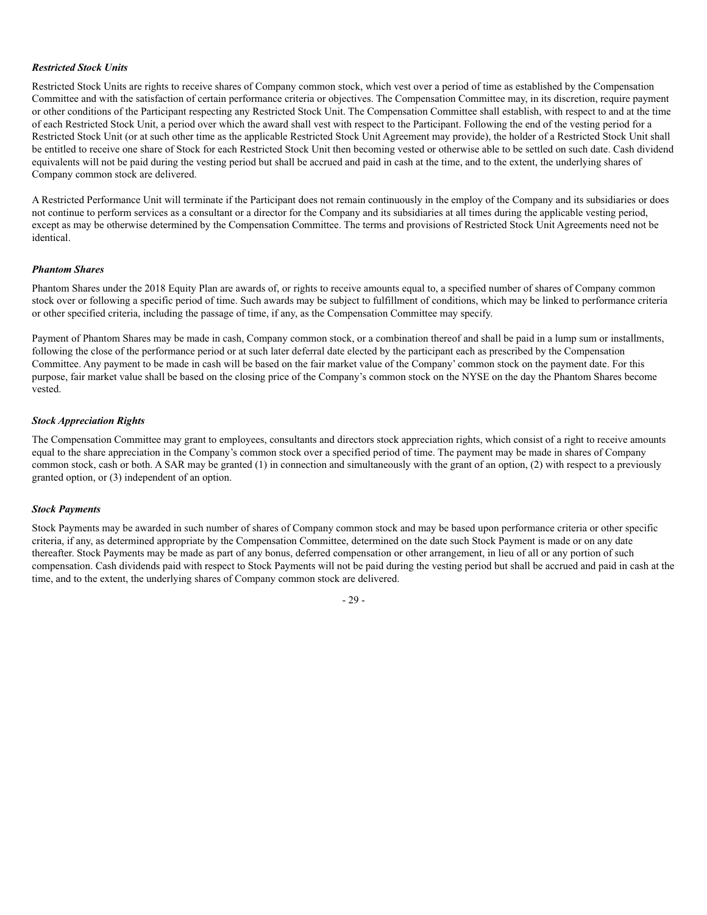#### *Restricted Stock Units*

Restricted Stock Units are rights to receive shares of Company common stock, which vest over a period of time as established by the Compensation Committee and with the satisfaction of certain performance criteria or objectives. The Compensation Committee may, in its discretion, require payment or other conditions of the Participant respecting any Restricted Stock Unit. The Compensation Committee shall establish, with respect to and at the time of each Restricted Stock Unit, a period over which the award shall vest with respect to the Participant. Following the end of the vesting period for a Restricted Stock Unit (or at such other time as the applicable Restricted Stock Unit Agreement may provide), the holder of a Restricted Stock Unit shall be entitled to receive one share of Stock for each Restricted Stock Unit then becoming vested or otherwise able to be settled on such date. Cash dividend equivalents will not be paid during the vesting period but shall be accrued and paid in cash at the time, and to the extent, the underlying shares of Company common stock are delivered.

A Restricted Performance Unit will terminate if the Participant does not remain continuously in the employ of the Company and its subsidiaries or does not continue to perform services as a consultant or a director for the Company and its subsidiaries at all times during the applicable vesting period, except as may be otherwise determined by the Compensation Committee. The terms and provisions of Restricted Stock Unit Agreements need not be identical.

#### *Phantom Shares*

Phantom Shares under the 2018 Equity Plan are awards of, or rights to receive amounts equal to, a specified number of shares of Company common stock over or following a specific period of time. Such awards may be subject to fulfillment of conditions, which may be linked to performance criteria or other specified criteria, including the passage of time, if any, as the Compensation Committee may specify.

Payment of Phantom Shares may be made in cash, Company common stock, or a combination thereof and shall be paid in a lump sum or installments, following the close of the performance period or at such later deferral date elected by the participant each as prescribed by the Compensation Committee. Any payment to be made in cash will be based on the fair market value of the Company' common stock on the payment date. For this purpose, fair market value shall be based on the closing price of the Company's common stock on the NYSE on the day the Phantom Shares become vested.

#### *Stock Appreciation Rights*

The Compensation Committee may grant to employees, consultants and directors stock appreciation rights, which consist of a right to receive amounts equal to the share appreciation in the Company's common stock over a specified period of time. The payment may be made in shares of Company common stock, cash or both. A SAR may be granted (1) in connection and simultaneously with the grant of an option, (2) with respect to a previously granted option, or (3) independent of an option.

#### *Stock Payments*

Stock Payments may be awarded in such number of shares of Company common stock and may be based upon performance criteria or other specific criteria, if any, as determined appropriate by the Compensation Committee, determined on the date such Stock Payment is made or on any date thereafter. Stock Payments may be made as part of any bonus, deferred compensation or other arrangement, in lieu of all or any portion of such compensation. Cash dividends paid with respect to Stock Payments will not be paid during the vesting period but shall be accrued and paid in cash at the time, and to the extent, the underlying shares of Company common stock are delivered.

 $-29 -$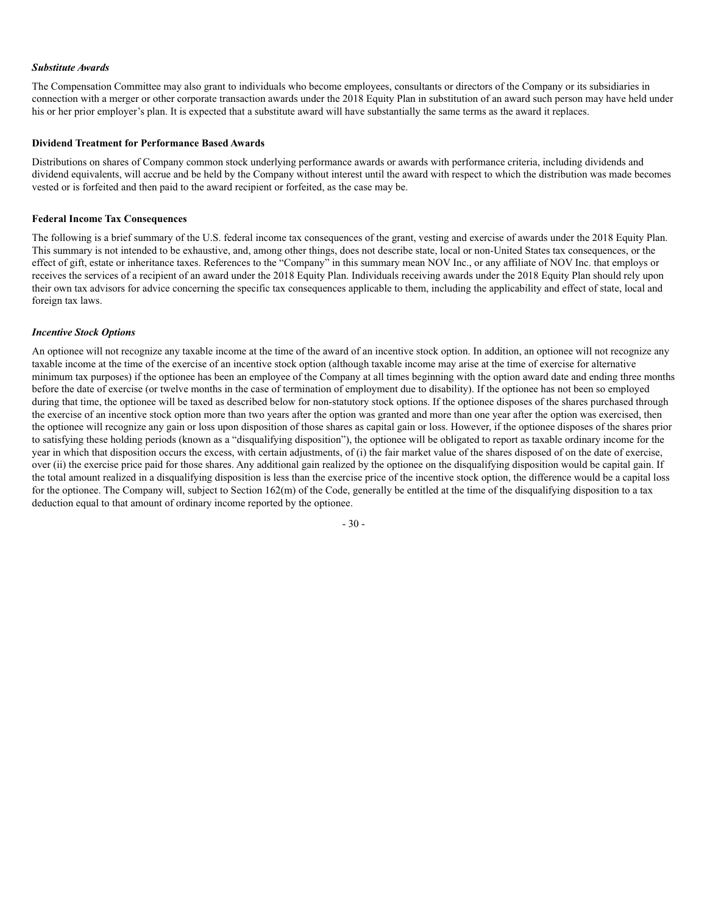#### *Substitute Awards*

The Compensation Committee may also grant to individuals who become employees, consultants or directors of the Company or its subsidiaries in connection with a merger or other corporate transaction awards under the 2018 Equity Plan in substitution of an award such person may have held under his or her prior employer's plan. It is expected that a substitute award will have substantially the same terms as the award it replaces.

#### **Dividend Treatment for Performance Based Awards**

Distributions on shares of Company common stock underlying performance awards or awards with performance criteria, including dividends and dividend equivalents, will accrue and be held by the Company without interest until the award with respect to which the distribution was made becomes vested or is forfeited and then paid to the award recipient or forfeited, as the case may be.

#### **Federal Income Tax Consequences**

The following is a brief summary of the U.S. federal income tax consequences of the grant, vesting and exercise of awards under the 2018 Equity Plan. This summary is not intended to be exhaustive, and, among other things, does not describe state, local or non-United States tax consequences, or the effect of gift, estate or inheritance taxes. References to the "Company" in this summary mean NOV Inc., or any affiliate of NOV Inc. that employs or receives the services of a recipient of an award under the 2018 Equity Plan. Individuals receiving awards under the 2018 Equity Plan should rely upon their own tax advisors for advice concerning the specific tax consequences applicable to them, including the applicability and effect of state, local and foreign tax laws.

#### *Incentive Stock Options*

An optionee will not recognize any taxable income at the time of the award of an incentive stock option. In addition, an optionee will not recognize any taxable income at the time of the exercise of an incentive stock option (although taxable income may arise at the time of exercise for alternative minimum tax purposes) if the optionee has been an employee of the Company at all times beginning with the option award date and ending three months before the date of exercise (or twelve months in the case of termination of employment due to disability). If the optionee has not been so employed during that time, the optionee will be taxed as described below for non-statutory stock options. If the optionee disposes of the shares purchased through the exercise of an incentive stock option more than two years after the option was granted and more than one year after the option was exercised, then the optionee will recognize any gain or loss upon disposition of those shares as capital gain or loss. However, if the optionee disposes of the shares prior to satisfying these holding periods (known as a "disqualifying disposition"), the optionee will be obligated to report as taxable ordinary income for the year in which that disposition occurs the excess, with certain adjustments, of (i) the fair market value of the shares disposed of on the date of exercise, over (ii) the exercise price paid for those shares. Any additional gain realized by the optionee on the disqualifying disposition would be capital gain. If the total amount realized in a disqualifying disposition is less than the exercise price of the incentive stock option, the difference would be a capital loss for the optionee. The Company will, subject to Section  $162(m)$  of the Code, generally be entitled at the time of the disqualifying disposition to a tax deduction equal to that amount of ordinary income reported by the optionee.

- 30 -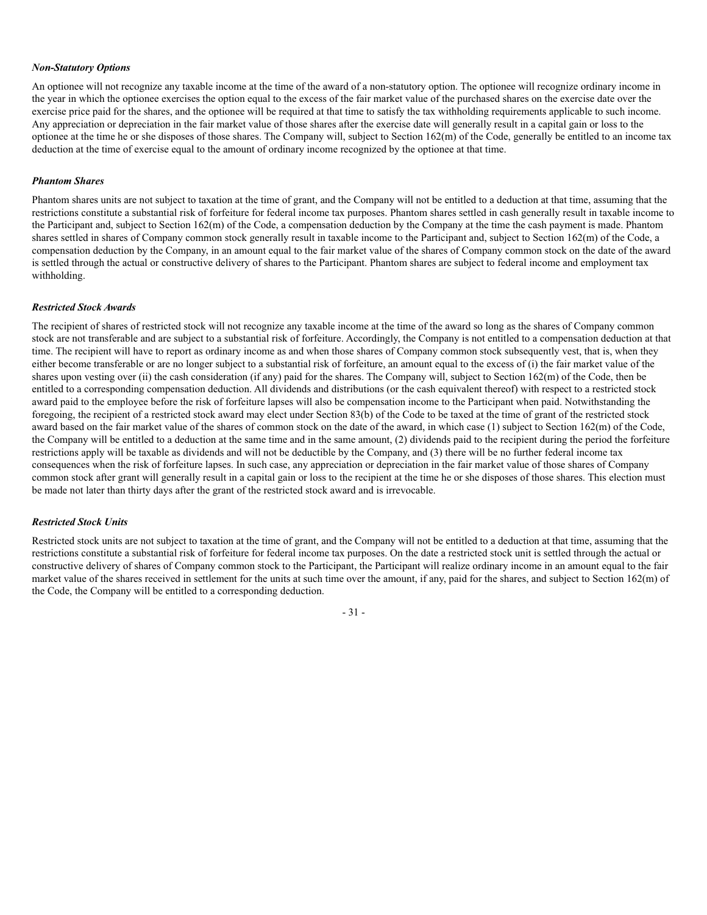#### *Non-Statutory Options*

An optionee will not recognize any taxable income at the time of the award of a non-statutory option. The optionee will recognize ordinary income in the year in which the optionee exercises the option equal to the excess of the fair market value of the purchased shares on the exercise date over the exercise price paid for the shares, and the optionee will be required at that time to satisfy the tax withholding requirements applicable to such income. Any appreciation or depreciation in the fair market value of those shares after the exercise date will generally result in a capital gain or loss to the optionee at the time he or she disposes of those shares. The Company will, subject to Section 162(m) of the Code, generally be entitled to an income tax deduction at the time of exercise equal to the amount of ordinary income recognized by the optionee at that time.

#### *Phantom Shares*

Phantom shares units are not subject to taxation at the time of grant, and the Company will not be entitled to a deduction at that time, assuming that the restrictions constitute a substantial risk of forfeiture for federal income tax purposes. Phantom shares settled in cash generally result in taxable income to the Participant and, subject to Section 162(m) of the Code, a compensation deduction by the Company at the time the cash payment is made. Phantom shares settled in shares of Company common stock generally result in taxable income to the Participant and, subject to Section 162(m) of the Code, a compensation deduction by the Company, in an amount equal to the fair market value of the shares of Company common stock on the date of the award is settled through the actual or constructive delivery of shares to the Participant. Phantom shares are subject to federal income and employment tax withholding.

#### *Restricted Stock Awards*

The recipient of shares of restricted stock will not recognize any taxable income at the time of the award so long as the shares of Company common stock are not transferable and are subject to a substantial risk of forfeiture. Accordingly, the Company is not entitled to a compensation deduction at that time. The recipient will have to report as ordinary income as and when those shares of Company common stock subsequently vest, that is, when they either become transferable or are no longer subject to a substantial risk of forfeiture, an amount equal to the excess of (i) the fair market value of the shares upon vesting over (ii) the cash consideration (if any) paid for the shares. The Company will, subject to Section 162(m) of the Code, then be entitled to a corresponding compensation deduction. All dividends and distributions (or the cash equivalent thereof) with respect to a restricted stock award paid to the employee before the risk of forfeiture lapses will also be compensation income to the Participant when paid. Notwithstanding the foregoing, the recipient of a restricted stock award may elect under Section 83(b) of the Code to be taxed at the time of grant of the restricted stock award based on the fair market value of the shares of common stock on the date of the award, in which case (1) subject to Section 162(m) of the Code, the Company will be entitled to a deduction at the same time and in the same amount, (2) dividends paid to the recipient during the period the forfeiture restrictions apply will be taxable as dividends and will not be deductible by the Company, and (3) there will be no further federal income tax consequences when the risk of forfeiture lapses. In such case, any appreciation or depreciation in the fair market value of those shares of Company common stock after grant will generally result in a capital gain or loss to the recipient at the time he or she disposes of those shares. This election must be made not later than thirty days after the grant of the restricted stock award and is irrevocable.

#### *Restricted Stock Units*

Restricted stock units are not subject to taxation at the time of grant, and the Company will not be entitled to a deduction at that time, assuming that the restrictions constitute a substantial risk of forfeiture for federal income tax purposes. On the date a restricted stock unit is settled through the actual or constructive delivery of shares of Company common stock to the Participant, the Participant will realize ordinary income in an amount equal to the fair market value of the shares received in settlement for the units at such time over the amount, if any, paid for the shares, and subject to Section 162(m) of the Code, the Company will be entitled to a corresponding deduction.

- 31 -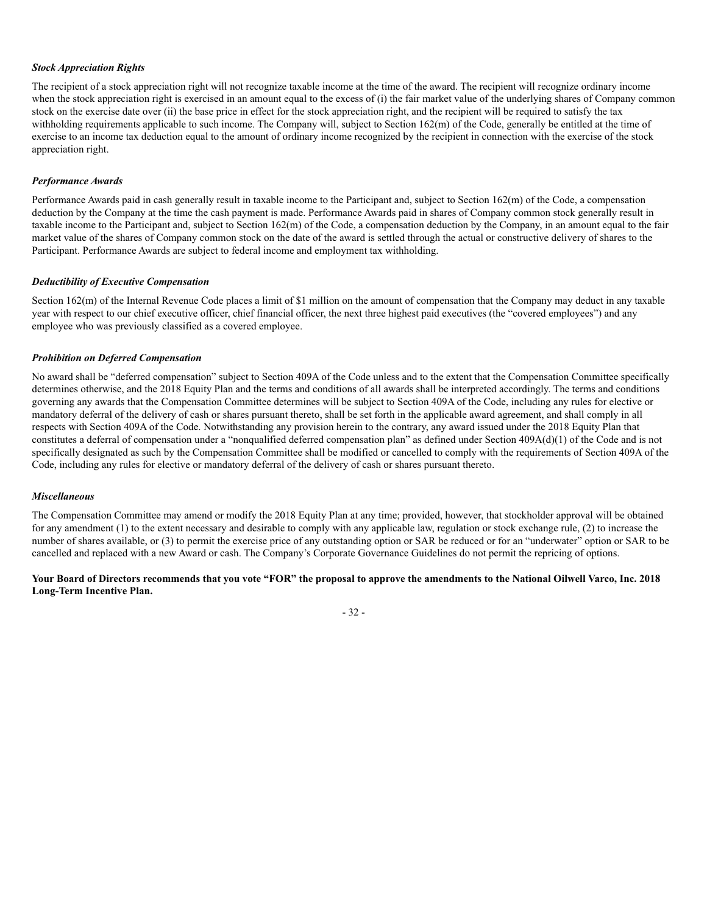#### *Stock Appreciation Rights*

The recipient of a stock appreciation right will not recognize taxable income at the time of the award. The recipient will recognize ordinary income when the stock appreciation right is exercised in an amount equal to the excess of (i) the fair market value of the underlying shares of Company common stock on the exercise date over (ii) the base price in effect for the stock appreciation right, and the recipient will be required to satisfy the tax withholding requirements applicable to such income. The Company will, subject to Section 162(m) of the Code, generally be entitled at the time of exercise to an income tax deduction equal to the amount of ordinary income recognized by the recipient in connection with the exercise of the stock appreciation right.

#### *Performance Awards*

Performance Awards paid in cash generally result in taxable income to the Participant and, subject to Section 162(m) of the Code, a compensation deduction by the Company at the time the cash payment is made. Performance Awards paid in shares of Company common stock generally result in taxable income to the Participant and, subject to Section 162(m) of the Code, a compensation deduction by the Company, in an amount equal to the fair market value of the shares of Company common stock on the date of the award is settled through the actual or constructive delivery of shares to the Participant. Performance Awards are subject to federal income and employment tax withholding.

#### *Deductibility of Executive Compensation*

Section 162(m) of the Internal Revenue Code places a limit of \$1 million on the amount of compensation that the Company may deduct in any taxable year with respect to our chief executive officer, chief financial officer, the next three highest paid executives (the "covered employees") and any employee who was previously classified as a covered employee.

#### *Prohibition on Deferred Compensation*

No award shall be "deferred compensation" subject to Section 409A of the Code unless and to the extent that the Compensation Committee specifically determines otherwise, and the 2018 Equity Plan and the terms and conditions of all awards shall be interpreted accordingly. The terms and conditions governing any awards that the Compensation Committee determines will be subject to Section 409A of the Code, including any rules for elective or mandatory deferral of the delivery of cash or shares pursuant thereto, shall be set forth in the applicable award agreement, and shall comply in all respects with Section 409A of the Code. Notwithstanding any provision herein to the contrary, any award issued under the 2018 Equity Plan that constitutes a deferral of compensation under a "nonqualified deferred compensation plan" as defined under Section 409A(d)(1) of the Code and is not specifically designated as such by the Compensation Committee shall be modified or cancelled to comply with the requirements of Section 409A of the Code, including any rules for elective or mandatory deferral of the delivery of cash or shares pursuant thereto.

#### *Miscellaneous*

The Compensation Committee may amend or modify the 2018 Equity Plan at any time; provided, however, that stockholder approval will be obtained for any amendment (1) to the extent necessary and desirable to comply with any applicable law, regulation or stock exchange rule, (2) to increase the number of shares available, or (3) to permit the exercise price of any outstanding option or SAR be reduced or for an "underwater" option or SAR to be cancelled and replaced with a new Award or cash. The Company's Corporate Governance Guidelines do not permit the repricing of options.

#### **Your Board of Directors recommends that you vote "FOR" the proposal to approve the amendments to the National Oilwell Varco, Inc. 2018 Long-Term Incentive Plan.**

- 32 -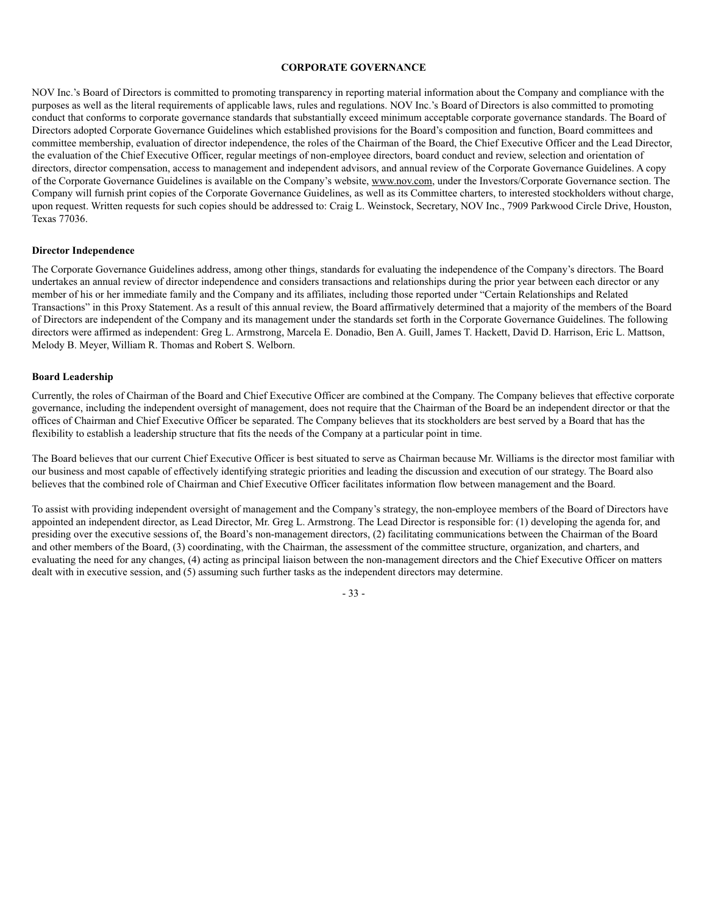#### **CORPORATE GOVERNANCE**

NOV Inc.'s Board of Directors is committed to promoting transparency in reporting material information about the Company and compliance with the purposes as well as the literal requirements of applicable laws, rules and regulations. NOV Inc.'s Board of Directors is also committed to promoting conduct that conforms to corporate governance standards that substantially exceed minimum acceptable corporate governance standards. The Board of Directors adopted Corporate Governance Guidelines which established provisions for the Board's composition and function, Board committees and committee membership, evaluation of director independence, the roles of the Chairman of the Board, the Chief Executive Officer and the Lead Director, the evaluation of the Chief Executive Officer, regular meetings of non-employee directors, board conduct and review, selection and orientation of directors, director compensation, access to management and independent advisors, and annual review of the Corporate Governance Guidelines. A copy of the Corporate Governance Guidelines is available on the Company's website, www.nov.com, under the Investors/Corporate Governance section. The Company will furnish print copies of the Corporate Governance Guidelines, as well as its Committee charters, to interested stockholders without charge, upon request. Written requests for such copies should be addressed to: Craig L. Weinstock, Secretary, NOV Inc., 7909 Parkwood Circle Drive, Houston, Texas 77036.

#### **Director Independence**

The Corporate Governance Guidelines address, among other things, standards for evaluating the independence of the Company's directors. The Board undertakes an annual review of director independence and considers transactions and relationships during the prior year between each director or any member of his or her immediate family and the Company and its affiliates, including those reported under "Certain Relationships and Related Transactions" in this Proxy Statement. As a result of this annual review, the Board affirmatively determined that a majority of the members of the Board of Directors are independent of the Company and its management under the standards set forth in the Corporate Governance Guidelines. The following directors were affirmed as independent: Greg L. Armstrong, Marcela E. Donadio, Ben A. Guill, James T. Hackett, David D. Harrison, Eric L. Mattson, Melody B. Meyer, William R. Thomas and Robert S. Welborn.

#### **Board Leadership**

Currently, the roles of Chairman of the Board and Chief Executive Officer are combined at the Company. The Company believes that effective corporate governance, including the independent oversight of management, does not require that the Chairman of the Board be an independent director or that the offices of Chairman and Chief Executive Officer be separated. The Company believes that its stockholders are best served by a Board that has the flexibility to establish a leadership structure that fits the needs of the Company at a particular point in time.

The Board believes that our current Chief Executive Officer is best situated to serve as Chairman because Mr. Williams is the director most familiar with our business and most capable of effectively identifying strategic priorities and leading the discussion and execution of our strategy. The Board also believes that the combined role of Chairman and Chief Executive Officer facilitates information flow between management and the Board.

To assist with providing independent oversight of management and the Company's strategy, the non-employee members of the Board of Directors have appointed an independent director, as Lead Director, Mr. Greg L. Armstrong. The Lead Director is responsible for: (1) developing the agenda for, and presiding over the executive sessions of, the Board's non-management directors, (2) facilitating communications between the Chairman of the Board and other members of the Board, (3) coordinating, with the Chairman, the assessment of the committee structure, organization, and charters, and evaluating the need for any changes, (4) acting as principal liaison between the non-management directors and the Chief Executive Officer on matters dealt with in executive session, and (5) assuming such further tasks as the independent directors may determine.

- 33 -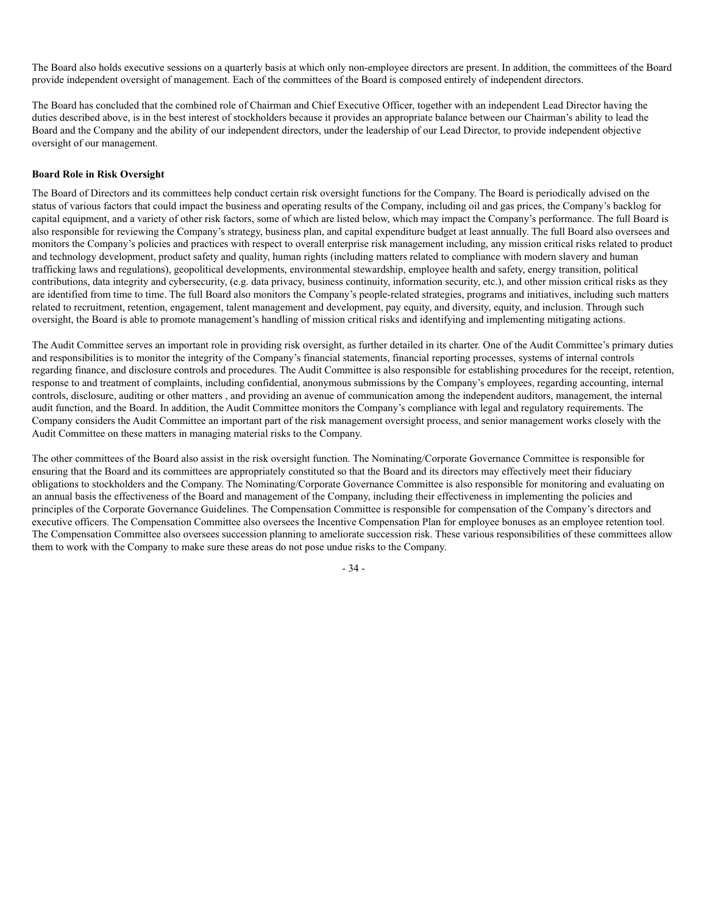The Board also holds executive sessions on a quarterly basis at which only non-employee directors are present. In addition, the committees of the Board provide independent oversight of management. Each of the committees of the Board is composed entirely of independent directors.

The Board has concluded that the combined role of Chairman and Chief Executive Officer, together with an independent Lead Director having the duties described above, is in the best interest of stockholders because it provides an appropriate balance between our Chairman's ability to lead the Board and the Company and the ability of our independent directors, under the leadership of our Lead Director, to provide independent objective oversight of our management.

# **Board Role in Risk Oversight**

The Board of Directors and its committees help conduct certain risk oversight functions for the Company. The Board is periodically advised on the status of various factors that could impact the business and operating results of the Company, including oil and gas prices, the Company's backlog for capital equipment, and a variety of other risk factors, some of which are listed below, which may impact the Company's performance. The full Board is also responsible for reviewing the Company's strategy, business plan, and capital expenditure budget at least annually. The full Board also oversees and monitors the Company's policies and practices with respect to overall enterprise risk management including, any mission critical risks related to product and technology development, product safety and quality, human rights (including matters related to compliance with modern slavery and human trafficking laws and regulations), geopolitical developments, environmental stewardship, employee health and safety, energy transition, political contributions, data integrity and cybersecurity, (e.g. data privacy, business continuity, information security, etc.), and other mission critical risks as they are identified from time to time. The full Board also monitors the Company's people-related strategies, programs and initiatives, including such matters related to recruitment, retention, engagement, talent management and development, pay equity, and diversity, equity, and inclusion. Through such oversight, the Board is able to promote management's handling of mission critical risks and identifying and implementing mitigating actions.

The Audit Committee serves an important role in providing risk oversight, as further detailed in its charter. One of the Audit Committee's primary duties and responsibilities is to monitor the integrity of the Company's financial statements, financial reporting processes, systems of internal controls regarding finance, and disclosure controls and procedures. The Audit Committee is also responsible for establishing procedures for the receipt, retention, response to and treatment of complaints, including confidential, anonymous submissions by the Company's employees, regarding accounting, internal controls, disclosure, auditing or other matters , and providing an avenue of communication among the independent auditors, management, the internal audit function, and the Board. In addition, the Audit Committee monitors the Company's compliance with legal and regulatory requirements. The Company considers the Audit Committee an important part of the risk management oversight process, and senior management works closely with the Audit Committee on these matters in managing material risks to the Company.

The other committees of the Board also assist in the risk oversight function. The Nominating/Corporate Governance Committee is responsible for ensuring that the Board and its committees are appropriately constituted so that the Board and its directors may effectively meet their fiduciary obligations to stockholders and the Company. The Nominating/Corporate Governance Committee is also responsible for monitoring and evaluating on an annual basis the effectiveness of the Board and management of the Company, including their effectiveness in implementing the policies and principles of the Corporate Governance Guidelines. The Compensation Committee is responsible for compensation of the Company's directors and executive officers. The Compensation Committee also oversees the Incentive Compensation Plan for employee bonuses as an employee retention tool. The Compensation Committee also oversees succession planning to ameliorate succession risk. These various responsibilities of these committees allow them to work with the Company to make sure these areas do not pose undue risks to the Company.

- 34 -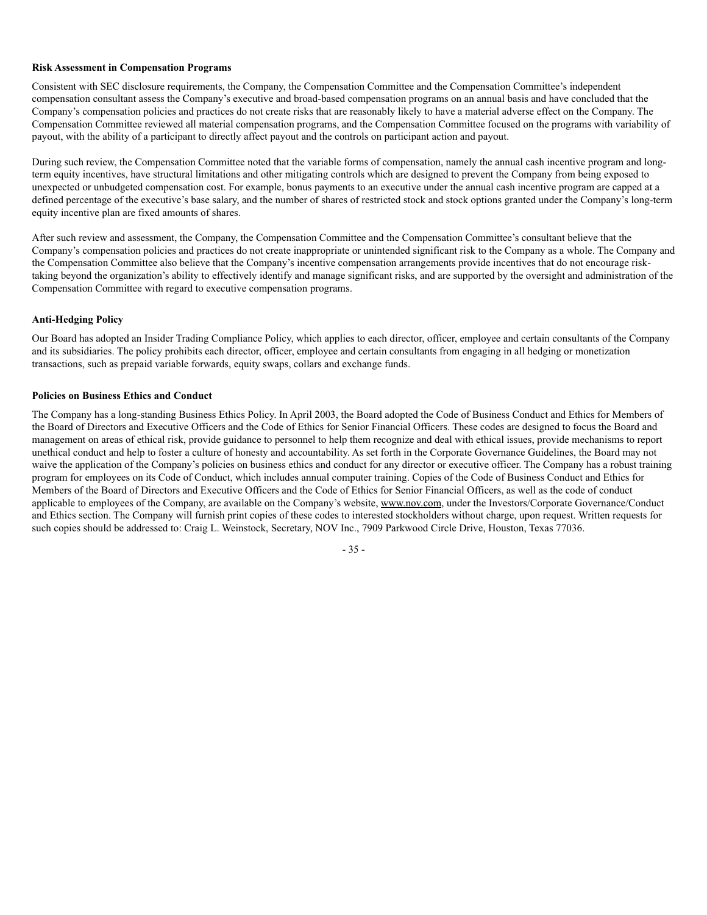# **Risk Assessment in Compensation Programs**

Consistent with SEC disclosure requirements, the Company, the Compensation Committee and the Compensation Committee's independent compensation consultant assess the Company's executive and broad-based compensation programs on an annual basis and have concluded that the Company's compensation policies and practices do not create risks that are reasonably likely to have a material adverse effect on the Company. The Compensation Committee reviewed all material compensation programs, and the Compensation Committee focused on the programs with variability of payout, with the ability of a participant to directly affect payout and the controls on participant action and payout.

During such review, the Compensation Committee noted that the variable forms of compensation, namely the annual cash incentive program and longterm equity incentives, have structural limitations and other mitigating controls which are designed to prevent the Company from being exposed to unexpected or unbudgeted compensation cost. For example, bonus payments to an executive under the annual cash incentive program are capped at a defined percentage of the executive's base salary, and the number of shares of restricted stock and stock options granted under the Company's long-term equity incentive plan are fixed amounts of shares.

After such review and assessment, the Company, the Compensation Committee and the Compensation Committee's consultant believe that the Company's compensation policies and practices do not create inappropriate or unintended significant risk to the Company as a whole. The Company and the Compensation Committee also believe that the Company's incentive compensation arrangements provide incentives that do not encourage risktaking beyond the organization's ability to effectively identify and manage significant risks, and are supported by the oversight and administration of the Compensation Committee with regard to executive compensation programs.

# **Anti-Hedging Policy**

Our Board has adopted an Insider Trading Compliance Policy, which applies to each director, officer, employee and certain consultants of the Company and its subsidiaries. The policy prohibits each director, officer, employee and certain consultants from engaging in all hedging or monetization transactions, such as prepaid variable forwards, equity swaps, collars and exchange funds.

# **Policies on Business Ethics and Conduct**

The Company has a long-standing Business Ethics Policy. In April 2003, the Board adopted the Code of Business Conduct and Ethics for Members of the Board of Directors and Executive Officers and the Code of Ethics for Senior Financial Officers. These codes are designed to focus the Board and management on areas of ethical risk, provide guidance to personnel to help them recognize and deal with ethical issues, provide mechanisms to report unethical conduct and help to foster a culture of honesty and accountability. As set forth in the Corporate Governance Guidelines, the Board may not waive the application of the Company's policies on business ethics and conduct for any director or executive officer. The Company has a robust training program for employees on its Code of Conduct, which includes annual computer training. Copies of the Code of Business Conduct and Ethics for Members of the Board of Directors and Executive Officers and the Code of Ethics for Senior Financial Officers, as well as the code of conduct applicable to employees of the Company, are available on the Company's website, www.nov.com, under the Investors/Corporate Governance/Conduct and Ethics section. The Company will furnish print copies of these codes to interested stockholders without charge, upon request. Written requests for such copies should be addressed to: Craig L. Weinstock, Secretary, NOV Inc., 7909 Parkwood Circle Drive, Houston, Texas 77036.

- 35 -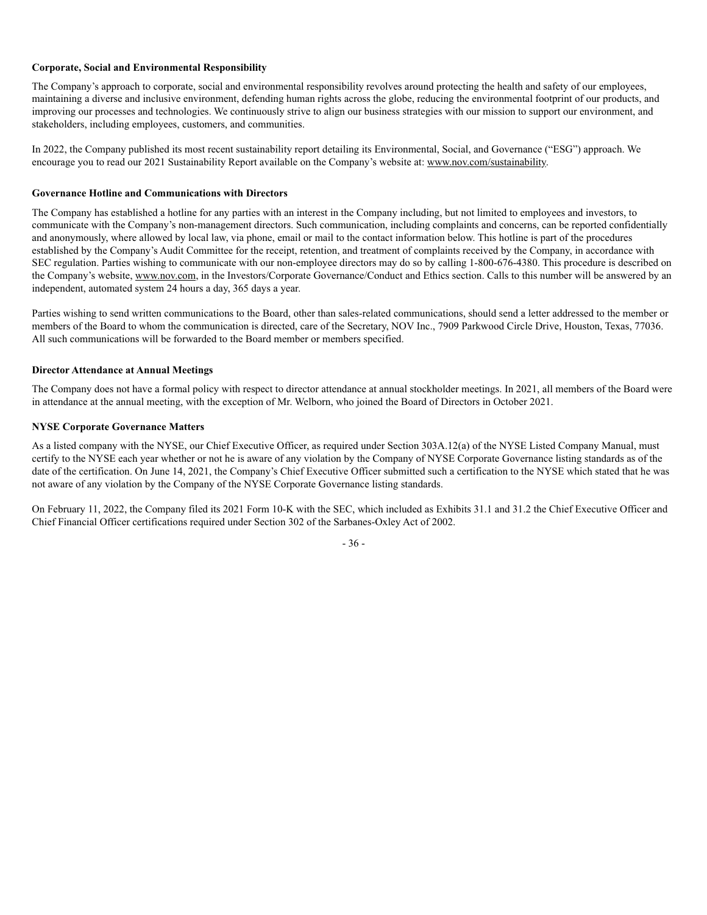# **Corporate, Social and Environmental Responsibility**

The Company's approach to corporate, social and environmental responsibility revolves around protecting the health and safety of our employees, maintaining a diverse and inclusive environment, defending human rights across the globe, reducing the environmental footprint of our products, and improving our processes and technologies. We continuously strive to align our business strategies with our mission to support our environment, and stakeholders, including employees, customers, and communities.

In 2022, the Company published its most recent sustainability report detailing its Environmental, Social, and Governance ("ESG") approach. We encourage you to read our 2021 Sustainability Report available on the Company's website at: www.nov.com/sustainability.

# **Governance Hotline and Communications with Directors**

The Company has established a hotline for any parties with an interest in the Company including, but not limited to employees and investors, to communicate with the Company's non-management directors. Such communication, including complaints and concerns, can be reported confidentially and anonymously, where allowed by local law, via phone, email or mail to the contact information below. This hotline is part of the procedures established by the Company's Audit Committee for the receipt, retention, and treatment of complaints received by the Company, in accordance with SEC regulation. Parties wishing to communicate with our non-employee directors may do so by calling 1-800-676-4380. This procedure is described on the Company's website, www.nov.com, in the Investors/Corporate Governance/Conduct and Ethics section. Calls to this number will be answered by an independent, automated system 24 hours a day, 365 days a year.

Parties wishing to send written communications to the Board, other than sales-related communications, should send a letter addressed to the member or members of the Board to whom the communication is directed, care of the Secretary, NOV Inc., 7909 Parkwood Circle Drive, Houston, Texas, 77036. All such communications will be forwarded to the Board member or members specified.

# **Director Attendance at Annual Meetings**

The Company does not have a formal policy with respect to director attendance at annual stockholder meetings. In 2021, all members of the Board were in attendance at the annual meeting, with the exception of Mr. Welborn, who joined the Board of Directors in October 2021.

# **NYSE Corporate Governance Matters**

As a listed company with the NYSE, our Chief Executive Officer, as required under Section 303A.12(a) of the NYSE Listed Company Manual, must certify to the NYSE each year whether or not he is aware of any violation by the Company of NYSE Corporate Governance listing standards as of the date of the certification. On June 14, 2021, the Company's Chief Executive Officer submitted such a certification to the NYSE which stated that he was not aware of any violation by the Company of the NYSE Corporate Governance listing standards.

On February 11, 2022, the Company filed its 2021 Form 10-K with the SEC, which included as Exhibits 31.1 and 31.2 the Chief Executive Officer and Chief Financial Officer certifications required under Section 302 of the Sarbanes-Oxley Act of 2002.

- 36 -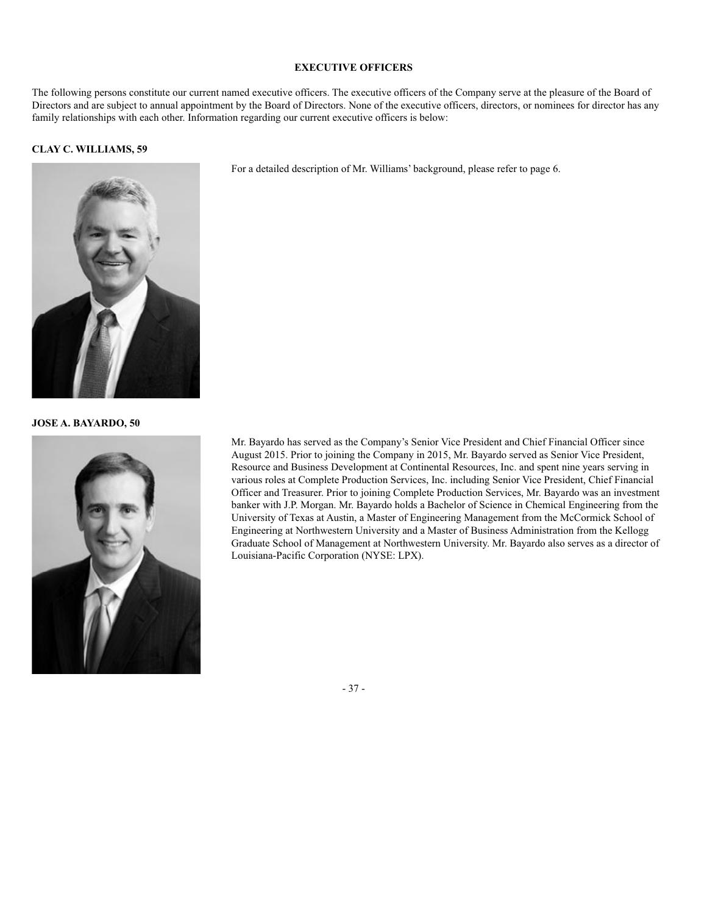# **EXECUTIVE OFFICERS**

The following persons constitute our current named executive officers. The executive officers of the Company serve at the pleasure of the Board of Directors and are subject to annual appointment by the Board of Directors. None of the executive officers, directors, or nominees for director has any family relationships with each other. Information regarding our current executive officers is below:

#### **CLAY C. WILLIAMS, 59**

For a detailed description of Mr. Williams' background, please refer to page 6.



**JOSE A. BAYARDO, 50**



Mr. Bayardo has served as the Company's Senior Vice President and Chief Financial Officer since August 2015. Prior to joining the Company in 2015, Mr. Bayardo served as Senior Vice President, Resource and Business Development at Continental Resources, Inc. and spent nine years serving in various roles at Complete Production Services, Inc. including Senior Vice President, Chief Financial Officer and Treasurer. Prior to joining Complete Production Services, Mr. Bayardo was an investment banker with J.P. Morgan. Mr. Bayardo holds a Bachelor of Science in Chemical Engineering from the University of Texas at Austin, a Master of Engineering Management from the McCormick School of Engineering at Northwestern University and a Master of Business Administration from the Kellogg Graduate School of Management at Northwestern University. Mr. Bayardo also serves as a director of Louisiana-Pacific Corporation (NYSE: LPX).

- 37 -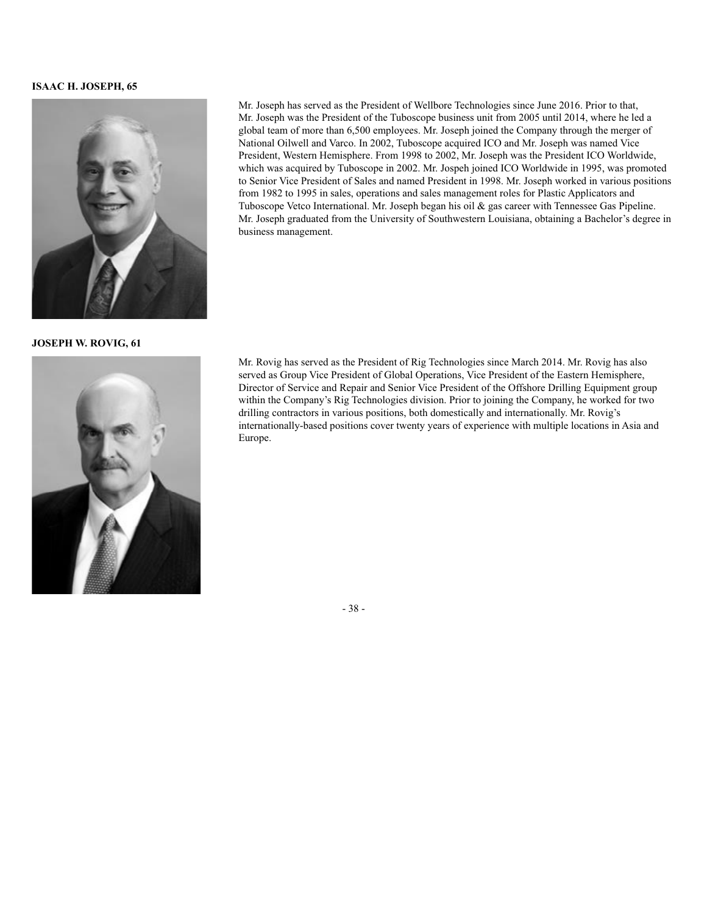# **ISAAC H. JOSEPH, 65**



**JOSEPH W. ROVIG, 61**



Mr. Joseph has served as the President of Wellbore Technologies since June 2016. Prior to that, Mr. Joseph was the President of the Tuboscope business unit from 2005 until 2014, where he led a global team of more than 6,500 employees. Mr. Joseph joined the Company through the merger of National Oilwell and Varco. In 2002, Tuboscope acquired ICO and Mr. Joseph was named Vice President, Western Hemisphere. From 1998 to 2002, Mr. Joseph was the President ICO Worldwide, which was acquired by Tuboscope in 2002. Mr. Jospeh joined ICO Worldwide in 1995, was promoted to Senior Vice President of Sales and named President in 1998. Mr. Joseph worked in various positions from 1982 to 1995 in sales, operations and sales management roles for Plastic Applicators and Tuboscope Vetco International. Mr. Joseph began his oil & gas career with Tennessee Gas Pipeline. Mr. Joseph graduated from the University of Southwestern Louisiana, obtaining a Bachelor's degree in business management.

Mr. Rovig has served as the President of Rig Technologies since March 2014. Mr. Rovig has also served as Group Vice President of Global Operations, Vice President of the Eastern Hemisphere, Director of Service and Repair and Senior Vice President of the Offshore Drilling Equipment group within the Company's Rig Technologies division. Prior to joining the Company, he worked for two drilling contractors in various positions, both domestically and internationally. Mr. Rovig's internationally-based positions cover twenty years of experience with multiple locations in Asia and Europe.

- 38 -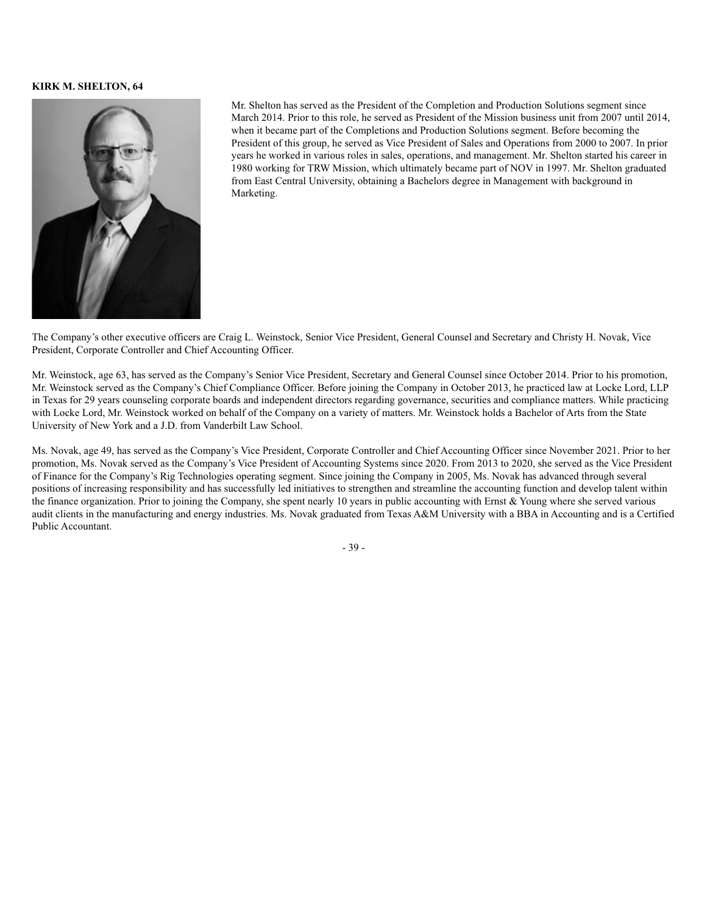# **KIRK M. SHELTON, 64**



Mr. Shelton has served as the President of the Completion and Production Solutions segment since March 2014. Prior to this role, he served as President of the Mission business unit from 2007 until 2014, when it became part of the Completions and Production Solutions segment. Before becoming the President of this group, he served as Vice President of Sales and Operations from 2000 to 2007. In prior years he worked in various roles in sales, operations, and management. Mr. Shelton started his career in 1980 working for TRW Mission, which ultimately became part of NOV in 1997. Mr. Shelton graduated from East Central University, obtaining a Bachelors degree in Management with background in Marketing.

The Company's other executive officers are Craig L. Weinstock, Senior Vice President, General Counsel and Secretary and Christy H. Novak, Vice President, Corporate Controller and Chief Accounting Officer.

Mr. Weinstock, age 63, has served as the Company's Senior Vice President, Secretary and General Counsel since October 2014. Prior to his promotion, Mr. Weinstock served as the Company's Chief Compliance Officer. Before joining the Company in October 2013, he practiced law at Locke Lord, LLP in Texas for 29 years counseling corporate boards and independent directors regarding governance, securities and compliance matters. While practicing with Locke Lord, Mr. Weinstock worked on behalf of the Company on a variety of matters. Mr. Weinstock holds a Bachelor of Arts from the State University of New York and a J.D. from Vanderbilt Law School.

Ms. Novak, age 49, has served as the Company's Vice President, Corporate Controller and Chief Accounting Officer since November 2021. Prior to her promotion, Ms. Novak served as the Company's Vice President of Accounting Systems since 2020. From 2013 to 2020, she served as the Vice President of Finance for the Company's Rig Technologies operating segment. Since joining the Company in 2005, Ms. Novak has advanced through several positions of increasing responsibility and has successfully led initiatives to strengthen and streamline the accounting function and develop talent within the finance organization. Prior to joining the Company, she spent nearly 10 years in public accounting with Ernst & Young where she served various audit clients in the manufacturing and energy industries. Ms. Novak graduated from Texas A&M University with a BBA in Accounting and is a Certified Public Accountant.

- 39 -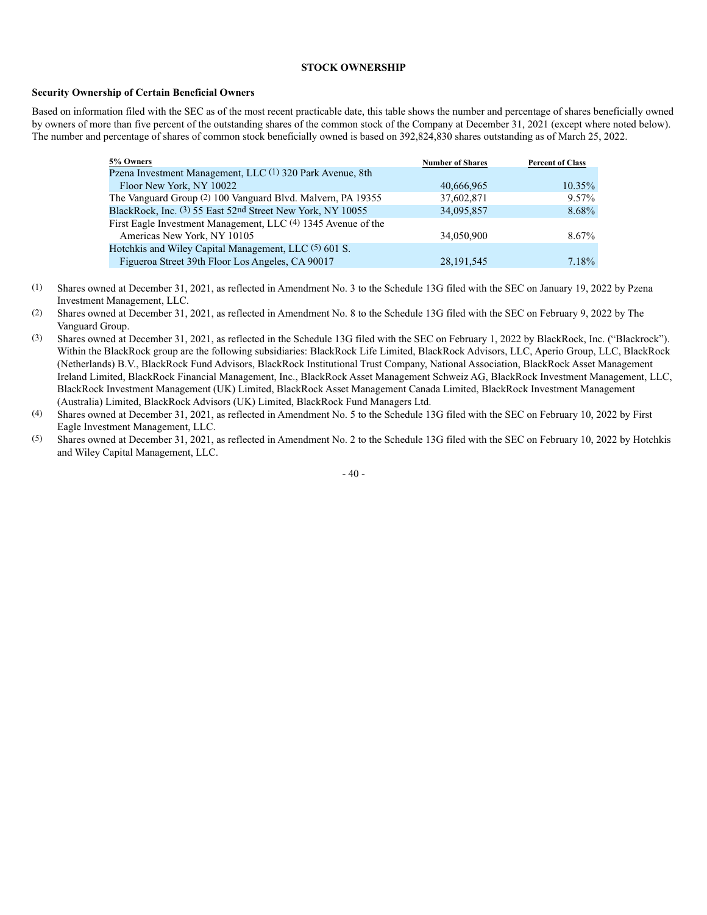# **STOCK OWNERSHIP**

#### **Security Ownership of Certain Beneficial Owners**

Based on information filed with the SEC as of the most recent practicable date, this table shows the number and percentage of shares beneficially owned by owners of more than five percent of the outstanding shares of the common stock of the Company at December 31, 2021 (except where noted below). The number and percentage of shares of common stock beneficially owned is based on 392,824,830 shares outstanding as of March 25, 2022.

| 5% Owners                                                     | <b>Number of Shares</b> | <b>Percent of Class</b> |
|---------------------------------------------------------------|-------------------------|-------------------------|
| Pzena Investment Management, LLC (1) 320 Park Avenue, 8th     |                         |                         |
| Floor New York, NY 10022                                      | 40,666,965              | $10.35\%$               |
| The Vanguard Group (2) 100 Vanguard Blvd. Malvern, PA 19355   | 37,602,871              | 9.57%                   |
| BlackRock, Inc. (3) 55 East 52nd Street New York, NY 10055    | 34,095,857              | 8.68%                   |
| First Eagle Investment Management, LLC (4) 1345 Avenue of the |                         |                         |
| Americas New York, NY 10105                                   | 34,050,900              | $8.67\%$                |
| Hotchkis and Wiley Capital Management, LLC (5) 601 S.         |                         |                         |
| Figueroa Street 39th Floor Los Angeles, CA 90017              | 28, 191, 545            | 7.18%                   |

- (1) Shares owned at December 31, 2021, as reflected in Amendment No. 3 to the Schedule 13G filed with the SEC on January 19, 2022 by Pzena Investment Management, LLC.
- (2) Shares owned at December 31, 2021, as reflected in Amendment No. 8 to the Schedule 13G filed with the SEC on February 9, 2022 by The Vanguard Group.
- (3) Shares owned at December 31, 2021, as reflected in the Schedule 13G filed with the SEC on February 1, 2022 by BlackRock, Inc. ("Blackrock"). Within the BlackRock group are the following subsidiaries: BlackRock Life Limited, BlackRock Advisors, LLC, Aperio Group, LLC, BlackRock (Netherlands) B.V., BlackRock Fund Advisors, BlackRock Institutional Trust Company, National Association, BlackRock Asset Management Ireland Limited, BlackRock Financial Management, Inc., BlackRock Asset Management Schweiz AG, BlackRock Investment Management, LLC, BlackRock Investment Management (UK) Limited, BlackRock Asset Management Canada Limited, BlackRock Investment Management (Australia) Limited, BlackRock Advisors (UK) Limited, BlackRock Fund Managers Ltd.
- (4) Shares owned at December 31, 2021, as reflected in Amendment No. 5 to the Schedule 13G filed with the SEC on February 10, 2022 by First Eagle Investment Management, LLC.
- (5) Shares owned at December 31, 2021, as reflected in Amendment No. 2 to the Schedule 13G filed with the SEC on February 10, 2022 by Hotchkis and Wiley Capital Management, LLC.

 $-40-$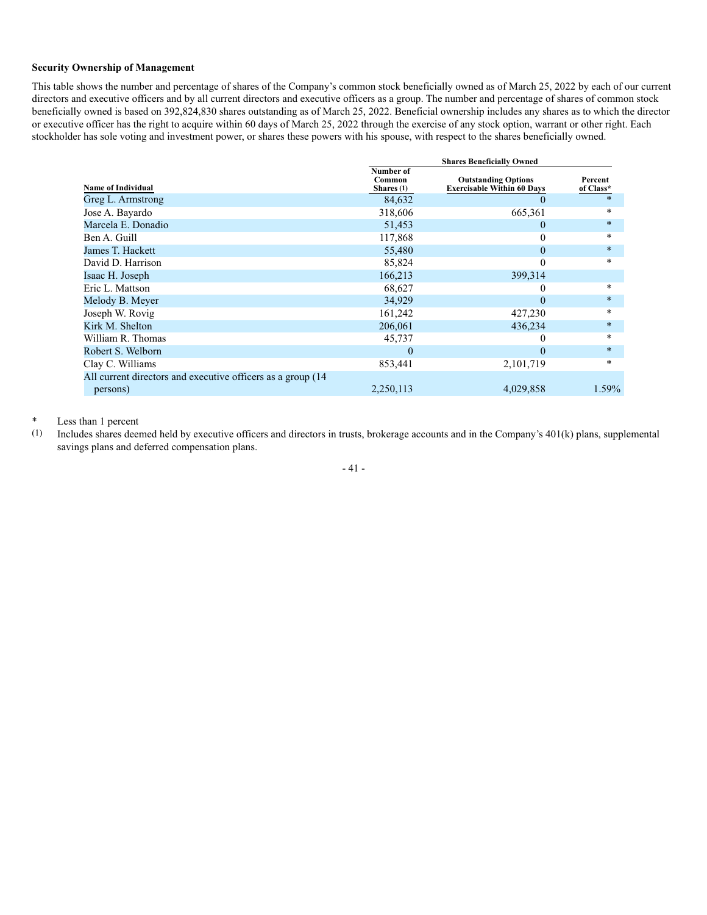# **Security Ownership of Management**

This table shows the number and percentage of shares of the Company's common stock beneficially owned as of March 25, 2022 by each of our current directors and executive officers and by all current directors and executive officers as a group. The number and percentage of shares of common stock beneficially owned is based on 392,824,830 shares outstanding as of March 25, 2022. Beneficial ownership includes any shares as to which the director or executive officer has the right to acquire within 60 days of March 25, 2022 through the exercise of any stock option, warrant or other right. Each stockholder has sole voting and investment power, or shares these powers with his spouse, with respect to the shares beneficially owned.

|                                                              | <b>Shares Beneficially Owned</b>  |                                                                 |                      |  |  |  |
|--------------------------------------------------------------|-----------------------------------|-----------------------------------------------------------------|----------------------|--|--|--|
| <b>Name of Individual</b>                                    | Number of<br>Common<br>Shares (1) | <b>Outstanding Options</b><br><b>Exercisable Within 60 Days</b> | Percent<br>of Class* |  |  |  |
| Greg L. Armstrong                                            | 84,632                            | O                                                               | $\ast$               |  |  |  |
| Jose A. Bayardo                                              | 318,606                           | 665,361                                                         | $\ast$               |  |  |  |
| Marcela E. Donadio                                           | 51,453                            | $\Omega$                                                        | $\star$              |  |  |  |
| Ben A. Guill                                                 | 117,868                           | 0                                                               | $\ast$               |  |  |  |
| James T. Hackett                                             | 55,480                            | $\mathbf{0}$                                                    | $\star$              |  |  |  |
| David D. Harrison                                            | 85,824                            | $\theta$                                                        | $\ast$               |  |  |  |
| Isaac H. Joseph                                              | 166,213                           | 399,314                                                         |                      |  |  |  |
| Eric L. Mattson                                              | 68,627                            | $_{0}$                                                          | $\ast$               |  |  |  |
| Melody B. Meyer                                              | 34,929                            | $\theta$                                                        | $\star$              |  |  |  |
| Joseph W. Rovig                                              | 161,242                           | 427,230                                                         | $\ast$               |  |  |  |
| Kirk M. Shelton                                              | 206,061                           | 436,234                                                         | $\star$              |  |  |  |
| William R. Thomas                                            | 45,737                            | $_{0}$                                                          | $\ast$               |  |  |  |
| Robert S. Welborn                                            | $\Omega$                          | $\Omega$                                                        | $\star$              |  |  |  |
| Clay C. Williams                                             | 853,441                           | 2,101,719                                                       | $\ast$               |  |  |  |
| All current directors and executive officers as a group (14) |                                   |                                                                 |                      |  |  |  |
| persons)                                                     | 2,250,113                         | 4,029,858                                                       | 1.59%                |  |  |  |

# \* Less than 1 percent<br>(1) Includes shares deen

(1) Includes shares deemed held by executive officers and directors in trusts, brokerage accounts and in the Company's 401(k) plans, supplemental savings plans and deferred compensation plans.

- 41 -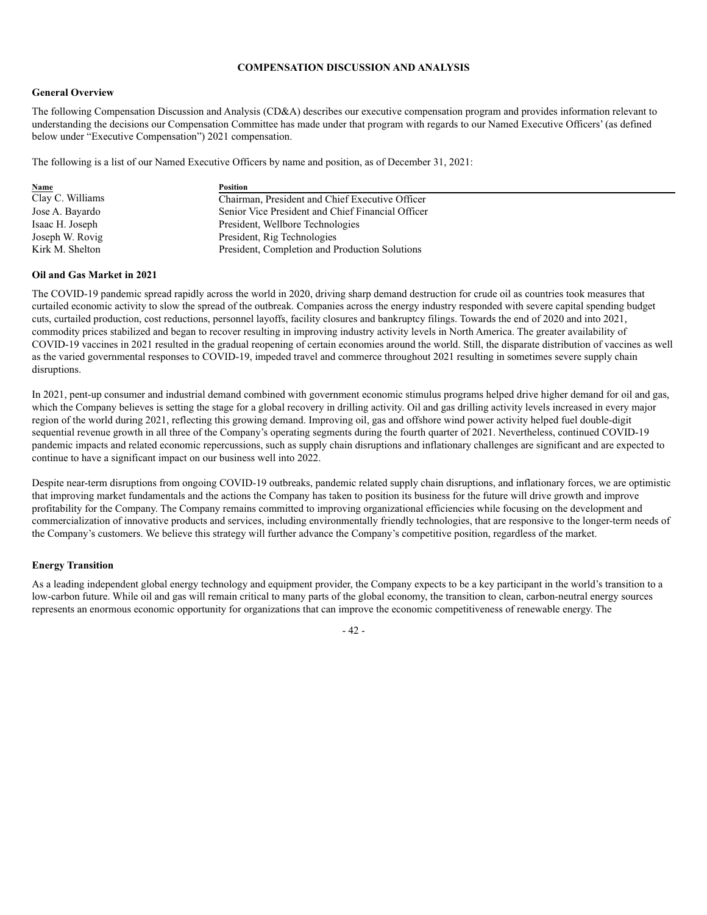# **COMPENSATION DISCUSSION AND ANALYSIS**

#### **General Overview**

The following Compensation Discussion and Analysis (CD&A) describes our executive compensation program and provides information relevant to understanding the decisions our Compensation Committee has made under that program with regards to our Named Executive Officers' (as defined below under "Executive Compensation") 2021 compensation.

The following is a list of our Named Executive Officers by name and position, as of December 31, 2021:

| <b>Name</b>      | Position                                          |
|------------------|---------------------------------------------------|
| Clay C. Williams | Chairman, President and Chief Executive Officer   |
| Jose A. Bayardo  | Senior Vice President and Chief Financial Officer |
| Isaac H. Joseph  | President, Wellbore Technologies                  |
| Joseph W. Rovig  | President, Rig Technologies                       |
| Kirk M. Shelton  | President, Completion and Production Solutions    |

# **Oil and Gas Market in 2021**

The COVID-19 pandemic spread rapidly across the world in 2020, driving sharp demand destruction for crude oil as countries took measures that curtailed economic activity to slow the spread of the outbreak. Companies across the energy industry responded with severe capital spending budget cuts, curtailed production, cost reductions, personnel layoffs, facility closures and bankruptcy filings. Towards the end of 2020 and into 2021, commodity prices stabilized and began to recover resulting in improving industry activity levels in North America. The greater availability of COVID-19 vaccines in 2021 resulted in the gradual reopening of certain economies around the world. Still, the disparate distribution of vaccines as well as the varied governmental responses to COVID-19, impeded travel and commerce throughout 2021 resulting in sometimes severe supply chain disruptions.

In 2021, pent-up consumer and industrial demand combined with government economic stimulus programs helped drive higher demand for oil and gas, which the Company believes is setting the stage for a global recovery in drilling activity. Oil and gas drilling activity levels increased in every major region of the world during 2021, reflecting this growing demand. Improving oil, gas and offshore wind power activity helped fuel double-digit sequential revenue growth in all three of the Company's operating segments during the fourth quarter of 2021. Nevertheless, continued COVID-19 pandemic impacts and related economic repercussions, such as supply chain disruptions and inflationary challenges are significant and are expected to continue to have a significant impact on our business well into 2022.

Despite near-term disruptions from ongoing COVID-19 outbreaks, pandemic related supply chain disruptions, and inflationary forces, we are optimistic that improving market fundamentals and the actions the Company has taken to position its business for the future will drive growth and improve profitability for the Company. The Company remains committed to improving organizational efficiencies while focusing on the development and commercialization of innovative products and services, including environmentally friendly technologies, that are responsive to the longer-term needs of the Company's customers. We believe this strategy will further advance the Company's competitive position, regardless of the market.

# **Energy Transition**

As a leading independent global energy technology and equipment provider, the Company expects to be a key participant in the world's transition to a low-carbon future. While oil and gas will remain critical to many parts of the global economy, the transition to clean, carbon-neutral energy sources represents an enormous economic opportunity for organizations that can improve the economic competitiveness of renewable energy. The

- 42 -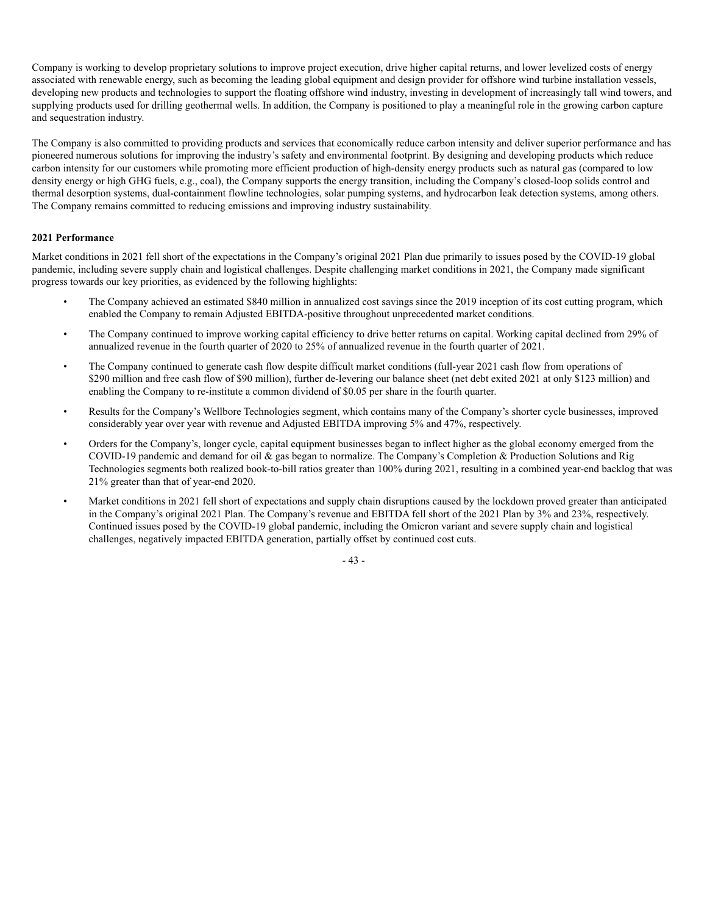Company is working to develop proprietary solutions to improve project execution, drive higher capital returns, and lower levelized costs of energy associated with renewable energy, such as becoming the leading global equipment and design provider for offshore wind turbine installation vessels, developing new products and technologies to support the floating offshore wind industry, investing in development of increasingly tall wind towers, and supplying products used for drilling geothermal wells. In addition, the Company is positioned to play a meaningful role in the growing carbon capture and sequestration industry.

The Company is also committed to providing products and services that economically reduce carbon intensity and deliver superior performance and has pioneered numerous solutions for improving the industry's safety and environmental footprint. By designing and developing products which reduce carbon intensity for our customers while promoting more efficient production of high-density energy products such as natural gas (compared to low density energy or high GHG fuels, e.g., coal), the Company supports the energy transition, including the Company's closed-loop solids control and thermal desorption systems, dual-containment flowline technologies, solar pumping systems, and hydrocarbon leak detection systems, among others. The Company remains committed to reducing emissions and improving industry sustainability.

# **2021 Performance**

Market conditions in 2021 fell short of the expectations in the Company's original 2021 Plan due primarily to issues posed by the COVID-19 global pandemic, including severe supply chain and logistical challenges. Despite challenging market conditions in 2021, the Company made significant progress towards our key priorities, as evidenced by the following highlights:

- The Company achieved an estimated \$840 million in annualized cost savings since the 2019 inception of its cost cutting program, which enabled the Company to remain Adjusted EBITDA-positive throughout unprecedented market conditions.
- The Company continued to improve working capital efficiency to drive better returns on capital. Working capital declined from 29% of annualized revenue in the fourth quarter of 2020 to 25% of annualized revenue in the fourth quarter of 2021.
- The Company continued to generate cash flow despite difficult market conditions (full-year 2021 cash flow from operations of \$290 million and free cash flow of \$90 million), further de-levering our balance sheet (net debt exited 2021 at only \$123 million) and enabling the Company to re-institute a common dividend of \$0.05 per share in the fourth quarter.
- Results for the Company's Wellbore Technologies segment, which contains many of the Company's shorter cycle businesses, improved considerably year over year with revenue and Adjusted EBITDA improving 5% and 47%, respectively.
- Orders for the Company's, longer cycle, capital equipment businesses began to inflect higher as the global economy emerged from the COVID-19 pandemic and demand for oil & gas began to normalize. The Company's Completion & Production Solutions and Rig Technologies segments both realized book-to-bill ratios greater than 100% during 2021, resulting in a combined year-end backlog that was 21% greater than that of year-end 2020.
- Market conditions in 2021 fell short of expectations and supply chain disruptions caused by the lockdown proved greater than anticipated in the Company's original 2021 Plan. The Company's revenue and EBITDA fell short of the 2021 Plan by 3% and 23%, respectively. Continued issues posed by the COVID-19 global pandemic, including the Omicron variant and severe supply chain and logistical challenges, negatively impacted EBITDA generation, partially offset by continued cost cuts.

- 43 -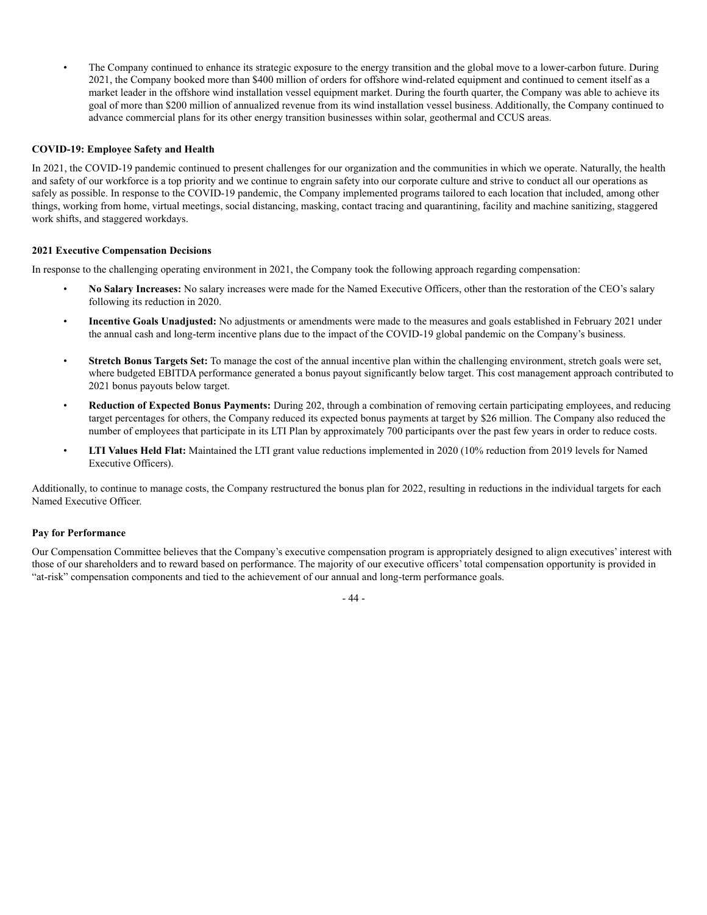• The Company continued to enhance its strategic exposure to the energy transition and the global move to a lower-carbon future. During 2021, the Company booked more than \$400 million of orders for offshore wind-related equipment and continued to cement itself as a market leader in the offshore wind installation vessel equipment market. During the fourth quarter, the Company was able to achieve its goal of more than \$200 million of annualized revenue from its wind installation vessel business. Additionally, the Company continued to advance commercial plans for its other energy transition businesses within solar, geothermal and CCUS areas.

# **COVID-19: Employee Safety and Health**

In 2021, the COVID-19 pandemic continued to present challenges for our organization and the communities in which we operate. Naturally, the health and safety of our workforce is a top priority and we continue to engrain safety into our corporate culture and strive to conduct all our operations as safely as possible. In response to the COVID-19 pandemic, the Company implemented programs tailored to each location that included, among other things, working from home, virtual meetings, social distancing, masking, contact tracing and quarantining, facility and machine sanitizing, staggered work shifts, and staggered workdays.

#### **2021 Executive Compensation Decisions**

In response to the challenging operating environment in 2021, the Company took the following approach regarding compensation:

- **No Salary Increases:** No salary increases were made for the Named Executive Officers, other than the restoration of the CEO's salary following its reduction in 2020.
- **Incentive Goals Unadjusted:** No adjustments or amendments were made to the measures and goals established in February 2021 under the annual cash and long-term incentive plans due to the impact of the COVID-19 global pandemic on the Company's business.
- **Stretch Bonus Targets Set:** To manage the cost of the annual incentive plan within the challenging environment, stretch goals were set, where budgeted EBITDA performance generated a bonus payout significantly below target. This cost management approach contributed to 2021 bonus payouts below target.
- **Reduction of Expected Bonus Payments:** During 202, through a combination of removing certain participating employees, and reducing target percentages for others, the Company reduced its expected bonus payments at target by \$26 million. The Company also reduced the number of employees that participate in its LTI Plan by approximately 700 participants over the past few years in order to reduce costs.
- **LTI Values Held Flat:** Maintained the LTI grant value reductions implemented in 2020 (10% reduction from 2019 levels for Named Executive Officers).

Additionally, to continue to manage costs, the Company restructured the bonus plan for 2022, resulting in reductions in the individual targets for each Named Executive Officer.

#### **Pay for Performance**

Our Compensation Committee believes that the Company's executive compensation program is appropriately designed to align executives' interest with those of our shareholders and to reward based on performance. The majority of our executive officers' total compensation opportunity is provided in "at-risk" compensation components and tied to the achievement of our annual and long-term performance goals.

- 44 -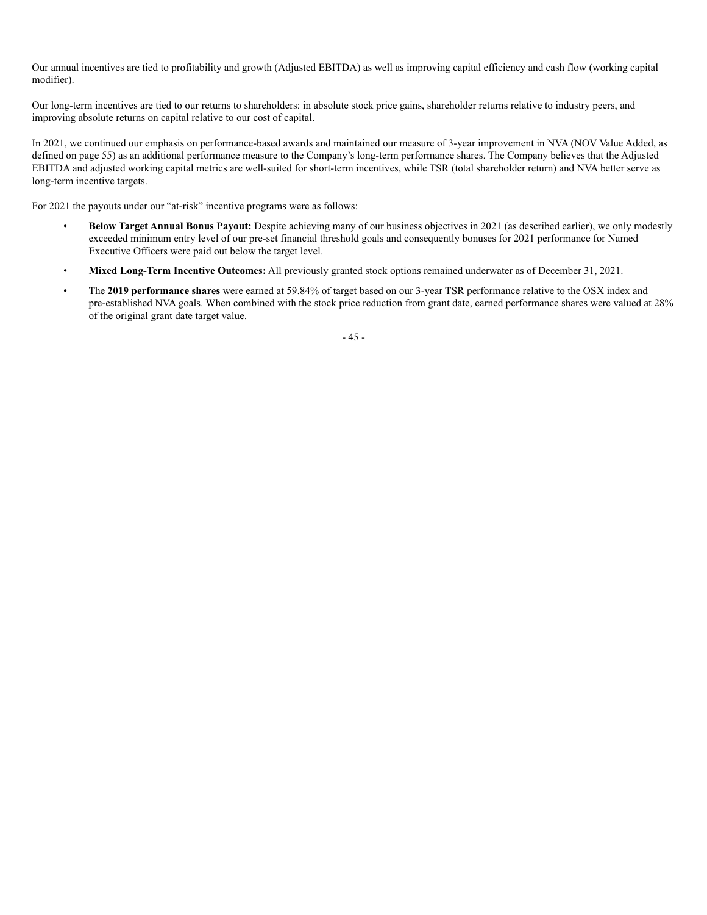Our annual incentives are tied to profitability and growth (Adjusted EBITDA) as well as improving capital efficiency and cash flow (working capital modifier).

Our long-term incentives are tied to our returns to shareholders: in absolute stock price gains, shareholder returns relative to industry peers, and improving absolute returns on capital relative to our cost of capital.

In 2021, we continued our emphasis on performance-based awards and maintained our measure of 3-year improvement in NVA (NOV Value Added, as defined on page 55) as an additional performance measure to the Company's long-term performance shares. The Company believes that the Adjusted EBITDA and adjusted working capital metrics are well-suited for short-term incentives, while TSR (total shareholder return) and NVA better serve as long-term incentive targets.

For 2021 the payouts under our "at-risk" incentive programs were as follows:

- **Below Target Annual Bonus Payout:** Despite achieving many of our business objectives in 2021 (as described earlier), we only modestly exceeded minimum entry level of our pre-set financial threshold goals and consequently bonuses for 2021 performance for Named Executive Officers were paid out below the target level.
- **Mixed Long-Term Incentive Outcomes:** All previously granted stock options remained underwater as of December 31, 2021.
- The **2019 performance shares** were earned at 59.84% of target based on our 3-year TSR performance relative to the OSX index and pre-established NVA goals. When combined with the stock price reduction from grant date, earned performance shares were valued at 28% of the original grant date target value.

- 45 -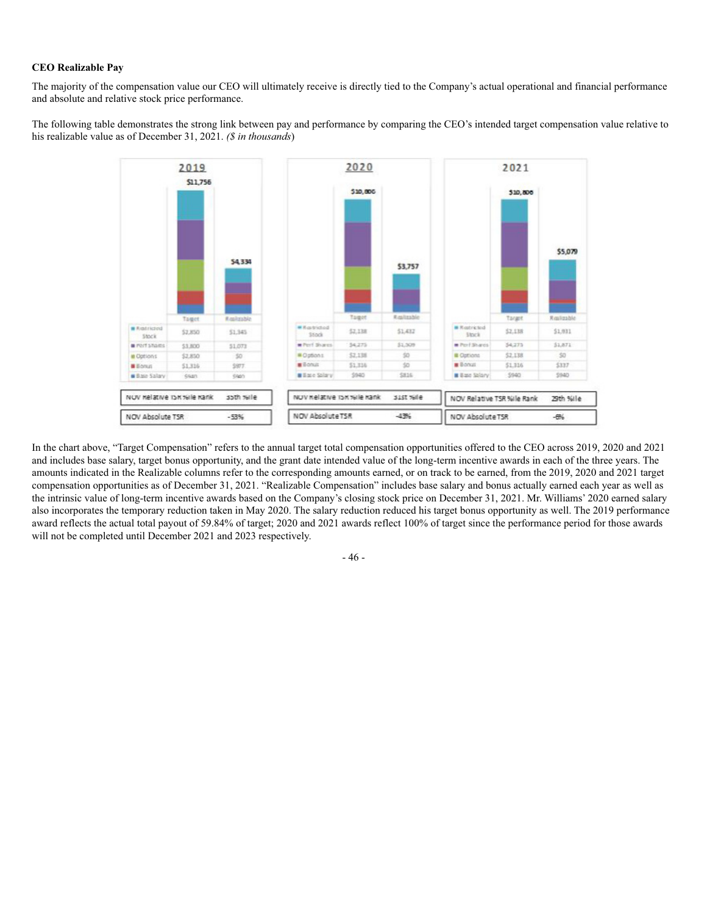# **CEO Realizable Pay**

The majority of the compensation value our CEO will ultimately receive is directly tied to the Company's actual operational and financial performance and absolute and relative stock price performance.

The following table demonstrates the strong link between pay and performance by comparing the CEO's intended target compensation value relative to his realizable value as of December 31, 2021. *(\$ in thousands*)



In the chart above, "Target Compensation" refers to the annual target total compensation opportunities offered to the CEO across 2019, 2020 and 2021 and includes base salary, target bonus opportunity, and the grant date intended value of the long-term incentive awards in each of the three years. The amounts indicated in the Realizable columns refer to the corresponding amounts earned, or on track to be earned, from the 2019, 2020 and 2021 target compensation opportunities as of December 31, 2021. "Realizable Compensation" includes base salary and bonus actually earned each year as well as the intrinsic value of long-term incentive awards based on the Company's closing stock price on December 31, 2021. Mr. Williams' 2020 earned salary also incorporates the temporary reduction taken in May 2020. The salary reduction reduced his target bonus opportunity as well. The 2019 performance award reflects the actual total payout of 59.84% of target; 2020 and 2021 awards reflect 100% of target since the performance period for those awards will not be completed until December 2021 and 2023 respectively.

- 46 -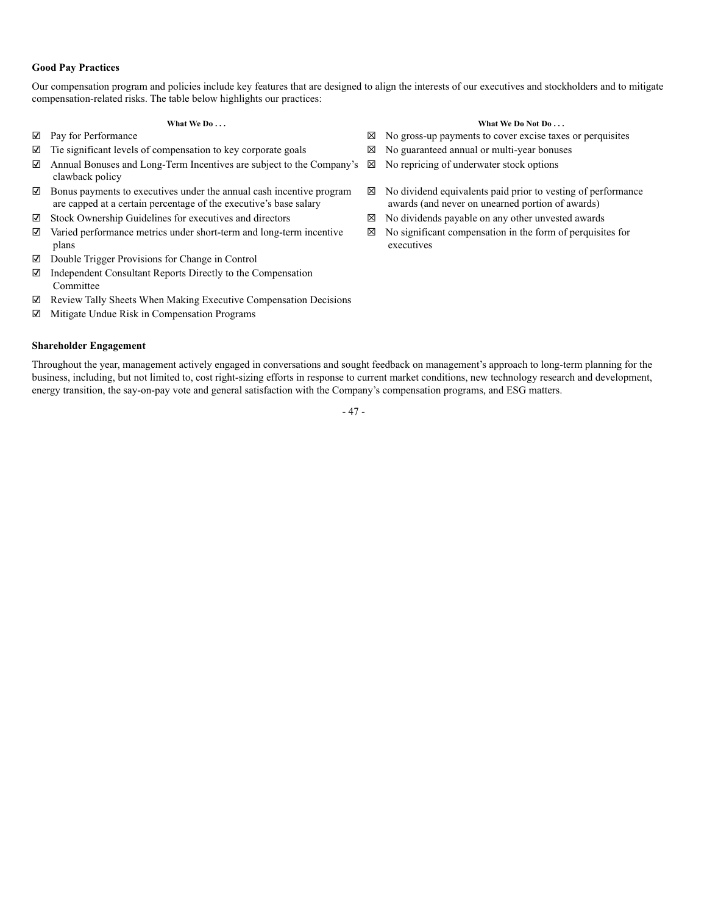# **Good Pay Practices**

Our compensation program and policies include key features that are designed to align the interests of our executives and stockholders and to mitigate compensation-related risks. The table below highlights our practices:

# **What We Do . . . What We Do . . .** *What We Do . . .* **<b>***What We Do . . .*

- ☑   Pay for Performance ☒   No gross-up payments to cover excise taxes or perquisites
- ☑   Tie significant levels of compensation to key corporate goals ☒   No guaranteed annual or multi-year bonuses
- ☑   Annual Bonuses and Long-Term Incentives are subject to the Company's clawback policy
- ☑   Bonus payments to executives under the annual cash incentive program are capped at a certain percentage of the executive's base salary
- 
- ☑   Varied performance metrics under short-term and long-term incentive plans and the contract of the contract of the contract of the contract of the contract of the contract of the contract of the contract of the contract of the contract of the contract of the contract of the contract of the
- ☑   Double Trigger Provisions for Change in Control
- ☑   Independent Consultant Reports Directly to the Compensation Committee
- ☑   Review Tally Sheets When Making Executive Compensation Decisions
- ☑   Mitigate Undue Risk in Compensation Programs

# **Shareholder Engagement**

- ☒   No repricing of underwater stock options
- ☒   No dividend equivalents paid prior to vesting of performance awards (and never on unearned portion of awards)
- ☑   Stock Ownership Guidelines for executives and directors ☒   No dividends payable on any other unvested awards
	- ☒   No significant compensation in the form of perquisites for executives

Throughout the year, management actively engaged in conversations and sought feedback on management's approach to long-term planning for the business, including, but not limited to, cost right-sizing efforts in response to current market conditions, new technology research and development, energy transition, the say-on-pay vote and general satisfaction with the Company's compensation programs, and ESG matters.

- 47 -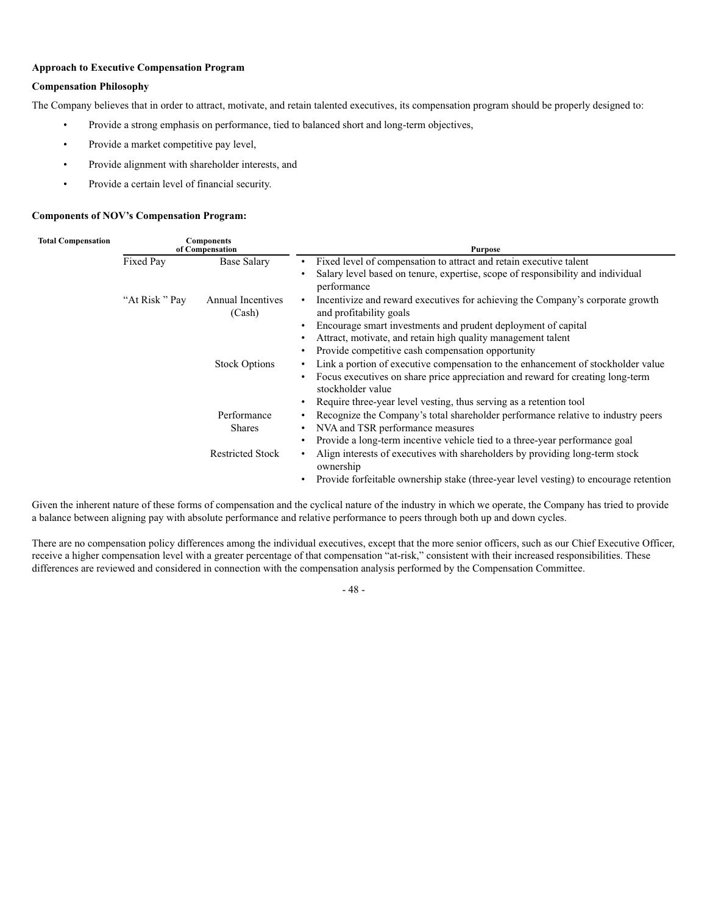# **Approach to Executive Compensation Program**

# **Compensation Philosophy**

The Company believes that in order to attract, motivate, and retain talented executives, its compensation program should be properly designed to:

- Provide a strong emphasis on performance, tied to balanced short and long-term objectives,
- Provide a market competitive pay level,
- Provide alignment with shareholder interests, and
- Provide a certain level of financial security.

# **Components of NOV's Compensation Program:**

| <b>Total Compensation</b><br><b>Components</b><br>of Compensation |               |                             | <b>Purpose</b>                                                                                                         |
|-------------------------------------------------------------------|---------------|-----------------------------|------------------------------------------------------------------------------------------------------------------------|
|                                                                   | Fixed Pay     | <b>Base Salary</b>          | Fixed level of compensation to attract and retain executive talent<br>٠                                                |
|                                                                   |               |                             | Salary level based on tenure, expertise, scope of responsibility and individual<br>performance                         |
|                                                                   | "At Risk" Pay | Annual Incentives<br>(Cash) | Incentivize and reward executives for achieving the Company's corporate growth<br>$\bullet$<br>and profitability goals |
|                                                                   |               |                             | Encourage smart investments and prudent deployment of capital                                                          |
|                                                                   |               |                             | Attract, motivate, and retain high quality management talent                                                           |
|                                                                   |               |                             | Provide competitive cash compensation opportunity                                                                      |
|                                                                   |               | <b>Stock Options</b>        | Link a portion of executive compensation to the enhancement of stockholder value                                       |
|                                                                   |               |                             | Focus executives on share price appreciation and reward for creating long-term<br>stockholder value                    |
|                                                                   |               |                             | Require three-year level vesting, thus serving as a retention tool                                                     |
|                                                                   |               | Performance                 | Recognize the Company's total shareholder performance relative to industry peers                                       |
|                                                                   |               | <b>Shares</b>               | NVA and TSR performance measures                                                                                       |
|                                                                   |               |                             | Provide a long-term incentive vehicle tied to a three-year performance goal                                            |
|                                                                   |               | <b>Restricted Stock</b>     | Align interests of executives with shareholders by providing long-term stock<br>$\bullet$<br>ownership                 |
|                                                                   |               |                             | Provide forfeitable ownership stake (three-year level vesting) to encourage retention                                  |

Given the inherent nature of these forms of compensation and the cyclical nature of the industry in which we operate, the Company has tried to provide a balance between aligning pay with absolute performance and relative performance to peers through both up and down cycles.

There are no compensation policy differences among the individual executives, except that the more senior officers, such as our Chief Executive Officer, receive a higher compensation level with a greater percentage of that compensation "at-risk," consistent with their increased responsibilities. These differences are reviewed and considered in connection with the compensation analysis performed by the Compensation Committee.

- 48 -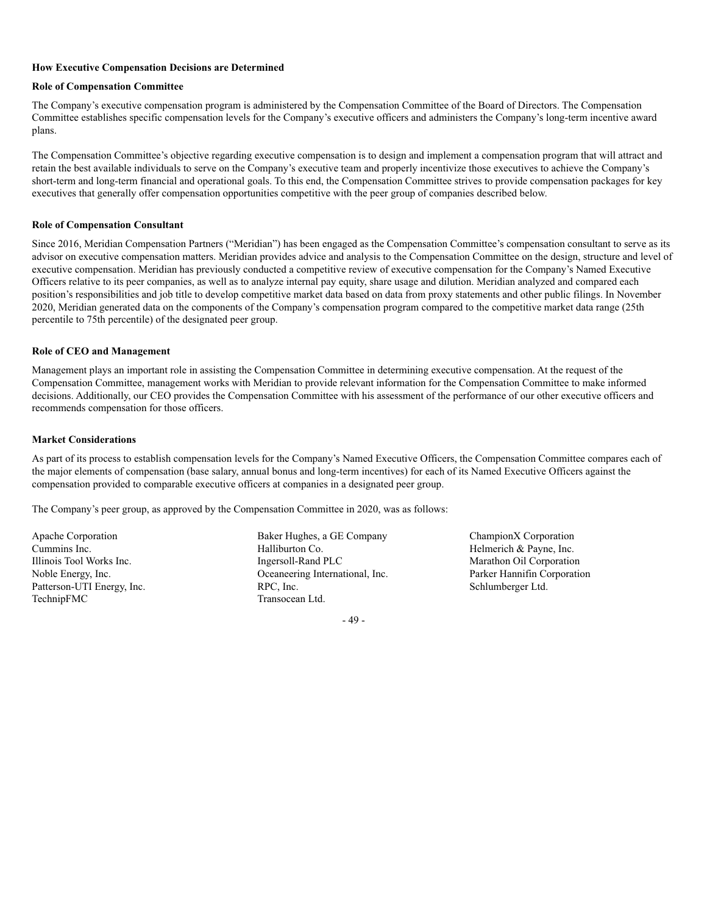# **How Executive Compensation Decisions are Determined**

# **Role of Compensation Committee**

The Company's executive compensation program is administered by the Compensation Committee of the Board of Directors. The Compensation Committee establishes specific compensation levels for the Company's executive officers and administers the Company's long-term incentive award plans.

The Compensation Committee's objective regarding executive compensation is to design and implement a compensation program that will attract and retain the best available individuals to serve on the Company's executive team and properly incentivize those executives to achieve the Company's short-term and long-term financial and operational goals. To this end, the Compensation Committee strives to provide compensation packages for key executives that generally offer compensation opportunities competitive with the peer group of companies described below.

#### **Role of Compensation Consultant**

Since 2016, Meridian Compensation Partners ("Meridian") has been engaged as the Compensation Committee's compensation consultant to serve as its advisor on executive compensation matters. Meridian provides advice and analysis to the Compensation Committee on the design, structure and level of executive compensation. Meridian has previously conducted a competitive review of executive compensation for the Company's Named Executive Officers relative to its peer companies, as well as to analyze internal pay equity, share usage and dilution. Meridian analyzed and compared each position's responsibilities and job title to develop competitive market data based on data from proxy statements and other public filings. In November 2020, Meridian generated data on the components of the Company's compensation program compared to the competitive market data range (25th percentile to 75th percentile) of the designated peer group.

#### **Role of CEO and Management**

Management plays an important role in assisting the Compensation Committee in determining executive compensation. At the request of the Compensation Committee, management works with Meridian to provide relevant information for the Compensation Committee to make informed decisions. Additionally, our CEO provides the Compensation Committee with his assessment of the performance of our other executive officers and recommends compensation for those officers.

#### **Market Considerations**

As part of its process to establish compensation levels for the Company's Named Executive Officers, the Compensation Committee compares each of the major elements of compensation (base salary, annual bonus and long-term incentives) for each of its Named Executive Officers against the compensation provided to comparable executive officers at companies in a designated peer group.

The Company's peer group, as approved by the Compensation Committee in 2020, was as follows:

Apache Corporation Baker Hughes, a GE Company ChampionX Corporation Cummins Inc. Halliburton Co. Helmerich & Payne, Inc. Illinois Tool Works Inc. The Ingersoll-Rand PLC Marathon Oil Corporation Noble Energy, Inc.<br>
Parker Hannifin Corporation<br>
Parker Hannifin Corporation<br>
Parker Hannifin Corporation<br>
Parker Hannifin Corporation<br>
Schlumberger Ltd.<br>
Schlumberger Ltd. Patterson-UTI Energy, Inc. RPC, Inc. RPC, Inc. Schlumberger Ltd. Schlumberger Ltd. TechnipFMC Transocean Ltd.

- 49 -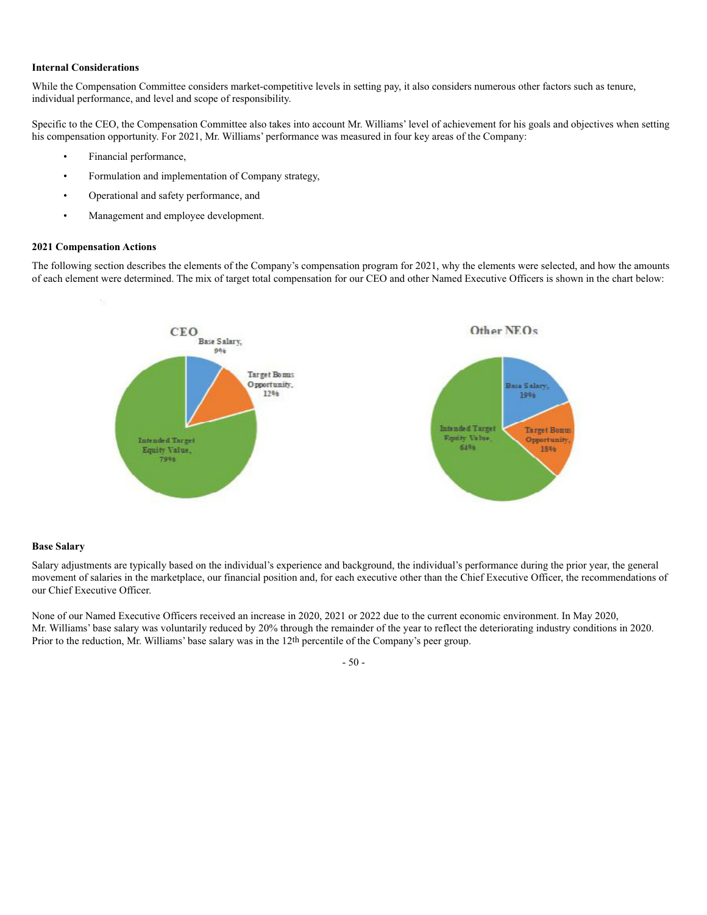#### **Internal Considerations**

While the Compensation Committee considers market-competitive levels in setting pay, it also considers numerous other factors such as tenure, individual performance, and level and scope of responsibility.

Specific to the CEO, the Compensation Committee also takes into account Mr. Williams' level of achievement for his goals and objectives when setting his compensation opportunity. For 2021, Mr. Williams' performance was measured in four key areas of the Company:

- Financial performance,
- Formulation and implementation of Company strategy,
- Operational and safety performance, and
- Management and employee development.

#### **2021 Compensation Actions**

The following section describes the elements of the Company's compensation program for 2021, why the elements were selected, and how the amounts of each element were determined. The mix of target total compensation for our CEO and other Named Executive Officers is shown in the chart below:



#### **Base Salary**

Salary adjustments are typically based on the individual's experience and background, the individual's performance during the prior year, the general movement of salaries in the marketplace, our financial position and, for each executive other than the Chief Executive Officer, the recommendations of our Chief Executive Officer.

None of our Named Executive Officers received an increase in 2020, 2021 or 2022 due to the current economic environment. In May 2020, Mr. Williams' base salary was voluntarily reduced by 20% through the remainder of the year to reflect the deteriorating industry conditions in 2020. Prior to the reduction, Mr. Williams' base salary was in the 12th percentile of the Company's peer group.

# - 50 -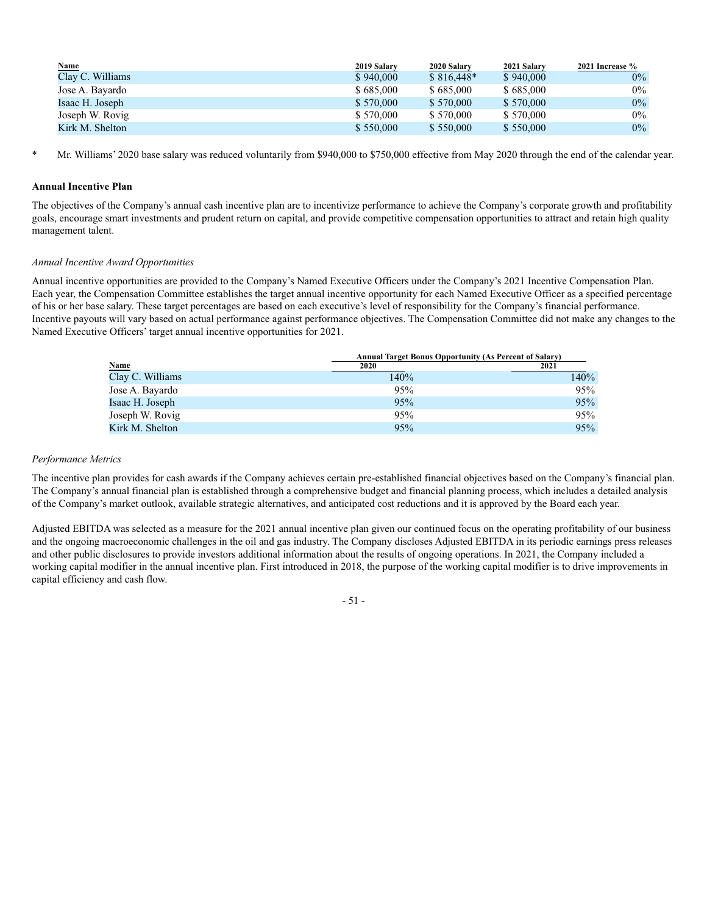| <b>Name</b>      | 2019 Salary | 2020 Salary | 2021 Salary | 2021 Increase % |
|------------------|-------------|-------------|-------------|-----------------|
| Clay C. Williams | \$940,000   | $$816.448*$ | \$940,000   | $0\%$           |
| Jose A. Bayardo  | \$685,000   | \$685,000   | \$685,000   | $0\%$           |
| Isaac H. Joseph  | \$570,000   | \$570,000   | \$570,000   | $0\%$           |
| Joseph W. Rovig  | \$570,000   | \$570,000   | \$570,000   | $0\%$           |
| Kirk M. Shelton  | \$550,000   | \$550,000   | \$550,000   | $0\%$           |

\* Mr. Williams' 2020 base salary was reduced voluntarily from \$940,000 to \$750,000 effective from May 2020 through the end of the calendar year*.*

# **Annual Incentive Plan**

The objectives of the Company's annual cash incentive plan are to incentivize performance to achieve the Company's corporate growth and profitability goals, encourage smart investments and prudent return on capital, and provide competitive compensation opportunities to attract and retain high quality management talent.

# *Annual Incentive Award Opportunities*

Annual incentive opportunities are provided to the Company's Named Executive Officers under the Company's 2021 Incentive Compensation Plan. Each year, the Compensation Committee establishes the target annual incentive opportunity for each Named Executive Officer as a specified percentage of his or her base salary. These target percentages are based on each executive's level of responsibility for the Company's financial performance. Incentive payouts will vary based on actual performance against performance objectives. The Compensation Committee did not make any changes to the Named Executive Officers' target annual incentive opportunities for 2021.

|                                                | <b>Annual Target Bonus Opportunity (As Percent of Salary)</b> |      |  |  |  |
|------------------------------------------------|---------------------------------------------------------------|------|--|--|--|
|                                                | 2020                                                          | 2021 |  |  |  |
| $\frac{\text{Name}}{\text{Clay C}}$ . Williams | 140%                                                          | 140% |  |  |  |
| Jose A. Bayardo                                | 95%                                                           | 95%  |  |  |  |
| Isaac H. Joseph                                | 95%                                                           | 95%  |  |  |  |
| Joseph W. Rovig                                | 95%                                                           | 95%  |  |  |  |
| Kirk M. Shelton                                | 95%                                                           | 95%  |  |  |  |

#### *Performance Metrics*

The incentive plan provides for cash awards if the Company achieves certain pre-established financial objectives based on the Company's financial plan. The Company's annual financial plan is established through a comprehensive budget and financial planning process, which includes a detailed analysis of the Company's market outlook, available strategic alternatives, and anticipated cost reductions and it is approved by the Board each year.

Adjusted EBITDA was selected as a measure for the 2021 annual incentive plan given our continued focus on the operating profitability of our business and the ongoing macroeconomic challenges in the oil and gas industry. The Company discloses Adjusted EBITDA in its periodic earnings press releases and other public disclosures to provide investors additional information about the results of ongoing operations. In 2021, the Company included a working capital modifier in the annual incentive plan. First introduced in 2018, the purpose of the working capital modifier is to drive improvements in capital efficiency and cash flow.

# - 51 -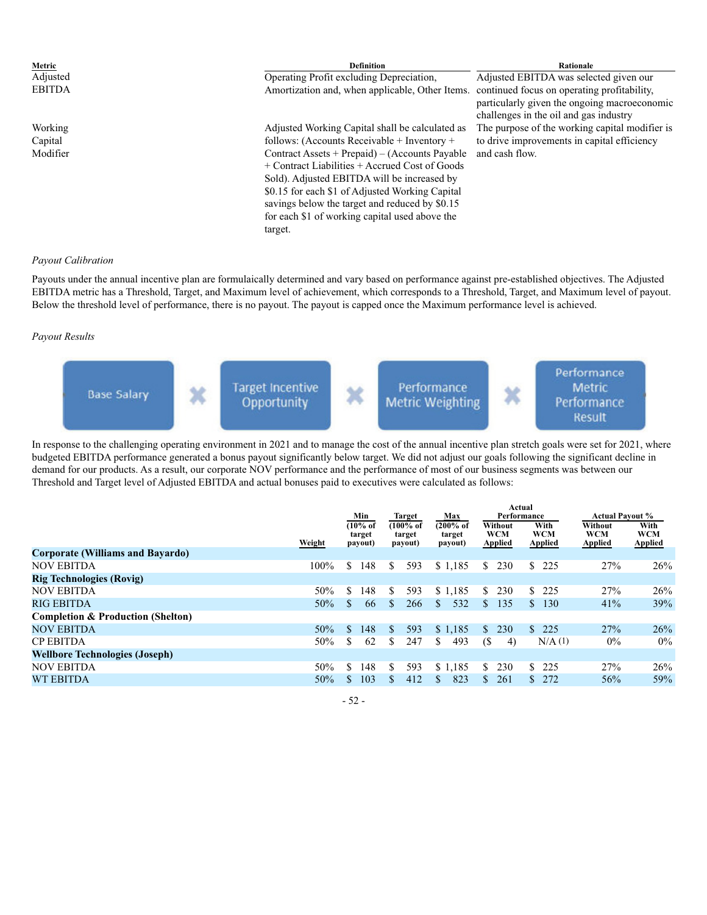| Metric        | <b>Definition</b>                                  | Rationale                                                                                                                             |
|---------------|----------------------------------------------------|---------------------------------------------------------------------------------------------------------------------------------------|
|               |                                                    |                                                                                                                                       |
| Adjusted      | Operating Profit excluding Depreciation,           | Adjusted EBITDA was selected given our                                                                                                |
| <b>EBITDA</b> | Amortization and, when applicable, Other Items.    | continued focus on operating profitability,<br>particularly given the ongoing macroeconomic<br>challenges in the oil and gas industry |
| Working       | Adjusted Working Capital shall be calculated as    | The purpose of the working capital modifier is                                                                                        |
|               |                                                    |                                                                                                                                       |
| Capital       | follows: (Accounts Receivable + Inventory +        | to drive improvements in capital efficiency                                                                                           |
| Modifier      | Contract Assets + Prepaid) – (Accounts Payable     | and cash flow.                                                                                                                        |
|               | $+$ Contract Liabilities $+$ Accrued Cost of Goods |                                                                                                                                       |
|               | Sold). Adjusted EBITDA will be increased by        |                                                                                                                                       |
|               | \$0.15 for each \$1 of Adjusted Working Capital    |                                                                                                                                       |
|               | savings below the target and reduced by \$0.15     |                                                                                                                                       |
|               | for each \$1 of working capital used above the     |                                                                                                                                       |
|               | target.                                            |                                                                                                                                       |

#### *Payout Calibration*

Payouts under the annual incentive plan are formulaically determined and vary based on performance against pre-established objectives. The Adjusted EBITDA metric has a Threshold, Target, and Maximum level of achievement, which corresponds to a Threshold, Target, and Maximum level of payout. Below the threshold level of performance, there is no payout. The payout is capped once the Maximum performance level is achieved.

# *Payout Results*



In response to the challenging operating environment in 2021 and to manage the cost of the annual incentive plan stretch goals were set for 2021, where budgeted EBITDA performance generated a bonus payout significantly below target. We did not adjust our goals following the significant decline in demand for our products. As a result, our corporate NOV performance and the performance of most of our business segments was between our Threshold and Target level of Adjusted EBITDA and actual bonuses paid to executives were calculated as follows:

|                                              | Actual<br>Min<br>Performance<br><b>Actual Pavout %</b><br><b>Target</b><br>Max |                                |                                           |                                           |                                         |                                      |                                  |                                      |
|----------------------------------------------|--------------------------------------------------------------------------------|--------------------------------|-------------------------------------------|-------------------------------------------|-----------------------------------------|--------------------------------------|----------------------------------|--------------------------------------|
|                                              | Weight                                                                         | $(10%$ of<br>target<br>payout) | $(100\% \text{ of }$<br>target<br>payout) | $(200\% \text{ of }$<br>target<br>payout) | Without<br><b>WCM</b><br><b>Applied</b> | With<br><b>WCM</b><br><b>Applied</b> | Without<br>WCM<br><b>Applied</b> | With<br><b>WCM</b><br><b>Applied</b> |
| <b>Corporate (Williams and Bayardo)</b>      |                                                                                |                                |                                           |                                           |                                         |                                      |                                  |                                      |
| <b>NOV EBITDA</b>                            | $100\%$                                                                        | \$<br>148                      | S<br>593                                  | \$1,185                                   | 230<br>S.                               | \$<br>225                            | 27%                              | 26%                                  |
| <b>Rig Technologies (Rovig)</b>              |                                                                                |                                |                                           |                                           |                                         |                                      |                                  |                                      |
| <b>NOV EBITDA</b>                            | 50%                                                                            | \$.<br>148                     | 593<br>S.                                 | \$1,185                                   | 230<br>S.                               | \$.<br>225                           | 27%                              | 26%                                  |
| RIG EBITDA                                   | 50%                                                                            | S.<br>66                       | S.<br>266                                 | 532<br>S                                  | 135<br>S.                               | 130<br>S.                            | 41%                              | 39%                                  |
| <b>Completion &amp; Production (Shelton)</b> |                                                                                |                                |                                           |                                           |                                         |                                      |                                  |                                      |
| <b>NOV EBITDA</b>                            | 50%                                                                            | S.<br>148                      | 593<br>\$.                                | \$1,185                                   | 230<br>S.                               | \$225                                | 27%                              | 26%                                  |
| <b>CP EBITDA</b>                             | 50%                                                                            | 62                             | 247<br>S                                  | 493<br>S                                  | (S<br>4)                                | $N/A$ (1)                            | $0\%$                            | $0\%$                                |
| <b>Wellbore Technologies (Joseph)</b>        |                                                                                |                                |                                           |                                           |                                         |                                      |                                  |                                      |
| <b>NOV EBITDA</b>                            | 50%                                                                            | S.<br>148                      | 593<br>S                                  | \$1.185                                   | 230<br>S.                               | 225<br>S.                            | 27%                              | 26%                                  |
| <b>WT EBITDA</b>                             | 50%                                                                            | 103<br>\$                      | 412<br>S.                                 | 823<br>\$                                 | 261<br>\$.                              | \$272                                | 56%                              | 59%                                  |
|                                              |                                                                                |                                |                                           |                                           |                                         |                                      |                                  |                                      |

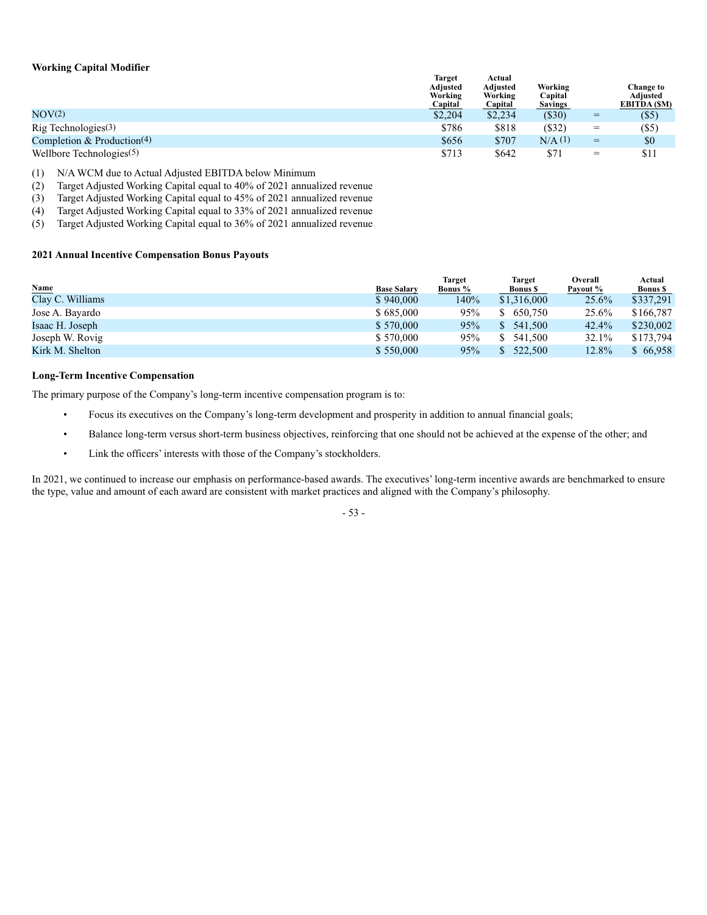# **Working Capital Modifier**

|                                          | <b>Target</b><br><b>Adiusted</b><br>Working<br>Capital | Actual<br>Adiusted<br>Working<br>Capital | Working<br>Capital<br><b>Savings</b> |     | Change to<br>Adjusted<br>EBITDA (\$M) |
|------------------------------------------|--------------------------------------------------------|------------------------------------------|--------------------------------------|-----|---------------------------------------|
| NOV <sub>(2)</sub>                       | \$2,204                                                | \$2,234                                  | $(\$30)$                             | $=$ | (S5)                                  |
| $\text{Rig}$ Technologies <sup>(3)</sup> | \$786                                                  | \$818                                    | $($ \$32)                            | $=$ | (S5)                                  |
| Completion & Production(4)               | \$656                                                  | \$707                                    | $N/A$ (1)                            | $=$ | \$0                                   |
| Wellbore Technologies <sup>(5)</sup>     | \$713                                                  | \$642                                    | \$71                                 | $=$ | \$11                                  |

(1) N/A WCM due to Actual Adjusted EBITDA below Minimum

(2) Target Adjusted Working Capital equal to 40% of 2021 annualized revenue

(3) Target Adjusted Working Capital equal to 45% of 2021 annualized revenue

(4) Target Adjusted Working Capital equal to 33% of 2021 annualized revenue

(5) Target Adjusted Working Capital equal to 36% of 2021 annualized revenue

# **2021 Annual Incentive Compensation Bonus Payouts**

| <b>Name</b>      | <b>Base Salary</b> | <b>Target</b><br><b>Bonus</b> % | <b>Target</b><br><b>Bonus</b> \$ | Overall<br>Payout % | Actual<br><b>Bonus</b> \$ |
|------------------|--------------------|---------------------------------|----------------------------------|---------------------|---------------------------|
| Clay C. Williams | \$940,000          | 140%                            | \$1,316,000                      | $25.6\%$            | \$337.291                 |
| Jose A. Bayardo  | \$685,000          | 95%                             | \$ 650,750                       | $25.6\%$            | \$166,787                 |
| Isaac H. Joseph  | \$570,000          | 95%                             | 541,500<br>S.                    | $42.4\%$            | \$230,002                 |
| Joseph W. Rovig  | \$570,000          | 95%                             | S.<br>541.500                    | 32.1%               | \$173,794                 |
| Kirk M. Shelton  | \$550,000          | 95%                             | 522,500                          | 12.8%               | \$66,958                  |

# **Long-Term Incentive Compensation**

The primary purpose of the Company's long-term incentive compensation program is to:

- Focus its executives on the Company's long-term development and prosperity in addition to annual financial goals;
- Balance long-term versus short-term business objectives, reinforcing that one should not be achieved at the expense of the other; and
- Link the officers' interests with those of the Company's stockholders.

In 2021, we continued to increase our emphasis on performance-based awards. The executives' long-term incentive awards are benchmarked to ensure the type, value and amount of each award are consistent with market practices and aligned with the Company's philosophy.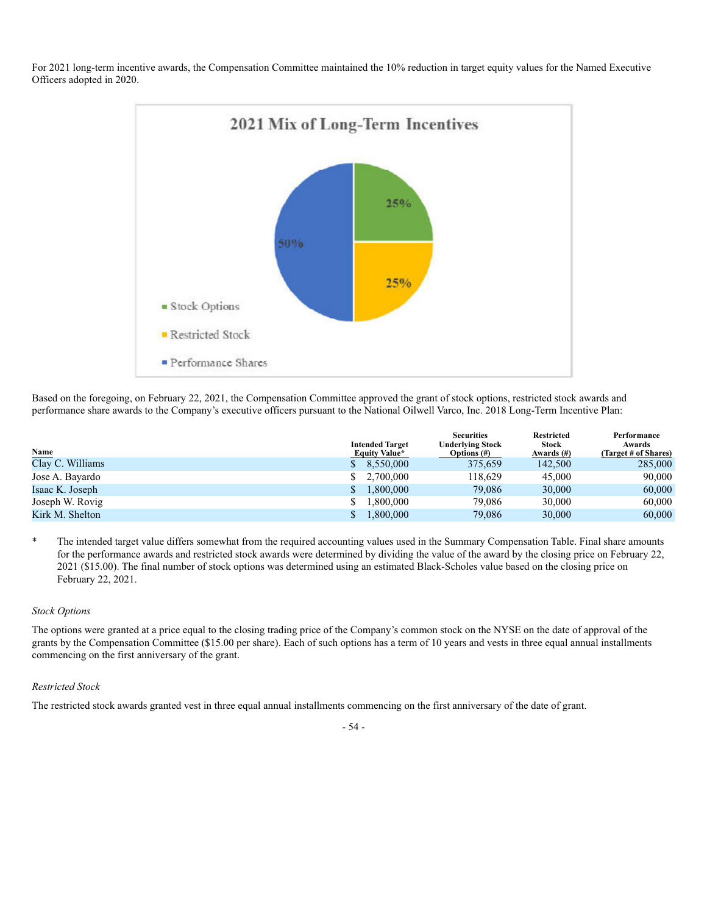For 2021 long-term incentive awards, the Compensation Committee maintained the 10% reduction in target equity values for the Named Executive Officers adopted in 2020.



Based on the foregoing, on February 22, 2021, the Compensation Committee approved the grant of stock options, restricted stock awards and performance share awards to the Company's executive officers pursuant to the National Oilwell Varco, Inc. 2018 Long-Term Incentive Plan:

|                  | <b>Intended Target</b> | <b>Securities</b><br><b>Underlying Stock</b> | <b>Restricted</b><br><b>Stock</b> | Performance<br>Awards |
|------------------|------------------------|----------------------------------------------|-----------------------------------|-----------------------|
| Name             | <b>Equity Value*</b>   | Options $(\#)$                               | Awards $(\#)$                     | (Target # of Shares)  |
| Clay C. Williams | \$8,550,000            | 375,659                                      | 142,500                           | 285,000               |
| Jose A. Bayardo  | 2.700,000              | 118,629                                      | 45,000                            | 90,000                |
| Isaac K. Joseph  | 1,800,000              | 79,086                                       | 30,000                            | 60,000                |
| Joseph W. Rovig  | 1.800.000              | 79,086                                       | 30,000                            | 60,000                |
| Kirk M. Shelton  | 1,800,000              | 79,086                                       | 30,000                            | 60,000                |

The intended target value differs somewhat from the required accounting values used in the Summary Compensation Table. Final share amounts for the performance awards and restricted stock awards were determined by dividing the value of the award by the closing price on February 22, 2021 (\$15.00). The final number of stock options was determined using an estimated Black-Scholes value based on the closing price on February 22, 2021.

# *Stock Options*

The options were granted at a price equal to the closing trading price of the Company's common stock on the NYSE on the date of approval of the grants by the Compensation Committee (\$15.00 per share). Each of such options has a term of 10 years and vests in three equal annual installments commencing on the first anniversary of the grant.

#### *Restricted Stock*

The restricted stock awards granted vest in three equal annual installments commencing on the first anniversary of the date of grant.

- 54 -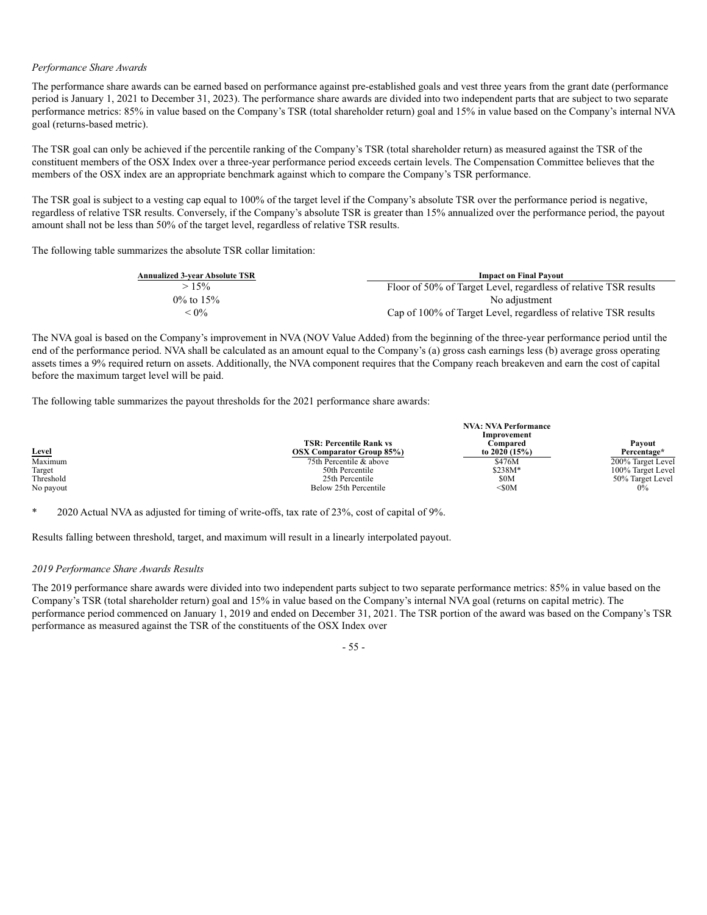# *Performance Share Awards*

The performance share awards can be earned based on performance against pre-established goals and vest three years from the grant date (performance period is January 1, 2021 to December 31, 2023). The performance share awards are divided into two independent parts that are subject to two separate performance metrics: 85% in value based on the Company's TSR (total shareholder return) goal and 15% in value based on the Company's internal NVA goal (returns-based metric).

The TSR goal can only be achieved if the percentile ranking of the Company's TSR (total shareholder return) as measured against the TSR of the constituent members of the OSX Index over a three-year performance period exceeds certain levels. The Compensation Committee believes that the members of the OSX index are an appropriate benchmark against which to compare the Company's TSR performance.

The TSR goal is subject to a vesting cap equal to 100% of the target level if the Company's absolute TSR over the performance period is negative, regardless of relative TSR results. Conversely, if the Company's absolute TSR is greater than 15% annualized over the performance period, the payout amount shall not be less than 50% of the target level, regardless of relative TSR results.

The following table summarizes the absolute TSR collar limitation:

| <b>Annualized 3-year Absolute TSR</b> | <b>Impact on Final Payout</b>                                    |
|---------------------------------------|------------------------------------------------------------------|
| $>15\%$                               | Floor of 50% of Target Level, regardless of relative TSR results |
| $0\%$ to 15%                          | No adjustment                                                    |
| $< 0\%$                               | Cap of 100% of Target Level, regardless of relative TSR results  |

The NVA goal is based on the Company's improvement in NVA (NOV Value Added) from the beginning of the three-year performance period until the end of the performance period. NVA shall be calculated as an amount equal to the Company's (a) gross cash earnings less (b) average gross operating assets times a 9% required return on assets. Additionally, the NVA component requires that the Company reach breakeven and earn the cost of capital before the maximum target level will be paid.

The following table summarizes the payout thresholds for the 2021 performance share awards:

|           | <b>TSR: Percentile Rank vs</b>   | <b>NVA: NVA Performance</b><br>Improvement<br>Compared | Pavout            |  |
|-----------|----------------------------------|--------------------------------------------------------|-------------------|--|
| Level     | <b>OSX Comparator Group 85%)</b> | to 2020 $(15%)$                                        | Percentage*       |  |
| Maximum   | 75th Percentile & above          | \$476M                                                 | 200% Target Level |  |
| Target    | 50th Percentile                  | $$238M*$                                               | 100% Target Level |  |
| Threshold | 25th Percentile                  | \$0M                                                   | 50% Target Level  |  |
| No payout | Below 25th Percentile            | $50M$                                                  | 0%                |  |

2020 Actual NVA as adjusted for timing of write-offs, tax rate of  $23\%$ , cost of capital of 9%.

Results falling between threshold, target, and maximum will result in a linearly interpolated payout.

#### *2019 Performance Share Awards Results*

The 2019 performance share awards were divided into two independent parts subject to two separate performance metrics: 85% in value based on the Company's TSR (total shareholder return) goal and 15% in value based on the Company's internal NVA goal (returns on capital metric). The performance period commenced on January 1, 2019 and ended on December 31, 2021. The TSR portion of the award was based on the Company's TSR performance as measured against the TSR of the constituents of the OSX Index over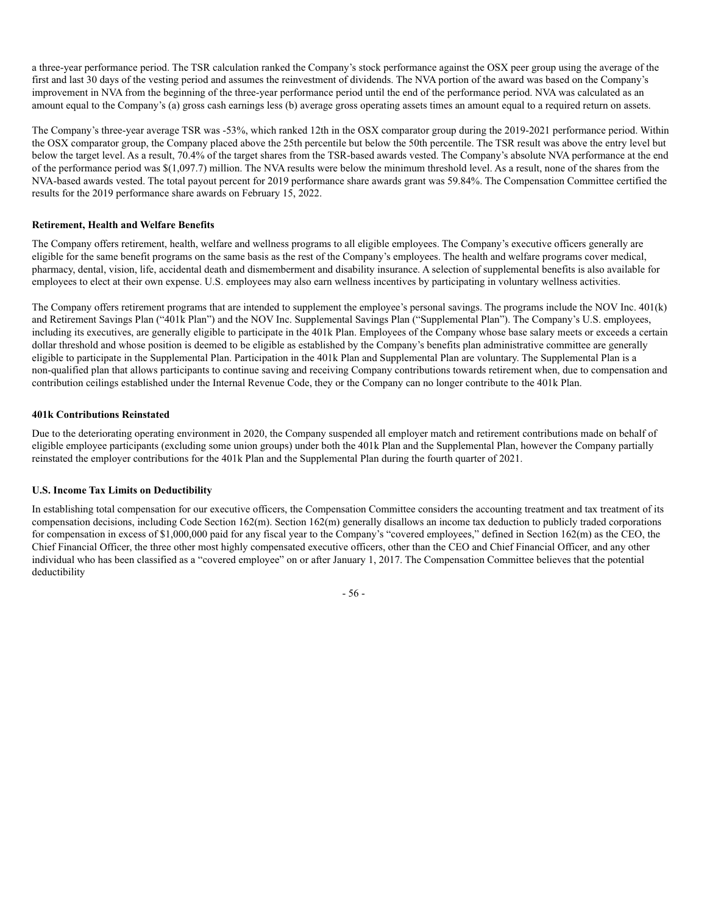a three-year performance period. The TSR calculation ranked the Company's stock performance against the OSX peer group using the average of the first and last 30 days of the vesting period and assumes the reinvestment of dividends. The NVA portion of the award was based on the Company's improvement in NVA from the beginning of the three-year performance period until the end of the performance period. NVA was calculated as an amount equal to the Company's (a) gross cash earnings less (b) average gross operating assets times an amount equal to a required return on assets.

The Company's three-year average TSR was -53%, which ranked 12th in the OSX comparator group during the 2019-2021 performance period. Within the OSX comparator group, the Company placed above the 25th percentile but below the 50th percentile. The TSR result was above the entry level but below the target level. As a result, 70.4% of the target shares from the TSR-based awards vested. The Company's absolute NVA performance at the end of the performance period was \$(1,097.7) million. The NVA results were below the minimum threshold level. As a result, none of the shares from the NVA-based awards vested. The total payout percent for 2019 performance share awards grant was 59.84%. The Compensation Committee certified the results for the 2019 performance share awards on February 15, 2022.

# **Retirement, Health and Welfare Benefits**

The Company offers retirement, health, welfare and wellness programs to all eligible employees. The Company's executive officers generally are eligible for the same benefit programs on the same basis as the rest of the Company's employees. The health and welfare programs cover medical, pharmacy, dental, vision, life, accidental death and dismemberment and disability insurance. A selection of supplemental benefits is also available for employees to elect at their own expense. U.S. employees may also earn wellness incentives by participating in voluntary wellness activities.

The Company offers retirement programs that are intended to supplement the employee's personal savings. The programs include the NOV Inc. 401(k) and Retirement Savings Plan ("401k Plan") and the NOV Inc. Supplemental Savings Plan ("Supplemental Plan"). The Company's U.S. employees, including its executives, are generally eligible to participate in the 401k Plan. Employees of the Company whose base salary meets or exceeds a certain dollar threshold and whose position is deemed to be eligible as established by the Company's benefits plan administrative committee are generally eligible to participate in the Supplemental Plan. Participation in the 401k Plan and Supplemental Plan are voluntary. The Supplemental Plan is a non-qualified plan that allows participants to continue saving and receiving Company contributions towards retirement when, due to compensation and contribution ceilings established under the Internal Revenue Code, they or the Company can no longer contribute to the 401k Plan.

# **401k Contributions Reinstated**

Due to the deteriorating operating environment in 2020, the Company suspended all employer match and retirement contributions made on behalf of eligible employee participants (excluding some union groups) under both the 401k Plan and the Supplemental Plan, however the Company partially reinstated the employer contributions for the 401k Plan and the Supplemental Plan during the fourth quarter of 2021.

# **U.S. Income Tax Limits on Deductibility**

In establishing total compensation for our executive officers, the Compensation Committee considers the accounting treatment and tax treatment of its compensation decisions, including Code Section 162(m). Section 162(m) generally disallows an income tax deduction to publicly traded corporations for compensation in excess of \$1,000,000 paid for any fiscal year to the Company's "covered employees," defined in Section 162(m) as the CEO, the Chief Financial Officer, the three other most highly compensated executive officers, other than the CEO and Chief Financial Officer, and any other individual who has been classified as a "covered employee" on or after January 1, 2017. The Compensation Committee believes that the potential deductibility

- 56 -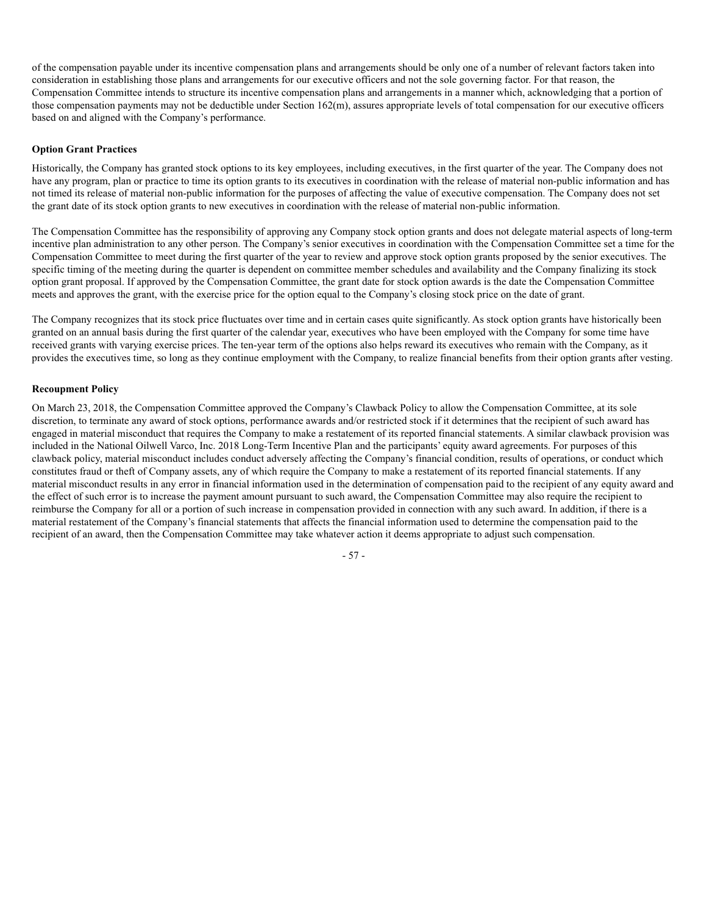of the compensation payable under its incentive compensation plans and arrangements should be only one of a number of relevant factors taken into consideration in establishing those plans and arrangements for our executive officers and not the sole governing factor. For that reason, the Compensation Committee intends to structure its incentive compensation plans and arrangements in a manner which, acknowledging that a portion of those compensation payments may not be deductible under Section 162(m), assures appropriate levels of total compensation for our executive officers based on and aligned with the Company's performance.

# **Option Grant Practices**

Historically, the Company has granted stock options to its key employees, including executives, in the first quarter of the year. The Company does not have any program, plan or practice to time its option grants to its executives in coordination with the release of material non-public information and has not timed its release of material non-public information for the purposes of affecting the value of executive compensation. The Company does not set the grant date of its stock option grants to new executives in coordination with the release of material non-public information.

The Compensation Committee has the responsibility of approving any Company stock option grants and does not delegate material aspects of long-term incentive plan administration to any other person. The Company's senior executives in coordination with the Compensation Committee set a time for the Compensation Committee to meet during the first quarter of the year to review and approve stock option grants proposed by the senior executives. The specific timing of the meeting during the quarter is dependent on committee member schedules and availability and the Company finalizing its stock option grant proposal. If approved by the Compensation Committee, the grant date for stock option awards is the date the Compensation Committee meets and approves the grant, with the exercise price for the option equal to the Company's closing stock price on the date of grant.

The Company recognizes that its stock price fluctuates over time and in certain cases quite significantly. As stock option grants have historically been granted on an annual basis during the first quarter of the calendar year, executives who have been employed with the Company for some time have received grants with varying exercise prices. The ten-year term of the options also helps reward its executives who remain with the Company, as it provides the executives time, so long as they continue employment with the Company, to realize financial benefits from their option grants after vesting.

# **Recoupment Policy**

On March 23, 2018, the Compensation Committee approved the Company's Clawback Policy to allow the Compensation Committee, at its sole discretion, to terminate any award of stock options, performance awards and/or restricted stock if it determines that the recipient of such award has engaged in material misconduct that requires the Company to make a restatement of its reported financial statements. A similar clawback provision was included in the National Oilwell Varco, Inc. 2018 Long-Term Incentive Plan and the participants' equity award agreements. For purposes of this clawback policy, material misconduct includes conduct adversely affecting the Company's financial condition, results of operations, or conduct which constitutes fraud or theft of Company assets, any of which require the Company to make a restatement of its reported financial statements. If any material misconduct results in any error in financial information used in the determination of compensation paid to the recipient of any equity award and the effect of such error is to increase the payment amount pursuant to such award, the Compensation Committee may also require the recipient to reimburse the Company for all or a portion of such increase in compensation provided in connection with any such award. In addition, if there is a material restatement of the Company's financial statements that affects the financial information used to determine the compensation paid to the recipient of an award, then the Compensation Committee may take whatever action it deems appropriate to adjust such compensation.

- 57 -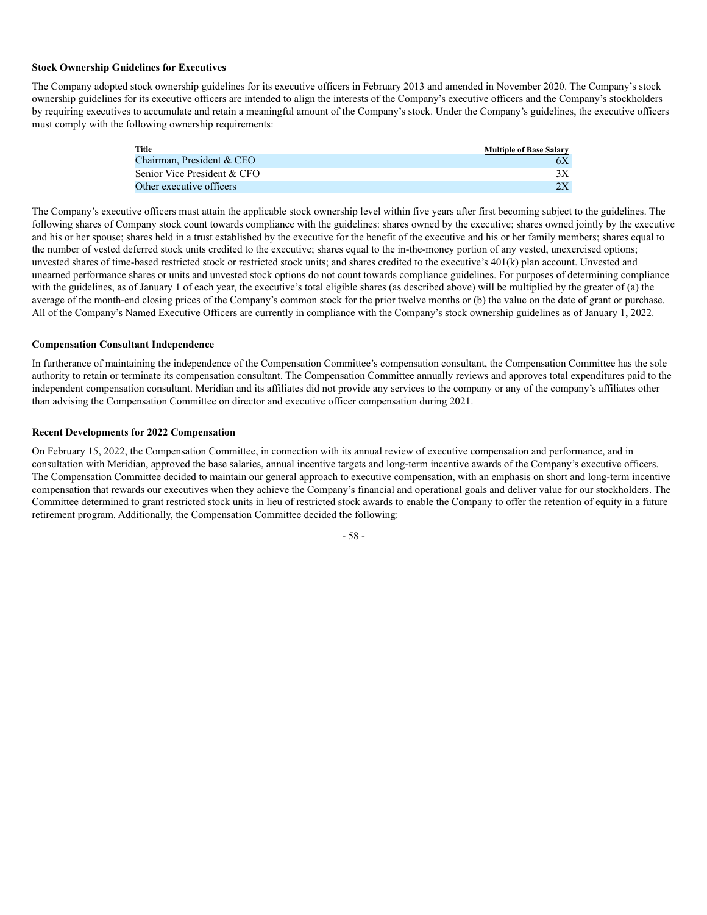#### **Stock Ownership Guidelines for Executives**

The Company adopted stock ownership guidelines for its executive officers in February 2013 and amended in November 2020. The Company's stock ownership guidelines for its executive officers are intended to align the interests of the Company's executive officers and the Company's stockholders by requiring executives to accumulate and retain a meaningful amount of the Company's stock. Under the Company's guidelines, the executive officers must comply with the following ownership requirements:

| Title                       | <b>Multiple of Base Salary</b> |
|-----------------------------|--------------------------------|
| Chairman, President & CEO   |                                |
| Senior Vice President & CFO |                                |
| Other executive officers    |                                |

The Company's executive officers must attain the applicable stock ownership level within five years after first becoming subject to the guidelines. The following shares of Company stock count towards compliance with the guidelines: shares owned by the executive; shares owned jointly by the executive and his or her spouse; shares held in a trust established by the executive for the benefit of the executive and his or her family members; shares equal to the number of vested deferred stock units credited to the executive; shares equal to the in-the-money portion of any vested, unexercised options; unvested shares of time-based restricted stock or restricted stock units; and shares credited to the executive's 401(k) plan account. Unvested and unearned performance shares or units and unvested stock options do not count towards compliance guidelines. For purposes of determining compliance with the guidelines, as of January 1 of each year, the executive's total eligible shares (as described above) will be multiplied by the greater of (a) the average of the month-end closing prices of the Company's common stock for the prior twelve months or (b) the value on the date of grant or purchase. All of the Company's Named Executive Officers are currently in compliance with the Company's stock ownership guidelines as of January 1, 2022.

# **Compensation Consultant Independence**

In furtherance of maintaining the independence of the Compensation Committee's compensation consultant, the Compensation Committee has the sole authority to retain or terminate its compensation consultant. The Compensation Committee annually reviews and approves total expenditures paid to the independent compensation consultant. Meridian and its affiliates did not provide any services to the company or any of the company's affiliates other than advising the Compensation Committee on director and executive officer compensation during 2021.

#### **Recent Developments for 2022 Compensation**

On February 15, 2022, the Compensation Committee, in connection with its annual review of executive compensation and performance, and in consultation with Meridian, approved the base salaries, annual incentive targets and long-term incentive awards of the Company's executive officers. The Compensation Committee decided to maintain our general approach to executive compensation, with an emphasis on short and long-term incentive compensation that rewards our executives when they achieve the Company's financial and operational goals and deliver value for our stockholders. The Committee determined to grant restricted stock units in lieu of restricted stock awards to enable the Company to offer the retention of equity in a future retirement program. Additionally, the Compensation Committee decided the following:

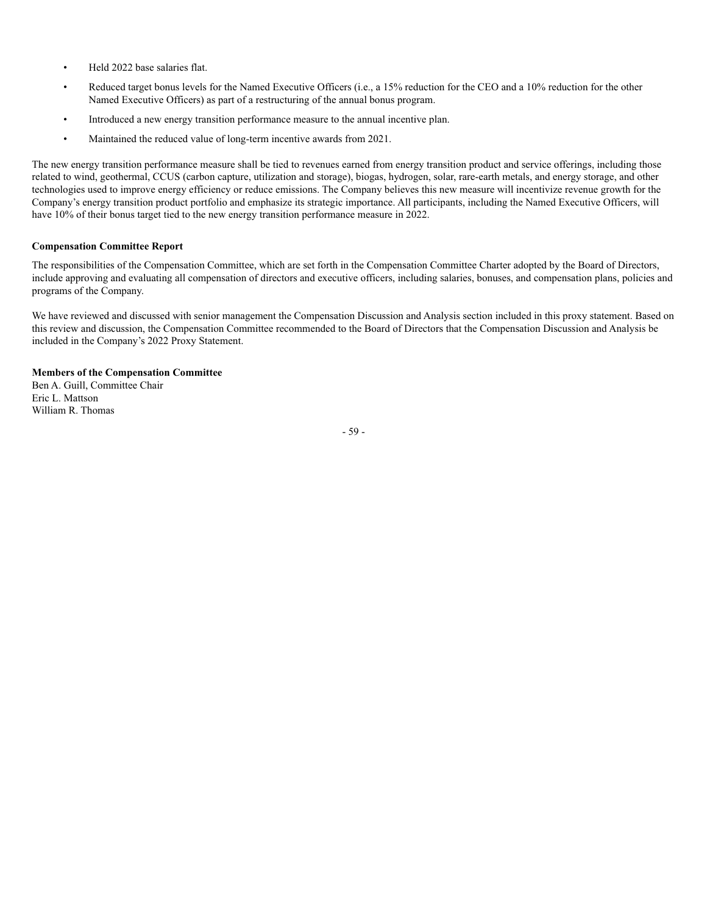- Held 2022 base salaries flat.
- Reduced target bonus levels for the Named Executive Officers (i.e., a 15% reduction for the CEO and a 10% reduction for the other Named Executive Officers) as part of a restructuring of the annual bonus program.
- Introduced a new energy transition performance measure to the annual incentive plan.
- Maintained the reduced value of long-term incentive awards from 2021.

The new energy transition performance measure shall be tied to revenues earned from energy transition product and service offerings, including those related to wind, geothermal, CCUS (carbon capture, utilization and storage), biogas, hydrogen, solar, rare-earth metals, and energy storage, and other technologies used to improve energy efficiency or reduce emissions. The Company believes this new measure will incentivize revenue growth for the Company's energy transition product portfolio and emphasize its strategic importance. All participants, including the Named Executive Officers, will have 10% of their bonus target tied to the new energy transition performance measure in 2022.

#### **Compensation Committee Report**

The responsibilities of the Compensation Committee, which are set forth in the Compensation Committee Charter adopted by the Board of Directors, include approving and evaluating all compensation of directors and executive officers, including salaries, bonuses, and compensation plans, policies and programs of the Company.

We have reviewed and discussed with senior management the Compensation Discussion and Analysis section included in this proxy statement. Based on this review and discussion, the Compensation Committee recommended to the Board of Directors that the Compensation Discussion and Analysis be included in the Company's 2022 Proxy Statement.

#### **Members of the Compensation Committee**

Ben A. Guill, Committee Chair Eric L. Mattson William R. Thomas

- 59 -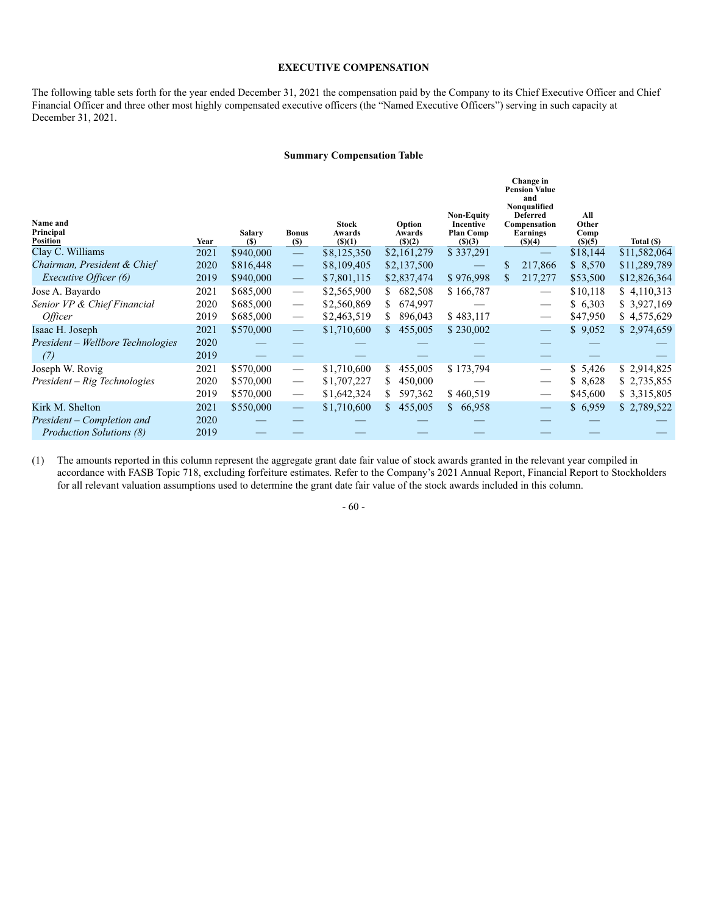#### **EXECUTIVE COMPENSATION**

The following table sets forth for the year ended December 31, 2021 the compensation paid by the Company to its Chief Executive Officer and Chief Financial Officer and three other most highly compensated executive officers (the "Named Executive Officers") serving in such capacity at December 31, 2021.

#### **Summary Compensation Table**

| Name and<br>Principal<br><b>Position</b> | Year | <b>Salary</b><br>(S) | <b>Bonus</b><br>(S)             | <b>Stock</b><br>Awards<br>(S)(1) | Option<br>Awards<br>(S)(2) | <b>Non-Equity</b><br>Incentive<br><b>Plan Comp</b><br>(S)(3) | Change in<br><b>Pension Value</b><br>and<br>Nonqualified<br><b>Deferred</b><br>Compensation<br>Earnings<br>\$)(4) | All<br>Other<br>Comp<br>(S)(5) | Total (\$)   |
|------------------------------------------|------|----------------------|---------------------------------|----------------------------------|----------------------------|--------------------------------------------------------------|-------------------------------------------------------------------------------------------------------------------|--------------------------------|--------------|
| Clay C. Williams                         | 2021 | \$940,000            |                                 | \$8,125,350                      | \$2,161,279                | \$337,291                                                    |                                                                                                                   | \$18,144                       | \$11,582,064 |
| Chairman, President & Chief              | 2020 | \$816,448            | $\overline{\phantom{m}}$        | \$8,109,405                      | \$2,137,500                |                                                              | 217,866<br>\$                                                                                                     | \$8,570                        | \$11,289,789 |
| <i>Executive Officer (6)</i>             | 2019 | \$940,000            | $\overline{\phantom{m}}$        | \$7,801,115                      | \$2,837,474                | \$976,998                                                    | 217,277                                                                                                           | \$53,500                       | \$12,826,364 |
| Jose A. Bayardo                          | 2021 | \$685,000            | $\hspace{0.1mm}-\hspace{0.1mm}$ | \$2,565,900                      | 682,508<br>S.              | \$166,787                                                    | $\hspace{0.1mm}-\hspace{0.1mm}$                                                                                   | \$10,118                       | \$4,110,313  |
| Senior VP & Chief Financial              | 2020 | \$685,000            | $\overline{\phantom{m}}$        | \$2,560,869                      | 674,997<br>S               |                                                              |                                                                                                                   | \$ 6,303                       | \$3,927,169  |
| <i>Officer</i>                           | 2019 | \$685,000            | $\hspace{0.1mm}-\hspace{0.1mm}$ | \$2,463,519                      | S.<br>896,043              | \$483,117                                                    |                                                                                                                   | \$47,950                       | \$4,575,629  |
| Isaac H. Joseph                          | 2021 | \$570,000            | $\overline{\phantom{m}}$        | \$1,710,600                      | 455,005<br>S.              | \$230,002                                                    | $\overline{\phantom{m}}$                                                                                          | \$9,052                        | \$2,974,659  |
| President – Wellbore Technologies        | 2020 |                      |                                 |                                  |                            |                                                              |                                                                                                                   |                                |              |
| (7)                                      | 2019 |                      |                                 |                                  |                            |                                                              |                                                                                                                   |                                |              |
| Joseph W. Rovig                          | 2021 | \$570,000            | $\overline{\phantom{m}}$        | \$1,710,600                      | 455,005<br>S               | \$173,794                                                    | $\overbrace{\phantom{12333}}$                                                                                     | \$5,426                        | \$2,914,825  |
| President – Rig Technologies             | 2020 | \$570,000            | $\overline{\phantom{m}}$        | \$1,707,227                      | \$<br>450,000              |                                                              |                                                                                                                   | \$8,628                        | \$2,735,855  |
|                                          | 2019 | \$570,000            |                                 | \$1,642,324                      | 597,362<br>S.              | \$460,519                                                    | $\hspace{0.05cm}$                                                                                                 | \$45,600                       | \$ 3,315,805 |
| Kirk M. Shelton                          | 2021 | \$550,000            |                                 | \$1,710,600                      | 455,005<br>S.              | \$66,958                                                     |                                                                                                                   | \$6,959                        | \$2,789,522  |
| President – Completion and               | 2020 |                      |                                 |                                  |                            |                                                              |                                                                                                                   |                                |              |
| <b>Production Solutions (8)</b>          | 2019 |                      |                                 |                                  |                            |                                                              |                                                                                                                   |                                |              |

(1) The amounts reported in this column represent the aggregate grant date fair value of stock awards granted in the relevant year compiled in accordance with FASB Topic 718, excluding forfeiture estimates. Refer to the Company's 2021 Annual Report, Financial Report to Stockholders for all relevant valuation assumptions used to determine the grant date fair value of the stock awards included in this column.

- 60 -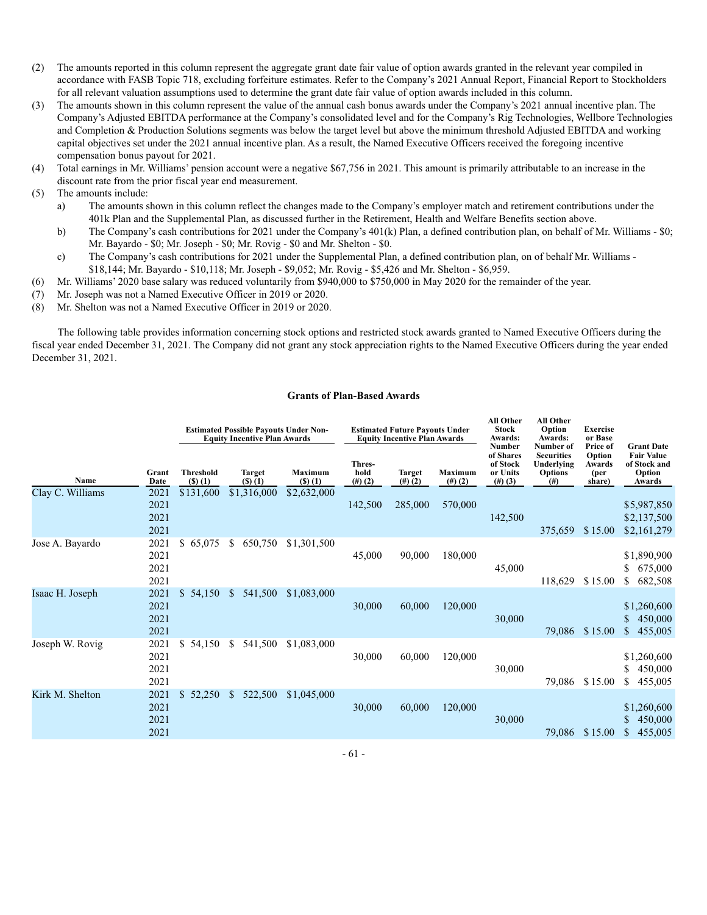- (2) The amounts reported in this column represent the aggregate grant date fair value of option awards granted in the relevant year compiled in accordance with FASB Topic 718, excluding forfeiture estimates. Refer to the Company's 2021 Annual Report, Financial Report to Stockholders for all relevant valuation assumptions used to determine the grant date fair value of option awards included in this column.
- (3) The amounts shown in this column represent the value of the annual cash bonus awards under the Company's 2021 annual incentive plan. The Company's Adjusted EBITDA performance at the Company's consolidated level and for the Company's Rig Technologies, Wellbore Technologies and Completion & Production Solutions segments was below the target level but above the minimum threshold Adjusted EBITDA and working capital objectives set under the 2021 annual incentive plan. As a result, the Named Executive Officers received the foregoing incentive compensation bonus payout for 2021.
- (4) Total earnings in Mr. Williams' pension account were a negative \$67,756 in 2021. This amount is primarily attributable to an increase in the discount rate from the prior fiscal year end measurement.
- (5) The amounts include:
	- a) The amounts shown in this column reflect the changes made to the Company's employer match and retirement contributions under the 401k Plan and the Supplemental Plan, as discussed further in the Retirement, Health and Welfare Benefits section above.
	- b) The Company's cash contributions for 2021 under the Company's 401(k) Plan, a defined contribution plan, on behalf of Mr. Williams \$0; Mr. Bayardo - \$0; Mr. Joseph - \$0; Mr. Rovig - \$0 and Mr. Shelton - \$0.
	- c) The Company's cash contributions for 2021 under the Supplemental Plan, a defined contribution plan, on of behalf Mr. Williams \$18,144; Mr. Bayardo - \$10,118; Mr. Joseph - \$9,052; Mr. Rovig - \$5,426 and Mr. Shelton - \$6,959.
- (6) Mr. Williams' 2020 base salary was reduced voluntarily from \$940,000 to \$750,000 in May 2020 for the remainder of the year.
- (7) Mr. Joseph was not a Named Executive Officer in 2019 or 2020.
- (8) Mr. Shelton was not a Named Executive Officer in 2019 or 2020.

The following table provides information concerning stock options and restricted stock awards granted to Named Executive Officers during the fiscal year ended December 31, 2021. The Company did not grant any stock appreciation rights to the Named Executive Officers during the year ended December 31, 2021.

#### **Grants of Plan-Based Awards**

|                  | <b>Estimated Possible Payouts Under Non-</b><br><b>Equity Incentive Plan Awards</b> |                            |                           | Thres-                     | <b>Estimated Future Payouts Under</b><br><b>Equity Incentive Plan Awards</b> |                         | <b>All Other</b><br><b>Stock</b><br><b>Awards:</b><br><b>Number</b><br>of Shares<br>of Stock | All Other<br>Option<br>Awards:<br>Number of<br><b>Securities</b><br>Underlying | <b>Exercise</b><br>or Base<br>Price of<br>Option<br>Awards | <b>Grant Date</b><br><b>Fair Value</b><br>of Stock and |                                               |
|------------------|-------------------------------------------------------------------------------------|----------------------------|---------------------------|----------------------------|------------------------------------------------------------------------------|-------------------------|----------------------------------------------------------------------------------------------|--------------------------------------------------------------------------------|------------------------------------------------------------|--------------------------------------------------------|-----------------------------------------------|
| Name             | Grant<br>Date                                                                       | <b>Threshold</b><br>() (1) | Target<br>$($ S $)$ $(1)$ | Maximum<br>$($ S $)$ $(1)$ | hold<br>$(4)$ (2)                                                            | <b>Target</b><br>(#)(2) | Maximum<br>(#)(2)                                                                            | or Units<br>(#)(3)                                                             | <b>Options</b><br>(# )                                     | (per<br>share)                                         | Option<br>Awards                              |
| Clay C. Williams | 2021<br>2021<br>2021<br>2021                                                        | \$131,600                  | \$1,316,000               | \$2,632,000                | 142,500                                                                      | 285,000                 | 570,000                                                                                      | 142,500                                                                        | 375,659                                                    | \$15.00                                                | \$5,987,850<br>\$2,137,500<br>\$2,161,279     |
| Jose A. Bayardo  | 2021<br>2021<br>2021<br>2021                                                        | \$65,075                   | 650,750<br>S              | \$1,301,500                | 45,000                                                                       | 90,000                  | 180,000                                                                                      | 45,000                                                                         | 118,629                                                    | \$15.00                                                | \$1,890,900<br>675,000<br>682,508<br>\$       |
| Isaac H. Joseph  | 2021<br>2021<br>2021<br>2021                                                        | \$54,150                   | 541,500<br>\$.            | \$1,083,000                | 30,000                                                                       | 60,000                  | 120,000                                                                                      | 30,000                                                                         | 79,086                                                     | \$15.00                                                | \$1,260,600<br>\$<br>450,000<br>\$<br>455,005 |
| Joseph W. Rovig  | 2021<br>2021<br>2021<br>2021                                                        | \$<br>54,150               | S<br>541,500              | \$1,083,000                | 30,000                                                                       | 60,000                  | 120,000                                                                                      | 30,000                                                                         | 79,086                                                     | \$15.00                                                | \$1,260,600<br>\$<br>450,000<br>455,005<br>S  |
| Kirk M. Shelton  | 2021<br>2021<br>2021<br>2021                                                        | \$<br>52,250               | 522,500<br>\$             | \$1,045,000                | 30,000                                                                       | 60,000                  | 120,000                                                                                      | 30,000                                                                         | 79,086                                                     | \$15.00                                                | \$1,260,600<br>450,000<br>455,005<br>\$       |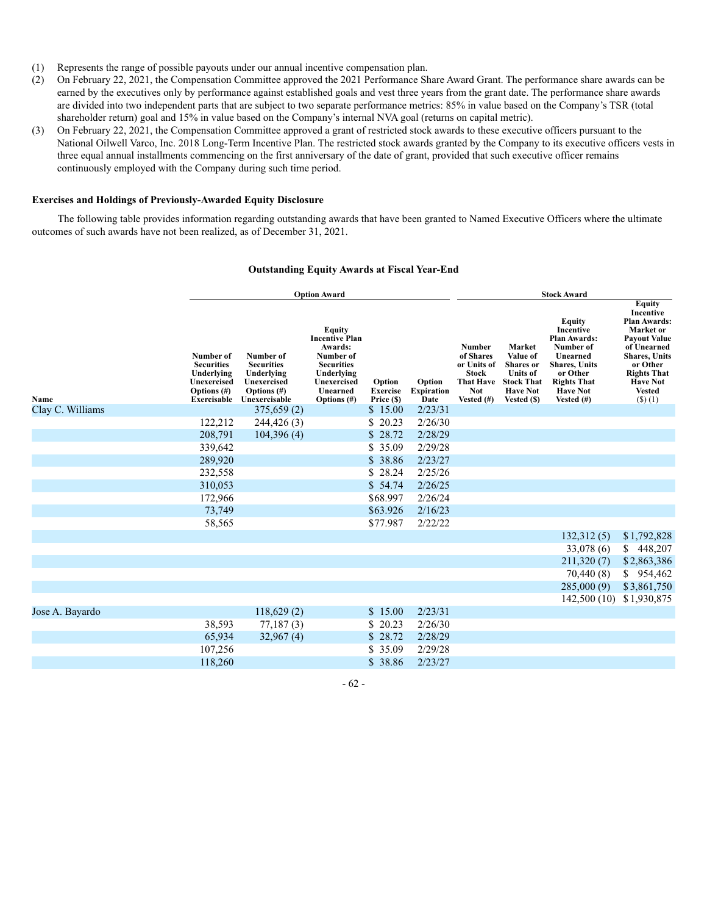- (1) Represents the range of possible payouts under our annual incentive compensation plan.
- (2) On February 22, 2021, the Compensation Committee approved the 2021 Performance Share Award Grant. The performance share awards can be earned by the executives only by performance against established goals and vest three years from the grant date. The performance share awards are divided into two independent parts that are subject to two separate performance metrics: 85% in value based on the Company's TSR (total shareholder return) goal and 15% in value based on the Company's internal NVA goal (returns on capital metric).
- (3) On February 22, 2021, the Compensation Committee approved a grant of restricted stock awards to these executive officers pursuant to the National Oilwell Varco, Inc. 2018 Long-Term Incentive Plan. The restricted stock awards granted by the Company to its executive officers vests in three equal annual installments commencing on the first anniversary of the date of grant, provided that such executive officer remains continuously employed with the Company during such time period.

#### **Exercises and Holdings of Previously-Awarded Equity Disclosure**

The following table provides information regarding outstanding awards that have been granted to Named Executive Officers where the ultimate outcomes of such awards have not been realized, as of December 31, 2021.

|                  |                                                                                                     |                                                                                             | <b>Option Award</b>                                                                                                                                |                                         |                                     | <b>Stock Award</b>                                                                                    |                                                                                                                  |                                                                                                                                                                 |                                                                                                                                                                                                                  |  |
|------------------|-----------------------------------------------------------------------------------------------------|---------------------------------------------------------------------------------------------|----------------------------------------------------------------------------------------------------------------------------------------------------|-----------------------------------------|-------------------------------------|-------------------------------------------------------------------------------------------------------|------------------------------------------------------------------------------------------------------------------|-----------------------------------------------------------------------------------------------------------------------------------------------------------------|------------------------------------------------------------------------------------------------------------------------------------------------------------------------------------------------------------------|--|
| Name             | Number of<br><b>Securities</b><br>Underlying<br>Unexercised<br>Options $(\#)$<br><b>Exercisable</b> | Number of<br><b>Securities</b><br>Underlying<br>Unexercised<br>Options (#)<br>Unexercisable | <b>Equity</b><br><b>Incentive Plan</b><br>Awards:<br>Number of<br><b>Securities</b><br>Underlying<br>Unexercised<br>Unearned<br><b>Options</b> (#) | Option<br><b>Exercise</b><br>Price (\$) | Option<br><b>Expiration</b><br>Date | Number<br>of Shares<br>or Units of<br><b>Stock</b><br><b>That Have</b><br><b>Not</b><br>Vested $(\#)$ | Market<br>Value of<br><b>Shares</b> or<br><b>Units of</b><br><b>Stock That</b><br><b>Have Not</b><br>Vested (\$) | Equity<br>Incentive<br><b>Plan Awards:</b><br>Number of<br>Unearned<br><b>Shares</b> , Units<br>or Other<br><b>Rights That</b><br><b>Have Not</b><br>Vested (#) | <b>Equity</b><br>Incentive<br><b>Plan Awards:</b><br>Market or<br><b>Payout Value</b><br>of Unearned<br><b>Shares</b> , Units<br>or Other<br><b>Rights That</b><br><b>Have Not</b><br><b>Vested</b><br>$(S)$ (1) |  |
| Clay C. Williams |                                                                                                     | 375,659(2)                                                                                  |                                                                                                                                                    | \$15.00                                 | 2/23/31                             |                                                                                                       |                                                                                                                  |                                                                                                                                                                 |                                                                                                                                                                                                                  |  |
|                  | 122,212                                                                                             | 244,426 (3)                                                                                 |                                                                                                                                                    | \$<br>20.23                             | 2/26/30                             |                                                                                                       |                                                                                                                  |                                                                                                                                                                 |                                                                                                                                                                                                                  |  |
|                  | 208,791                                                                                             | 104,396(4)                                                                                  |                                                                                                                                                    | \$<br>28.72                             | 2/28/29                             |                                                                                                       |                                                                                                                  |                                                                                                                                                                 |                                                                                                                                                                                                                  |  |
|                  | 339,642                                                                                             |                                                                                             |                                                                                                                                                    | \$<br>35.09                             | 2/29/28                             |                                                                                                       |                                                                                                                  |                                                                                                                                                                 |                                                                                                                                                                                                                  |  |
|                  | 289,920                                                                                             |                                                                                             |                                                                                                                                                    | \$<br>38.86                             | 2/23/27                             |                                                                                                       |                                                                                                                  |                                                                                                                                                                 |                                                                                                                                                                                                                  |  |
|                  | 232,558                                                                                             |                                                                                             |                                                                                                                                                    | \$<br>28.24                             | 2/25/26                             |                                                                                                       |                                                                                                                  |                                                                                                                                                                 |                                                                                                                                                                                                                  |  |
|                  | 310,053                                                                                             |                                                                                             |                                                                                                                                                    | \$54.74                                 | 2/26/25                             |                                                                                                       |                                                                                                                  |                                                                                                                                                                 |                                                                                                                                                                                                                  |  |
|                  | 172,966                                                                                             |                                                                                             |                                                                                                                                                    | \$68.997                                | 2/26/24                             |                                                                                                       |                                                                                                                  |                                                                                                                                                                 |                                                                                                                                                                                                                  |  |
|                  | 73,749                                                                                              |                                                                                             |                                                                                                                                                    | \$63.926                                | 2/16/23                             |                                                                                                       |                                                                                                                  |                                                                                                                                                                 |                                                                                                                                                                                                                  |  |
|                  | 58,565                                                                                              |                                                                                             |                                                                                                                                                    | \$77.987                                | 2/22/22                             |                                                                                                       |                                                                                                                  |                                                                                                                                                                 |                                                                                                                                                                                                                  |  |
|                  |                                                                                                     |                                                                                             |                                                                                                                                                    |                                         |                                     |                                                                                                       |                                                                                                                  | 132,312(5)                                                                                                                                                      | \$1,792,828                                                                                                                                                                                                      |  |
|                  |                                                                                                     |                                                                                             |                                                                                                                                                    |                                         |                                     |                                                                                                       |                                                                                                                  | 33,078 (6)                                                                                                                                                      | 448,207<br>S.                                                                                                                                                                                                    |  |
|                  |                                                                                                     |                                                                                             |                                                                                                                                                    |                                         |                                     |                                                                                                       |                                                                                                                  | 211,320(7)                                                                                                                                                      | \$2,863,386                                                                                                                                                                                                      |  |
|                  |                                                                                                     |                                                                                             |                                                                                                                                                    |                                         |                                     |                                                                                                       |                                                                                                                  | 70,440 (8)                                                                                                                                                      | 954,462<br>\$                                                                                                                                                                                                    |  |
|                  |                                                                                                     |                                                                                             |                                                                                                                                                    |                                         |                                     |                                                                                                       |                                                                                                                  | 285,000(9)                                                                                                                                                      | \$3,861,750                                                                                                                                                                                                      |  |
|                  |                                                                                                     |                                                                                             |                                                                                                                                                    |                                         |                                     |                                                                                                       |                                                                                                                  | 142,500(10)                                                                                                                                                     | \$1,930,875                                                                                                                                                                                                      |  |
| Jose A. Bayardo  |                                                                                                     | 118,629(2)                                                                                  |                                                                                                                                                    | \$15.00                                 | 2/23/31                             |                                                                                                       |                                                                                                                  |                                                                                                                                                                 |                                                                                                                                                                                                                  |  |
|                  | 38,593                                                                                              | 77,187(3)                                                                                   |                                                                                                                                                    | \$<br>20.23                             | 2/26/30                             |                                                                                                       |                                                                                                                  |                                                                                                                                                                 |                                                                                                                                                                                                                  |  |
|                  | 65,934                                                                                              | 32,967(4)                                                                                   |                                                                                                                                                    | \$<br>28.72                             | 2/28/29                             |                                                                                                       |                                                                                                                  |                                                                                                                                                                 |                                                                                                                                                                                                                  |  |
|                  | 107,256                                                                                             |                                                                                             |                                                                                                                                                    | \$<br>35.09                             | 2/29/28                             |                                                                                                       |                                                                                                                  |                                                                                                                                                                 |                                                                                                                                                                                                                  |  |
|                  | 118,260                                                                                             |                                                                                             |                                                                                                                                                    | \$38.86                                 | 2/23/27                             |                                                                                                       |                                                                                                                  |                                                                                                                                                                 |                                                                                                                                                                                                                  |  |

# **Outstanding Equity Awards at Fiscal Year-End**

- 62 -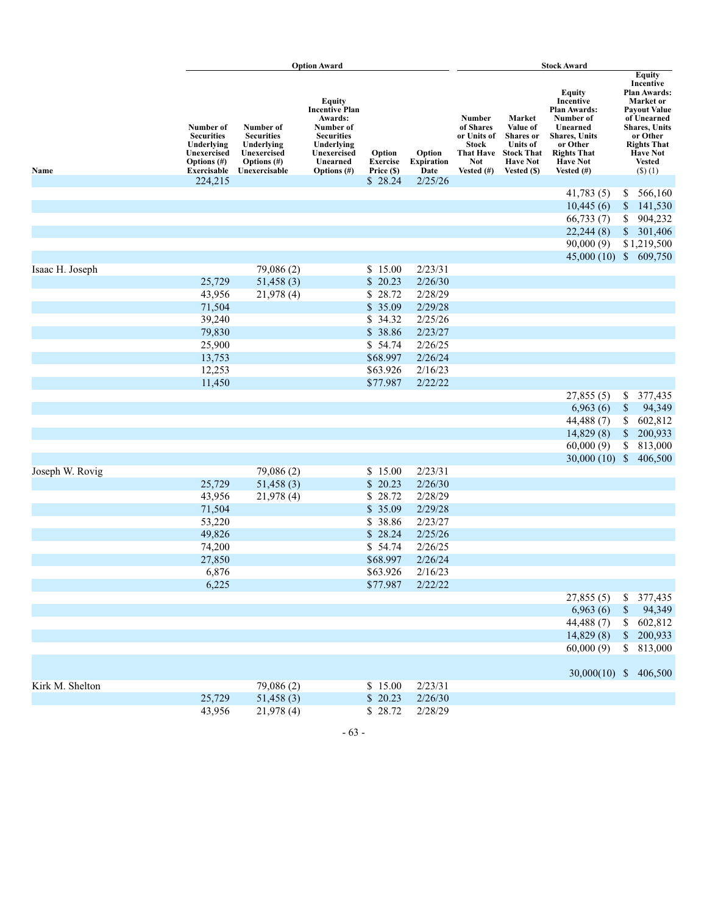|                 |                                                                                                  |                                                                                                | <b>Option Award</b>                                                                                                                         |                                  |                                     | <b>Stock Award</b>                                                                             |                                                                                                                  |                                                                                                                                                                           |              |                                                                                                                                                                                                              |
|-----------------|--------------------------------------------------------------------------------------------------|------------------------------------------------------------------------------------------------|---------------------------------------------------------------------------------------------------------------------------------------------|----------------------------------|-------------------------------------|------------------------------------------------------------------------------------------------|------------------------------------------------------------------------------------------------------------------|---------------------------------------------------------------------------------------------------------------------------------------------------------------------------|--------------|--------------------------------------------------------------------------------------------------------------------------------------------------------------------------------------------------------------|
| Name            | Number of<br><b>Securities</b><br>Underlying<br>Unexercised<br><b>Options</b> (#)<br>Exercisable | Number of<br><b>Securities</b><br>Underlying<br>Unexercised<br>Options $(\#)$<br>Unexercisable | Equity<br><b>Incentive Plan</b><br>Awards:<br>Number of<br><b>Securities</b><br>Underlying<br>Unexercised<br>Unearned<br><b>Options</b> (#) | Option<br>Exercise<br>Price (\$) | Option<br><b>Expiration</b><br>Date | Number<br>of Shares<br>or Units of<br><b>Stock</b><br>That Have<br><b>Not</b><br>Vested $(\#)$ | Market<br>Value of<br><b>Shares</b> or<br><b>Units of</b><br><b>Stock That</b><br><b>Have Not</b><br>Vested (\$) | <b>Equity</b><br>Incentive<br><b>Plan Awards:</b><br>Number of<br>Unearned<br><b>Shares</b> , Units<br>or Other<br><b>Rights That</b><br><b>Have Not</b><br>Vested $(\#)$ |              | <b>Equity</b><br>Incentive<br>Plan Awards:<br>Market or<br><b>Payout Value</b><br>of Unearned<br><b>Shares, Units</b><br>or Other<br><b>Rights That</b><br><b>Have Not</b><br><b>Vested</b><br>$($ \$ $)(1)$ |
|                 | 224,215                                                                                          |                                                                                                |                                                                                                                                             | \$28.24                          | 2/25/26                             |                                                                                                |                                                                                                                  |                                                                                                                                                                           |              |                                                                                                                                                                                                              |
|                 |                                                                                                  |                                                                                                |                                                                                                                                             |                                  |                                     |                                                                                                |                                                                                                                  | 41,783(5)<br>10,445(6)                                                                                                                                                    | \$           | 566,160                                                                                                                                                                                                      |
|                 |                                                                                                  |                                                                                                |                                                                                                                                             |                                  |                                     |                                                                                                |                                                                                                                  | 66,733(7)                                                                                                                                                                 | \$<br>\$     | 141,530<br>904,232                                                                                                                                                                                           |
|                 |                                                                                                  |                                                                                                |                                                                                                                                             |                                  |                                     |                                                                                                |                                                                                                                  | 22,244(8)                                                                                                                                                                 | $\$$         | 301,406                                                                                                                                                                                                      |
|                 |                                                                                                  |                                                                                                |                                                                                                                                             |                                  |                                     |                                                                                                |                                                                                                                  | 90,000(9)                                                                                                                                                                 |              | \$1,219,500                                                                                                                                                                                                  |
|                 |                                                                                                  |                                                                                                |                                                                                                                                             |                                  |                                     |                                                                                                |                                                                                                                  | 45,000(10)                                                                                                                                                                |              | \$609,750                                                                                                                                                                                                    |
| Isaac H. Joseph |                                                                                                  | 79,086 (2)                                                                                     |                                                                                                                                             | \$15.00                          | 2/23/31                             |                                                                                                |                                                                                                                  |                                                                                                                                                                           |              |                                                                                                                                                                                                              |
|                 | 25,729                                                                                           | 51,458(3)                                                                                      |                                                                                                                                             | \$20.23                          | 2/26/30                             |                                                                                                |                                                                                                                  |                                                                                                                                                                           |              |                                                                                                                                                                                                              |
|                 | 43,956                                                                                           | 21,978 (4)                                                                                     |                                                                                                                                             | 28.72<br>\$                      | 2/28/29                             |                                                                                                |                                                                                                                  |                                                                                                                                                                           |              |                                                                                                                                                                                                              |
|                 | 71,504                                                                                           |                                                                                                |                                                                                                                                             | \$35.09                          | 2/29/28                             |                                                                                                |                                                                                                                  |                                                                                                                                                                           |              |                                                                                                                                                                                                              |
|                 | 39,240                                                                                           |                                                                                                |                                                                                                                                             | 34.32<br>\$                      | 2/25/26                             |                                                                                                |                                                                                                                  |                                                                                                                                                                           |              |                                                                                                                                                                                                              |
|                 | 79,830                                                                                           |                                                                                                |                                                                                                                                             | \$38.86                          | 2/23/27                             |                                                                                                |                                                                                                                  |                                                                                                                                                                           |              |                                                                                                                                                                                                              |
|                 | 25,900                                                                                           |                                                                                                |                                                                                                                                             | \$54.74                          | 2/26/25                             |                                                                                                |                                                                                                                  |                                                                                                                                                                           |              |                                                                                                                                                                                                              |
|                 | 13,753                                                                                           |                                                                                                |                                                                                                                                             | \$68.997                         | 2/26/24                             |                                                                                                |                                                                                                                  |                                                                                                                                                                           |              |                                                                                                                                                                                                              |
|                 | 12,253                                                                                           |                                                                                                |                                                                                                                                             | \$63.926                         | 2/16/23                             |                                                                                                |                                                                                                                  |                                                                                                                                                                           |              |                                                                                                                                                                                                              |
|                 | 11,450                                                                                           |                                                                                                |                                                                                                                                             | \$77.987                         | 2/22/22                             |                                                                                                |                                                                                                                  |                                                                                                                                                                           |              |                                                                                                                                                                                                              |
|                 |                                                                                                  |                                                                                                |                                                                                                                                             |                                  |                                     |                                                                                                |                                                                                                                  | 27,855(5)                                                                                                                                                                 | \$           | 377,435                                                                                                                                                                                                      |
|                 |                                                                                                  |                                                                                                |                                                                                                                                             |                                  |                                     |                                                                                                |                                                                                                                  | 6,963(6)                                                                                                                                                                  | $\mathbb{S}$ | 94,349                                                                                                                                                                                                       |
|                 |                                                                                                  |                                                                                                |                                                                                                                                             |                                  |                                     |                                                                                                |                                                                                                                  | 44,488(7)                                                                                                                                                                 | \$           | 602,812                                                                                                                                                                                                      |
|                 |                                                                                                  |                                                                                                |                                                                                                                                             |                                  |                                     |                                                                                                |                                                                                                                  | 14,829(8)                                                                                                                                                                 | $\$$         | 200,933                                                                                                                                                                                                      |
|                 |                                                                                                  |                                                                                                |                                                                                                                                             |                                  |                                     |                                                                                                |                                                                                                                  | 60,000(9)                                                                                                                                                                 | \$           | 813,000                                                                                                                                                                                                      |
|                 |                                                                                                  |                                                                                                |                                                                                                                                             |                                  |                                     |                                                                                                |                                                                                                                  | 30,000 $(10)$ \$                                                                                                                                                          |              | 406,500                                                                                                                                                                                                      |
| Joseph W. Rovig |                                                                                                  | 79,086 (2)                                                                                     |                                                                                                                                             | \$15.00                          | 2/23/31                             |                                                                                                |                                                                                                                  |                                                                                                                                                                           |              |                                                                                                                                                                                                              |
|                 | 25,729                                                                                           | 51,458(3)                                                                                      |                                                                                                                                             | $\mathbb{S}$<br>20.23            | 2/26/30                             |                                                                                                |                                                                                                                  |                                                                                                                                                                           |              |                                                                                                                                                                                                              |
|                 | 43,956                                                                                           | 21,978 (4)                                                                                     |                                                                                                                                             | \$28.72                          | 2/28/29                             |                                                                                                |                                                                                                                  |                                                                                                                                                                           |              |                                                                                                                                                                                                              |
|                 | 71,504                                                                                           |                                                                                                |                                                                                                                                             | \$35.09                          | 2/29/28                             |                                                                                                |                                                                                                                  |                                                                                                                                                                           |              |                                                                                                                                                                                                              |
|                 | 53,220                                                                                           |                                                                                                |                                                                                                                                             | 38.86<br>\$<br>\$<br>28.24       | 2/23/27<br>2/25/26                  |                                                                                                |                                                                                                                  |                                                                                                                                                                           |              |                                                                                                                                                                                                              |
|                 | 49,826<br>74,200                                                                                 |                                                                                                |                                                                                                                                             | \$54.74                          | 2/26/25                             |                                                                                                |                                                                                                                  |                                                                                                                                                                           |              |                                                                                                                                                                                                              |
|                 | 27,850                                                                                           |                                                                                                |                                                                                                                                             | \$68.997                         | 2/26/24                             |                                                                                                |                                                                                                                  |                                                                                                                                                                           |              |                                                                                                                                                                                                              |
|                 | 6,876                                                                                            |                                                                                                |                                                                                                                                             | \$63.926                         | 2/16/23                             |                                                                                                |                                                                                                                  |                                                                                                                                                                           |              |                                                                                                                                                                                                              |
|                 | 6,225                                                                                            |                                                                                                |                                                                                                                                             | \$77.987                         | 2/22/22                             |                                                                                                |                                                                                                                  |                                                                                                                                                                           |              |                                                                                                                                                                                                              |
|                 |                                                                                                  |                                                                                                |                                                                                                                                             |                                  |                                     |                                                                                                |                                                                                                                  | 27,855(5)                                                                                                                                                                 |              | \$ 377,435                                                                                                                                                                                                   |
|                 |                                                                                                  |                                                                                                |                                                                                                                                             |                                  |                                     |                                                                                                |                                                                                                                  | 6,963(6)                                                                                                                                                                  | $\mathbb{S}$ | 94,349                                                                                                                                                                                                       |
|                 |                                                                                                  |                                                                                                |                                                                                                                                             |                                  |                                     |                                                                                                |                                                                                                                  | 44,488 (7)                                                                                                                                                                |              | \$602,812                                                                                                                                                                                                    |
|                 |                                                                                                  |                                                                                                |                                                                                                                                             |                                  |                                     |                                                                                                |                                                                                                                  | 14,829(8)                                                                                                                                                                 |              | \$200,933                                                                                                                                                                                                    |
|                 |                                                                                                  |                                                                                                |                                                                                                                                             |                                  |                                     |                                                                                                |                                                                                                                  | 60,000(9)                                                                                                                                                                 |              | \$ 813,000                                                                                                                                                                                                   |
|                 |                                                                                                  |                                                                                                |                                                                                                                                             |                                  |                                     |                                                                                                |                                                                                                                  |                                                                                                                                                                           |              |                                                                                                                                                                                                              |
|                 |                                                                                                  |                                                                                                |                                                                                                                                             |                                  |                                     |                                                                                                |                                                                                                                  | 30,000(10) \$ 406,500                                                                                                                                                     |              |                                                                                                                                                                                                              |
| Kirk M. Shelton |                                                                                                  | 79,086 (2)                                                                                     |                                                                                                                                             | \$15.00                          | 2/23/31                             |                                                                                                |                                                                                                                  |                                                                                                                                                                           |              |                                                                                                                                                                                                              |
|                 | 25,729                                                                                           | 51,458(3)                                                                                      |                                                                                                                                             | \$20.23                          | 2/26/30                             |                                                                                                |                                                                                                                  |                                                                                                                                                                           |              |                                                                                                                                                                                                              |
|                 | 43,956                                                                                           | 21,978 (4)                                                                                     |                                                                                                                                             | \$28.72                          | 2/28/29                             |                                                                                                |                                                                                                                  |                                                                                                                                                                           |              |                                                                                                                                                                                                              |

- 63 -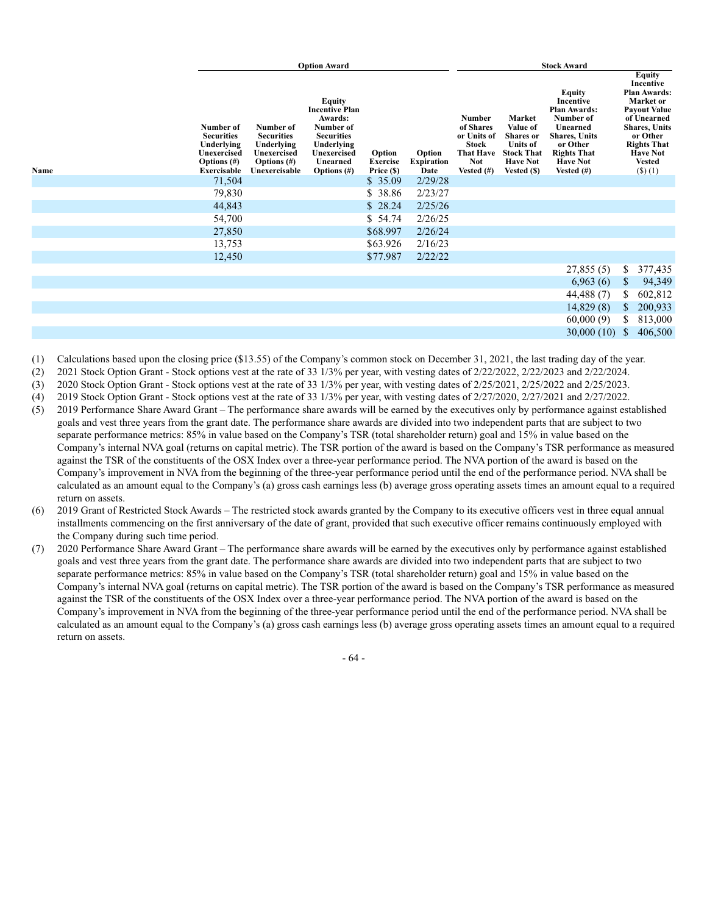|                                                                                                             |                                                                                                | <b>Option Award</b>                                                                                                                     |                                         |                                     | <b>Stock Award</b>                                                                                    |                                                                                                                  |                                                                                                                                                                   |              |                                                                                                                                                                                                                     |
|-------------------------------------------------------------------------------------------------------------|------------------------------------------------------------------------------------------------|-----------------------------------------------------------------------------------------------------------------------------------------|-----------------------------------------|-------------------------------------|-------------------------------------------------------------------------------------------------------|------------------------------------------------------------------------------------------------------------------|-------------------------------------------------------------------------------------------------------------------------------------------------------------------|--------------|---------------------------------------------------------------------------------------------------------------------------------------------------------------------------------------------------------------------|
| Number of<br><b>Securities</b><br>Underlying<br>Unexercised<br>Options $(\#)$<br>Name<br><b>Exercisable</b> | Number of<br><b>Securities</b><br>Underlying<br>Unexercised<br>Options $(\#)$<br>Unexercisable | Equity<br><b>Incentive Plan</b><br>Awards:<br>Number of<br><b>Securities</b><br>Underlying<br>Unexercised<br>Unearned<br>Options $(\#)$ | Option<br><b>Exercise</b><br>Price (\$) | Option<br><b>Expiration</b><br>Date | <b>Number</b><br>of Shares<br>or Units of<br><b>Stock</b><br>That Have<br><b>Not</b><br>Vested $(\#)$ | Market<br>Value of<br><b>Shares</b> or<br><b>Units of</b><br><b>Stock That</b><br><b>Have Not</b><br>Vested (\$) | Equity<br>Incentive<br><b>Plan Awards:</b><br>Number of<br>Unearned<br><b>Shares, Units</b><br>or Other<br><b>Rights That</b><br><b>Have Not</b><br>Vested $(\#)$ |              | <b>Equity</b><br>Incentive<br><b>Plan Awards:</b><br>Market or<br><b>Payout Value</b><br>of Unearned<br><b>Shares, Units</b><br>or Other<br><b>Rights That</b><br><b>Have Not</b><br><b>Vested</b><br>$($ \$ $)(1)$ |
| 71,504                                                                                                      |                                                                                                |                                                                                                                                         | \$35.09                                 | 2/29/28                             |                                                                                                       |                                                                                                                  |                                                                                                                                                                   |              |                                                                                                                                                                                                                     |
| 79,830                                                                                                      |                                                                                                |                                                                                                                                         | \$38.86                                 | 2/23/27                             |                                                                                                       |                                                                                                                  |                                                                                                                                                                   |              |                                                                                                                                                                                                                     |
| 44,843                                                                                                      |                                                                                                |                                                                                                                                         | \$28.24                                 | 2/25/26                             |                                                                                                       |                                                                                                                  |                                                                                                                                                                   |              |                                                                                                                                                                                                                     |
| 54,700                                                                                                      |                                                                                                |                                                                                                                                         | \$54.74                                 | 2/26/25                             |                                                                                                       |                                                                                                                  |                                                                                                                                                                   |              |                                                                                                                                                                                                                     |
| 27,850                                                                                                      |                                                                                                |                                                                                                                                         | \$68.997                                | 2/26/24                             |                                                                                                       |                                                                                                                  |                                                                                                                                                                   |              |                                                                                                                                                                                                                     |
| 13,753                                                                                                      |                                                                                                |                                                                                                                                         | \$63.926                                | 2/16/23                             |                                                                                                       |                                                                                                                  |                                                                                                                                                                   |              |                                                                                                                                                                                                                     |
| 12,450                                                                                                      |                                                                                                |                                                                                                                                         | \$77.987                                | 2/22/22                             |                                                                                                       |                                                                                                                  |                                                                                                                                                                   |              |                                                                                                                                                                                                                     |
|                                                                                                             |                                                                                                |                                                                                                                                         |                                         |                                     |                                                                                                       |                                                                                                                  | 27,855(5)                                                                                                                                                         | \$           | 377,435                                                                                                                                                                                                             |
|                                                                                                             |                                                                                                |                                                                                                                                         |                                         |                                     |                                                                                                       |                                                                                                                  | 6,963(6)                                                                                                                                                          | $\mathbb{S}$ | 94,349                                                                                                                                                                                                              |
|                                                                                                             |                                                                                                |                                                                                                                                         |                                         |                                     |                                                                                                       |                                                                                                                  | 44,488 (7)                                                                                                                                                        | \$           | 602,812                                                                                                                                                                                                             |
|                                                                                                             |                                                                                                |                                                                                                                                         |                                         |                                     |                                                                                                       |                                                                                                                  | 14,829(8)                                                                                                                                                         | \$           | 200,933                                                                                                                                                                                                             |
|                                                                                                             |                                                                                                |                                                                                                                                         |                                         |                                     |                                                                                                       |                                                                                                                  | 60,000(9)                                                                                                                                                         | S.           | 813,000                                                                                                                                                                                                             |
|                                                                                                             |                                                                                                |                                                                                                                                         |                                         |                                     |                                                                                                       |                                                                                                                  | 30,000(10)                                                                                                                                                        | \$.          | 406,500                                                                                                                                                                                                             |

- (1) Calculations based upon the closing price (\$13.55) of the Company's common stock on December 31, 2021, the last trading day of the year.
- (2) 2021 Stock Option Grant Stock options vest at the rate of 33 1/3% per year, with vesting dates of 2/22/2022, 2/22/2023 and 2/22/2024.
- (3) 2020 Stock Option Grant Stock options vest at the rate of 33 1/3% per year, with vesting dates of 2/25/2021, 2/25/2022 and 2/25/2023.
- (4) 2019 Stock Option Grant Stock options vest at the rate of 33 1/3% per year, with vesting dates of 2/27/2020, 2/27/2021 and 2/27/2022. (5) 2019 Performance Share Award Grant – The performance share awards will be earned by the executives only by performance against established goals and vest three years from the grant date. The performance share awards are divided into two independent parts that are subject to two separate performance metrics: 85% in value based on the Company's TSR (total shareholder return) goal and 15% in value based on the Company's internal NVA goal (returns on capital metric). The TSR portion of the award is based on the Company's TSR performance as measured against the TSR of the constituents of the OSX Index over a three-year performance period. The NVA portion of the award is based on the Company's improvement in NVA from the beginning of the three-year performance period until the end of the performance period. NVA shall be calculated as an amount equal to the Company's (a) gross cash earnings less (b) average gross operating assets times an amount equal to a required return on assets.
- (6) 2019 Grant of Restricted Stock Awards The restricted stock awards granted by the Company to its executive officers vest in three equal annual installments commencing on the first anniversary of the date of grant, provided that such executive officer remains continuously employed with the Company during such time period.
- (7) 2020 Performance Share Award Grant The performance share awards will be earned by the executives only by performance against established goals and vest three years from the grant date. The performance share awards are divided into two independent parts that are subject to two separate performance metrics: 85% in value based on the Company's TSR (total shareholder return) goal and 15% in value based on the Company's internal NVA goal (returns on capital metric). The TSR portion of the award is based on the Company's TSR performance as measured against the TSR of the constituents of the OSX Index over a three-year performance period. The NVA portion of the award is based on the Company's improvement in NVA from the beginning of the three-year performance period until the end of the performance period. NVA shall be calculated as an amount equal to the Company's (a) gross cash earnings less (b) average gross operating assets times an amount equal to a required return on assets.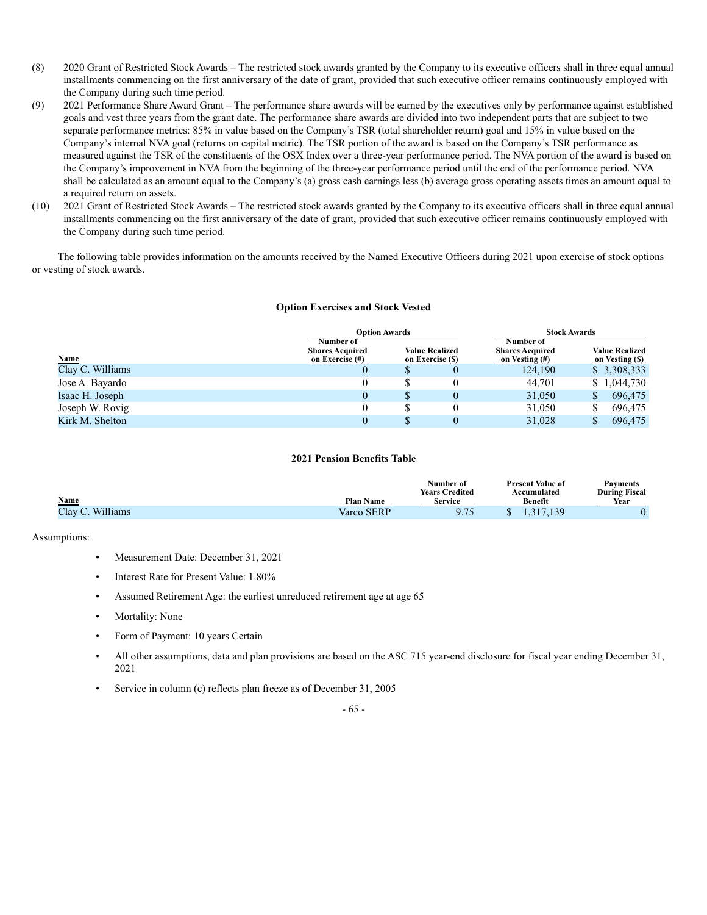- (8) 2020 Grant of Restricted Stock Awards The restricted stock awards granted by the Company to its executive officers shall in three equal annual installments commencing on the first anniversary of the date of grant, provided that such executive officer remains continuously employed with the Company during such time period.
- (9) 2021 Performance Share Award Grant The performance share awards will be earned by the executives only by performance against established goals and vest three years from the grant date. The performance share awards are divided into two independent parts that are subject to two separate performance metrics: 85% in value based on the Company's TSR (total shareholder return) goal and 15% in value based on the Company's internal NVA goal (returns on capital metric). The TSR portion of the award is based on the Company's TSR performance as measured against the TSR of the constituents of the OSX Index over a three-year performance period. The NVA portion of the award is based on the Company's improvement in NVA from the beginning of the three-year performance period until the end of the performance period. NVA shall be calculated as an amount equal to the Company's (a) gross cash earnings less (b) average gross operating assets times an amount equal to a required return on assets.
- (10) 2021 Grant of Restricted Stock Awards The restricted stock awards granted by the Company to its executive officers shall in three equal annual installments commencing on the first anniversary of the date of grant, provided that such executive officer remains continuously employed with the Company during such time period.

The following table provides information on the amounts received by the Named Executive Officers during 2021 upon exercise of stock options or vesting of stock awards.

#### **Option Exercises and Stock Vested**

|                  |                                                        | <b>Option Awards</b>                      | <b>Stock Awards</b> |         |                                          |             |  |
|------------------|--------------------------------------------------------|-------------------------------------------|---------------------|---------|------------------------------------------|-------------|--|
| <b>Name</b>      | Number of<br><b>Shares Acquired</b><br>on Exercise (#) | <b>Value Realized</b><br>on Exercise (\$) |                     |         | <b>Value Realized</b><br>on Vesting (\$) |             |  |
| Clay C. Williams |                                                        | S                                         |                     | 124,190 |                                          | \$3,308,333 |  |
| Jose A. Bayardo  |                                                        |                                           |                     | 44.701  |                                          | \$1,044,730 |  |
| Isaac H. Joseph  |                                                        | \$                                        | 0                   | 31,050  | S.                                       | 696,475     |  |
| Joseph W. Rovig  |                                                        | \$                                        |                     | 31,050  | \$                                       | 696,475     |  |
| Kirk M. Shelton  |                                                        |                                           |                     | 31,028  |                                          | 696,475     |  |

#### **2021 Pension Benefits Table**

|                  |                  | Number of             | <b>Present Value of</b> | <b>Payments</b>      |
|------------------|------------------|-----------------------|-------------------------|----------------------|
|                  |                  | <b>Years Credited</b> | Accumulated             | <b>During Fiscal</b> |
| Name             | <b>Plan Name</b> | Service               | <b>Benefit</b>          | Year                 |
| Clay C. Williams | Varco SERP       | 0.75<br>ر ، ، ر       | 47.139<br>.             |                      |

Assumptions:

- Measurement Date: December 31, 2021
- Interest Rate for Present Value: 1.80%
- Assumed Retirement Age: the earliest unreduced retirement age at age 65
- Mortality: None
- Form of Payment: 10 years Certain
- All other assumptions, data and plan provisions are based on the ASC 715 year-end disclosure for fiscal year ending December 31, 2021
- Service in column (c) reflects plan freeze as of December 31, 2005

#### - 65 -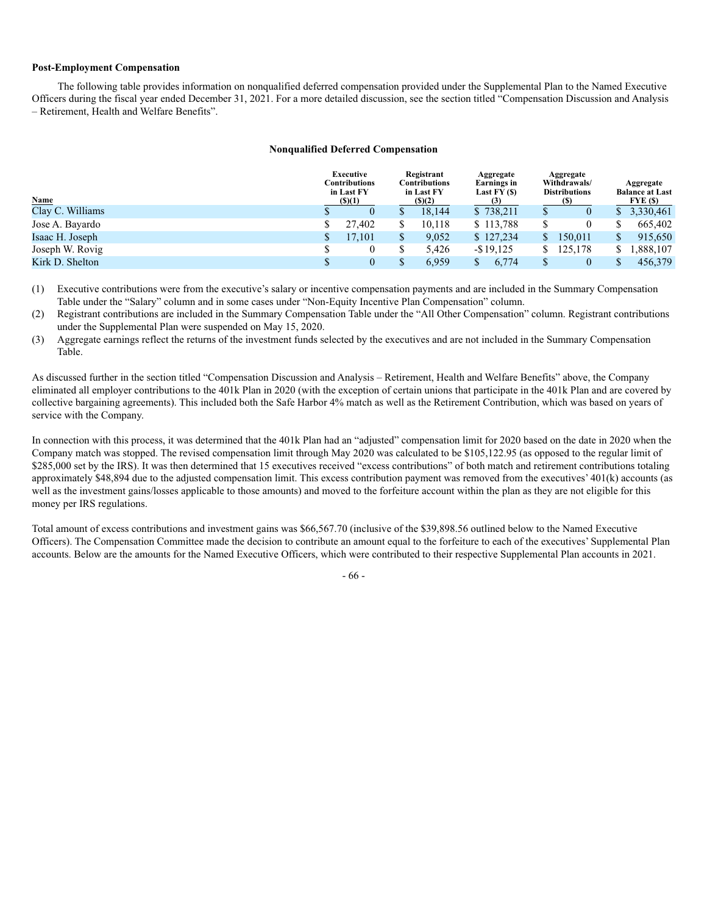#### **Post-Employment Compensation**

The following table provides information on nonqualified deferred compensation provided under the Supplemental Plan to the Named Executive Officers during the fiscal year ended December 31, 2021. For a more detailed discussion, see the section titled "Compensation Discussion and Analysis – Retirement, Health and Welfare Benefits".

#### **Nonqualified Deferred Compensation**

| Name             | Executive<br>Contributions<br>in Last FY<br>$($ \$ $)(1)$ |        | Registrant<br><b>Contributions</b><br>in Last FY<br>() (2) |        | Aggregate<br>Earnings in<br>Last $FY($)$<br>$\left(3\right)$ |              | Aggregate<br>Withdrawals/<br><b>Distributions</b><br>(S) |           |    | Aggregate<br><b>Balance at Last</b><br>$\textbf{FYE}$ (\$) |
|------------------|-----------------------------------------------------------|--------|------------------------------------------------------------|--------|--------------------------------------------------------------|--------------|----------------------------------------------------------|-----------|----|------------------------------------------------------------|
| Clay C. Williams |                                                           |        |                                                            | 18.144 |                                                              | \$738,211    |                                                          |           |    | \$3,330,461                                                |
| Jose A. Bayardo  |                                                           | 27.402 |                                                            | 10.118 |                                                              | \$113,788    |                                                          |           |    | 665,402                                                    |
| Isaac H. Joseph  |                                                           | 17.101 |                                                            | 9.052  |                                                              | \$127,234    |                                                          | 150,011   |    | 915,650                                                    |
| Joseph W. Rovig  |                                                           |        |                                                            | 5.426  |                                                              | $-$ \$19,125 |                                                          | \$125,178 | S. | 1,888,107                                                  |
| Kirk D. Shelton  |                                                           |        |                                                            | 6.959  |                                                              | 6.774        |                                                          |           |    | 456,379                                                    |

(1) Executive contributions were from the executive's salary or incentive compensation payments and are included in the Summary Compensation Table under the "Salary" column and in some cases under "Non-Equity Incentive Plan Compensation" column.

(2) Registrant contributions are included in the Summary Compensation Table under the "All Other Compensation" column. Registrant contributions under the Supplemental Plan were suspended on May 15, 2020.

(3) Aggregate earnings reflect the returns of the investment funds selected by the executives and are not included in the Summary Compensation Table.

As discussed further in the section titled "Compensation Discussion and Analysis – Retirement, Health and Welfare Benefits" above, the Company eliminated all employer contributions to the 401k Plan in 2020 (with the exception of certain unions that participate in the 401k Plan and are covered by collective bargaining agreements). This included both the Safe Harbor 4% match as well as the Retirement Contribution, which was based on years of service with the Company.

In connection with this process, it was determined that the 401k Plan had an "adjusted" compensation limit for 2020 based on the date in 2020 when the Company match was stopped. The revised compensation limit through May 2020 was calculated to be \$105,122.95 (as opposed to the regular limit of \$285,000 set by the IRS). It was then determined that 15 executives received "excess contributions" of both match and retirement contributions totaling approximately \$48,894 due to the adjusted compensation limit. This excess contribution payment was removed from the executives' 401(k) accounts (as well as the investment gains/losses applicable to those amounts) and moved to the forfeiture account within the plan as they are not eligible for this money per IRS regulations.

Total amount of excess contributions and investment gains was \$66,567.70 (inclusive of the \$39,898.56 outlined below to the Named Executive Officers). The Compensation Committee made the decision to contribute an amount equal to the forfeiture to each of the executives' Supplemental Plan accounts. Below are the amounts for the Named Executive Officers, which were contributed to their respective Supplemental Plan accounts in 2021.

- 66 -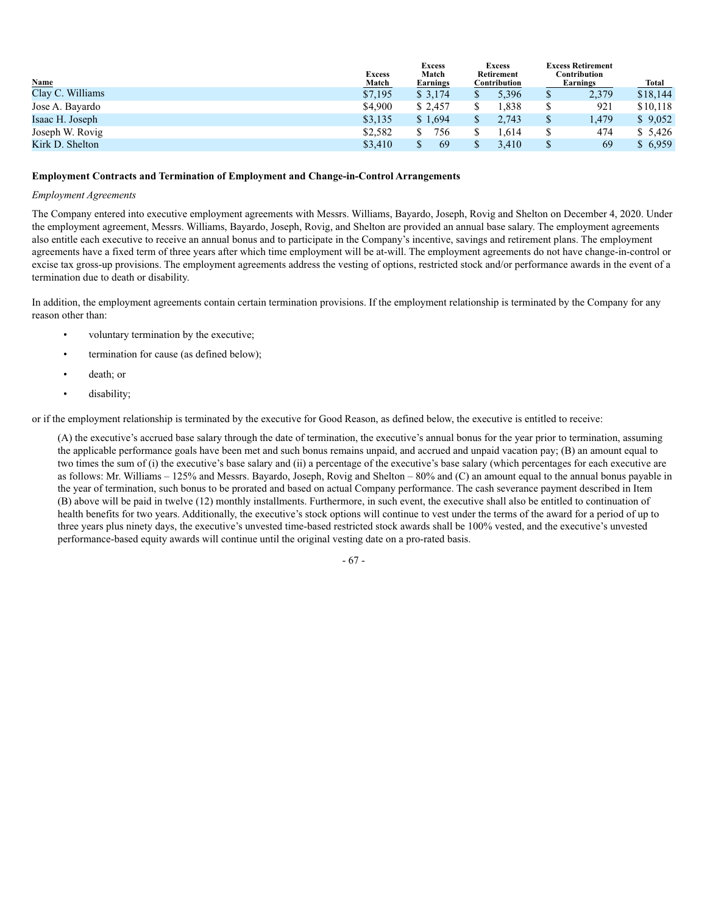| <b>Name</b>      | <b>Excess</b><br>Match |          | <b>Excess</b><br>Retirement<br>Contribution | <b>Excess Retirement</b><br>Contribution<br>Earnings | Total |          |
|------------------|------------------------|----------|---------------------------------------------|------------------------------------------------------|-------|----------|
| Clay C. Williams | \$7,195                | \$3.174  | 5.396                                       | \$                                                   | 2,379 | \$18,144 |
| Jose A. Bayardo  | \$4,900                | \$ 2.457 | . 838                                       |                                                      | 921   | \$10,118 |
| Isaac H. Joseph  | \$3,135                | \$1,694  | 2,743                                       |                                                      | 1,479 | \$9,052  |
| Joseph W. Rovig  | \$2,582                | 756      | . 614                                       |                                                      | 474   | \$5,426  |
| Kirk D. Shelton  | \$3,410                | 69       | 3.410                                       |                                                      | 69    | \$6,959  |

#### **Employment Contracts and Termination of Employment and Change-in-Control Arrangements**

#### *Employment Agreements*

The Company entered into executive employment agreements with Messrs. Williams, Bayardo, Joseph, Rovig and Shelton on December 4, 2020. Under the employment agreement, Messrs. Williams, Bayardo, Joseph, Rovig, and Shelton are provided an annual base salary. The employment agreements also entitle each executive to receive an annual bonus and to participate in the Company's incentive, savings and retirement plans. The employment agreements have a fixed term of three years after which time employment will be at-will. The employment agreements do not have change-in-control or excise tax gross-up provisions. The employment agreements address the vesting of options, restricted stock and/or performance awards in the event of a termination due to death or disability.

In addition, the employment agreements contain certain termination provisions. If the employment relationship is terminated by the Company for any reason other than:

- voluntary termination by the executive;
- termination for cause (as defined below);
- death; or
- disability;

or if the employment relationship is terminated by the executive for Good Reason, as defined below, the executive is entitled to receive:

(A) the executive's accrued base salary through the date of termination, the executive's annual bonus for the year prior to termination, assuming the applicable performance goals have been met and such bonus remains unpaid, and accrued and unpaid vacation pay; (B) an amount equal to two times the sum of (i) the executive's base salary and (ii) a percentage of the executive's base salary (which percentages for each executive are as follows: Mr. Williams – 125% and Messrs. Bayardo, Joseph, Rovig and Shelton – 80% and (C) an amount equal to the annual bonus payable in the year of termination, such bonus to be prorated and based on actual Company performance. The cash severance payment described in Item (B) above will be paid in twelve (12) monthly installments. Furthermore, in such event, the executive shall also be entitled to continuation of health benefits for two years. Additionally, the executive's stock options will continue to vest under the terms of the award for a period of up to three years plus ninety days, the executive's unvested time-based restricted stock awards shall be 100% vested, and the executive's unvested performance-based equity awards will continue until the original vesting date on a pro-rated basis.

- 67 -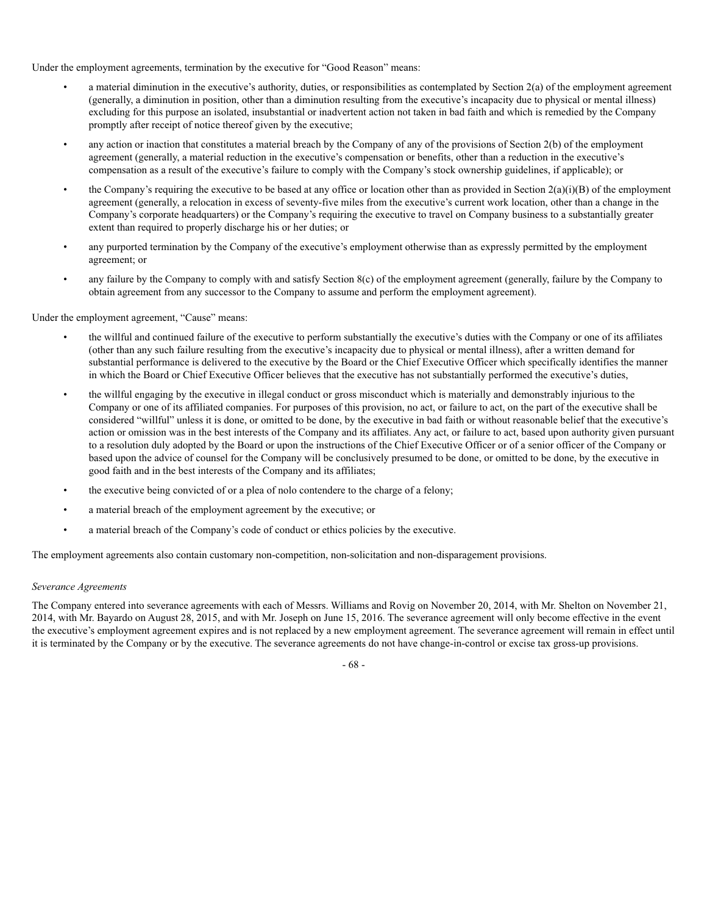Under the employment agreements, termination by the executive for "Good Reason" means:

- a material diminution in the executive's authority, duties, or responsibilities as contemplated by Section 2(a) of the employment agreement (generally, a diminution in position, other than a diminution resulting from the executive's incapacity due to physical or mental illness) excluding for this purpose an isolated, insubstantial or inadvertent action not taken in bad faith and which is remedied by the Company promptly after receipt of notice thereof given by the executive;
- any action or inaction that constitutes a material breach by the Company of any of the provisions of Section 2(b) of the employment agreement (generally, a material reduction in the executive's compensation or benefits, other than a reduction in the executive's compensation as a result of the executive's failure to comply with the Company's stock ownership guidelines, if applicable); or
- the Company's requiring the executive to be based at any office or location other than as provided in Section  $2(a)(i)(B)$  of the employment agreement (generally, a relocation in excess of seventy-five miles from the executive's current work location, other than a change in the Company's corporate headquarters) or the Company's requiring the executive to travel on Company business to a substantially greater extent than required to properly discharge his or her duties; or
- any purported termination by the Company of the executive's employment otherwise than as expressly permitted by the employment agreement; or
- any failure by the Company to comply with and satisfy Section 8(c) of the employment agreement (generally, failure by the Company to obtain agreement from any successor to the Company to assume and perform the employment agreement).

# Under the employment agreement, "Cause" means:

- the willful and continued failure of the executive to perform substantially the executive's duties with the Company or one of its affiliates (other than any such failure resulting from the executive's incapacity due to physical or mental illness), after a written demand for substantial performance is delivered to the executive by the Board or the Chief Executive Officer which specifically identifies the manner in which the Board or Chief Executive Officer believes that the executive has not substantially performed the executive's duties,
- the willful engaging by the executive in illegal conduct or gross misconduct which is materially and demonstrably injurious to the Company or one of its affiliated companies. For purposes of this provision, no act, or failure to act, on the part of the executive shall be considered "willful" unless it is done, or omitted to be done, by the executive in bad faith or without reasonable belief that the executive's action or omission was in the best interests of the Company and its affiliates. Any act, or failure to act, based upon authority given pursuant to a resolution duly adopted by the Board or upon the instructions of the Chief Executive Officer or of a senior officer of the Company or based upon the advice of counsel for the Company will be conclusively presumed to be done, or omitted to be done, by the executive in good faith and in the best interests of the Company and its affiliates;
- the executive being convicted of or a plea of nolo contendere to the charge of a felony;
- a material breach of the employment agreement by the executive; or
- a material breach of the Company's code of conduct or ethics policies by the executive.

The employment agreements also contain customary non-competition, non-solicitation and non-disparagement provisions.

#### *Severance Agreements*

The Company entered into severance agreements with each of Messrs. Williams and Rovig on November 20, 2014, with Mr. Shelton on November 21, 2014, with Mr. Bayardo on August 28, 2015, and with Mr. Joseph on June 15, 2016. The severance agreement will only become effective in the event the executive's employment agreement expires and is not replaced by a new employment agreement. The severance agreement will remain in effect until it is terminated by the Company or by the executive. The severance agreements do not have change-in-control or excise tax gross-up provisions.

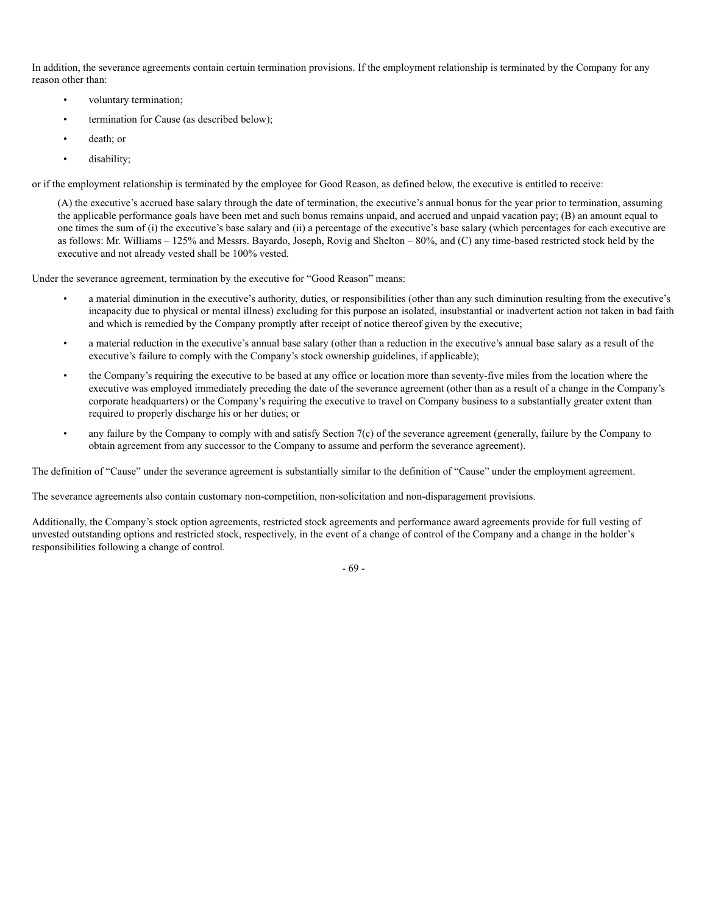In addition, the severance agreements contain certain termination provisions. If the employment relationship is terminated by the Company for any reason other than:

- voluntary termination;
- termination for Cause (as described below);
- death; or
- disability;

or if the employment relationship is terminated by the employee for Good Reason, as defined below, the executive is entitled to receive:

(A) the executive's accrued base salary through the date of termination, the executive's annual bonus for the year prior to termination, assuming the applicable performance goals have been met and such bonus remains unpaid, and accrued and unpaid vacation pay; (B) an amount equal to one times the sum of (i) the executive's base salary and (ii) a percentage of the executive's base salary (which percentages for each executive are as follows: Mr. Williams – 125% and Messrs. Bayardo, Joseph, Rovig and Shelton – 80%, and (C) any time-based restricted stock held by the executive and not already vested shall be 100% vested.

Under the severance agreement, termination by the executive for "Good Reason" means:

- a material diminution in the executive's authority, duties, or responsibilities (other than any such diminution resulting from the executive's incapacity due to physical or mental illness) excluding for this purpose an isolated, insubstantial or inadvertent action not taken in bad faith and which is remedied by the Company promptly after receipt of notice thereof given by the executive;
- a material reduction in the executive's annual base salary (other than a reduction in the executive's annual base salary as a result of the executive's failure to comply with the Company's stock ownership guidelines, if applicable);
- the Company's requiring the executive to be based at any office or location more than seventy-five miles from the location where the executive was employed immediately preceding the date of the severance agreement (other than as a result of a change in the Company's corporate headquarters) or the Company's requiring the executive to travel on Company business to a substantially greater extent than required to properly discharge his or her duties; or
- any failure by the Company to comply with and satisfy Section 7(c) of the severance agreement (generally, failure by the Company to obtain agreement from any successor to the Company to assume and perform the severance agreement).

The definition of "Cause" under the severance agreement is substantially similar to the definition of "Cause" under the employment agreement.

The severance agreements also contain customary non-competition, non-solicitation and non-disparagement provisions.

Additionally, the Company's stock option agreements, restricted stock agreements and performance award agreements provide for full vesting of unvested outstanding options and restricted stock, respectively, in the event of a change of control of the Company and a change in the holder's responsibilities following a change of control.

- 69 -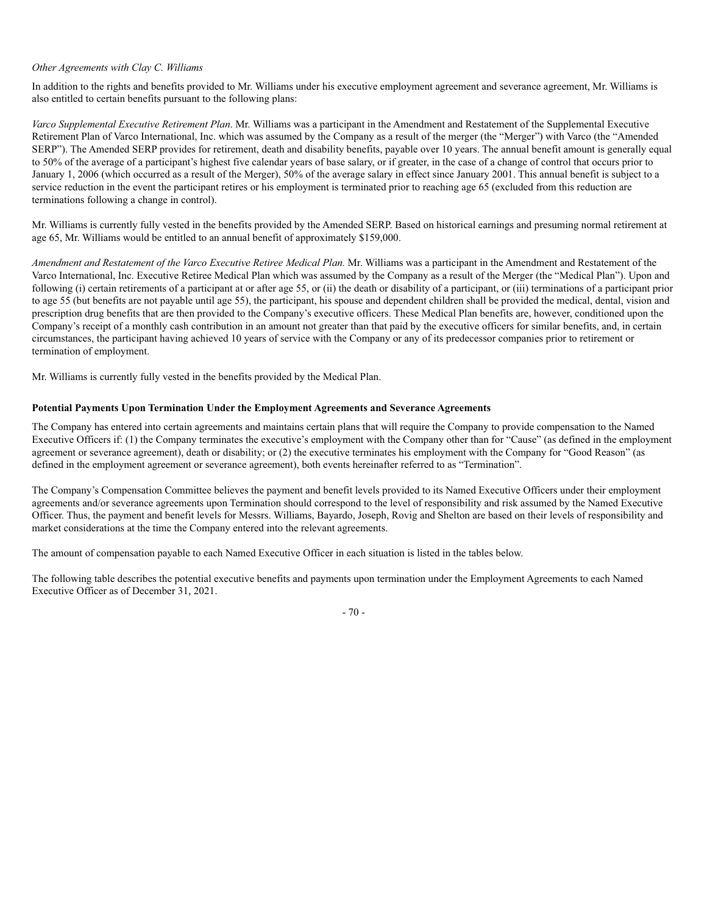#### *Other Agreements with Clay C. Williams*

In addition to the rights and benefits provided to Mr. Williams under his executive employment agreement and severance agreement, Mr. Williams is also entitled to certain benefits pursuant to the following plans:

*Varco Supplemental Executive Retirement Plan*. Mr. Williams was a participant in the Amendment and Restatement of the Supplemental Executive Retirement Plan of Varco International, Inc. which was assumed by the Company as a result of the merger (the "Merger") with Varco (the "Amended SERP"). The Amended SERP provides for retirement, death and disability benefits, payable over 10 years. The annual benefit amount is generally equal to 50% of the average of a participant's highest five calendar years of base salary, or if greater, in the case of a change of control that occurs prior to January 1, 2006 (which occurred as a result of the Merger), 50% of the average salary in effect since January 2001. This annual benefit is subject to a service reduction in the event the participant retires or his employment is terminated prior to reaching age 65 (excluded from this reduction are terminations following a change in control).

Mr. Williams is currently fully vested in the benefits provided by the Amended SERP. Based on historical earnings and presuming normal retirement at age 65, Mr. Williams would be entitled to an annual benefit of approximately \$159,000.

*Amendment and Restatement of the Varco Executive Retiree Medical Plan. Mr. Williams was a participant in the Amendment and Restatement of the* Varco International, Inc. Executive Retiree Medical Plan which was assumed by the Company as a result of the Merger (the "Medical Plan"). Upon and following (i) certain retirements of a participant at or after age 55, or (ii) the death or disability of a participant, or (iii) terminations of a participant prior to age 55 (but benefits are not payable until age 55), the participant, his spouse and dependent children shall be provided the medical, dental, vision and prescription drug benefits that are then provided to the Company's executive officers. These Medical Plan benefits are, however, conditioned upon the Company's receipt of a monthly cash contribution in an amount not greater than that paid by the executive officers for similar benefits, and, in certain circumstances, the participant having achieved 10 years of service with the Company or any of its predecessor companies prior to retirement or termination of employment.

Mr. Williams is currently fully vested in the benefits provided by the Medical Plan.

#### **Potential Payments Upon Termination Under the Employment Agreements and Severance Agreements**

The Company has entered into certain agreements and maintains certain plans that will require the Company to provide compensation to the Named Executive Officers if: (1) the Company terminates the executive's employment with the Company other than for "Cause" (as defined in the employment agreement or severance agreement), death or disability; or (2) the executive terminates his employment with the Company for "Good Reason" (as defined in the employment agreement or severance agreement), both events hereinafter referred to as "Termination".

The Company's Compensation Committee believes the payment and benefit levels provided to its Named Executive Officers under their employment agreements and/or severance agreements upon Termination should correspond to the level of responsibility and risk assumed by the Named Executive Officer. Thus, the payment and benefit levels for Messrs. Williams, Bayardo, Joseph, Rovig and Shelton are based on their levels of responsibility and market considerations at the time the Company entered into the relevant agreements.

The amount of compensation payable to each Named Executive Officer in each situation is listed in the tables below.

The following table describes the potential executive benefits and payments upon termination under the Employment Agreements to each Named Executive Officer as of December 31, 2021.

- 70 -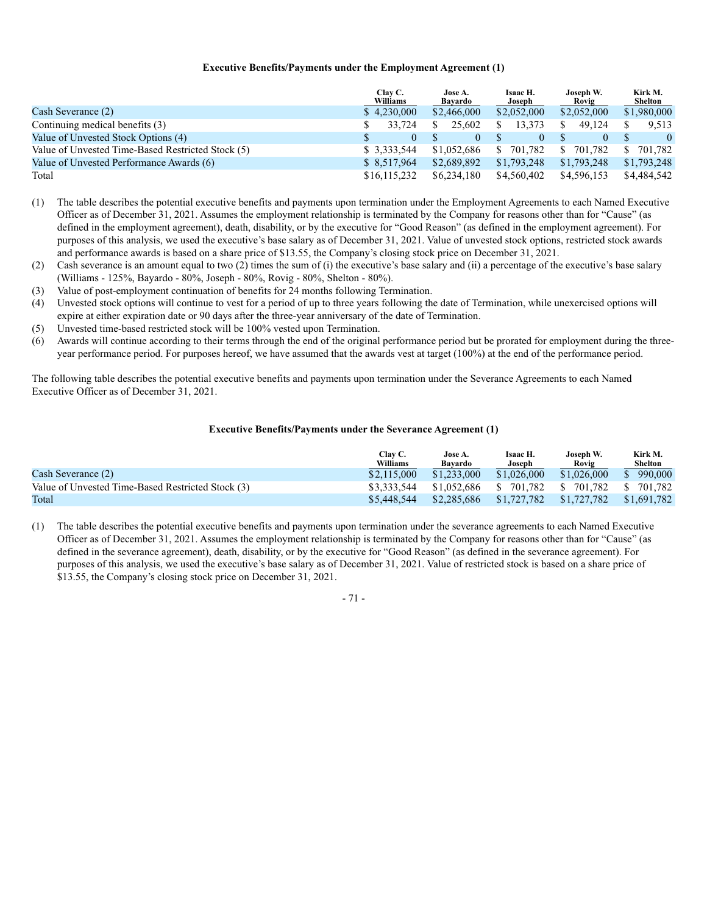#### **Executive Benefits/Payments under the Employment Agreement (1)**

|                                                   | Clay C.<br>Williams | Jose A.<br>Bayardo | Isaac H.<br>Joseph       | Joseph W.<br>Rovig      | Kirk M.<br>Shelton |
|---------------------------------------------------|---------------------|--------------------|--------------------------|-------------------------|--------------------|
| Cash Severance (2)                                | \$4,230,000         | \$2,466,000        | \$2,052,000              | \$2,052,000             | \$1,980,000        |
| Continuing medical benefits (3)                   | 33.724              | 25,602             | 13.373                   | 49.124                  | 9.513              |
| Value of Unvested Stock Options (4)               | 0                   |                    | $\Omega$                 | $\Omega$                | $\theta$           |
| Value of Unvested Time-Based Restricted Stock (5) | \$ 3,333,544        | \$1,052,686        | <sup>\$</sup><br>701.782 | 701.782<br><sup>S</sup> | 701.782<br>S.      |
| Value of Unvested Performance Awards (6)          | \$8,517,964         | \$2,689,892        | \$1,793,248              | \$1,793,248             | \$1,793,248        |
| Total                                             | \$16,115,232        | \$6,234,180        | \$4,560,402              | \$4,596,153             | \$4,484,542        |

- (1) The table describes the potential executive benefits and payments upon termination under the Employment Agreements to each Named Executive Officer as of December 31, 2021. Assumes the employment relationship is terminated by the Company for reasons other than for "Cause" (as defined in the employment agreement), death, disability, or by the executive for "Good Reason" (as defined in the employment agreement). For purposes of this analysis, we used the executive's base salary as of December 31, 2021. Value of unvested stock options, restricted stock awards and performance awards is based on a share price of \$13.55, the Company's closing stock price on December 31, 2021.
- (2) Cash severance is an amount equal to two (2) times the sum of (i) the executive's base salary and (ii) a percentage of the executive's base salary (Williams - 125%, Bayardo - 80%, Joseph - 80%, Rovig - 80%, Shelton - 80%).
- (3) Value of post-employment continuation of benefits for 24 months following Termination.
- (4) Unvested stock options will continue to vest for a period of up to three years following the date of Termination, while unexercised options will expire at either expiration date or 90 days after the three-year anniversary of the date of Termination.
- (5) Unvested time-based restricted stock will be 100% vested upon Termination.
- (6) Awards will continue according to their terms through the end of the original performance period but be prorated for employment during the threeyear performance period. For purposes hereof, we have assumed that the awards vest at target (100%) at the end of the performance period.

The following table describes the potential executive benefits and payments upon termination under the Severance Agreements to each Named Executive Officer as of December 31, 2021.

#### **Executive Benefits/Payments under the Severance Agreement (1)**

|                                                   | Clav C.<br>Williams | Jose A.<br>Bavardo | Isaac H.<br>Joseph    | Joseph W.<br>Rovig | Kirk M.<br>Shelton |
|---------------------------------------------------|---------------------|--------------------|-----------------------|--------------------|--------------------|
| Cash Severance (2)                                | \$2,115,000         | \$1,233,000        | \$1,026,000           | \$1,026,000        | 990,000<br>S.      |
| Value of Unvested Time-Based Restricted Stock (3) | \$3,333,544         |                    | \$1,052,686 \$701,782 | \$ 701.782         | \$ 701,782         |
| Total                                             | \$5,448,544         | \$2,285,686        | \$1,727,782           | \$1,727,782        | \$1,691,782        |

(1) The table describes the potential executive benefits and payments upon termination under the severance agreements to each Named Executive Officer as of December 31, 2021. Assumes the employment relationship is terminated by the Company for reasons other than for "Cause" (as defined in the severance agreement), death, disability, or by the executive for "Good Reason" (as defined in the severance agreement). For purposes of this analysis, we used the executive's base salary as of December 31, 2021. Value of restricted stock is based on a share price of \$13.55, the Company's closing stock price on December 31, 2021.

## - 71 -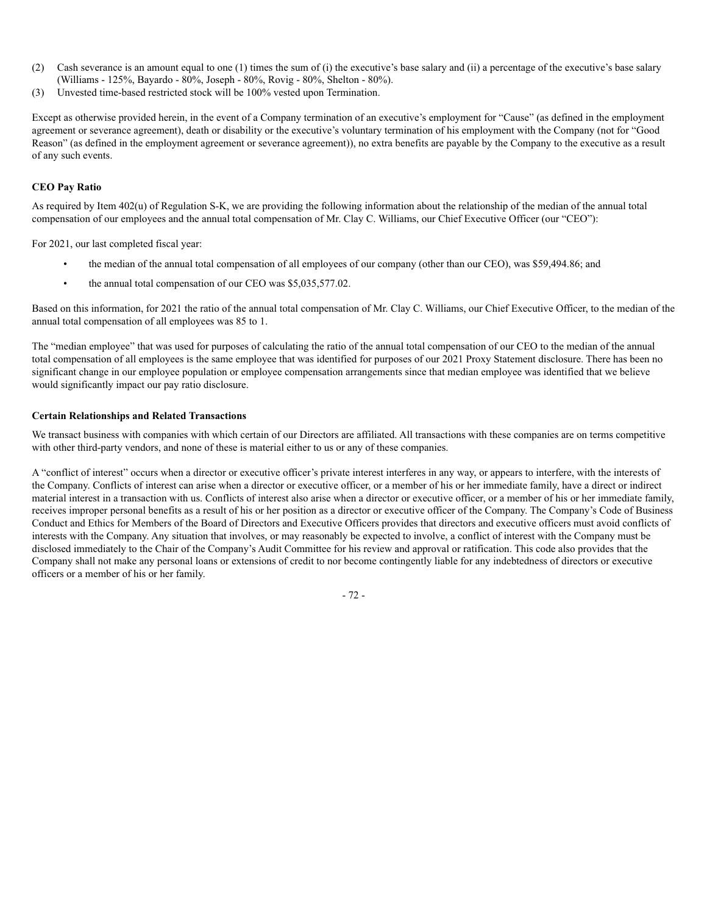- (2) Cash severance is an amount equal to one (1) times the sum of (i) the executive's base salary and (ii) a percentage of the executive's base salary (Williams - 125%, Bayardo - 80%, Joseph - 80%, Rovig - 80%, Shelton - 80%).
- (3) Unvested time-based restricted stock will be 100% vested upon Termination.

Except as otherwise provided herein, in the event of a Company termination of an executive's employment for "Cause" (as defined in the employment agreement or severance agreement), death or disability or the executive's voluntary termination of his employment with the Company (not for "Good Reason" (as defined in the employment agreement or severance agreement)), no extra benefits are payable by the Company to the executive as a result of any such events.

#### **CEO Pay Ratio**

As required by Item 402(u) of Regulation S-K, we are providing the following information about the relationship of the median of the annual total compensation of our employees and the annual total compensation of Mr. Clay C. Williams, our Chief Executive Officer (our "CEO"):

For 2021, our last completed fiscal year:

- the median of the annual total compensation of all employees of our company (other than our CEO), was \$59,494.86; and
- the annual total compensation of our CEO was \$5,035,577.02.

Based on this information, for 2021 the ratio of the annual total compensation of Mr. Clay C. Williams, our Chief Executive Officer, to the median of the annual total compensation of all employees was 85 to 1.

The "median employee" that was used for purposes of calculating the ratio of the annual total compensation of our CEO to the median of the annual total compensation of all employees is the same employee that was identified for purposes of our 2021 Proxy Statement disclosure. There has been no significant change in our employee population or employee compensation arrangements since that median employee was identified that we believe would significantly impact our pay ratio disclosure.

#### **Certain Relationships and Related Transactions**

We transact business with companies with which certain of our Directors are affiliated. All transactions with these companies are on terms competitive with other third-party vendors, and none of these is material either to us or any of these companies.

A "conflict of interest" occurs when a director or executive officer's private interest interferes in any way, or appears to interfere, with the interests of the Company. Conflicts of interest can arise when a director or executive officer, or a member of his or her immediate family, have a direct or indirect material interest in a transaction with us. Conflicts of interest also arise when a director or executive officer, or a member of his or her immediate family, receives improper personal benefits as a result of his or her position as a director or executive officer of the Company. The Company's Code of Business Conduct and Ethics for Members of the Board of Directors and Executive Officers provides that directors and executive officers must avoid conflicts of interests with the Company. Any situation that involves, or may reasonably be expected to involve, a conflict of interest with the Company must be disclosed immediately to the Chair of the Company's Audit Committee for his review and approval or ratification. This code also provides that the Company shall not make any personal loans or extensions of credit to nor become contingently liable for any indebtedness of directors or executive officers or a member of his or her family.

- 72 -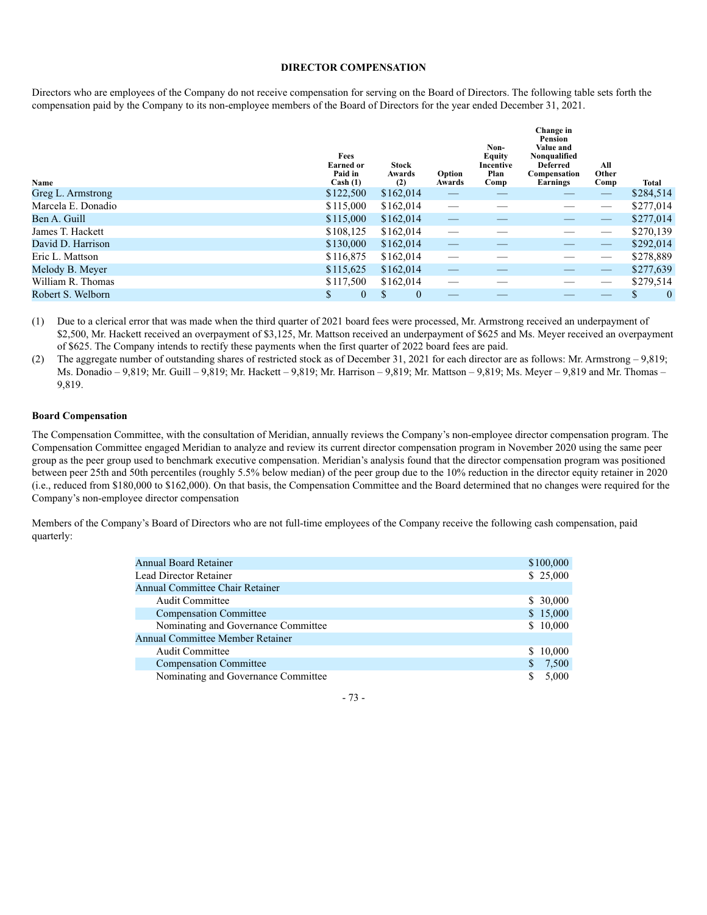#### **DIRECTOR COMPENSATION**

Directors who are employees of the Company do not receive compensation for serving on the Board of Directors. The following table sets forth the compensation paid by the Company to its non-employee members of the Board of Directors for the year ended December 31, 2021.

| Name               | Fees<br><b>Earned or</b><br>Paid in<br>Cash (1) | <b>Stock</b><br>Awards<br>(2) | Option<br>Awards         | Non-<br><b>Equity</b><br>Incentive<br>Plan<br>Comp | Change in<br>Pension<br>Value and<br>Nonqualified<br><b>Deferred</b><br>Compensation<br>Earnings | All<br>Other<br>Comp | <b>Total</b>  |
|--------------------|-------------------------------------------------|-------------------------------|--------------------------|----------------------------------------------------|--------------------------------------------------------------------------------------------------|----------------------|---------------|
| Greg L. Armstrong  | \$122,500                                       | \$162,014                     |                          |                                                    |                                                                                                  |                      | \$284,514     |
| Marcela E. Donadio | \$115,000                                       | \$162,014                     | $\overline{\phantom{a}}$ |                                                    |                                                                                                  |                      | \$277,014     |
| Ben A. Guill       | \$115,000                                       | \$162,014                     |                          |                                                    | __                                                                                               |                      | \$277,014     |
| James T. Hackett   | \$108,125                                       | \$162,014                     |                          |                                                    |                                                                                                  |                      | \$270,139     |
| David D. Harrison  | \$130,000                                       | \$162,014                     |                          |                                                    |                                                                                                  |                      | \$292,014     |
| Eric L. Mattson    | \$116,875                                       | \$162,014                     |                          |                                                    |                                                                                                  | ___                  | \$278,889     |
| Melody B. Meyer    | \$115,625                                       | \$162,014                     |                          |                                                    |                                                                                                  |                      | \$277,639     |
| William R. Thomas  | \$117,500                                       | \$162,014                     |                          |                                                    |                                                                                                  |                      | \$279,514     |
| Robert S. Welborn  | S<br>$\mathbf{0}$                               | $\theta$                      |                          |                                                    |                                                                                                  |                      | $\theta$<br>D |

(1) Due to a clerical error that was made when the third quarter of 2021 board fees were processed, Mr. Armstrong received an underpayment of \$2,500, Mr. Hackett received an overpayment of \$3,125, Mr. Mattson received an underpayment of \$625 and Ms. Meyer received an overpayment of \$625. The Company intends to rectify these payments when the first quarter of 2022 board fees are paid.

(2) The aggregate number of outstanding shares of restricted stock as of December 31, 2021 for each director are as follows: Mr. Armstrong – 9,819; Ms. Donadio – 9,819; Mr. Guill – 9,819; Mr. Hackett – 9,819; Mr. Harrison – 9,819; Mr. Mattson – 9,819; Ms. Meyer – 9,819 and Mr. Thomas – 9,819.

#### **Board Compensation**

The Compensation Committee, with the consultation of Meridian, annually reviews the Company's non-employee director compensation program. The Compensation Committee engaged Meridian to analyze and review its current director compensation program in November 2020 using the same peer group as the peer group used to benchmark executive compensation. Meridian's analysis found that the director compensation program was positioned between peer 25th and 50th percentiles (roughly 5.5% below median) of the peer group due to the 10% reduction in the director equity retainer in 2020 (i.e., reduced from \$180,000 to \$162,000). On that basis, the Compensation Committee and the Board determined that no changes were required for the Company's non-employee director compensation

Members of the Company's Board of Directors who are not full-time employees of the Company receive the following cash compensation, paid quarterly:

| <b>Annual Board Retainer</b>            |              | \$100,000 |
|-----------------------------------------|--------------|-----------|
| Lead Director Retainer                  |              | \$25,000  |
| Annual Committee Chair Retainer         |              |           |
| <b>Audit Committee</b>                  |              | \$30,000  |
| <b>Compensation Committee</b>           |              | \$15,000  |
| Nominating and Governance Committee     |              | \$10,000  |
| <b>Annual Committee Member Retainer</b> |              |           |
| Audit Committee                         |              | \$10,000  |
| <b>Compensation Committee</b>           | $\mathbb{S}$ | 7,500     |
| Nominating and Governance Committee     | S            | 5.000     |
|                                         |              |           |

- 73 -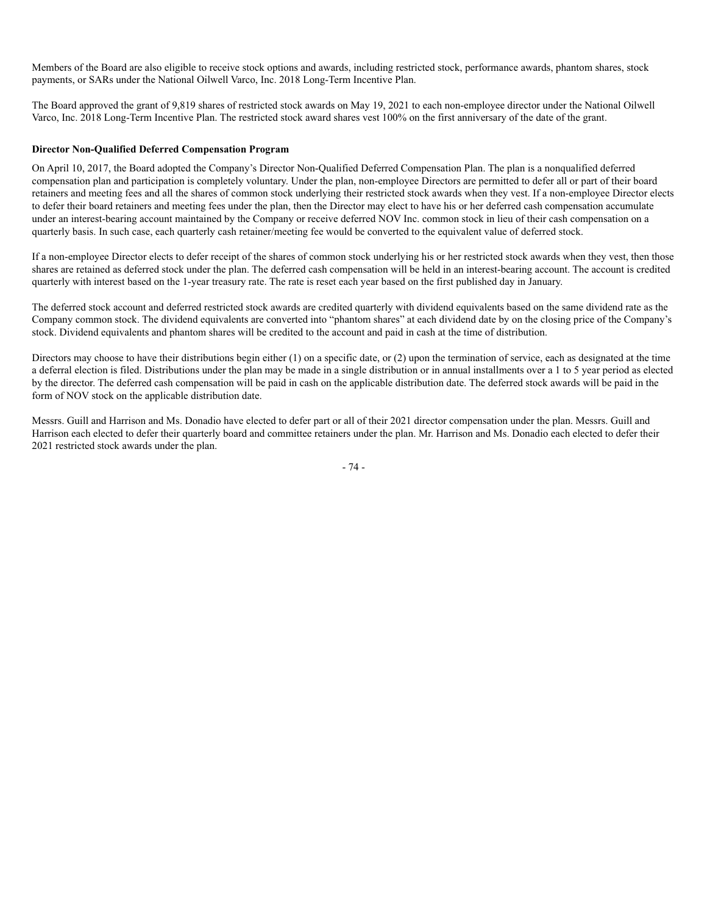Members of the Board are also eligible to receive stock options and awards, including restricted stock, performance awards, phantom shares, stock payments, or SARs under the National Oilwell Varco, Inc. 2018 Long-Term Incentive Plan.

The Board approved the grant of 9,819 shares of restricted stock awards on May 19, 2021 to each non-employee director under the National Oilwell Varco, Inc. 2018 Long-Term Incentive Plan. The restricted stock award shares vest 100% on the first anniversary of the date of the grant.

### **Director Non-Qualified Deferred Compensation Program**

On April 10, 2017, the Board adopted the Company's Director Non-Qualified Deferred Compensation Plan. The plan is a nonqualified deferred compensation plan and participation is completely voluntary. Under the plan, non-employee Directors are permitted to defer all or part of their board retainers and meeting fees and all the shares of common stock underlying their restricted stock awards when they vest. If a non-employee Director elects to defer their board retainers and meeting fees under the plan, then the Director may elect to have his or her deferred cash compensation accumulate under an interest-bearing account maintained by the Company or receive deferred NOV Inc. common stock in lieu of their cash compensation on a quarterly basis. In such case, each quarterly cash retainer/meeting fee would be converted to the equivalent value of deferred stock.

If a non-employee Director elects to defer receipt of the shares of common stock underlying his or her restricted stock awards when they vest, then those shares are retained as deferred stock under the plan. The deferred cash compensation will be held in an interest-bearing account. The account is credited quarterly with interest based on the 1-year treasury rate. The rate is reset each year based on the first published day in January.

The deferred stock account and deferred restricted stock awards are credited quarterly with dividend equivalents based on the same dividend rate as the Company common stock. The dividend equivalents are converted into "phantom shares" at each dividend date by on the closing price of the Company's stock. Dividend equivalents and phantom shares will be credited to the account and paid in cash at the time of distribution.

Directors may choose to have their distributions begin either (1) on a specific date, or (2) upon the termination of service, each as designated at the time a deferral election is filed. Distributions under the plan may be made in a single distribution or in annual installments over a 1 to 5 year period as elected by the director. The deferred cash compensation will be paid in cash on the applicable distribution date. The deferred stock awards will be paid in the form of NOV stock on the applicable distribution date.

Messrs. Guill and Harrison and Ms. Donadio have elected to defer part or all of their 2021 director compensation under the plan. Messrs. Guill and Harrison each elected to defer their quarterly board and committee retainers under the plan. Mr. Harrison and Ms. Donadio each elected to defer their 2021 restricted stock awards under the plan.

- 74 -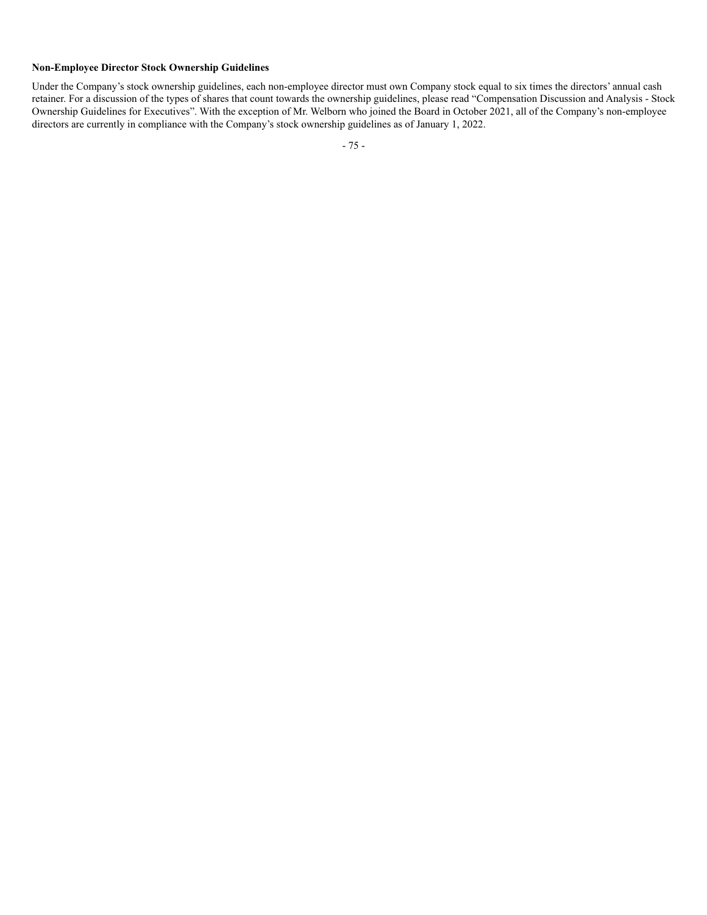# **Non-Employee Director Stock Ownership Guidelines**

Under the Company's stock ownership guidelines, each non-employee director must own Company stock equal to six times the directors' annual cash retainer. For a discussion of the types of shares that count towards the ownership guidelines, please read "Compensation Discussion and Analysis - Stock Ownership Guidelines for Executives". With the exception of Mr. Welborn who joined the Board in October 2021, all of the Company's non-employee directors are currently in compliance with the Company's stock ownership guidelines as of January 1, 2022.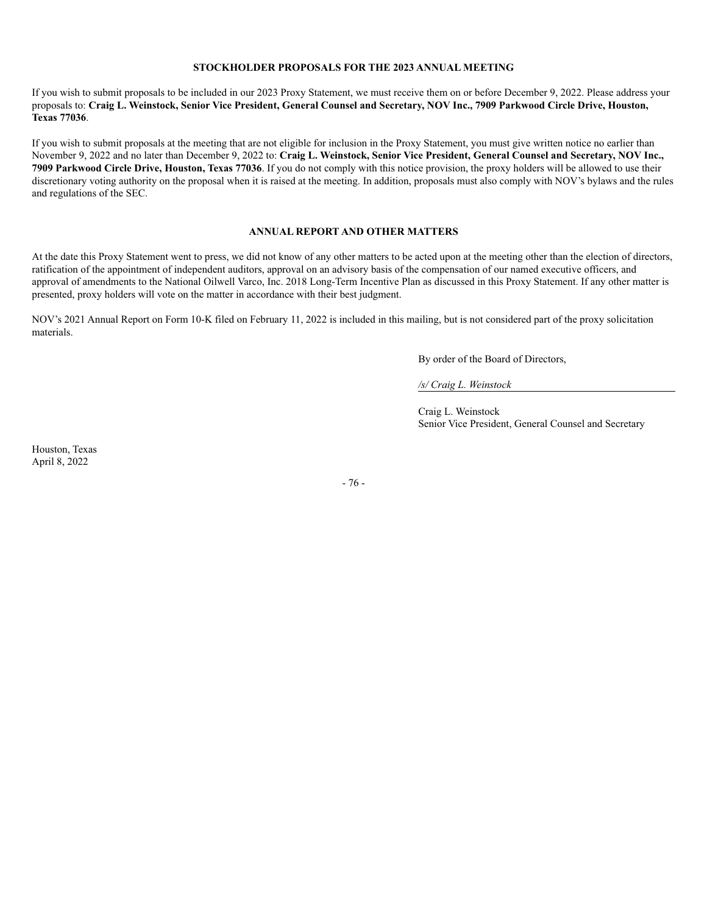#### **STOCKHOLDER PROPOSALS FOR THE 2023 ANNUAL MEETING**

If you wish to submit proposals to be included in our 2023 Proxy Statement, we must receive them on or before December 9, 2022. Please address your proposals to: **Craig L. Weinstock, Senior Vice President, General Counsel and Secretary, NOV Inc., 7909 Parkwood Circle Drive, Houston, Texas 77036**.

If you wish to submit proposals at the meeting that are not eligible for inclusion in the Proxy Statement, you must give written notice no earlier than November 9, 2022 and no later than December 9, 2022 to: **Craig L. Weinstock, Senior Vice President, General Counsel and Secretary, NOV Inc., 7909 Parkwood Circle Drive, Houston, Texas 77036**. If you do not comply with this notice provision, the proxy holders will be allowed to use their discretionary voting authority on the proposal when it is raised at the meeting. In addition, proposals must also comply with NOV's bylaws and the rules and regulations of the SEC.

#### **ANNUAL REPORT AND OTHER MATTERS**

At the date this Proxy Statement went to press, we did not know of any other matters to be acted upon at the meeting other than the election of directors, ratification of the appointment of independent auditors, approval on an advisory basis of the compensation of our named executive officers, and approval of amendments to the National Oilwell Varco, Inc. 2018 Long-Term Incentive Plan as discussed in this Proxy Statement. If any other matter is presented, proxy holders will vote on the matter in accordance with their best judgment.

NOV's 2021 Annual Report on Form 10-K filed on February 11, 2022 is included in this mailing, but is not considered part of the proxy solicitation materials.

By order of the Board of Directors,

*/s/ Craig L. Weinstock*

Craig L. Weinstock Senior Vice President, General Counsel and Secretary

Houston, Texas April 8, 2022

- 76 -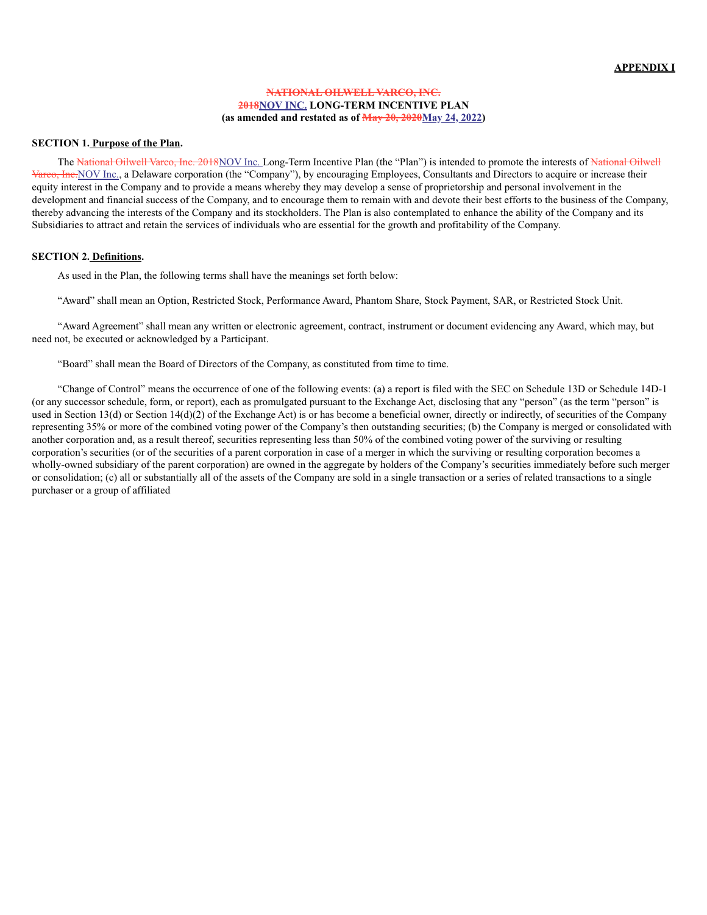#### **NATIONAL OILWELL VARCO, INC. 2018NOV INC. LONG-TERM INCENTIVE PLAN (as amended and restated as of May 20, 2020May 24, 2022)**

#### **SECTION 1. Purpose of the Plan.**

The National Oilwell Varco, Inc. 2018NOV Inc. Long-Term Incentive Plan (the "Plan") is intended to promote the interests of National Oilwell Varco, Inc. NOV Inc., a Delaware corporation (the "Company"), by encouraging Employees, Consultants and Directors to acquire or increase their equity interest in the Company and to provide a means whereby they may develop a sense of proprietorship and personal involvement in the development and financial success of the Company, and to encourage them to remain with and devote their best efforts to the business of the Company, thereby advancing the interests of the Company and its stockholders. The Plan is also contemplated to enhance the ability of the Company and its Subsidiaries to attract and retain the services of individuals who are essential for the growth and profitability of the Company.

#### **SECTION 2. Definitions.**

As used in the Plan, the following terms shall have the meanings set forth below:

"Award" shall mean an Option, Restricted Stock, Performance Award, Phantom Share, Stock Payment, SAR, or Restricted Stock Unit.

"Award Agreement" shall mean any written or electronic agreement, contract, instrument or document evidencing any Award, which may, but need not, be executed or acknowledged by a Participant.

"Board" shall mean the Board of Directors of the Company, as constituted from time to time.

"Change of Control" means the occurrence of one of the following events: (a) a report is filed with the SEC on Schedule 13D or Schedule 14D-1 (or any successor schedule, form, or report), each as promulgated pursuant to the Exchange Act, disclosing that any "person" (as the term "person" is used in Section 13(d) or Section 14(d)(2) of the Exchange Act) is or has become a beneficial owner, directly or indirectly, of securities of the Company representing 35% or more of the combined voting power of the Company's then outstanding securities; (b) the Company is merged or consolidated with another corporation and, as a result thereof, securities representing less than 50% of the combined voting power of the surviving or resulting corporation's securities (or of the securities of a parent corporation in case of a merger in which the surviving or resulting corporation becomes a wholly-owned subsidiary of the parent corporation) are owned in the aggregate by holders of the Company's securities immediately before such merger or consolidation; (c) all or substantially all of the assets of the Company are sold in a single transaction or a series of related transactions to a single purchaser or a group of affiliated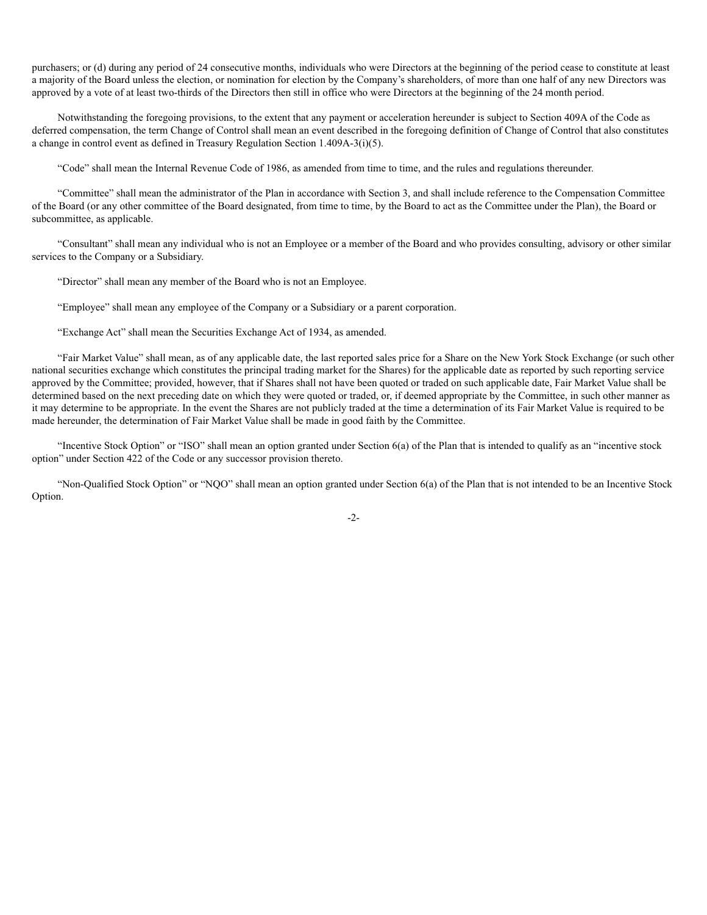purchasers; or (d) during any period of 24 consecutive months, individuals who were Directors at the beginning of the period cease to constitute at least a majority of the Board unless the election, or nomination for election by the Company's shareholders, of more than one half of any new Directors was approved by a vote of at least two-thirds of the Directors then still in office who were Directors at the beginning of the 24 month period.

Notwithstanding the foregoing provisions, to the extent that any payment or acceleration hereunder is subject to Section 409A of the Code as deferred compensation, the term Change of Control shall mean an event described in the foregoing definition of Change of Control that also constitutes a change in control event as defined in Treasury Regulation Section 1.409A-3(i)(5).

"Code" shall mean the Internal Revenue Code of 1986, as amended from time to time, and the rules and regulations thereunder.

"Committee" shall mean the administrator of the Plan in accordance with Section 3, and shall include reference to the Compensation Committee of the Board (or any other committee of the Board designated, from time to time, by the Board to act as the Committee under the Plan), the Board or subcommittee, as applicable.

"Consultant" shall mean any individual who is not an Employee or a member of the Board and who provides consulting, advisory or other similar services to the Company or a Subsidiary.

"Director" shall mean any member of the Board who is not an Employee.

"Employee" shall mean any employee of the Company or a Subsidiary or a parent corporation.

"Exchange Act" shall mean the Securities Exchange Act of 1934, as amended.

"Fair Market Value" shall mean, as of any applicable date, the last reported sales price for a Share on the New York Stock Exchange (or such other national securities exchange which constitutes the principal trading market for the Shares) for the applicable date as reported by such reporting service approved by the Committee; provided, however, that if Shares shall not have been quoted or traded on such applicable date, Fair Market Value shall be determined based on the next preceding date on which they were quoted or traded, or, if deemed appropriate by the Committee, in such other manner as it may determine to be appropriate. In the event the Shares are not publicly traded at the time a determination of its Fair Market Value is required to be made hereunder, the determination of Fair Market Value shall be made in good faith by the Committee.

"Incentive Stock Option" or "ISO" shall mean an option granted under Section 6(a) of the Plan that is intended to qualify as an "incentive stock option" under Section 422 of the Code or any successor provision thereto.

"Non-Qualified Stock Option" or "NQO" shall mean an option granted under Section 6(a) of the Plan that is not intended to be an Incentive Stock Option.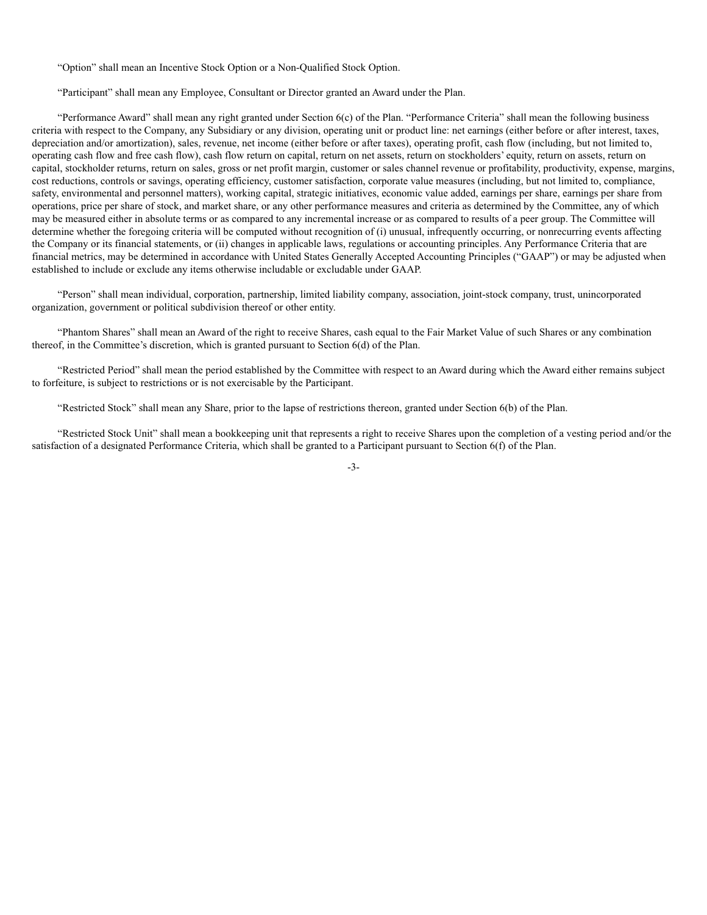"Option" shall mean an Incentive Stock Option or a Non-Qualified Stock Option.

"Participant" shall mean any Employee, Consultant or Director granted an Award under the Plan.

"Performance Award" shall mean any right granted under Section 6(c) of the Plan. "Performance Criteria" shall mean the following business criteria with respect to the Company, any Subsidiary or any division, operating unit or product line: net earnings (either before or after interest, taxes, depreciation and/or amortization), sales, revenue, net income (either before or after taxes), operating profit, cash flow (including, but not limited to, operating cash flow and free cash flow), cash flow return on capital, return on net assets, return on stockholders' equity, return on assets, return on capital, stockholder returns, return on sales, gross or net profit margin, customer or sales channel revenue or profitability, productivity, expense, margins, cost reductions, controls or savings, operating efficiency, customer satisfaction, corporate value measures (including, but not limited to, compliance, safety, environmental and personnel matters), working capital, strategic initiatives, economic value added, earnings per share, earnings per share from operations, price per share of stock, and market share, or any other performance measures and criteria as determined by the Committee, any of which may be measured either in absolute terms or as compared to any incremental increase or as compared to results of a peer group. The Committee will determine whether the foregoing criteria will be computed without recognition of (i) unusual, infrequently occurring, or nonrecurring events affecting the Company or its financial statements, or (ii) changes in applicable laws, regulations or accounting principles. Any Performance Criteria that are financial metrics, may be determined in accordance with United States Generally Accepted Accounting Principles ("GAAP") or may be adjusted when established to include or exclude any items otherwise includable or excludable under GAAP.

"Person" shall mean individual, corporation, partnership, limited liability company, association, joint-stock company, trust, unincorporated organization, government or political subdivision thereof or other entity.

"Phantom Shares" shall mean an Award of the right to receive Shares, cash equal to the Fair Market Value of such Shares or any combination thereof, in the Committee's discretion, which is granted pursuant to Section 6(d) of the Plan.

"Restricted Period" shall mean the period established by the Committee with respect to an Award during which the Award either remains subject to forfeiture, is subject to restrictions or is not exercisable by the Participant.

"Restricted Stock" shall mean any Share, prior to the lapse of restrictions thereon, granted under Section 6(b) of the Plan.

"Restricted Stock Unit" shall mean a bookkeeping unit that represents a right to receive Shares upon the completion of a vesting period and/or the satisfaction of a designated Performance Criteria, which shall be granted to a Participant pursuant to Section 6(f) of the Plan.

-3-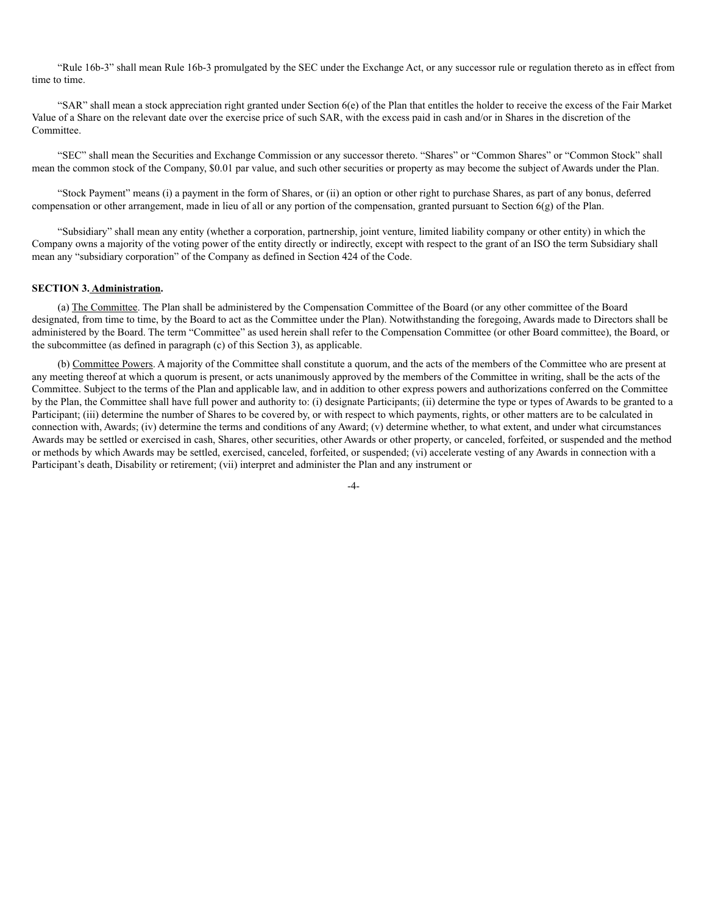"Rule 16b-3" shall mean Rule 16b-3 promulgated by the SEC under the Exchange Act, or any successor rule or regulation thereto as in effect from time to time.

"SAR" shall mean a stock appreciation right granted under Section 6(e) of the Plan that entitles the holder to receive the excess of the Fair Market Value of a Share on the relevant date over the exercise price of such SAR, with the excess paid in cash and/or in Shares in the discretion of the Committee.

"SEC" shall mean the Securities and Exchange Commission or any successor thereto. "Shares" or "Common Shares" or "Common Stock" shall mean the common stock of the Company, \$0.01 par value, and such other securities or property as may become the subject of Awards under the Plan.

"Stock Payment" means (i) a payment in the form of Shares, or (ii) an option or other right to purchase Shares, as part of any bonus, deferred compensation or other arrangement, made in lieu of all or any portion of the compensation, granted pursuant to Section  $6(g)$  of the Plan.

"Subsidiary" shall mean any entity (whether a corporation, partnership, joint venture, limited liability company or other entity) in which the Company owns a majority of the voting power of the entity directly or indirectly, except with respect to the grant of an ISO the term Subsidiary shall mean any "subsidiary corporation" of the Company as defined in Section 424 of the Code.

#### **SECTION 3. Administration.**

(a) The Committee. The Plan shall be administered by the Compensation Committee of the Board (or any other committee of the Board designated, from time to time, by the Board to act as the Committee under the Plan). Notwithstanding the foregoing, Awards made to Directors shall be administered by the Board. The term "Committee" as used herein shall refer to the Compensation Committee (or other Board committee), the Board, or the subcommittee (as defined in paragraph (c) of this Section 3), as applicable.

(b) Committee Powers. A majority of the Committee shall constitute a quorum, and the acts of the members of the Committee who are present at any meeting thereof at which a quorum is present, or acts unanimously approved by the members of the Committee in writing, shall be the acts of the Committee. Subject to the terms of the Plan and applicable law, and in addition to other express powers and authorizations conferred on the Committee by the Plan, the Committee shall have full power and authority to: (i) designate Participants; (ii) determine the type or types of Awards to be granted to a Participant; (iii) determine the number of Shares to be covered by, or with respect to which payments, rights, or other matters are to be calculated in connection with, Awards; (iv) determine the terms and conditions of any Award; (v) determine whether, to what extent, and under what circumstances Awards may be settled or exercised in cash, Shares, other securities, other Awards or other property, or canceled, forfeited, or suspended and the method or methods by which Awards may be settled, exercised, canceled, forfeited, or suspended; (vi) accelerate vesting of any Awards in connection with a Participant's death, Disability or retirement; (vii) interpret and administer the Plan and any instrument or

 $-4-$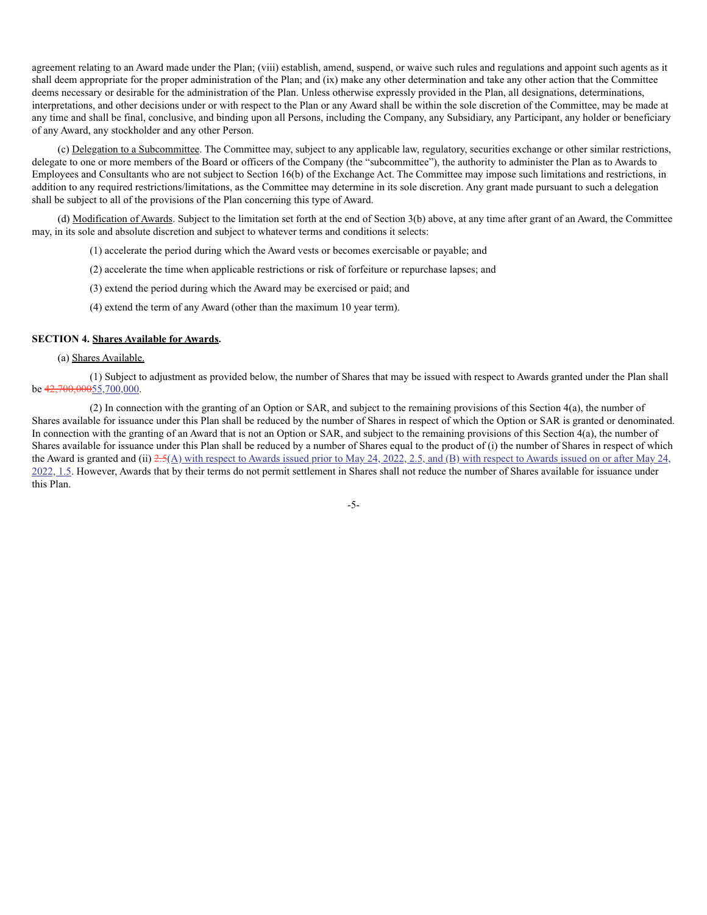agreement relating to an Award made under the Plan; (viii) establish, amend, suspend, or waive such rules and regulations and appoint such agents as it shall deem appropriate for the proper administration of the Plan; and (ix) make any other determination and take any other action that the Committee deems necessary or desirable for the administration of the Plan. Unless otherwise expressly provided in the Plan, all designations, determinations, interpretations, and other decisions under or with respect to the Plan or any Award shall be within the sole discretion of the Committee, may be made at any time and shall be final, conclusive, and binding upon all Persons, including the Company, any Subsidiary, any Participant, any holder or beneficiary of any Award, any stockholder and any other Person.

(c) Delegation to a Subcommittee. The Committee may, subject to any applicable law, regulatory, securities exchange or other similar restrictions, delegate to one or more members of the Board or officers of the Company (the "subcommittee"), the authority to administer the Plan as to Awards to Employees and Consultants who are not subject to Section 16(b) of the Exchange Act. The Committee may impose such limitations and restrictions, in addition to any required restrictions/limitations, as the Committee may determine in its sole discretion. Any grant made pursuant to such a delegation shall be subject to all of the provisions of the Plan concerning this type of Award.

(d) Modification of Awards. Subject to the limitation set forth at the end of Section 3(b) above, at any time after grant of an Award, the Committee may, in its sole and absolute discretion and subject to whatever terms and conditions it selects:

- (1) accelerate the period during which the Award vests or becomes exercisable or payable; and
- (2) accelerate the time when applicable restrictions or risk of forfeiture or repurchase lapses; and
- (3) extend the period during which the Award may be exercised or paid; and
- (4) extend the term of any Award (other than the maximum 10 year term).

#### **SECTION 4. Shares Available for Awards.**

#### (a) Shares Available.

(1) Subject to adjustment as provided below, the number of Shares that may be issued with respect to Awards granted under the Plan shall be  $42,700,00055,700,000$ .

(2) In connection with the granting of an Option or SAR, and subject to the remaining provisions of this Section 4(a), the number of Shares available for issuance under this Plan shall be reduced by the number of Shares in respect of which the Option or SAR is granted or denominated. In connection with the granting of an Award that is not an Option or SAR, and subject to the remaining provisions of this Section 4(a), the number of Shares available for issuance under this Plan shall be reduced by a number of Shares equal to the product of (i) the number of Shares in respect of which the Award is granted and (ii)  $2.5(A)$  with respect to Awards issued prior to May 24, 2022, 2.5, and (B) with respect to Awards issued on or after May 24, 2022, 1.5. However, Awards that by their terms do not permit settlement in Shares shall not reduce the number of Shares available for issuance under this Plan.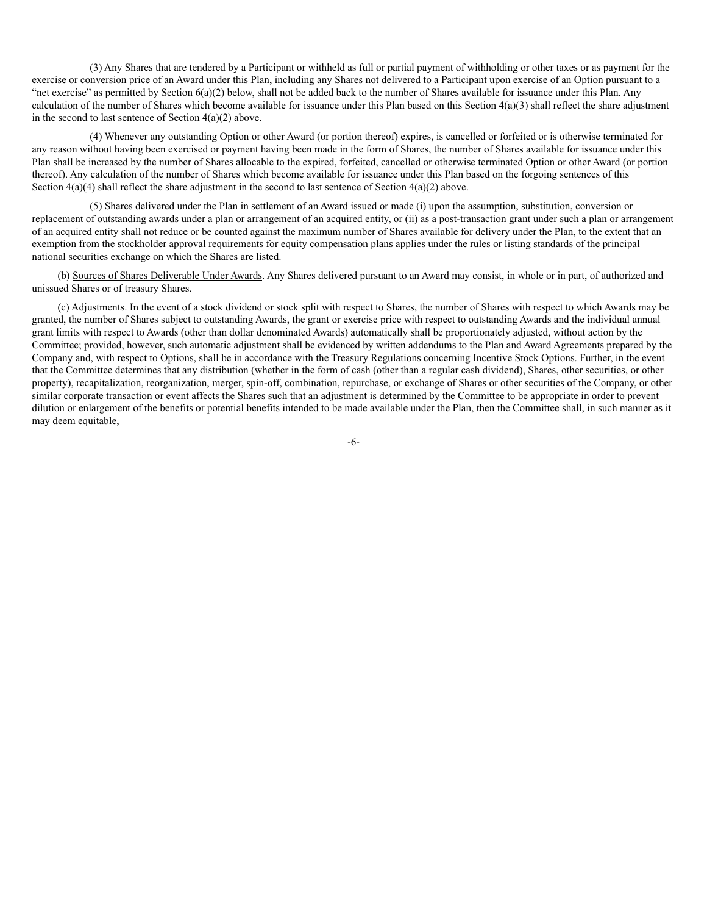(3) Any Shares that are tendered by a Participant or withheld as full or partial payment of withholding or other taxes or as payment for the exercise or conversion price of an Award under this Plan, including any Shares not delivered to a Participant upon exercise of an Option pursuant to a "net exercise" as permitted by Section 6(a)(2) below, shall not be added back to the number of Shares available for issuance under this Plan. Any calculation of the number of Shares which become available for issuance under this Plan based on this Section  $4(a)(3)$  shall reflect the share adjustment in the second to last sentence of Section  $4(a)(2)$  above.

(4) Whenever any outstanding Option or other Award (or portion thereof) expires, is cancelled or forfeited or is otherwise terminated for any reason without having been exercised or payment having been made in the form of Shares, the number of Shares available for issuance under this Plan shall be increased by the number of Shares allocable to the expired, forfeited, cancelled or otherwise terminated Option or other Award (or portion thereof). Any calculation of the number of Shares which become available for issuance under this Plan based on the forgoing sentences of this Section  $4(a)(4)$  shall reflect the share adjustment in the second to last sentence of Section  $4(a)(2)$  above.

(5) Shares delivered under the Plan in settlement of an Award issued or made (i) upon the assumption, substitution, conversion or replacement of outstanding awards under a plan or arrangement of an acquired entity, or (ii) as a post-transaction grant under such a plan or arrangement of an acquired entity shall not reduce or be counted against the maximum number of Shares available for delivery under the Plan, to the extent that an exemption from the stockholder approval requirements for equity compensation plans applies under the rules or listing standards of the principal national securities exchange on which the Shares are listed.

(b) Sources of Shares Deliverable Under Awards. Any Shares delivered pursuant to an Award may consist, in whole or in part, of authorized and unissued Shares or of treasury Shares.

(c) Adjustments. In the event of a stock dividend or stock split with respect to Shares, the number of Shares with respect to which Awards may be granted, the number of Shares subject to outstanding Awards, the grant or exercise price with respect to outstanding Awards and the individual annual grant limits with respect to Awards (other than dollar denominated Awards) automatically shall be proportionately adjusted, without action by the Committee; provided, however, such automatic adjustment shall be evidenced by written addendums to the Plan and Award Agreements prepared by the Company and, with respect to Options, shall be in accordance with the Treasury Regulations concerning Incentive Stock Options. Further, in the event that the Committee determines that any distribution (whether in the form of cash (other than a regular cash dividend), Shares, other securities, or other property), recapitalization, reorganization, merger, spin-off, combination, repurchase, or exchange of Shares or other securities of the Company, or other similar corporate transaction or event affects the Shares such that an adjustment is determined by the Committee to be appropriate in order to prevent dilution or enlargement of the benefits or potential benefits intended to be made available under the Plan, then the Committee shall, in such manner as it may deem equitable,

-6-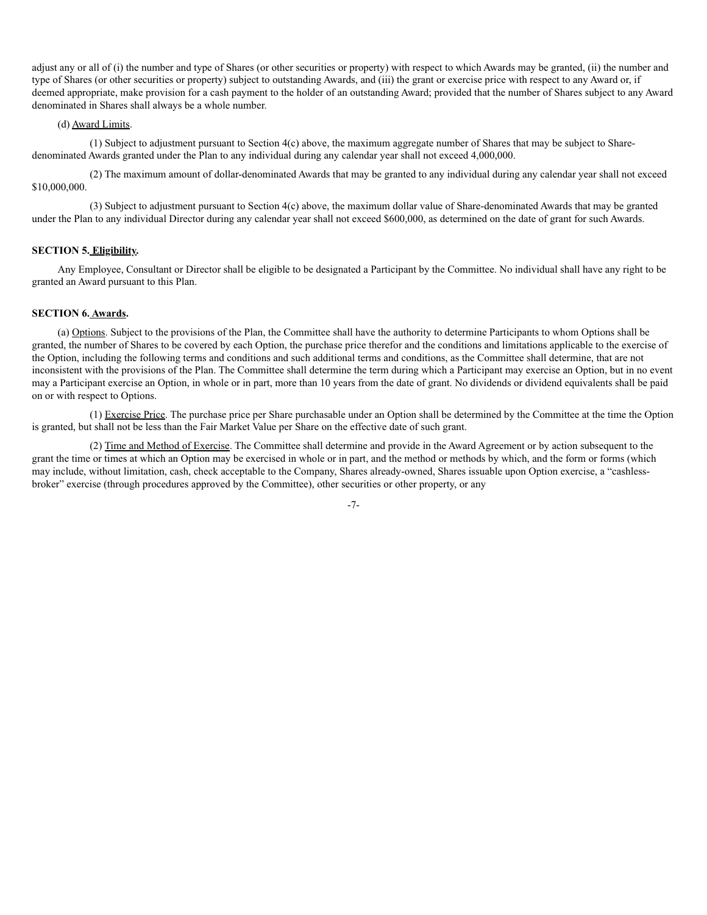adjust any or all of (i) the number and type of Shares (or other securities or property) with respect to which Awards may be granted, (ii) the number and type of Shares (or other securities or property) subject to outstanding Awards, and (iii) the grant or exercise price with respect to any Award or, if deemed appropriate, make provision for a cash payment to the holder of an outstanding Award; provided that the number of Shares subject to any Award denominated in Shares shall always be a whole number.

#### (d) Award Limits.

(1) Subject to adjustment pursuant to Section 4(c) above, the maximum aggregate number of Shares that may be subject to Sharedenominated Awards granted under the Plan to any individual during any calendar year shall not exceed 4,000,000.

(2) The maximum amount of dollar-denominated Awards that may be granted to any individual during any calendar year shall not exceed \$10,000,000.

(3) Subject to adjustment pursuant to Section 4(c) above, the maximum dollar value of Share-denominated Awards that may be granted under the Plan to any individual Director during any calendar year shall not exceed \$600,000, as determined on the date of grant for such Awards.

#### **SECTION 5. Eligibility.**

Any Employee, Consultant or Director shall be eligible to be designated a Participant by the Committee. No individual shall have any right to be granted an Award pursuant to this Plan.

#### **SECTION 6. Awards.**

(a) Options. Subject to the provisions of the Plan, the Committee shall have the authority to determine Participants to whom Options shall be granted, the number of Shares to be covered by each Option, the purchase price therefor and the conditions and limitations applicable to the exercise of the Option, including the following terms and conditions and such additional terms and conditions, as the Committee shall determine, that are not inconsistent with the provisions of the Plan. The Committee shall determine the term during which a Participant may exercise an Option, but in no event may a Participant exercise an Option, in whole or in part, more than 10 years from the date of grant. No dividends or dividend equivalents shall be paid on or with respect to Options.

(1) Exercise Price. The purchase price per Share purchasable under an Option shall be determined by the Committee at the time the Option is granted, but shall not be less than the Fair Market Value per Share on the effective date of such grant.

(2) Time and Method of Exercise. The Committee shall determine and provide in the Award Agreement or by action subsequent to the grant the time or times at which an Option may be exercised in whole or in part, and the method or methods by which, and the form or forms (which may include, without limitation, cash, check acceptable to the Company, Shares already-owned, Shares issuable upon Option exercise, a "cashlessbroker" exercise (through procedures approved by the Committee), other securities or other property, or any

-7-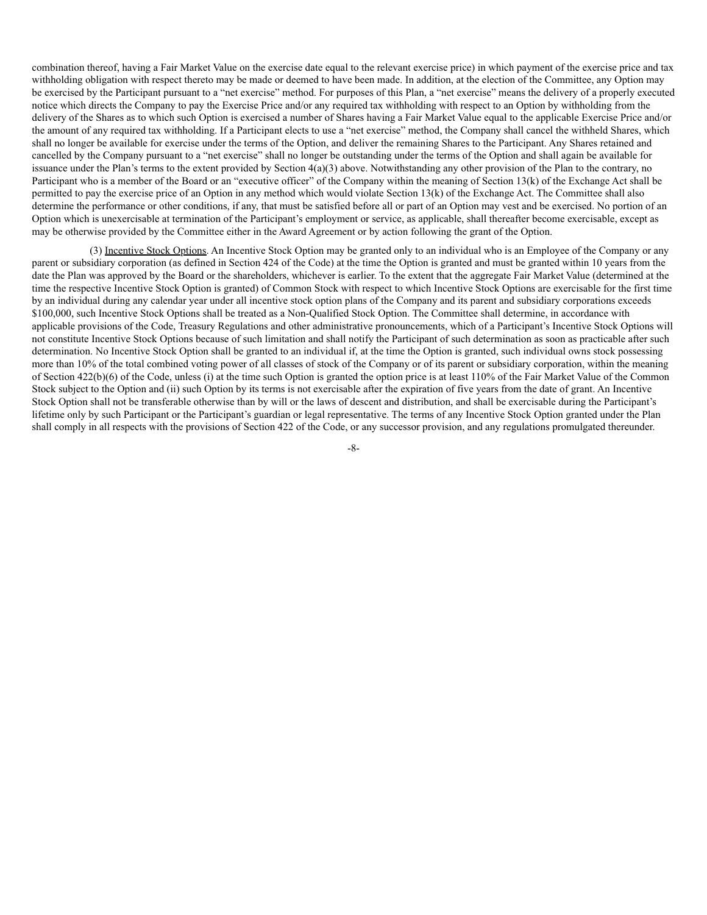combination thereof, having a Fair Market Value on the exercise date equal to the relevant exercise price) in which payment of the exercise price and tax withholding obligation with respect thereto may be made or deemed to have been made. In addition, at the election of the Committee, any Option may be exercised by the Participant pursuant to a "net exercise" method. For purposes of this Plan, a "net exercise" means the delivery of a properly executed notice which directs the Company to pay the Exercise Price and/or any required tax withholding with respect to an Option by withholding from the delivery of the Shares as to which such Option is exercised a number of Shares having a Fair Market Value equal to the applicable Exercise Price and/or the amount of any required tax withholding. If a Participant elects to use a "net exercise" method, the Company shall cancel the withheld Shares, which shall no longer be available for exercise under the terms of the Option, and deliver the remaining Shares to the Participant. Any Shares retained and cancelled by the Company pursuant to a "net exercise" shall no longer be outstanding under the terms of the Option and shall again be available for issuance under the Plan's terms to the extent provided by Section 4(a)(3) above. Notwithstanding any other provision of the Plan to the contrary, no Participant who is a member of the Board or an "executive officer" of the Company within the meaning of Section 13(k) of the Exchange Act shall be permitted to pay the exercise price of an Option in any method which would violate Section 13(k) of the Exchange Act. The Committee shall also determine the performance or other conditions, if any, that must be satisfied before all or part of an Option may vest and be exercised. No portion of an Option which is unexercisable at termination of the Participant's employment or service, as applicable, shall thereafter become exercisable, except as may be otherwise provided by the Committee either in the Award Agreement or by action following the grant of the Option.

(3) Incentive Stock Options. An Incentive Stock Option may be granted only to an individual who is an Employee of the Company or any parent or subsidiary corporation (as defined in Section 424 of the Code) at the time the Option is granted and must be granted within 10 years from the date the Plan was approved by the Board or the shareholders, whichever is earlier. To the extent that the aggregate Fair Market Value (determined at the time the respective Incentive Stock Option is granted) of Common Stock with respect to which Incentive Stock Options are exercisable for the first time by an individual during any calendar year under all incentive stock option plans of the Company and its parent and subsidiary corporations exceeds \$100,000, such Incentive Stock Options shall be treated as a Non-Qualified Stock Option. The Committee shall determine, in accordance with applicable provisions of the Code, Treasury Regulations and other administrative pronouncements, which of a Participant's Incentive Stock Options will not constitute Incentive Stock Options because of such limitation and shall notify the Participant of such determination as soon as practicable after such determination. No Incentive Stock Option shall be granted to an individual if, at the time the Option is granted, such individual owns stock possessing more than 10% of the total combined voting power of all classes of stock of the Company or of its parent or subsidiary corporation, within the meaning of Section 422(b)(6) of the Code, unless (i) at the time such Option is granted the option price is at least 110% of the Fair Market Value of the Common Stock subject to the Option and (ii) such Option by its terms is not exercisable after the expiration of five years from the date of grant. An Incentive Stock Option shall not be transferable otherwise than by will or the laws of descent and distribution, and shall be exercisable during the Participant's lifetime only by such Participant or the Participant's guardian or legal representative. The terms of any Incentive Stock Option granted under the Plan shall comply in all respects with the provisions of Section 422 of the Code, or any successor provision, and any regulations promulgated thereunder.

-8-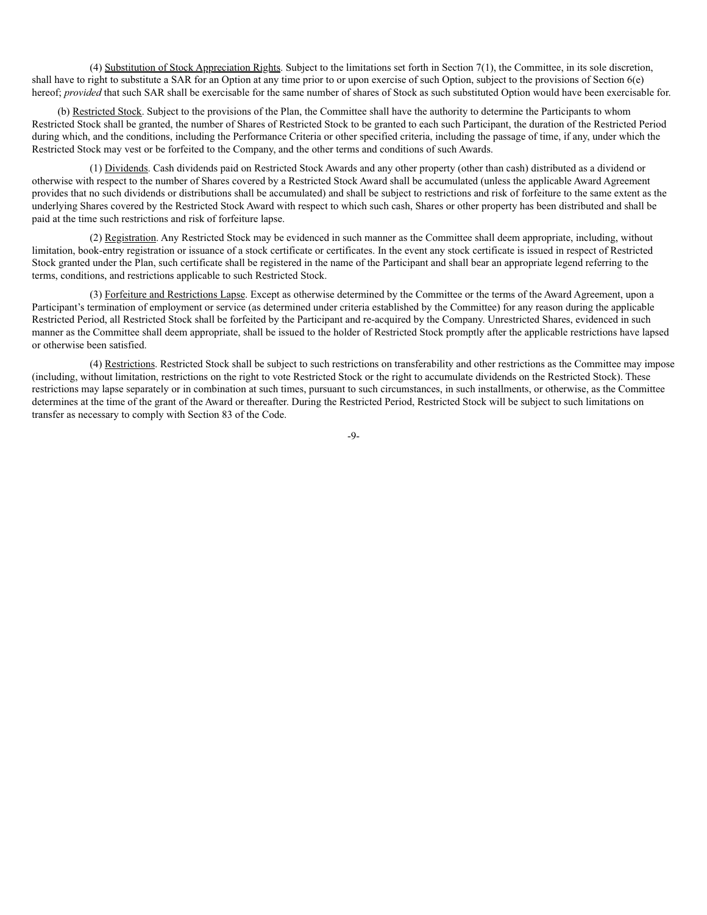(4) Substitution of Stock Appreciation Rights. Subject to the limitations set forth in Section 7(1), the Committee, in its sole discretion, shall have to right to substitute a SAR for an Option at any time prior to or upon exercise of such Option, subject to the provisions of Section 6(e) hereof; *provided* that such SAR shall be exercisable for the same number of shares of Stock as such substituted Option would have been exercisable for.

(b) Restricted Stock. Subject to the provisions of the Plan, the Committee shall have the authority to determine the Participants to whom Restricted Stock shall be granted, the number of Shares of Restricted Stock to be granted to each such Participant, the duration of the Restricted Period during which, and the conditions, including the Performance Criteria or other specified criteria, including the passage of time, if any, under which the Restricted Stock may vest or be forfeited to the Company, and the other terms and conditions of such Awards.

(1) Dividends. Cash dividends paid on Restricted Stock Awards and any other property (other than cash) distributed as a dividend or otherwise with respect to the number of Shares covered by a Restricted Stock Award shall be accumulated (unless the applicable Award Agreement provides that no such dividends or distributions shall be accumulated) and shall be subject to restrictions and risk of forfeiture to the same extent as the underlying Shares covered by the Restricted Stock Award with respect to which such cash, Shares or other property has been distributed and shall be paid at the time such restrictions and risk of forfeiture lapse.

(2) Registration. Any Restricted Stock may be evidenced in such manner as the Committee shall deem appropriate, including, without limitation, book-entry registration or issuance of a stock certificate or certificates. In the event any stock certificate is issued in respect of Restricted Stock granted under the Plan, such certificate shall be registered in the name of the Participant and shall bear an appropriate legend referring to the terms, conditions, and restrictions applicable to such Restricted Stock.

(3) Forfeiture and Restrictions Lapse. Except as otherwise determined by the Committee or the terms of the Award Agreement, upon a Participant's termination of employment or service (as determined under criteria established by the Committee) for any reason during the applicable Restricted Period, all Restricted Stock shall be forfeited by the Participant and re-acquired by the Company. Unrestricted Shares, evidenced in such manner as the Committee shall deem appropriate, shall be issued to the holder of Restricted Stock promptly after the applicable restrictions have lapsed or otherwise been satisfied.

(4) Restrictions. Restricted Stock shall be subject to such restrictions on transferability and other restrictions as the Committee may impose (including, without limitation, restrictions on the right to vote Restricted Stock or the right to accumulate dividends on the Restricted Stock). These restrictions may lapse separately or in combination at such times, pursuant to such circumstances, in such installments, or otherwise, as the Committee determines at the time of the grant of the Award or thereafter. During the Restricted Period, Restricted Stock will be subject to such limitations on transfer as necessary to comply with Section 83 of the Code.

-9-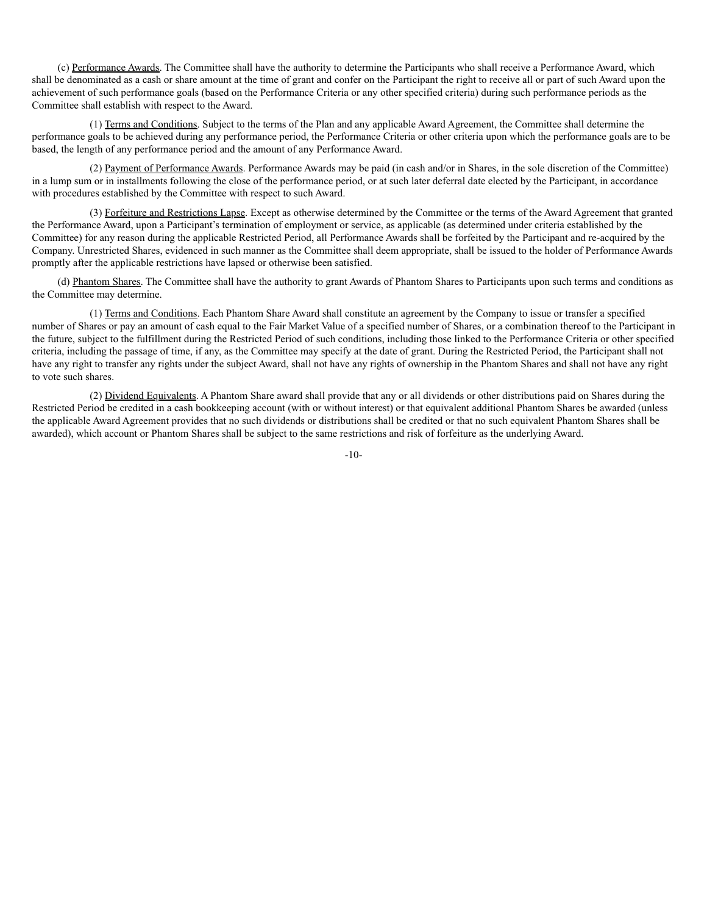(c) Performance Awards. The Committee shall have the authority to determine the Participants who shall receive a Performance Award, which shall be denominated as a cash or share amount at the time of grant and confer on the Participant the right to receive all or part of such Award upon the achievement of such performance goals (based on the Performance Criteria or any other specified criteria) during such performance periods as the Committee shall establish with respect to the Award.

(1) Terms and Conditions. Subject to the terms of the Plan and any applicable Award Agreement, the Committee shall determine the performance goals to be achieved during any performance period, the Performance Criteria or other criteria upon which the performance goals are to be based, the length of any performance period and the amount of any Performance Award.

(2) Payment of Performance Awards. Performance Awards may be paid (in cash and/or in Shares, in the sole discretion of the Committee) in a lump sum or in installments following the close of the performance period, or at such later deferral date elected by the Participant, in accordance with procedures established by the Committee with respect to such Award.

(3) Forfeiture and Restrictions Lapse. Except as otherwise determined by the Committee or the terms of the Award Agreement that granted the Performance Award, upon a Participant's termination of employment or service, as applicable (as determined under criteria established by the Committee) for any reason during the applicable Restricted Period, all Performance Awards shall be forfeited by the Participant and re-acquired by the Company. Unrestricted Shares, evidenced in such manner as the Committee shall deem appropriate, shall be issued to the holder of Performance Awards promptly after the applicable restrictions have lapsed or otherwise been satisfied.

(d) Phantom Shares. The Committee shall have the authority to grant Awards of Phantom Shares to Participants upon such terms and conditions as the Committee may determine.

(1) Terms and Conditions. Each Phantom Share Award shall constitute an agreement by the Company to issue or transfer a specified number of Shares or pay an amount of cash equal to the Fair Market Value of a specified number of Shares, or a combination thereof to the Participant in the future, subject to the fulfillment during the Restricted Period of such conditions, including those linked to the Performance Criteria or other specified criteria, including the passage of time, if any, as the Committee may specify at the date of grant. During the Restricted Period, the Participant shall not have any right to transfer any rights under the subject Award, shall not have any rights of ownership in the Phantom Shares and shall not have any right to vote such shares.

(2) Dividend Equivalents. A Phantom Share award shall provide that any or all dividends or other distributions paid on Shares during the Restricted Period be credited in a cash bookkeeping account (with or without interest) or that equivalent additional Phantom Shares be awarded (unless the applicable Award Agreement provides that no such dividends or distributions shall be credited or that no such equivalent Phantom Shares shall be awarded), which account or Phantom Shares shall be subject to the same restrictions and risk of forfeiture as the underlying Award.

-10-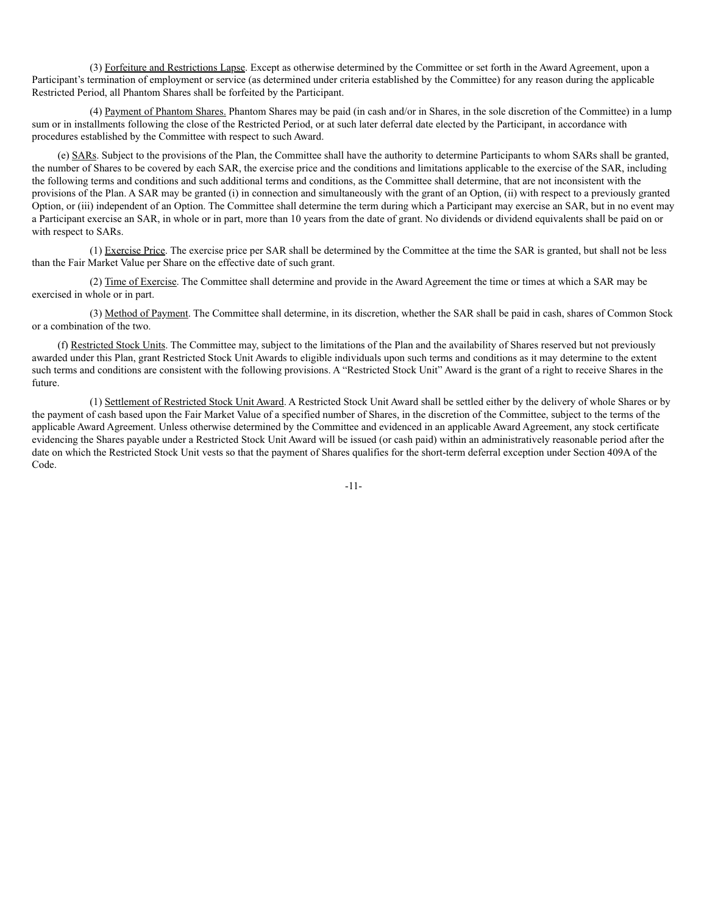(3) Forfeiture and Restrictions Lapse. Except as otherwise determined by the Committee or set forth in the Award Agreement, upon a Participant's termination of employment or service (as determined under criteria established by the Committee) for any reason during the applicable Restricted Period, all Phantom Shares shall be forfeited by the Participant.

(4) Payment of Phantom Shares. Phantom Shares may be paid (in cash and/or in Shares, in the sole discretion of the Committee) in a lump sum or in installments following the close of the Restricted Period, or at such later deferral date elected by the Participant, in accordance with procedures established by the Committee with respect to such Award.

(e) SARs. Subject to the provisions of the Plan, the Committee shall have the authority to determine Participants to whom SARs shall be granted, the number of Shares to be covered by each SAR, the exercise price and the conditions and limitations applicable to the exercise of the SAR, including the following terms and conditions and such additional terms and conditions, as the Committee shall determine, that are not inconsistent with the provisions of the Plan. A SAR may be granted (i) in connection and simultaneously with the grant of an Option, (ii) with respect to a previously granted Option, or (iii) independent of an Option. The Committee shall determine the term during which a Participant may exercise an SAR, but in no event may a Participant exercise an SAR, in whole or in part, more than 10 years from the date of grant. No dividends or dividend equivalents shall be paid on or with respect to SARs.

(1) Exercise Price. The exercise price per SAR shall be determined by the Committee at the time the SAR is granted, but shall not be less than the Fair Market Value per Share on the effective date of such grant.

(2) Time of Exercise. The Committee shall determine and provide in the Award Agreement the time or times at which a SAR may be exercised in whole or in part.

(3) Method of Payment. The Committee shall determine, in its discretion, whether the SAR shall be paid in cash, shares of Common Stock or a combination of the two.

(f) Restricted Stock Units. The Committee may, subject to the limitations of the Plan and the availability of Shares reserved but not previously awarded under this Plan, grant Restricted Stock Unit Awards to eligible individuals upon such terms and conditions as it may determine to the extent such terms and conditions are consistent with the following provisions. A "Restricted Stock Unit" Award is the grant of a right to receive Shares in the future.

(1) Settlement of Restricted Stock Unit Award. A Restricted Stock Unit Award shall be settled either by the delivery of whole Shares or by the payment of cash based upon the Fair Market Value of a specified number of Shares, in the discretion of the Committee, subject to the terms of the applicable Award Agreement. Unless otherwise determined by the Committee and evidenced in an applicable Award Agreement, any stock certificate evidencing the Shares payable under a Restricted Stock Unit Award will be issued (or cash paid) within an administratively reasonable period after the date on which the Restricted Stock Unit vests so that the payment of Shares qualifies for the short-term deferral exception under Section 409A of the Code.

-11-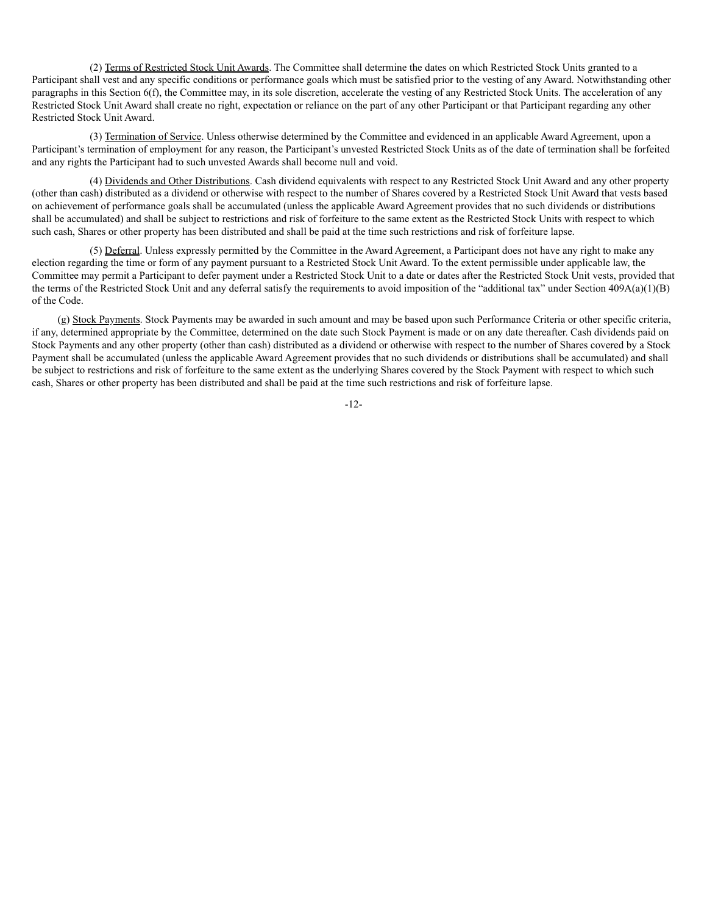(2) Terms of Restricted Stock Unit Awards. The Committee shall determine the dates on which Restricted Stock Units granted to a Participant shall vest and any specific conditions or performance goals which must be satisfied prior to the vesting of any Award. Notwithstanding other paragraphs in this Section 6(f), the Committee may, in its sole discretion, accelerate the vesting of any Restricted Stock Units. The acceleration of any Restricted Stock Unit Award shall create no right, expectation or reliance on the part of any other Participant or that Participant regarding any other Restricted Stock Unit Award.

(3) Termination of Service. Unless otherwise determined by the Committee and evidenced in an applicable Award Agreement, upon a Participant's termination of employment for any reason, the Participant's unvested Restricted Stock Units as of the date of termination shall be forfeited and any rights the Participant had to such unvested Awards shall become null and void.

(4) Dividends and Other Distributions. Cash dividend equivalents with respect to any Restricted Stock Unit Award and any other property (other than cash) distributed as a dividend or otherwise with respect to the number of Shares covered by a Restricted Stock Unit Award that vests based on achievement of performance goals shall be accumulated (unless the applicable Award Agreement provides that no such dividends or distributions shall be accumulated) and shall be subject to restrictions and risk of forfeiture to the same extent as the Restricted Stock Units with respect to which such cash, Shares or other property has been distributed and shall be paid at the time such restrictions and risk of forfeiture lapse.

(5) Deferral. Unless expressly permitted by the Committee in the Award Agreement, a Participant does not have any right to make any election regarding the time or form of any payment pursuant to a Restricted Stock Unit Award. To the extent permissible under applicable law, the Committee may permit a Participant to defer payment under a Restricted Stock Unit to a date or dates after the Restricted Stock Unit vests, provided that the terms of the Restricted Stock Unit and any deferral satisfy the requirements to avoid imposition of the "additional tax" under Section 409A(a)(1)(B) of the Code.

(g) Stock Payments. Stock Payments may be awarded in such amount and may be based upon such Performance Criteria or other specific criteria, if any, determined appropriate by the Committee, determined on the date such Stock Payment is made or on any date thereafter. Cash dividends paid on Stock Payments and any other property (other than cash) distributed as a dividend or otherwise with respect to the number of Shares covered by a Stock Payment shall be accumulated (unless the applicable Award Agreement provides that no such dividends or distributions shall be accumulated) and shall be subject to restrictions and risk of forfeiture to the same extent as the underlying Shares covered by the Stock Payment with respect to which such cash, Shares or other property has been distributed and shall be paid at the time such restrictions and risk of forfeiture lapse.

-12-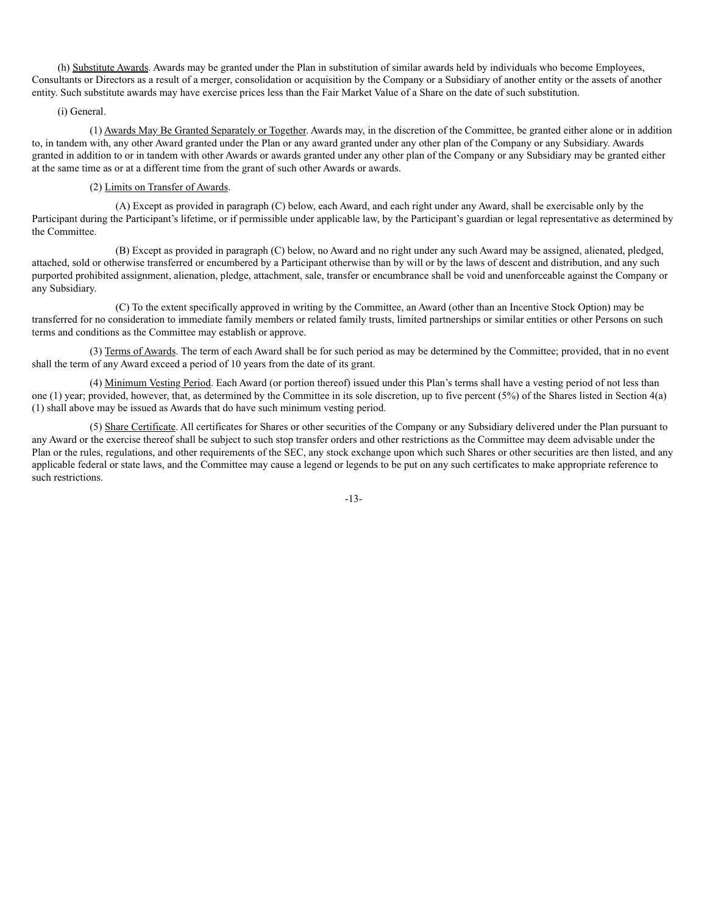(h) Substitute Awards. Awards may be granted under the Plan in substitution of similar awards held by individuals who become Employees, Consultants or Directors as a result of a merger, consolidation or acquisition by the Company or a Subsidiary of another entity or the assets of another entity. Such substitute awards may have exercise prices less than the Fair Market Value of a Share on the date of such substitution.

#### (i) General.

(1) Awards May Be Granted Separately or Together. Awards may, in the discretion of the Committee, be granted either alone or in addition to, in tandem with, any other Award granted under the Plan or any award granted under any other plan of the Company or any Subsidiary. Awards granted in addition to or in tandem with other Awards or awards granted under any other plan of the Company or any Subsidiary may be granted either at the same time as or at a different time from the grant of such other Awards or awards.

#### (2) Limits on Transfer of Awards.

(A) Except as provided in paragraph (C) below, each Award, and each right under any Award, shall be exercisable only by the Participant during the Participant's lifetime, or if permissible under applicable law, by the Participant's guardian or legal representative as determined by the Committee.

(B) Except as provided in paragraph (C) below, no Award and no right under any such Award may be assigned, alienated, pledged, attached, sold or otherwise transferred or encumbered by a Participant otherwise than by will or by the laws of descent and distribution, and any such purported prohibited assignment, alienation, pledge, attachment, sale, transfer or encumbrance shall be void and unenforceable against the Company or any Subsidiary.

(C) To the extent specifically approved in writing by the Committee, an Award (other than an Incentive Stock Option) may be transferred for no consideration to immediate family members or related family trusts, limited partnerships or similar entities or other Persons on such terms and conditions as the Committee may establish or approve.

(3) Terms of Awards. The term of each Award shall be for such period as may be determined by the Committee; provided, that in no event shall the term of any Award exceed a period of 10 years from the date of its grant.

(4) Minimum Vesting Period. Each Award (or portion thereof) issued under this Plan's terms shall have a vesting period of not less than one (1) year; provided, however, that, as determined by the Committee in its sole discretion, up to five percent (5%) of the Shares listed in Section 4(a) (1) shall above may be issued as Awards that do have such minimum vesting period.

(5) Share Certificate. All certificates for Shares or other securities of the Company or any Subsidiary delivered under the Plan pursuant to any Award or the exercise thereof shall be subject to such stop transfer orders and other restrictions as the Committee may deem advisable under the Plan or the rules, regulations, and other requirements of the SEC, any stock exchange upon which such Shares or other securities are then listed, and any applicable federal or state laws, and the Committee may cause a legend or legends to be put on any such certificates to make appropriate reference to such restrictions.

-13-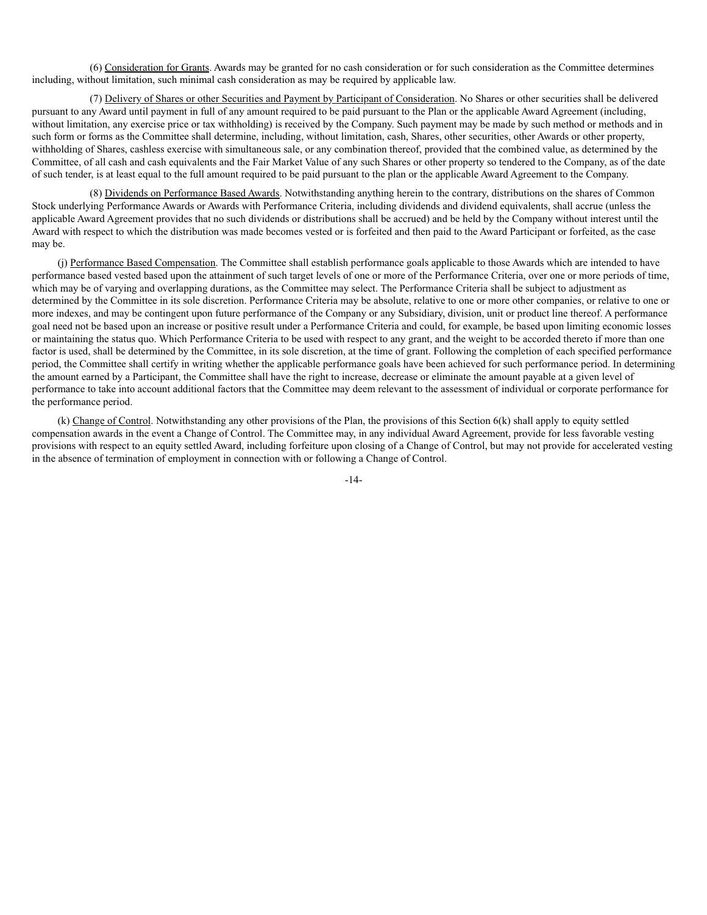(6) Consideration for Grants. Awards may be granted for no cash consideration or for such consideration as the Committee determines including, without limitation, such minimal cash consideration as may be required by applicable law.

(7) Delivery of Shares or other Securities and Payment by Participant of Consideration. No Shares or other securities shall be delivered pursuant to any Award until payment in full of any amount required to be paid pursuant to the Plan or the applicable Award Agreement (including, without limitation, any exercise price or tax withholding) is received by the Company. Such payment may be made by such method or methods and in such form or forms as the Committee shall determine, including, without limitation, cash, Shares, other securities, other Awards or other property, withholding of Shares, cashless exercise with simultaneous sale, or any combination thereof, provided that the combined value, as determined by the Committee, of all cash and cash equivalents and the Fair Market Value of any such Shares or other property so tendered to the Company, as of the date of such tender, is at least equal to the full amount required to be paid pursuant to the plan or the applicable Award Agreement to the Company.

(8) Dividends on Performance Based Awards. Notwithstanding anything herein to the contrary, distributions on the shares of Common Stock underlying Performance Awards or Awards with Performance Criteria, including dividends and dividend equivalents, shall accrue (unless the applicable Award Agreement provides that no such dividends or distributions shall be accrued) and be held by the Company without interest until the Award with respect to which the distribution was made becomes vested or is forfeited and then paid to the Award Participant or forfeited, as the case may be.

(j) Performance Based Compensation. The Committee shall establish performance goals applicable to those Awards which are intended to have performance based vested based upon the attainment of such target levels of one or more of the Performance Criteria, over one or more periods of time, which may be of varying and overlapping durations, as the Committee may select. The Performance Criteria shall be subject to adjustment as determined by the Committee in its sole discretion. Performance Criteria may be absolute, relative to one or more other companies, or relative to one or more indexes, and may be contingent upon future performance of the Company or any Subsidiary, division, unit or product line thereof. A performance goal need not be based upon an increase or positive result under a Performance Criteria and could, for example, be based upon limiting economic losses or maintaining the status quo. Which Performance Criteria to be used with respect to any grant, and the weight to be accorded thereto if more than one factor is used, shall be determined by the Committee, in its sole discretion, at the time of grant. Following the completion of each specified performance period, the Committee shall certify in writing whether the applicable performance goals have been achieved for such performance period. In determining the amount earned by a Participant, the Committee shall have the right to increase, decrease or eliminate the amount payable at a given level of performance to take into account additional factors that the Committee may deem relevant to the assessment of individual or corporate performance for the performance period.

(k) Change of Control. Notwithstanding any other provisions of the Plan, the provisions of this Section 6(k) shall apply to equity settled compensation awards in the event a Change of Control. The Committee may, in any individual Award Agreement, provide for less favorable vesting provisions with respect to an equity settled Award, including forfeiture upon closing of a Change of Control, but may not provide for accelerated vesting in the absence of termination of employment in connection with or following a Change of Control.

-14-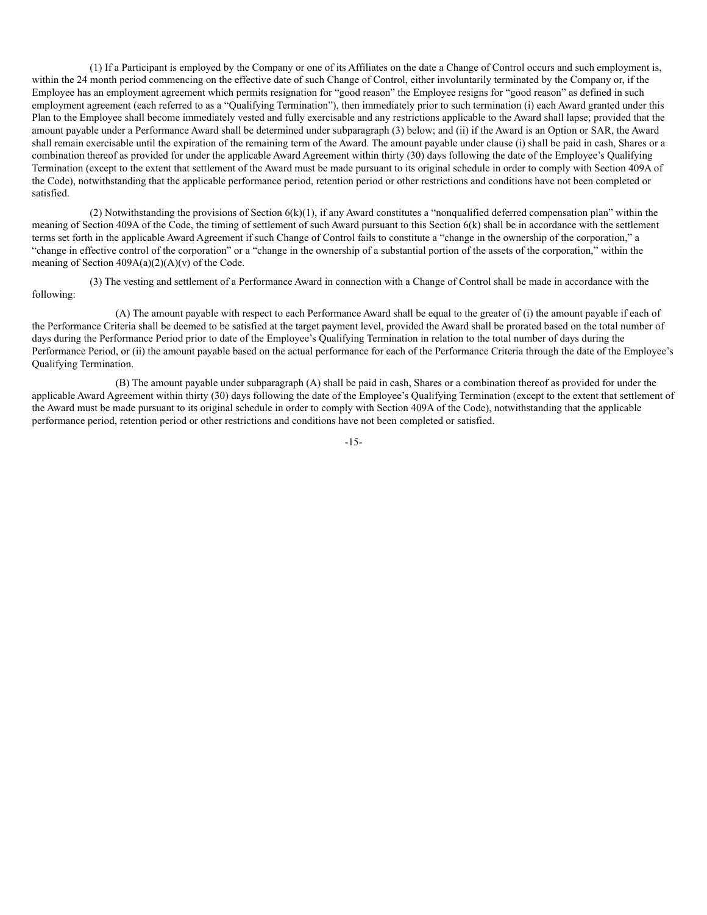(1) If a Participant is employed by the Company or one of its Affiliates on the date a Change of Control occurs and such employment is, within the 24 month period commencing on the effective date of such Change of Control, either involuntarily terminated by the Company or, if the Employee has an employment agreement which permits resignation for "good reason" the Employee resigns for "good reason" as defined in such employment agreement (each referred to as a "Qualifying Termination"), then immediately prior to such termination (i) each Award granted under this Plan to the Employee shall become immediately vested and fully exercisable and any restrictions applicable to the Award shall lapse; provided that the amount payable under a Performance Award shall be determined under subparagraph (3) below; and (ii) if the Award is an Option or SAR, the Award shall remain exercisable until the expiration of the remaining term of the Award. The amount payable under clause (i) shall be paid in cash, Shares or a combination thereof as provided for under the applicable Award Agreement within thirty (30) days following the date of the Employee's Qualifying Termination (except to the extent that settlement of the Award must be made pursuant to its original schedule in order to comply with Section 409A of the Code), notwithstanding that the applicable performance period, retention period or other restrictions and conditions have not been completed or satisfied.

(2) Notwithstanding the provisions of Section  $6(k)(1)$ , if any Award constitutes a "nonqualified deferred compensation plan" within the meaning of Section 409A of the Code, the timing of settlement of such Award pursuant to this Section 6(k) shall be in accordance with the settlement terms set forth in the applicable Award Agreement if such Change of Control fails to constitute a "change in the ownership of the corporation," a "change in effective control of the corporation" or a "change in the ownership of a substantial portion of the assets of the corporation," within the meaning of Section  $409A(a)(2)(A)(v)$  of the Code.

(3) The vesting and settlement of a Performance Award in connection with a Change of Control shall be made in accordance with the following:

(A) The amount payable with respect to each Performance Award shall be equal to the greater of (i) the amount payable if each of the Performance Criteria shall be deemed to be satisfied at the target payment level, provided the Award shall be prorated based on the total number of days during the Performance Period prior to date of the Employee's Qualifying Termination in relation to the total number of days during the Performance Period, or (ii) the amount payable based on the actual performance for each of the Performance Criteria through the date of the Employee's Qualifying Termination.

(B) The amount payable under subparagraph (A) shall be paid in cash, Shares or a combination thereof as provided for under the applicable Award Agreement within thirty (30) days following the date of the Employee's Qualifying Termination (except to the extent that settlement of the Award must be made pursuant to its original schedule in order to comply with Section 409A of the Code), notwithstanding that the applicable performance period, retention period or other restrictions and conditions have not been completed or satisfied.

-15-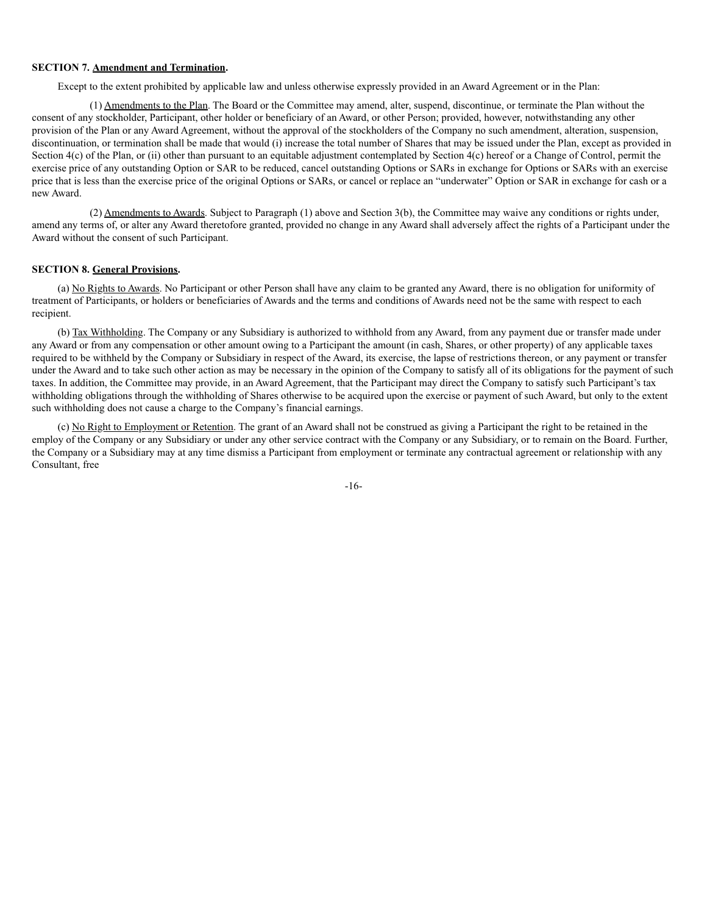#### **SECTION 7. Amendment and Termination.**

Except to the extent prohibited by applicable law and unless otherwise expressly provided in an Award Agreement or in the Plan:

(1) Amendments to the Plan. The Board or the Committee may amend, alter, suspend, discontinue, or terminate the Plan without the consent of any stockholder, Participant, other holder or beneficiary of an Award, or other Person; provided, however, notwithstanding any other provision of the Plan or any Award Agreement, without the approval of the stockholders of the Company no such amendment, alteration, suspension, discontinuation, or termination shall be made that would (i) increase the total number of Shares that may be issued under the Plan, except as provided in Section  $4(c)$  of the Plan, or (ii) other than pursuant to an equitable adjustment contemplated by Section  $4(c)$  hereof or a Change of Control, permit the exercise price of any outstanding Option or SAR to be reduced, cancel outstanding Options or SARs in exchange for Options or SARs with an exercise price that is less than the exercise price of the original Options or SARs, or cancel or replace an "underwater" Option or SAR in exchange for cash or a new Award.

(2) Amendments to Awards. Subject to Paragraph (1) above and Section 3(b), the Committee may waive any conditions or rights under, amend any terms of, or alter any Award theretofore granted, provided no change in any Award shall adversely affect the rights of a Participant under the Award without the consent of such Participant.

#### **SECTION 8. General Provisions.**

(a) No Rights to Awards. No Participant or other Person shall have any claim to be granted any Award, there is no obligation for uniformity of treatment of Participants, or holders or beneficiaries of Awards and the terms and conditions of Awards need not be the same with respect to each recipient.

(b) Tax Withholding. The Company or any Subsidiary is authorized to withhold from any Award, from any payment due or transfer made under any Award or from any compensation or other amount owing to a Participant the amount (in cash, Shares, or other property) of any applicable taxes required to be withheld by the Company or Subsidiary in respect of the Award, its exercise, the lapse of restrictions thereon, or any payment or transfer under the Award and to take such other action as may be necessary in the opinion of the Company to satisfy all of its obligations for the payment of such taxes. In addition, the Committee may provide, in an Award Agreement, that the Participant may direct the Company to satisfy such Participant's tax withholding obligations through the withholding of Shares otherwise to be acquired upon the exercise or payment of such Award, but only to the extent such withholding does not cause a charge to the Company's financial earnings.

(c) No Right to Employment or Retention. The grant of an Award shall not be construed as giving a Participant the right to be retained in the employ of the Company or any Subsidiary or under any other service contract with the Company or any Subsidiary, or to remain on the Board. Further, the Company or a Subsidiary may at any time dismiss a Participant from employment or terminate any contractual agreement or relationship with any Consultant, free

-16-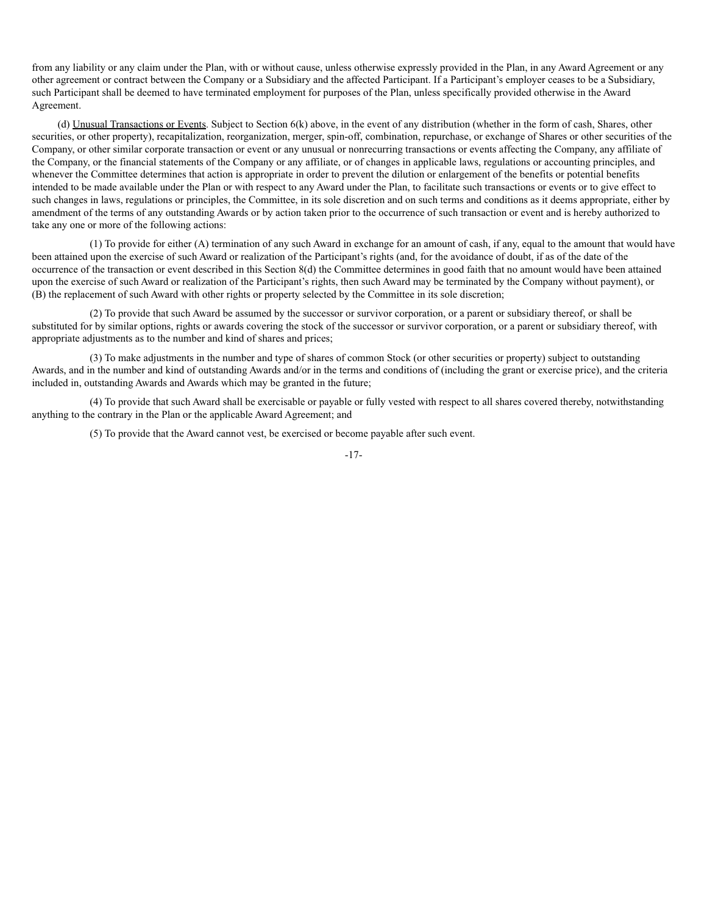from any liability or any claim under the Plan, with or without cause, unless otherwise expressly provided in the Plan, in any Award Agreement or any other agreement or contract between the Company or a Subsidiary and the affected Participant. If a Participant's employer ceases to be a Subsidiary, such Participant shall be deemed to have terminated employment for purposes of the Plan, unless specifically provided otherwise in the Award Agreement.

(d) Unusual Transactions or Events. Subject to Section 6(k) above, in the event of any distribution (whether in the form of cash, Shares, other securities, or other property), recapitalization, reorganization, merger, spin-off, combination, repurchase, or exchange of Shares or other securities of the Company, or other similar corporate transaction or event or any unusual or nonrecurring transactions or events affecting the Company, any affiliate of the Company, or the financial statements of the Company or any affiliate, or of changes in applicable laws, regulations or accounting principles, and whenever the Committee determines that action is appropriate in order to prevent the dilution or enlargement of the benefits or potential benefits intended to be made available under the Plan or with respect to any Award under the Plan, to facilitate such transactions or events or to give effect to such changes in laws, regulations or principles, the Committee, in its sole discretion and on such terms and conditions as it deems appropriate, either by amendment of the terms of any outstanding Awards or by action taken prior to the occurrence of such transaction or event and is hereby authorized to take any one or more of the following actions:

(1) To provide for either (A) termination of any such Award in exchange for an amount of cash, if any, equal to the amount that would have been attained upon the exercise of such Award or realization of the Participant's rights (and, for the avoidance of doubt, if as of the date of the occurrence of the transaction or event described in this Section 8(d) the Committee determines in good faith that no amount would have been attained upon the exercise of such Award or realization of the Participant's rights, then such Award may be terminated by the Company without payment), or (B) the replacement of such Award with other rights or property selected by the Committee in its sole discretion;

(2) To provide that such Award be assumed by the successor or survivor corporation, or a parent or subsidiary thereof, or shall be substituted for by similar options, rights or awards covering the stock of the successor or survivor corporation, or a parent or subsidiary thereof, with appropriate adjustments as to the number and kind of shares and prices;

(3) To make adjustments in the number and type of shares of common Stock (or other securities or property) subject to outstanding Awards, and in the number and kind of outstanding Awards and/or in the terms and conditions of (including the grant or exercise price), and the criteria included in, outstanding Awards and Awards which may be granted in the future;

(4) To provide that such Award shall be exercisable or payable or fully vested with respect to all shares covered thereby, notwithstanding anything to the contrary in the Plan or the applicable Award Agreement; and

(5) To provide that the Award cannot vest, be exercised or become payable after such event.

-17-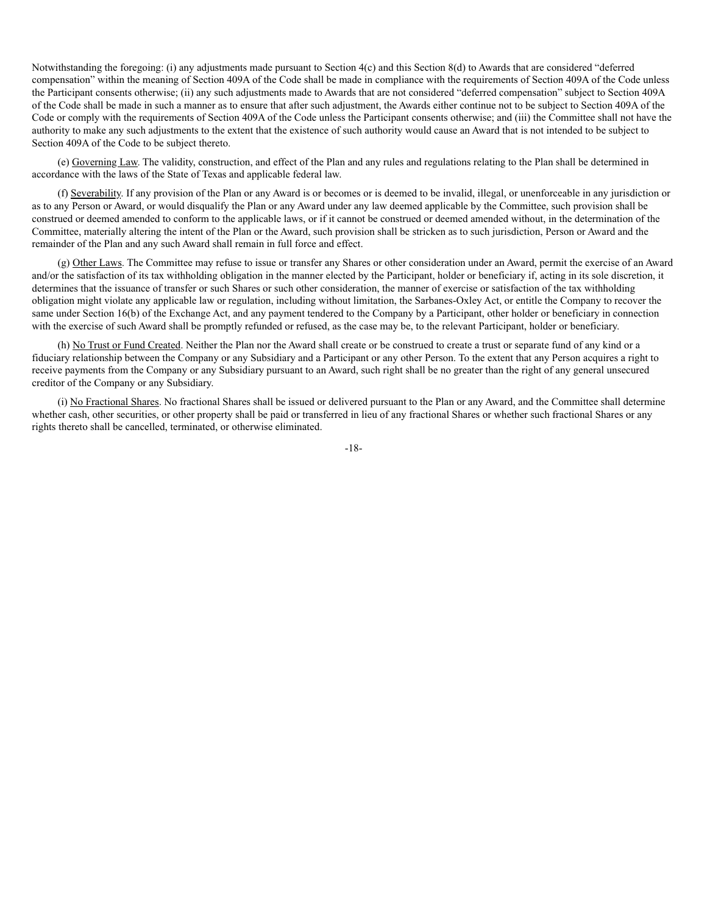Notwithstanding the foregoing: (i) any adjustments made pursuant to Section 4(c) and this Section 8(d) to Awards that are considered "deferred compensation" within the meaning of Section 409A of the Code shall be made in compliance with the requirements of Section 409A of the Code unless the Participant consents otherwise; (ii) any such adjustments made to Awards that are not considered "deferred compensation" subject to Section 409A of the Code shall be made in such a manner as to ensure that after such adjustment, the Awards either continue not to be subject to Section 409A of the Code or comply with the requirements of Section 409A of the Code unless the Participant consents otherwise; and (iii) the Committee shall not have the authority to make any such adjustments to the extent that the existence of such authority would cause an Award that is not intended to be subject to Section 409A of the Code to be subject thereto.

(e) Governing Law. The validity, construction, and effect of the Plan and any rules and regulations relating to the Plan shall be determined in accordance with the laws of the State of Texas and applicable federal law.

(f) Severability. If any provision of the Plan or any Award is or becomes or is deemed to be invalid, illegal, or unenforceable in any jurisdiction or as to any Person or Award, or would disqualify the Plan or any Award under any law deemed applicable by the Committee, such provision shall be construed or deemed amended to conform to the applicable laws, or if it cannot be construed or deemed amended without, in the determination of the Committee, materially altering the intent of the Plan or the Award, such provision shall be stricken as to such jurisdiction, Person or Award and the remainder of the Plan and any such Award shall remain in full force and effect.

(g) Other Laws. The Committee may refuse to issue or transfer any Shares or other consideration under an Award, permit the exercise of an Award and/or the satisfaction of its tax withholding obligation in the manner elected by the Participant, holder or beneficiary if, acting in its sole discretion, it determines that the issuance of transfer or such Shares or such other consideration, the manner of exercise or satisfaction of the tax withholding obligation might violate any applicable law or regulation, including without limitation, the Sarbanes-Oxley Act, or entitle the Company to recover the same under Section 16(b) of the Exchange Act, and any payment tendered to the Company by a Participant, other holder or beneficiary in connection with the exercise of such Award shall be promptly refunded or refused, as the case may be, to the relevant Participant, holder or beneficiary.

(h) No Trust or Fund Created. Neither the Plan nor the Award shall create or be construed to create a trust or separate fund of any kind or a fiduciary relationship between the Company or any Subsidiary and a Participant or any other Person. To the extent that any Person acquires a right to receive payments from the Company or any Subsidiary pursuant to an Award, such right shall be no greater than the right of any general unsecured creditor of the Company or any Subsidiary.

(i) No Fractional Shares. No fractional Shares shall be issued or delivered pursuant to the Plan or any Award, and the Committee shall determine whether cash, other securities, or other property shall be paid or transferred in lieu of any fractional Shares or whether such fractional Shares or any rights thereto shall be cancelled, terminated, or otherwise eliminated.

-18-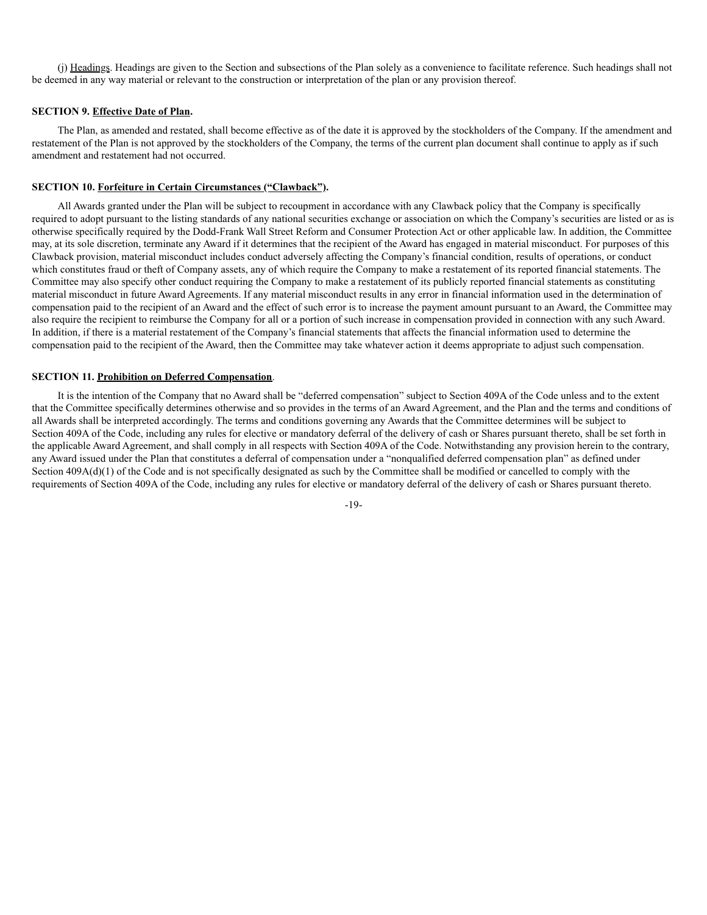(j) Headings. Headings are given to the Section and subsections of the Plan solely as a convenience to facilitate reference. Such headings shall not be deemed in any way material or relevant to the construction or interpretation of the plan or any provision thereof.

#### **SECTION 9. Effective Date of Plan.**

The Plan, as amended and restated, shall become effective as of the date it is approved by the stockholders of the Company. If the amendment and restatement of the Plan is not approved by the stockholders of the Company, the terms of the current plan document shall continue to apply as if such amendment and restatement had not occurred.

#### **SECTION 10. Forfeiture in Certain Circumstances ("Clawback").**

All Awards granted under the Plan will be subject to recoupment in accordance with any Clawback policy that the Company is specifically required to adopt pursuant to the listing standards of any national securities exchange or association on which the Company's securities are listed or as is otherwise specifically required by the Dodd-Frank Wall Street Reform and Consumer Protection Act or other applicable law. In addition, the Committee may, at its sole discretion, terminate any Award if it determines that the recipient of the Award has engaged in material misconduct. For purposes of this Clawback provision, material misconduct includes conduct adversely affecting the Company's financial condition, results of operations, or conduct which constitutes fraud or theft of Company assets, any of which require the Company to make a restatement of its reported financial statements. The Committee may also specify other conduct requiring the Company to make a restatement of its publicly reported financial statements as constituting material misconduct in future Award Agreements. If any material misconduct results in any error in financial information used in the determination of compensation paid to the recipient of an Award and the effect of such error is to increase the payment amount pursuant to an Award, the Committee may also require the recipient to reimburse the Company for all or a portion of such increase in compensation provided in connection with any such Award. In addition, if there is a material restatement of the Company's financial statements that affects the financial information used to determine the compensation paid to the recipient of the Award, then the Committee may take whatever action it deems appropriate to adjust such compensation.

#### **SECTION 11. Prohibition on Deferred Compensation**.

It is the intention of the Company that no Award shall be "deferred compensation" subject to Section 409A of the Code unless and to the extent that the Committee specifically determines otherwise and so provides in the terms of an Award Agreement, and the Plan and the terms and conditions of all Awards shall be interpreted accordingly. The terms and conditions governing any Awards that the Committee determines will be subject to Section 409A of the Code, including any rules for elective or mandatory deferral of the delivery of cash or Shares pursuant thereto, shall be set forth in the applicable Award Agreement, and shall comply in all respects with Section 409A of the Code. Notwithstanding any provision herein to the contrary, any Award issued under the Plan that constitutes a deferral of compensation under a "nonqualified deferred compensation plan" as defined under Section 409A(d)(1) of the Code and is not specifically designated as such by the Committee shall be modified or cancelled to comply with the requirements of Section 409A of the Code, including any rules for elective or mandatory deferral of the delivery of cash or Shares pursuant thereto.

-19-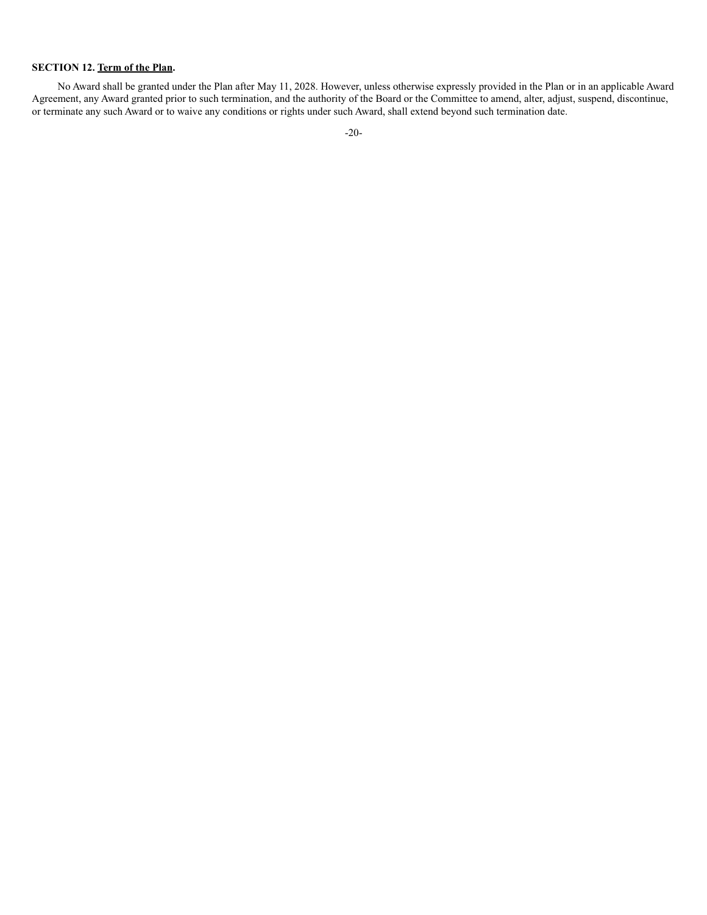# **SECTION 12. Term of the Plan.**

No Award shall be granted under the Plan after May 11, 2028. However, unless otherwise expressly provided in the Plan or in an applicable Award Agreement, any Award granted prior to such termination, and the authority of the Board or the Committee to amend, alter, adjust, suspend, discontinue, or terminate any such Award or to waive any conditions or rights under such Award, shall extend beyond such termination date.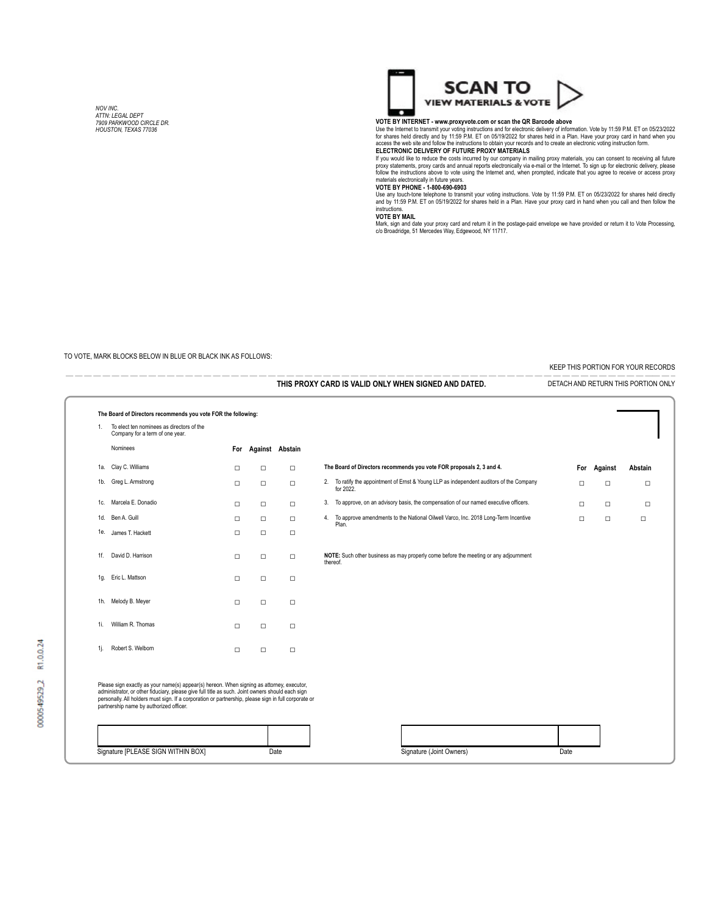*NOV INC. ATTN: LEGAL DEPT 7909 PARKWOOD CIRCLE DR. HOUSTON, TEXAS 77036*



#### **VOTE BY INTERNET - www.proxyvote.com or scan the QR Barcode above**

Use the Internet to transmit your voting instructions and for electronic delivery of information. Vote by 11:59 P.M. ET on 05/23/2022<br>for shares held directly and by 11:59 P.M. ET on 05/19/2022 for shares held in a Plan. H

If you would like to reduce the costs incurred by our company in mailing proxy materials, you can consent to receiving all future<br>proxy statements, proxy cards and annual reports electronically via e-mail or the Internet.

Use any touch-tone telephone to transmit your voting instructions. Vote by 11:59 P.M. ET on 05/23/2022 for shares held directly<br>and by 11:59 P.M. ET on 05/19/2022 for shares held in a Plan. Have your proxy card in hand whe instructions. **VOTE BY MAIL**

Mark, sign and date your proxy card and return it in the postage-paid envelope we have provided or return it to Vote Processing, c/o Broadridge, 51 Mercedes Way, Edgewood, NY 11717.

#### TO VOTE, MARK BLOCKS BELOW IN BLUE OR BLACK INK AS FOLLOWS:

1d. Ben A. Guill

1f. David D. Harrison

KEEP THIS PORTION FOR YOUR RECORDS

 — — — — — — — — — — — — — — — — — — — — — — — — — — — — — — — — — — — — — — — — — — — — — — — — — — — — — — — — — — — — — — — —— — — **THIS PROXY CARD IS VALID ONLY WHEN SIGNED AND DATED.-** DETACH AND RETURN THIS PORTION ONLY **The Board of Directors recommends you vote FOR the following:** 1. To elect ten nominees as directors of the Company for a term of one year. Nominees **For Against Abstain** 1a. Clay C. Williams ☐ ☐ ☐ **The Board of Directors recommends you vote FOR proposals 2, 3 and 4. For Against Abstain** 1b. Greg L. Armstrong ☐ ☐ ☐ 2. To ratify the appointment of Ernst & Young LLP as independent auditors of the Company for 2022. ☐ ☐ ☐ 1c. Marcela E. Donadio ☐ ☐ ☐ 3. To approve, on an advisory basis, the compensation of our named executive officers. ☐ ☐ ☐

> □ □ **NOTE:** Such other business as may properly come before the meeting or any adjournment thereof.

4. To approve amendments to the National Oilwell Varco, Inc. 2018 Long-Term Incentive Plan. ☐ ☐ ☐

Please sign exactly as your name(s) appear(s) hereon. When signing as attorney, executor,<br>administrator, or other fiduciary, please give full title as such. Joint owners should each sign<br>personally. All holders must sign.

1e. James T. Hackett ☐ ☐ ☐

1h. Melody B. Meyer ☐ ☐ ☐

1i. William R. Thomas ☐ ☐ ☐

1j. Robert S. Welborn ☐ ☐ ☐

☐ ☐ ☐

1g. Eric L. Mattson ☐ ☐ ☐

| Signature [PLEASE SIGN WITHIN BOX] | Date | Signature (Joint Owners) | Date |
|------------------------------------|------|--------------------------|------|